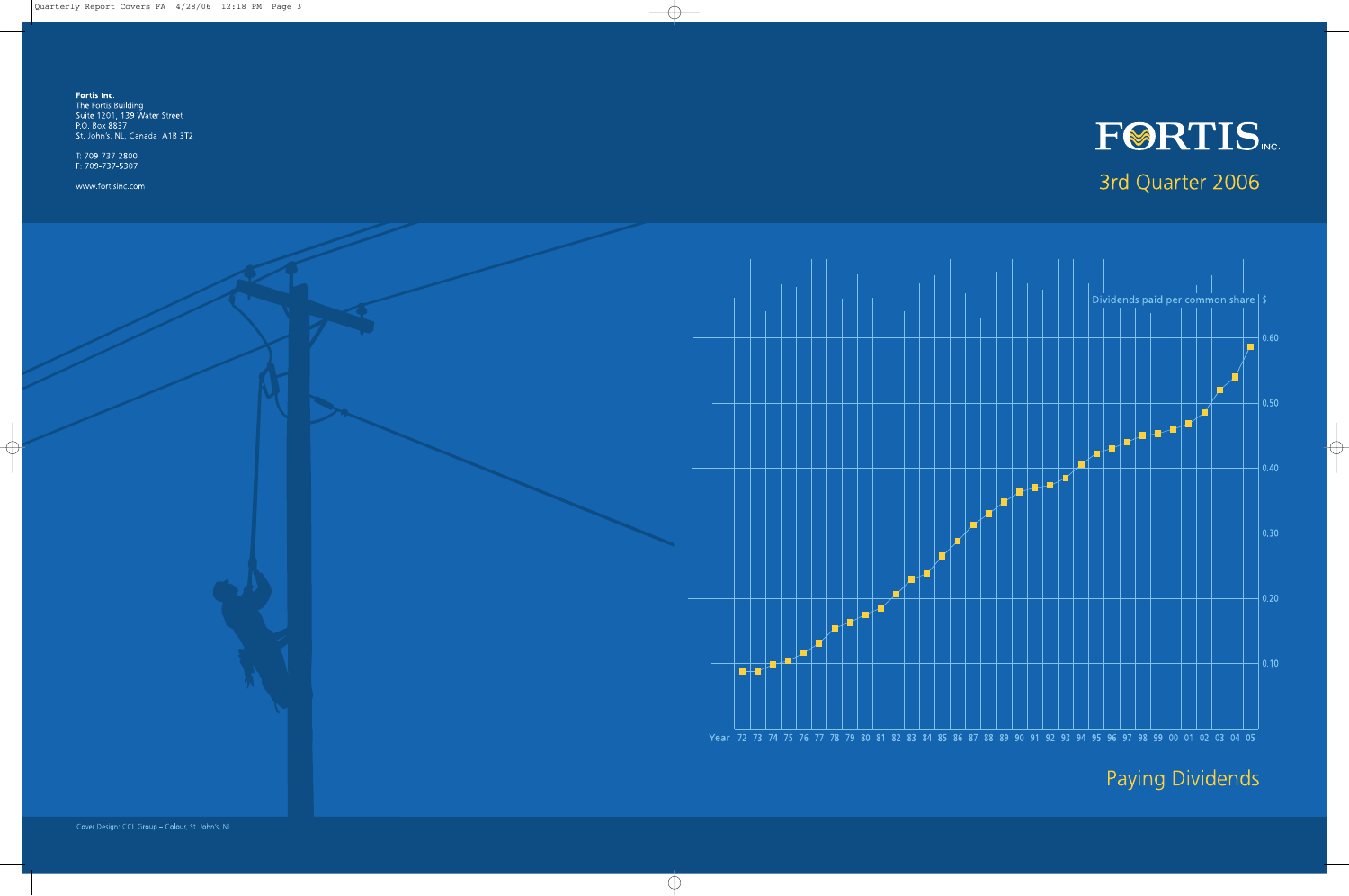

# 3rd Quarter 2006



**Paying Dividends**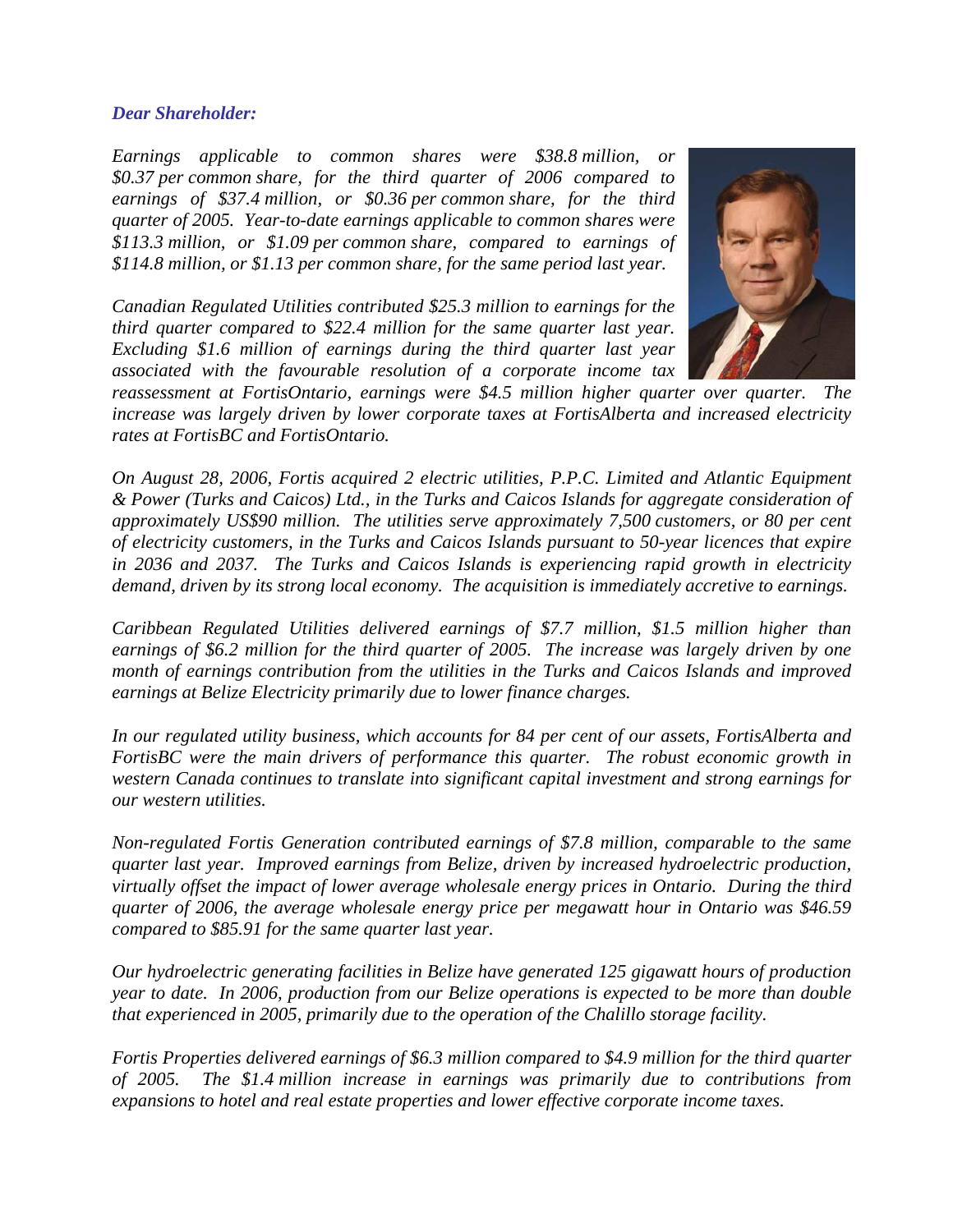### *Dear Shareholder:*

*Earnings applicable to common shares were \$38.8 million, or \$0.37 per common share, for the third quarter of 2006 compared to earnings of \$37.4 million, or \$0.36 per common share, for the third quarter of 2005. Year-to-date earnings applicable to common shares were \$113.3 million, or \$1.09 per common share, compared to earnings of \$114.8 million, or \$1.13 per common share, for the same period last year.* 

*Canadian Regulated Utilities contributed \$25.3 million to earnings for the third quarter compared to \$22.4 million for the same quarter last year. Excluding \$1.6 million of earnings during the third quarter last year associated with the favourable resolution of a corporate income tax* 



*reassessment at FortisOntario, earnings were \$4.5 million higher quarter over quarter. The increase was largely driven by lower corporate taxes at FortisAlberta and increased electricity rates at FortisBC and FortisOntario.* 

*On August 28, 2006, Fortis acquired 2 electric utilities, P.P.C. Limited and Atlantic Equipment & Power (Turks and Caicos) Ltd., in the Turks and Caicos Islands for aggregate consideration of approximately US\$90 million. The utilities serve approximately 7,500 customers, or 80 per cent of electricity customers, in the Turks and Caicos Islands pursuant to 50-year licences that expire in 2036 and 2037. The Turks and Caicos Islands is experiencing rapid growth in electricity demand, driven by its strong local economy. The acquisition is immediately accretive to earnings.* 

*Caribbean Regulated Utilities delivered earnings of \$7.7 million, \$1.5 million higher than earnings of \$6.2 million for the third quarter of 2005. The increase was largely driven by one month of earnings contribution from the utilities in the Turks and Caicos Islands and improved earnings at Belize Electricity primarily due to lower finance charges.* 

*In our regulated utility business, which accounts for 84 per cent of our assets, FortisAlberta and FortisBC were the main drivers of performance this quarter. The robust economic growth in western Canada continues to translate into significant capital investment and strong earnings for our western utilities.* 

*Non-regulated Fortis Generation contributed earnings of \$7.8 million, comparable to the same quarter last year. Improved earnings from Belize, driven by increased hydroelectric production, virtually offset the impact of lower average wholesale energy prices in Ontario. During the third quarter of 2006, the average wholesale energy price per megawatt hour in Ontario was \$46.59 compared to \$85.91 for the same quarter last year.* 

*Our hydroelectric generating facilities in Belize have generated 125 gigawatt hours of production year to date. In 2006, production from our Belize operations is expected to be more than double that experienced in 2005, primarily due to the operation of the Chalillo storage facility.* 

*Fortis Properties delivered earnings of \$6.3 million compared to \$4.9 million for the third quarter of 2005. The \$1.4 million increase in earnings was primarily due to contributions from expansions to hotel and real estate properties and lower effective corporate income taxes.*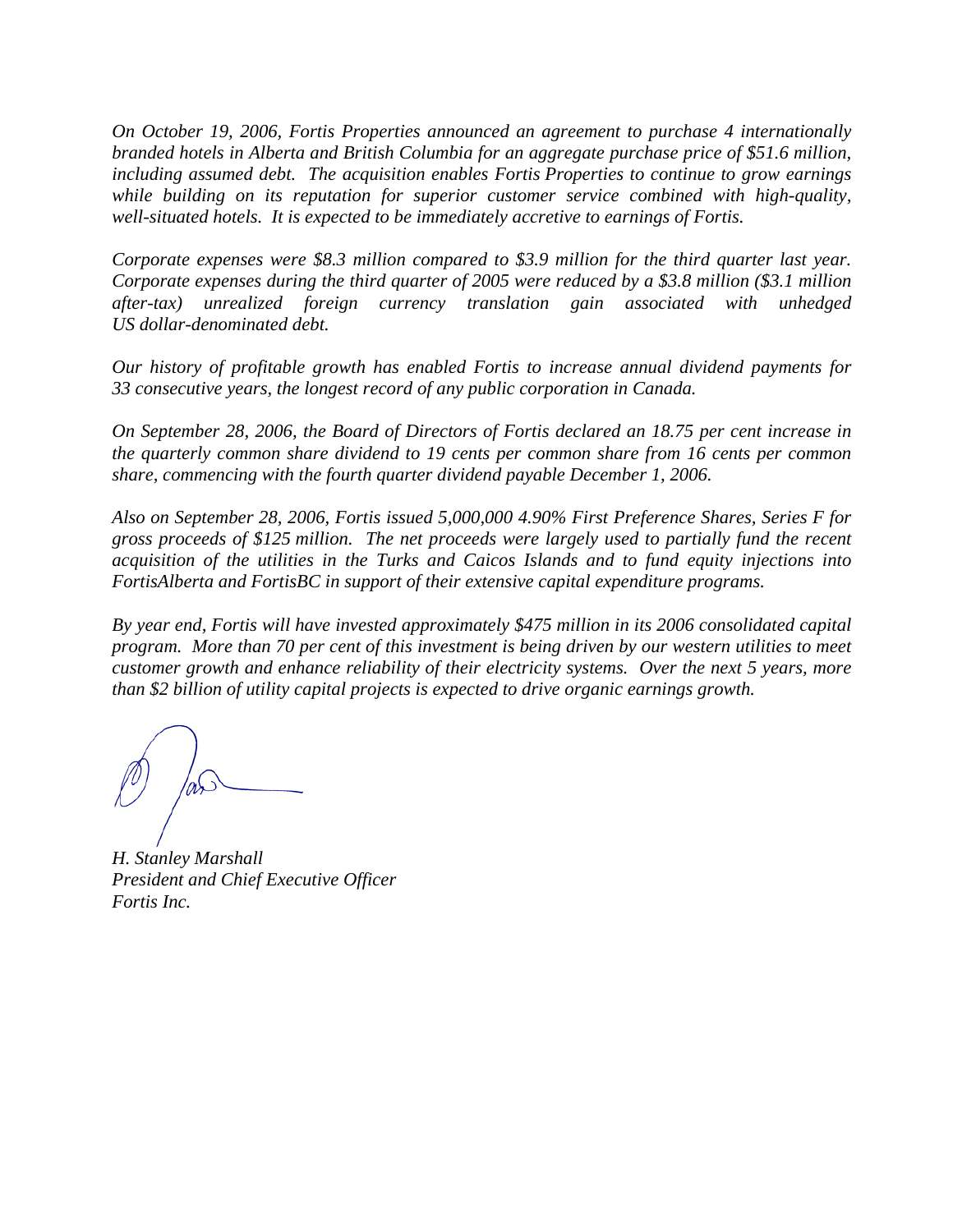*On October 19, 2006, Fortis Properties announced an agreement to purchase 4 internationally branded hotels in Alberta and British Columbia for an aggregate purchase price of \$51.6 million, including assumed debt. The acquisition enables Fortis Properties to continue to grow earnings while building on its reputation for superior customer service combined with high-quality, well-situated hotels. It is expected to be immediately accretive to earnings of Fortis.* 

*Corporate expenses were \$8.3 million compared to \$3.9 million for the third quarter last year. Corporate expenses during the third quarter of 2005 were reduced by a \$3.8 million (\$3.1 million after-tax) unrealized foreign currency translation gain associated with unhedged US dollar-denominated debt.* 

*Our history of profitable growth has enabled Fortis to increase annual dividend payments for 33 consecutive years, the longest record of any public corporation in Canada.* 

*On September 28, 2006, the Board of Directors of Fortis declared an 18.75 per cent increase in the quarterly common share dividend to 19 cents per common share from 16 cents per common share, commencing with the fourth quarter dividend payable December 1, 2006.* 

*Also on September 28, 2006, Fortis issued 5,000,000 4.90% First Preference Shares, Series F for gross proceeds of \$125 million. The net proceeds were largely used to partially fund the recent acquisition of the utilities in the Turks and Caicos Islands and to fund equity injections into FortisAlberta and FortisBC in support of their extensive capital expenditure programs.* 

*By year end, Fortis will have invested approximately \$475 million in its 2006 consolidated capital program. More than 70 per cent of this investment is being driven by our western utilities to meet customer growth and enhance reliability of their electricity systems. Over the next 5 years, more than \$2 billion of utility capital projects is expected to drive organic earnings growth.*

*H. Stanley Marshall President and Chief Executive Officer Fortis Inc.*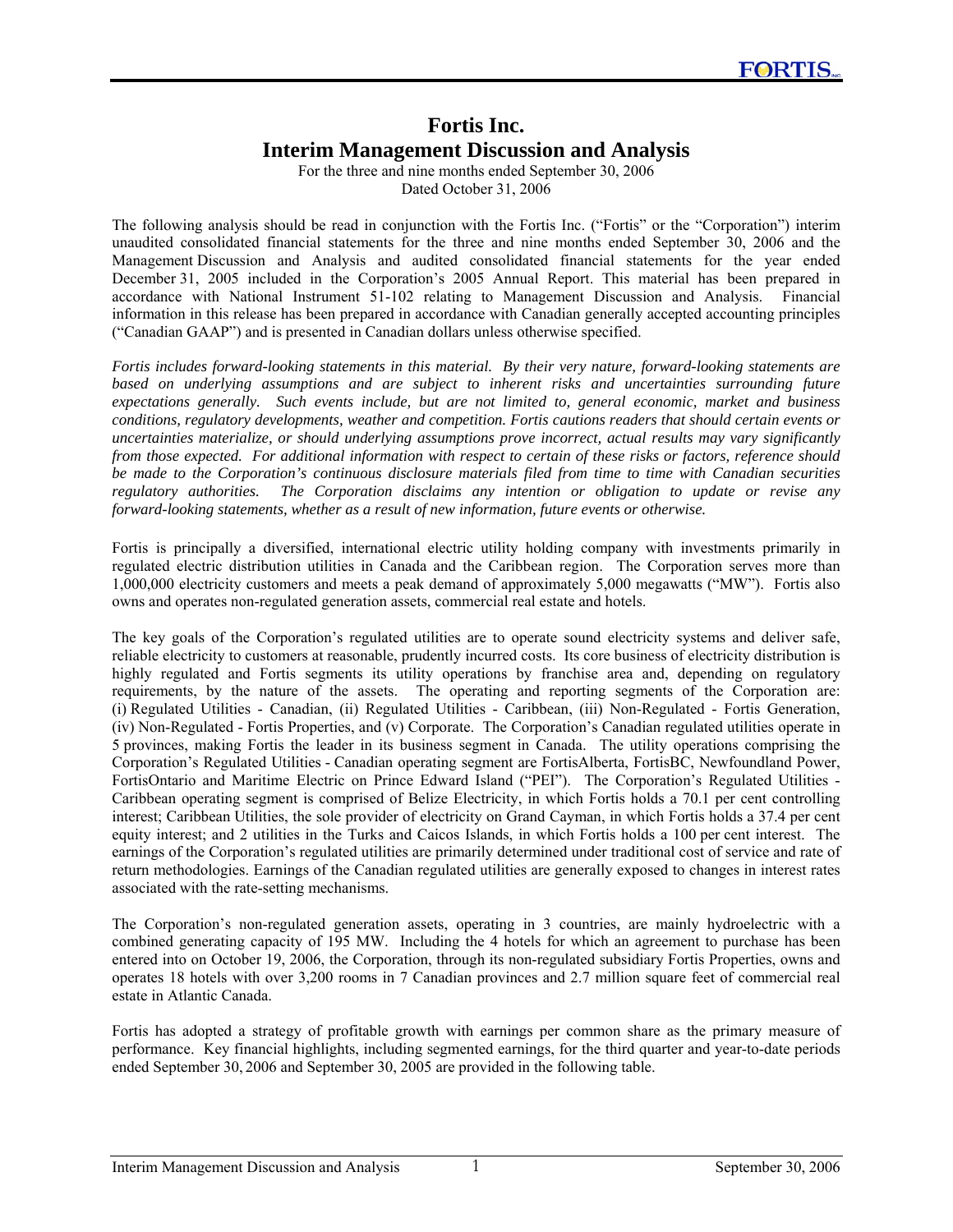# **Fortis Inc. Interim Management Discussion and Analysis**

For the three and nine months ended September 30, 2006 Dated October 31, 2006

The following analysis should be read in conjunction with the Fortis Inc. ("Fortis" or the "Corporation") interim unaudited consolidated financial statements for the three and nine months ended September 30, 2006 and the Management Discussion and Analysis and audited consolidated financial statements for the year ended December 31, 2005 included in the Corporation's 2005 Annual Report. This material has been prepared in accordance with National Instrument 51-102 relating to Management Discussion and Analysis. Financial information in this release has been prepared in accordance with Canadian generally accepted accounting principles ("Canadian GAAP") and is presented in Canadian dollars unless otherwise specified.

*Fortis includes forward-looking statements in this material. By their very nature, forward-looking statements are based on underlying assumptions and are subject to inherent risks and uncertainties surrounding future expectations generally. Such events include, but are not limited to, general economic, market and business conditions, regulatory developments, weather and competition. Fortis cautions readers that should certain events or uncertainties materialize, or should underlying assumptions prove incorrect, actual results may vary significantly from those expected. For additional information with respect to certain of these risks or factors, reference should be made to the Corporation's continuous disclosure materials filed from time to time with Canadian securities regulatory authorities. The Corporation disclaims any intention or obligation to update or revise any forward-looking statements, whether as a result of new information, future events or otherwise.* 

Fortis is principally a diversified, international electric utility holding company with investments primarily in regulated electric distribution utilities in Canada and the Caribbean region. The Corporation serves more than 1,000,000 electricity customers and meets a peak demand of approximately 5,000 megawatts ("MW"). Fortis also owns and operates non-regulated generation assets, commercial real estate and hotels.

The key goals of the Corporation's regulated utilities are to operate sound electricity systems and deliver safe, reliable electricity to customers at reasonable, prudently incurred costs. Its core business of electricity distribution is highly regulated and Fortis segments its utility operations by franchise area and, depending on regulatory requirements, by the nature of the assets. The operating and reporting segments of the Corporation are: (i) Regulated Utilities - Canadian, (ii) Regulated Utilities - Caribbean, (iii) Non-Regulated - Fortis Generation, (iv) Non-Regulated - Fortis Properties, and (v) Corporate. The Corporation's Canadian regulated utilities operate in 5 provinces, making Fortis the leader in its business segment in Canada. The utility operations comprising the Corporation's Regulated Utilities - Canadian operating segment are FortisAlberta, FortisBC, Newfoundland Power, FortisOntario and Maritime Electric on Prince Edward Island ("PEI"). The Corporation's Regulated Utilities - Caribbean operating segment is comprised of Belize Electricity, in which Fortis holds a 70.1 per cent controlling interest; Caribbean Utilities, the sole provider of electricity on Grand Cayman, in which Fortis holds a 37.4 per cent equity interest; and 2 utilities in the Turks and Caicos Islands, in which Fortis holds a 100 per cent interest. The earnings of the Corporation's regulated utilities are primarily determined under traditional cost of service and rate of return methodologies. Earnings of the Canadian regulated utilities are generally exposed to changes in interest rates associated with the rate-setting mechanisms.

The Corporation's non-regulated generation assets, operating in 3 countries, are mainly hydroelectric with a combined generating capacity of 195 MW. Including the 4 hotels for which an agreement to purchase has been entered into on October 19, 2006, the Corporation, through its non-regulated subsidiary Fortis Properties, owns and operates 18 hotels with over 3,200 rooms in 7 Canadian provinces and 2.7 million square feet of commercial real estate in Atlantic Canada.

Fortis has adopted a strategy of profitable growth with earnings per common share as the primary measure of performance. Key financial highlights, including segmented earnings, for the third quarter and year-to-date periods ended September 30, 2006 and September 30, 2005 are provided in the following table.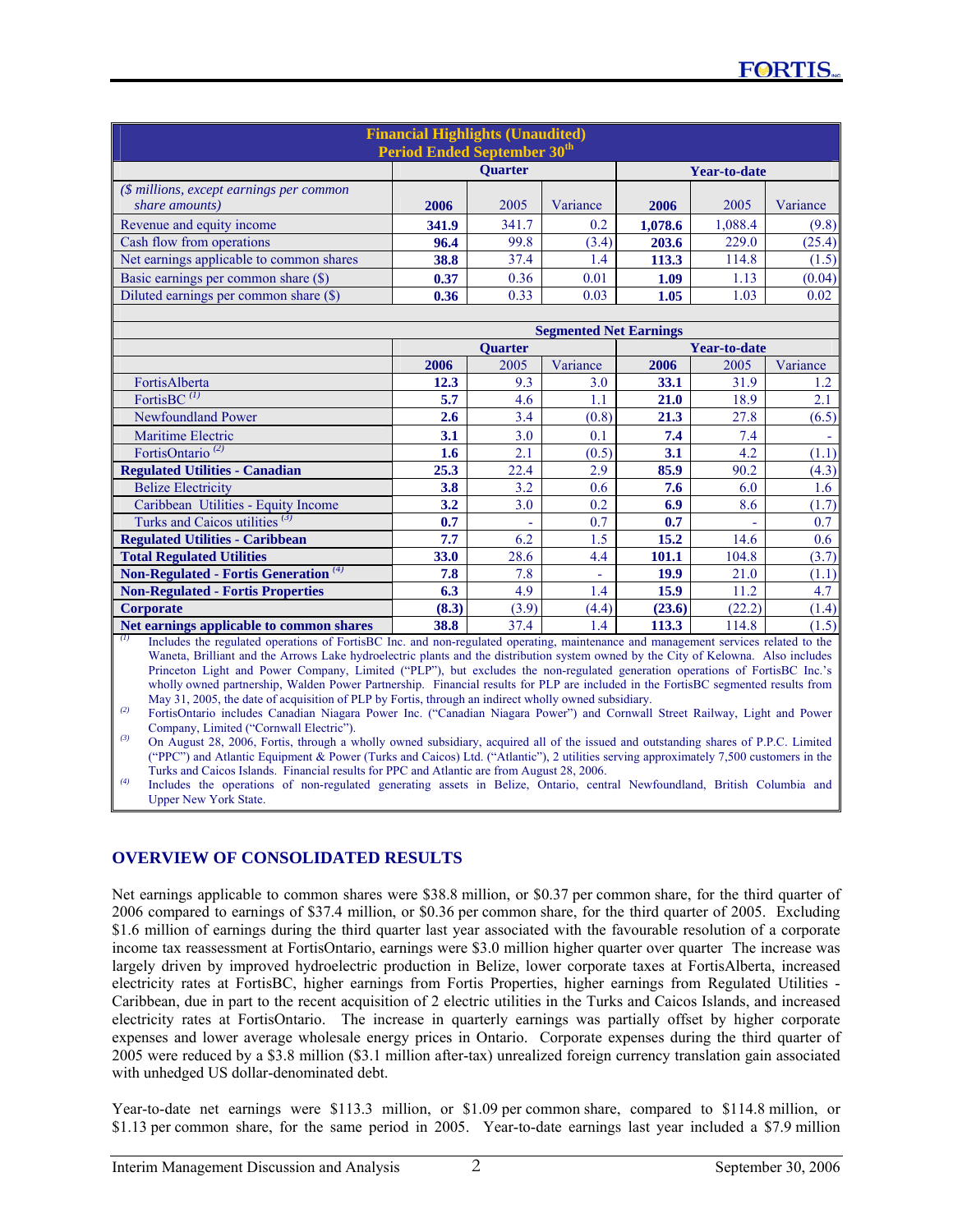| <b>Financial Highlights (Unaudited)</b><br><b>Period Ended September 30th</b> |                                                      |       |       |         |         |        |  |
|-------------------------------------------------------------------------------|------------------------------------------------------|-------|-------|---------|---------|--------|--|
| <b>Ouarter</b><br>Year-to-date                                                |                                                      |       |       |         |         |        |  |
| $(\text{\$ millions, except earnings per common})$<br>share amounts)          | Variance<br>2005<br>Variance<br>2005<br>2006<br>2006 |       |       |         |         |        |  |
| Revenue and equity income                                                     | 341.9                                                | 341.7 | 0.2   | 1,078.6 | 1,088.4 | (9.8)  |  |
| Cash flow from operations                                                     | 96.4                                                 | 99.8  | (3.4) | 203.6   | 229.0   | (25.4) |  |
| Net earnings applicable to common shares                                      | 38.8                                                 | 37.4  | 1.4   | 113.3   | 114.8   | (1.5)  |  |
| Basic earnings per common share (\$)                                          | 0.36<br>(0.04)<br>0.01<br>1.13<br>0.37<br>1.09       |       |       |         |         |        |  |
| Diluted earnings per common share (\$)                                        | 0.36                                                 | 0.33  | 0.03  | 1.05    | 1.03    | 0.02   |  |

|                                                  |       |                | <b>Segmented Net Earnings</b> |                     |        |          |
|--------------------------------------------------|-------|----------------|-------------------------------|---------------------|--------|----------|
|                                                  |       | <b>Ouarter</b> |                               | <b>Year-to-date</b> |        |          |
|                                                  | 2006  | 2005           | Variance                      | 2006                | 2005   | Variance |
| FortisAlberta                                    | 12.3  | 9.3            | 3.0                           | 33.1                | 31.9   | 1.2      |
| FortisBC $^{(1)}$                                | 5.7   | 4.6            | 1.1                           | 21.0                | 18.9   | 2.1      |
| <b>Newfoundland Power</b>                        | 2.6   | 3.4            | (0.8)                         | 21.3                | 27.8   | (6.5)    |
| <b>Maritime Electric</b>                         | 3.1   | 3.0            | 0.1                           | 7.4                 | 7.4    |          |
| FortisOntario <sup>(2)</sup>                     | 1.6   | 2.1            | (0.5)                         | 3.1                 | 4.2    | (1.1)    |
| <b>Regulated Utilities - Canadian</b>            | 25.3  | 22.4           | 2.9                           | 85.9                | 90.2   | (4.3)    |
| <b>Belize Electricity</b>                        | 3.8   | 3.2            | 0.6                           | 7.6                 | 6.0    | 1.6      |
| Caribbean Utilities - Equity Income              | 3.2   | 3.0            | 0.2                           | 6.9                 | 8.6    | (1.7)    |
| Turks and Caicos utilities $(3)$                 | 0.7   |                | 0.7                           | 0.7                 |        | 0.7      |
| <b>Regulated Utilities - Caribbean</b>           | 7.7   | 6.2            | 1.5                           | 15.2                | 14.6   | 0.6      |
| <b>Total Regulated Utilities</b>                 | 33.0  | 28.6           | 4.4                           | 101.1               | 104.8  | (3.7)    |
| Non-Regulated - Fortis Generation <sup>(4)</sup> | 7.8   | 7.8            | ٠                             | 19.9                | 21.0   | (1.1)    |
| <b>Non-Regulated - Fortis Properties</b>         | 6.3   | 4.9            | 1.4                           | 15.9                | 11.2   | 4.7      |
| <b>Corporate</b>                                 | (8.3) | (3.9)          | (4.4)                         | (23.6)              | (22.2) | (1.4)    |
| Net earnings applicable to common shares         | 38.8  | 37.4           | 1.4                           | 113.3               | 114.8  | (1.5)    |

*(1)* Includes the regulated operations of FortisBC Inc. and non-regulated operating, maintenance and management services related to the Waneta, Brilliant and the Arrows Lake hydroelectric plants and the distribution system owned by the City of Kelowna. Also includes Princeton Light and Power Company, Limited ("PLP"), but excludes the non-regulated generation operations of FortisBC Inc.'s wholly owned partnership, Walden Power Partnership. Financial results for PLP are included in the FortisBC segmented results from May 31, 2005, the date of acquisition of PLP by Fortis, through an indirect wholly owned subsidiary.

*(2)* FortisOntario includes Canadian Niagara Power Inc. ("Canadian Niagara Power") and Cornwall Street Railway, Light and Power Company, Limited ("Cornwall Electric").

*(3)* On August 28, 2006, Fortis, through a wholly owned subsidiary, acquired all of the issued and outstanding shares of P.P.C. Limited ("PPC") and Atlantic Equipment & Power (Turks and Caicos) Ltd. ("Atlantic"), 2 utilities serving approximately 7,500 customers in the Turks and Caicos Islands. Financial results for PPC and Atlantic are from August 28, 2006.

*(4)* Includes the operations of non-regulated generating assets in Belize, Ontario, central Newfoundland, British Columbia and Upper New York State.

# **OVERVIEW OF CONSOLIDATED RESULTS**

Net earnings applicable to common shares were \$38.8 million, or \$0.37 per common share, for the third quarter of 2006 compared to earnings of \$37.4 million, or \$0.36 per common share, for the third quarter of 2005. Excluding \$1.6 million of earnings during the third quarter last year associated with the favourable resolution of a corporate income tax reassessment at FortisOntario, earnings were \$3.0 million higher quarter over quarter The increase was largely driven by improved hydroelectric production in Belize, lower corporate taxes at FortisAlberta, increased electricity rates at FortisBC, higher earnings from Fortis Properties, higher earnings from Regulated Utilities - Caribbean, due in part to the recent acquisition of 2 electric utilities in the Turks and Caicos Islands, and increased electricity rates at FortisOntario. The increase in quarterly earnings was partially offset by higher corporate expenses and lower average wholesale energy prices in Ontario. Corporate expenses during the third quarter of 2005 were reduced by a \$3.8 million (\$3.1 million after-tax) unrealized foreign currency translation gain associated with unhedged US dollar-denominated debt.

Year-to-date net earnings were \$113.3 million, or \$1.09 per common share, compared to \$114.8 million, or \$1.13 per common share, for the same period in 2005. Year-to-date earnings last year included a \$7.9 million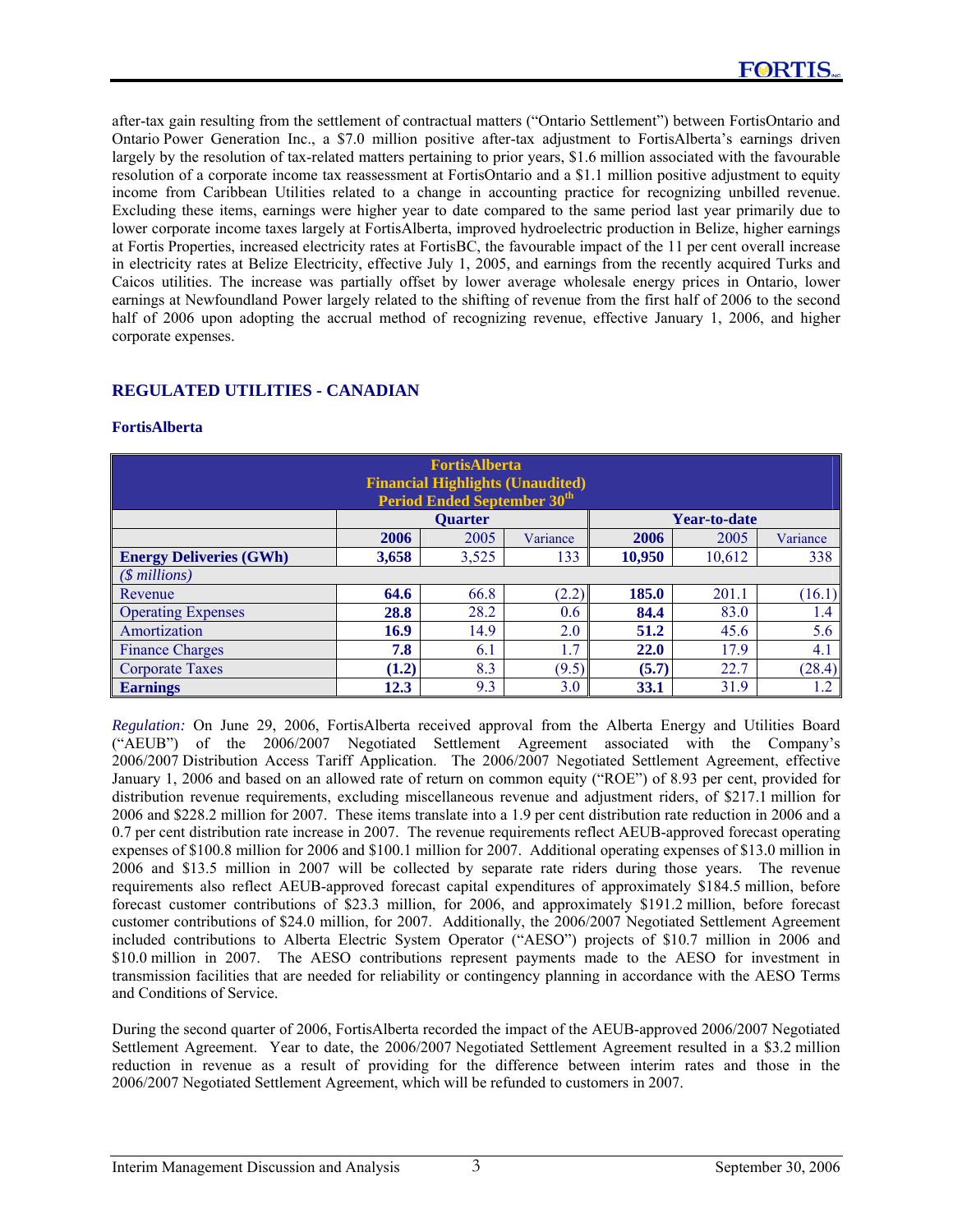after-tax gain resulting from the settlement of contractual matters ("Ontario Settlement") between FortisOntario and Ontario Power Generation Inc., a \$7.0 million positive after-tax adjustment to FortisAlberta's earnings driven largely by the resolution of tax-related matters pertaining to prior years, \$1.6 million associated with the favourable resolution of a corporate income tax reassessment at FortisOntario and a \$1.1 million positive adjustment to equity income from Caribbean Utilities related to a change in accounting practice for recognizing unbilled revenue. Excluding these items, earnings were higher year to date compared to the same period last year primarily due to lower corporate income taxes largely at FortisAlberta, improved hydroelectric production in Belize, higher earnings at Fortis Properties, increased electricity rates at FortisBC, the favourable impact of the 11 per cent overall increase in electricity rates at Belize Electricity, effective July 1, 2005, and earnings from the recently acquired Turks and Caicos utilities. The increase was partially offset by lower average wholesale energy prices in Ontario, lower earnings at Newfoundland Power largely related to the shifting of revenue from the first half of 2006 to the second half of 2006 upon adopting the accrual method of recognizing revenue, effective January 1, 2006, and higher corporate expenses.

# **REGULATED UTILITIES - CANADIAN**

### **FortisAlberta**

| <b>FortisAlberta</b><br><b>Financial Highlights (Unaudited)</b><br><b>Period Ended September 30th</b> |                                                  |                |          |        |                     |          |  |
|-------------------------------------------------------------------------------------------------------|--------------------------------------------------|----------------|----------|--------|---------------------|----------|--|
|                                                                                                       |                                                  | <b>Ouarter</b> |          |        | <b>Year-to-date</b> |          |  |
|                                                                                                       | 2006                                             | 2005           | Variance | 2006   | 2005                | Variance |  |
| <b>Energy Deliveries (GWh)</b>                                                                        | 3,658                                            | 3,525          | 133      | 10,950 | 10,612              | 338      |  |
| $(\text{\$millions})$                                                                                 |                                                  |                |          |        |                     |          |  |
| Revenue                                                                                               | 64.6                                             | 66.8           | (2.2)    | 185.0  | 201.1               | (16.1)   |  |
| <b>Operating Expenses</b>                                                                             | 28.8                                             | 28.2           | 0.6      | 84.4   | 83.0                | 1.4      |  |
| Amortization                                                                                          | 16.9                                             | 14.9           | 2.0      | 51.2   | 45.6                | 5.6      |  |
| <b>Finance Charges</b>                                                                                | 7.8                                              | 6.1            | 1.7      | 22.0   | 17.9                | 4.1      |  |
| Corporate Taxes                                                                                       | (28.4)<br>8.3<br>(9.5)<br>(1.2)<br>(5.7)<br>22.7 |                |          |        |                     |          |  |
| <b>Earnings</b>                                                                                       | 12.3                                             | 9.3            | 3.0      | 33.1   | 31.9                | 1.2      |  |

*Regulation:* On June 29, 2006, FortisAlberta received approval from the Alberta Energy and Utilities Board ("AEUB") of the 2006/2007 Negotiated Settlement Agreement associated with the Company's 2006/2007 Distribution Access Tariff Application. The 2006/2007 Negotiated Settlement Agreement, effective January 1, 2006 and based on an allowed rate of return on common equity ("ROE") of 8.93 per cent, provided for distribution revenue requirements, excluding miscellaneous revenue and adjustment riders, of \$217.1 million for 2006 and \$228.2 million for 2007. These items translate into a 1.9 per cent distribution rate reduction in 2006 and a 0.7 per cent distribution rate increase in 2007. The revenue requirements reflect AEUB-approved forecast operating expenses of \$100.8 million for 2006 and \$100.1 million for 2007. Additional operating expenses of \$13.0 million in 2006 and \$13.5 million in 2007 will be collected by separate rate riders during those years. The revenue requirements also reflect AEUB-approved forecast capital expenditures of approximately \$184.5 million, before forecast customer contributions of \$23.3 million, for 2006, and approximately \$191.2 million, before forecast customer contributions of \$24.0 million, for 2007. Additionally, the 2006/2007 Negotiated Settlement Agreement included contributions to Alberta Electric System Operator ("AESO") projects of \$10.7 million in 2006 and \$10.0 million in 2007. The AESO contributions represent payments made to the AESO for investment in transmission facilities that are needed for reliability or contingency planning in accordance with the AESO Terms and Conditions of Service.

During the second quarter of 2006, FortisAlberta recorded the impact of the AEUB-approved 2006/2007 Negotiated Settlement Agreement. Year to date, the 2006/2007 Negotiated Settlement Agreement resulted in a \$3.2 million reduction in revenue as a result of providing for the difference between interim rates and those in the 2006/2007 Negotiated Settlement Agreement, which will be refunded to customers in 2007.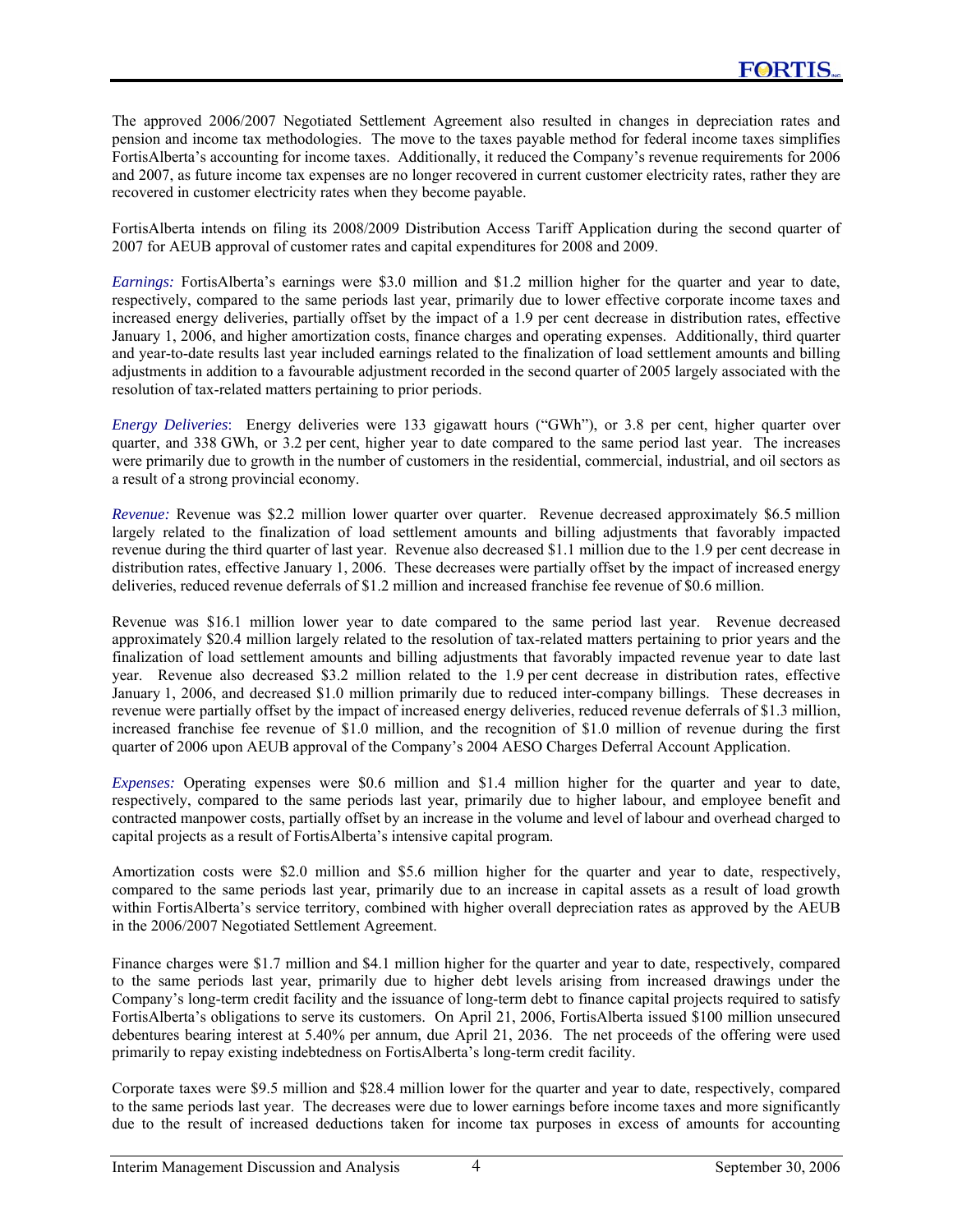The approved 2006/2007 Negotiated Settlement Agreement also resulted in changes in depreciation rates and pension and income tax methodologies. The move to the taxes payable method for federal income taxes simplifies FortisAlberta's accounting for income taxes. Additionally, it reduced the Company's revenue requirements for 2006 and 2007, as future income tax expenses are no longer recovered in current customer electricity rates, rather they are recovered in customer electricity rates when they become payable.

FortisAlberta intends on filing its 2008/2009 Distribution Access Tariff Application during the second quarter of 2007 for AEUB approval of customer rates and capital expenditures for 2008 and 2009.

*Earnings:* FortisAlberta's earnings were \$3.0 million and \$1.2 million higher for the quarter and year to date, respectively, compared to the same periods last year, primarily due to lower effective corporate income taxes and increased energy deliveries, partially offset by the impact of a 1.9 per cent decrease in distribution rates, effective January 1, 2006, and higher amortization costs, finance charges and operating expenses. Additionally, third quarter and year-to-date results last year included earnings related to the finalization of load settlement amounts and billing adjustments in addition to a favourable adjustment recorded in the second quarter of 2005 largely associated with the resolution of tax-related matters pertaining to prior periods.

*Energy Deliveries*: Energy deliveries were 133 gigawatt hours ("GWh"), or 3.8 per cent, higher quarter over quarter, and 338 GWh, or 3.2 per cent, higher year to date compared to the same period last year. The increases were primarily due to growth in the number of customers in the residential, commercial, industrial, and oil sectors as a result of a strong provincial economy.

*Revenue:* Revenue was \$2.2 million lower quarter over quarter. Revenue decreased approximately \$6.5 million largely related to the finalization of load settlement amounts and billing adjustments that favorably impacted revenue during the third quarter of last year. Revenue also decreased \$1.1 million due to the 1.9 per cent decrease in distribution rates, effective January 1, 2006. These decreases were partially offset by the impact of increased energy deliveries, reduced revenue deferrals of \$1.2 million and increased franchise fee revenue of \$0.6 million.

Revenue was \$16.1 million lower year to date compared to the same period last year. Revenue decreased approximately \$20.4 million largely related to the resolution of tax-related matters pertaining to prior years and the finalization of load settlement amounts and billing adjustments that favorably impacted revenue year to date last year. Revenue also decreased \$3.2 million related to the 1.9 per cent decrease in distribution rates, effective January 1, 2006, and decreased \$1.0 million primarily due to reduced inter-company billings. These decreases in revenue were partially offset by the impact of increased energy deliveries, reduced revenue deferrals of \$1.3 million, increased franchise fee revenue of \$1.0 million, and the recognition of \$1.0 million of revenue during the first quarter of 2006 upon AEUB approval of the Company's 2004 AESO Charges Deferral Account Application.

*Expenses:* Operating expenses were \$0.6 million and \$1.4 million higher for the quarter and year to date, respectively, compared to the same periods last year, primarily due to higher labour, and employee benefit and contracted manpower costs, partially offset by an increase in the volume and level of labour and overhead charged to capital projects as a result of FortisAlberta's intensive capital program.

Amortization costs were \$2.0 million and \$5.6 million higher for the quarter and year to date, respectively, compared to the same periods last year, primarily due to an increase in capital assets as a result of load growth within FortisAlberta's service territory, combined with higher overall depreciation rates as approved by the AEUB in the 2006/2007 Negotiated Settlement Agreement.

Finance charges were \$1.7 million and \$4.1 million higher for the quarter and year to date, respectively, compared to the same periods last year, primarily due to higher debt levels arising from increased drawings under the Company's long-term credit facility and the issuance of long-term debt to finance capital projects required to satisfy FortisAlberta's obligations to serve its customers. On April 21, 2006, FortisAlberta issued \$100 million unsecured debentures bearing interest at 5.40% per annum, due April 21, 2036. The net proceeds of the offering were used primarily to repay existing indebtedness on FortisAlberta's long-term credit facility.

Corporate taxes were \$9.5 million and \$28.4 million lower for the quarter and year to date, respectively, compared to the same periods last year. The decreases were due to lower earnings before income taxes and more significantly due to the result of increased deductions taken for income tax purposes in excess of amounts for accounting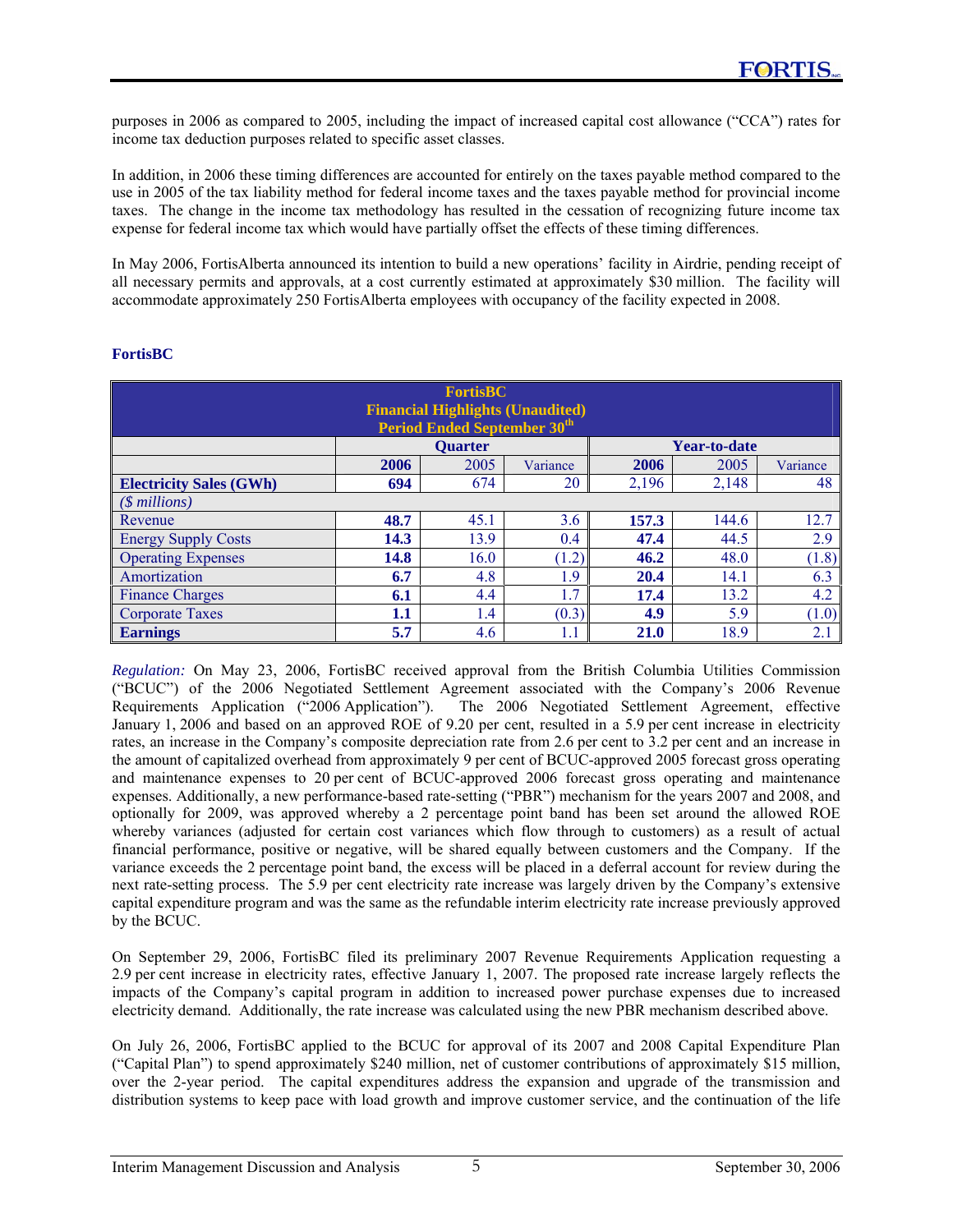purposes in 2006 as compared to 2005, including the impact of increased capital cost allowance ("CCA") rates for income tax deduction purposes related to specific asset classes.

In addition, in 2006 these timing differences are accounted for entirely on the taxes payable method compared to the use in 2005 of the tax liability method for federal income taxes and the taxes payable method for provincial income taxes. The change in the income tax methodology has resulted in the cessation of recognizing future income tax expense for federal income tax which would have partially offset the effects of these timing differences.

In May 2006, FortisAlberta announced its intention to build a new operations' facility in Airdrie, pending receipt of all necessary permits and approvals, at a cost currently estimated at approximately \$30 million. The facility will accommodate approximately 250 FortisAlberta employees with occupancy of the facility expected in 2008.

| <b>FortisBC</b><br><b>Financial Highlights (Unaudited)</b><br><b>Period Ended September 30th</b> |                                          |                                     |          |       |                     |          |  |
|--------------------------------------------------------------------------------------------------|------------------------------------------|-------------------------------------|----------|-------|---------------------|----------|--|
|                                                                                                  |                                          | <b>Ouarter</b>                      |          |       | <b>Year-to-date</b> |          |  |
|                                                                                                  | 2006                                     | 2005                                | Variance | 2006  | 2005                | Variance |  |
| <b>Electricity Sales (GWh)</b>                                                                   | 694                                      | 674                                 | 20       | 2,196 | 2,148               | 48       |  |
| $(S$ millions)                                                                                   |                                          |                                     |          |       |                     |          |  |
| Revenue                                                                                          | 48.7                                     | 45.1                                | 3.6      | 157.3 | 144.6               | 12.7     |  |
| <b>Energy Supply Costs</b>                                                                       | 14.3                                     | 13.9                                | 0.4      | 47.4  | 44.5                | 2.9      |  |
| <b>Operating Expenses</b>                                                                        | 14.8                                     | 16.0                                | (1.2)    | 46.2  | 48.0                | (1.8)    |  |
| Amortization                                                                                     | 6.7                                      | 4.8                                 | 1.9      | 20.4  | 14.1                | 6.3      |  |
| <b>Finance Charges</b>                                                                           | 4.2<br>1.7<br>17.4<br>13.2<br>6.1<br>4.4 |                                     |          |       |                     |          |  |
| <b>Corporate Taxes</b>                                                                           | 1.1                                      | (0.3)<br>4.9<br>(1.0)<br>1.4<br>5.9 |          |       |                     |          |  |
| <b>Earnings</b>                                                                                  | 5.7                                      | 4.6                                 | 1.1      | 21.0  | 18.9                | 2.1      |  |

# **FortisBC**

*Regulation:* On May 23, 2006, FortisBC received approval from the British Columbia Utilities Commission ("BCUC") of the 2006 Negotiated Settlement Agreement associated with the Company's 2006 Revenue Requirements Application ("2006 Application"). The 2006 Negotiated Settlement Agreement, effective January 1, 2006 and based on an approved ROE of 9.20 per cent, resulted in a 5.9 per cent increase in electricity rates, an increase in the Company's composite depreciation rate from 2.6 per cent to 3.2 per cent and an increase in the amount of capitalized overhead from approximately 9 per cent of BCUC-approved 2005 forecast gross operating and maintenance expenses to 20 per cent of BCUC-approved 2006 forecast gross operating and maintenance expenses. Additionally, a new performance-based rate-setting ("PBR") mechanism for the years 2007 and 2008, and optionally for 2009, was approved whereby a 2 percentage point band has been set around the allowed ROE whereby variances (adjusted for certain cost variances which flow through to customers) as a result of actual financial performance, positive or negative, will be shared equally between customers and the Company. If the variance exceeds the 2 percentage point band, the excess will be placed in a deferral account for review during the next rate-setting process. The 5.9 per cent electricity rate increase was largely driven by the Company's extensive capital expenditure program and was the same as the refundable interim electricity rate increase previously approved by the BCUC.

On September 29, 2006, FortisBC filed its preliminary 2007 Revenue Requirements Application requesting a 2.9 per cent increase in electricity rates, effective January 1, 2007. The proposed rate increase largely reflects the impacts of the Company's capital program in addition to increased power purchase expenses due to increased electricity demand. Additionally, the rate increase was calculated using the new PBR mechanism described above.

On July 26, 2006, FortisBC applied to the BCUC for approval of its 2007 and 2008 Capital Expenditure Plan ("Capital Plan") to spend approximately \$240 million, net of customer contributions of approximately \$15 million, over the 2-year period. The capital expenditures address the expansion and upgrade of the transmission and distribution systems to keep pace with load growth and improve customer service, and the continuation of the life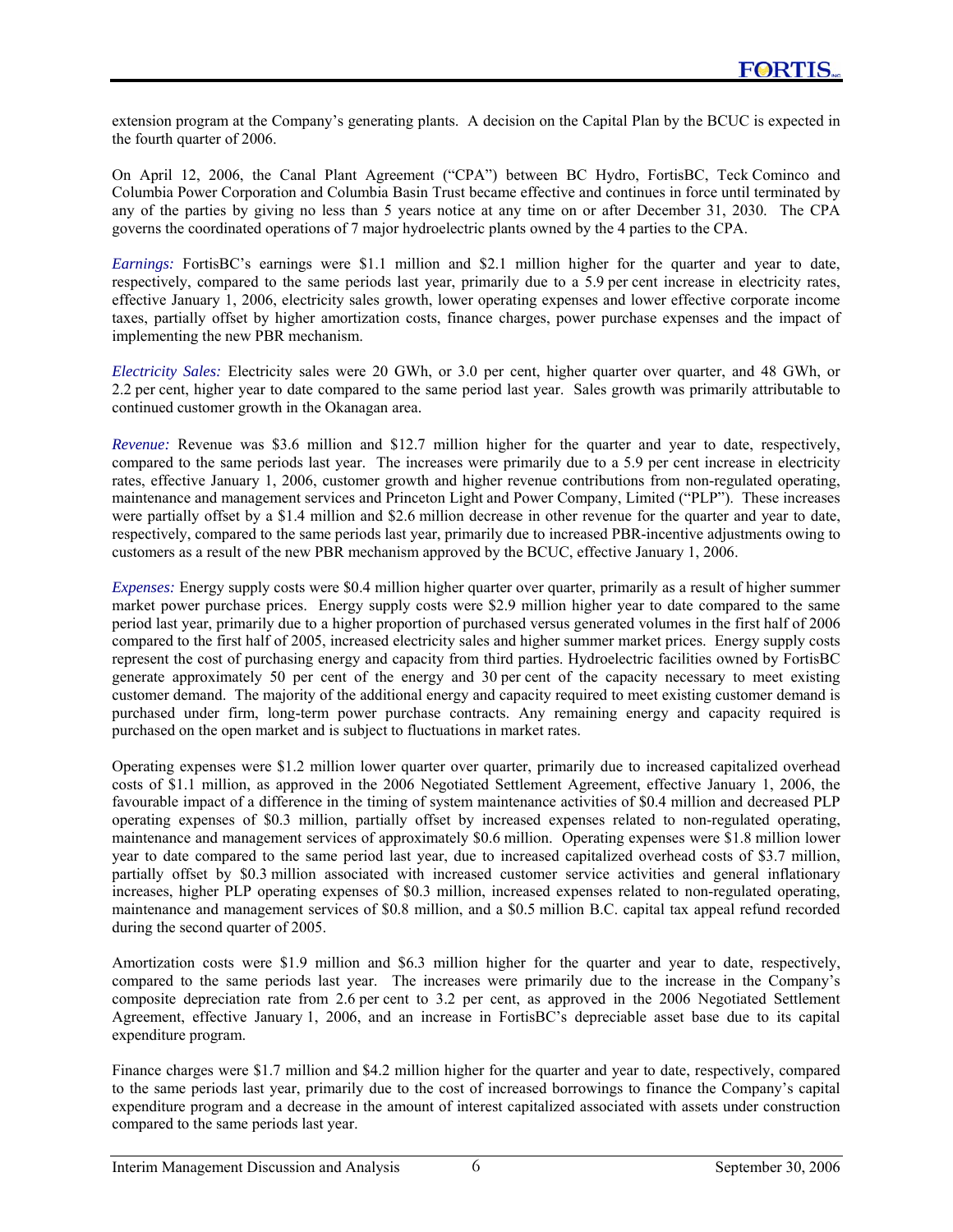extension program at the Company's generating plants. A decision on the Capital Plan by the BCUC is expected in the fourth quarter of 2006.

On April 12, 2006, the Canal Plant Agreement ("CPA") between BC Hydro, FortisBC, Teck Cominco and Columbia Power Corporation and Columbia Basin Trust became effective and continues in force until terminated by any of the parties by giving no less than 5 years notice at any time on or after December 31, 2030. The CPA governs the coordinated operations of 7 major hydroelectric plants owned by the 4 parties to the CPA.

*Earnings:* FortisBC's earnings were \$1.1 million and \$2.1 million higher for the quarter and year to date, respectively, compared to the same periods last year, primarily due to a 5.9 per cent increase in electricity rates, effective January 1, 2006, electricity sales growth, lower operating expenses and lower effective corporate income taxes, partially offset by higher amortization costs, finance charges, power purchase expenses and the impact of implementing the new PBR mechanism.

*Electricity Sales:* Electricity sales were 20 GWh, or 3.0 per cent, higher quarter over quarter, and 48 GWh, or 2.2 per cent, higher year to date compared to the same period last year. Sales growth was primarily attributable to continued customer growth in the Okanagan area.

*Revenue:* Revenue was \$3.6 million and \$12.7 million higher for the quarter and year to date, respectively, compared to the same periods last year. The increases were primarily due to a 5.9 per cent increase in electricity rates, effective January 1, 2006, customer growth and higher revenue contributions from non-regulated operating, maintenance and management services and Princeton Light and Power Company, Limited ("PLP"). These increases were partially offset by a \$1.4 million and \$2.6 million decrease in other revenue for the quarter and year to date, respectively, compared to the same periods last year, primarily due to increased PBR-incentive adjustments owing to customers as a result of the new PBR mechanism approved by the BCUC, effective January 1, 2006.

*Expenses:* Energy supply costs were \$0.4 million higher quarter over quarter, primarily as a result of higher summer market power purchase prices. Energy supply costs were \$2.9 million higher year to date compared to the same period last year, primarily due to a higher proportion of purchased versus generated volumes in the first half of 2006 compared to the first half of 2005, increased electricity sales and higher summer market prices. Energy supply costs represent the cost of purchasing energy and capacity from third parties. Hydroelectric facilities owned by FortisBC generate approximately 50 per cent of the energy and 30 per cent of the capacity necessary to meet existing customer demand. The majority of the additional energy and capacity required to meet existing customer demand is purchased under firm, long-term power purchase contracts. Any remaining energy and capacity required is purchased on the open market and is subject to fluctuations in market rates.

Operating expenses were \$1.2 million lower quarter over quarter, primarily due to increased capitalized overhead costs of \$1.1 million, as approved in the 2006 Negotiated Settlement Agreement, effective January 1, 2006, the favourable impact of a difference in the timing of system maintenance activities of \$0.4 million and decreased PLP operating expenses of \$0.3 million, partially offset by increased expenses related to non-regulated operating, maintenance and management services of approximately \$0.6 million. Operating expenses were \$1.8 million lower year to date compared to the same period last year, due to increased capitalized overhead costs of \$3.7 million, partially offset by \$0.3 million associated with increased customer service activities and general inflationary increases, higher PLP operating expenses of \$0.3 million, increased expenses related to non-regulated operating, maintenance and management services of \$0.8 million, and a \$0.5 million B.C. capital tax appeal refund recorded during the second quarter of 2005.

Amortization costs were \$1.9 million and \$6.3 million higher for the quarter and year to date, respectively, compared to the same periods last year. The increases were primarily due to the increase in the Company's composite depreciation rate from 2.6 per cent to 3.2 per cent, as approved in the 2006 Negotiated Settlement Agreement, effective January 1, 2006, and an increase in FortisBC's depreciable asset base due to its capital expenditure program.

Finance charges were \$1.7 million and \$4.2 million higher for the quarter and year to date, respectively, compared to the same periods last year, primarily due to the cost of increased borrowings to finance the Company's capital expenditure program and a decrease in the amount of interest capitalized associated with assets under construction compared to the same periods last year.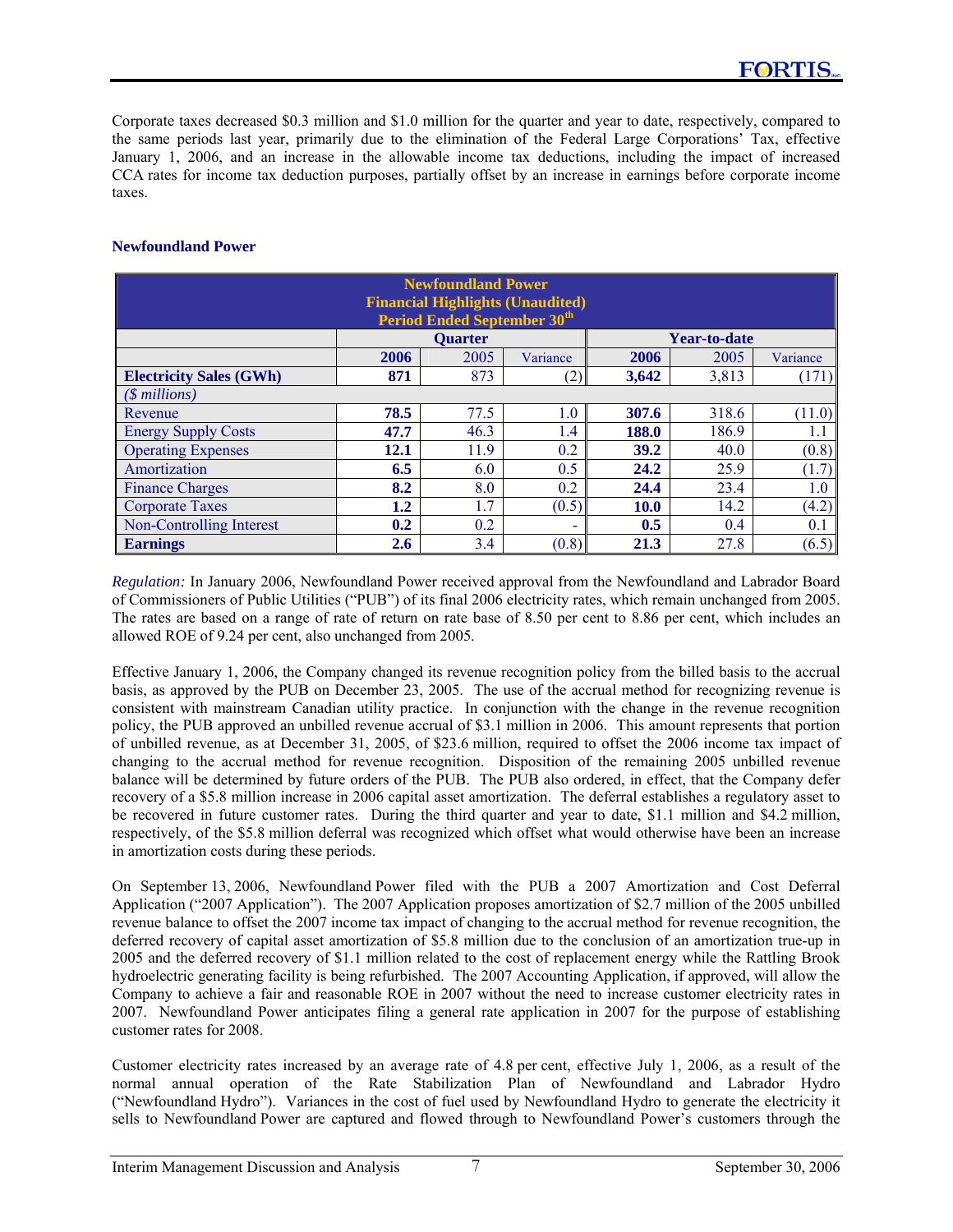Corporate taxes decreased \$0.3 million and \$1.0 million for the quarter and year to date, respectively, compared to the same periods last year, primarily due to the elimination of the Federal Large Corporations' Tax, effective January 1, 2006, and an increase in the allowable income tax deductions, including the impact of increased CCA rates for income tax deduction purposes, partially offset by an increase in earnings before corporate income taxes.

### **Newfoundland Power**

| <b>Newfoundland Power</b><br><b>Financial Highlights (Unaudited)</b><br><b>Period Ended September 30th</b> |                                                     |                |          |       |                     |          |  |  |
|------------------------------------------------------------------------------------------------------------|-----------------------------------------------------|----------------|----------|-------|---------------------|----------|--|--|
|                                                                                                            |                                                     | <b>Ouarter</b> |          |       | <b>Year-to-date</b> |          |  |  |
|                                                                                                            | 2006                                                | 2005           | Variance | 2006  | 2005                | Variance |  |  |
| <b>Electricity Sales (GWh)</b>                                                                             | 871                                                 | 873            | (2)      | 3,642 | 3,813               | (171)    |  |  |
| $($$ millions)                                                                                             |                                                     |                |          |       |                     |          |  |  |
| Revenue                                                                                                    | 78.5                                                | 77.5           | 1.0      | 307.6 | 318.6               | (11.0)   |  |  |
| <b>Energy Supply Costs</b>                                                                                 | 47.7                                                | 46.3           | 1.4      | 188.0 | 186.9               | 1.1      |  |  |
| <b>Operating Expenses</b>                                                                                  | 12.1                                                | 11.9           | 0.2      | 39.2  | 40.0                | (0.8)    |  |  |
| Amortization                                                                                               | 6.5                                                 | 6.0            | 0.5      | 24.2  | 25.9                | (1.7)    |  |  |
| <b>Finance Charges</b>                                                                                     | 8.2                                                 | 8.0            | 0.2      | 24.4  | 23.4                | 1.0      |  |  |
| <b>Corporate Taxes</b>                                                                                     | 1.7<br>(4.2)<br>1.2<br>(0.5)<br>14.2<br><b>10.0</b> |                |          |       |                     |          |  |  |
| Non-Controlling Interest                                                                                   | 0.5<br>0.2<br>0.2<br>0.1<br>0.4<br>۰                |                |          |       |                     |          |  |  |
| <b>Earnings</b>                                                                                            | $2.6\phantom{0}$                                    | 3.4            | (0.8)    | 21.3  | 27.8                | (6.5)    |  |  |

*Regulation:* In January 2006, Newfoundland Power received approval from the Newfoundland and Labrador Board of Commissioners of Public Utilities ("PUB") of its final 2006 electricity rates, which remain unchanged from 2005. The rates are based on a range of rate of return on rate base of 8.50 per cent to 8.86 per cent, which includes an allowed ROE of 9.24 per cent, also unchanged from 2005.

Effective January 1, 2006, the Company changed its revenue recognition policy from the billed basis to the accrual basis, as approved by the PUB on December 23, 2005. The use of the accrual method for recognizing revenue is consistent with mainstream Canadian utility practice. In conjunction with the change in the revenue recognition policy, the PUB approved an unbilled revenue accrual of \$3.1 million in 2006. This amount represents that portion of unbilled revenue, as at December 31, 2005, of \$23.6 million, required to offset the 2006 income tax impact of changing to the accrual method for revenue recognition. Disposition of the remaining 2005 unbilled revenue balance will be determined by future orders of the PUB. The PUB also ordered, in effect, that the Company defer recovery of a \$5.8 million increase in 2006 capital asset amortization. The deferral establishes a regulatory asset to be recovered in future customer rates. During the third quarter and year to date, \$1.1 million and \$4.2 million, respectively, of the \$5.8 million deferral was recognized which offset what would otherwise have been an increase in amortization costs during these periods.

On September 13, 2006, Newfoundland Power filed with the PUB a 2007 Amortization and Cost Deferral Application ("2007 Application"). The 2007 Application proposes amortization of \$2.7 million of the 2005 unbilled revenue balance to offset the 2007 income tax impact of changing to the accrual method for revenue recognition, the deferred recovery of capital asset amortization of \$5.8 million due to the conclusion of an amortization true-up in 2005 and the deferred recovery of \$1.1 million related to the cost of replacement energy while the Rattling Brook hydroelectric generating facility is being refurbished. The 2007 Accounting Application, if approved, will allow the Company to achieve a fair and reasonable ROE in 2007 without the need to increase customer electricity rates in 2007. Newfoundland Power anticipates filing a general rate application in 2007 for the purpose of establishing customer rates for 2008.

Customer electricity rates increased by an average rate of 4.8 per cent, effective July 1, 2006, as a result of the normal annual operation of the Rate Stabilization Plan of Newfoundland and Labrador Hydro ("Newfoundland Hydro"). Variances in the cost of fuel used by Newfoundland Hydro to generate the electricity it sells to Newfoundland Power are captured and flowed through to Newfoundland Power's customers through the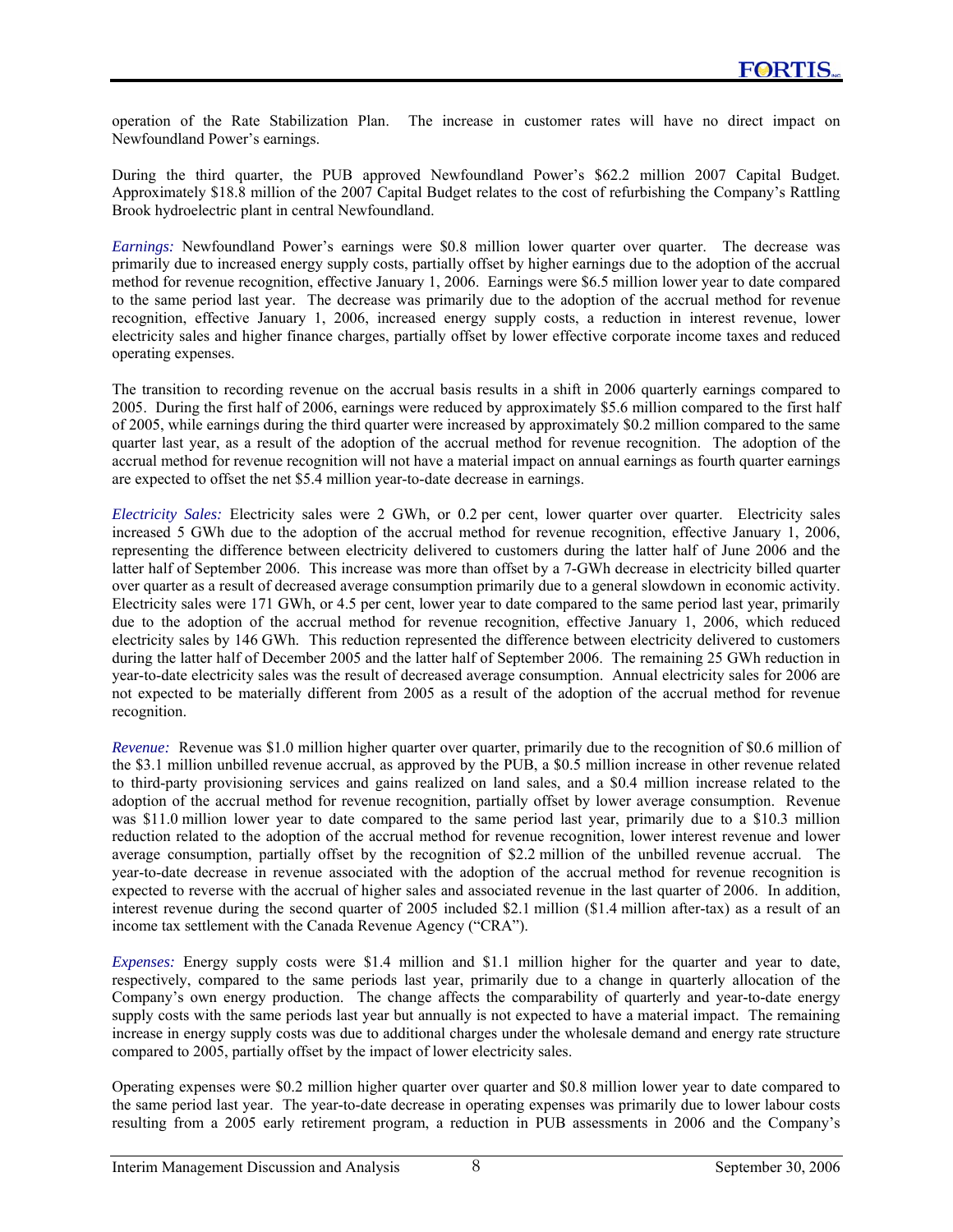operation of the Rate Stabilization Plan. The increase in customer rates will have no direct impact on Newfoundland Power's earnings.

During the third quarter, the PUB approved Newfoundland Power's \$62.2 million 2007 Capital Budget. Approximately \$18.8 million of the 2007 Capital Budget relates to the cost of refurbishing the Company's Rattling Brook hydroelectric plant in central Newfoundland.

*Earnings:* Newfoundland Power's earnings were \$0.8 million lower quarter over quarter. The decrease was primarily due to increased energy supply costs, partially offset by higher earnings due to the adoption of the accrual method for revenue recognition, effective January 1, 2006. Earnings were \$6.5 million lower year to date compared to the same period last year. The decrease was primarily due to the adoption of the accrual method for revenue recognition, effective January 1, 2006, increased energy supply costs, a reduction in interest revenue, lower electricity sales and higher finance charges, partially offset by lower effective corporate income taxes and reduced operating expenses.

The transition to recording revenue on the accrual basis results in a shift in 2006 quarterly earnings compared to 2005. During the first half of 2006, earnings were reduced by approximately \$5.6 million compared to the first half of 2005, while earnings during the third quarter were increased by approximately \$0.2 million compared to the same quarter last year, as a result of the adoption of the accrual method for revenue recognition. The adoption of the accrual method for revenue recognition will not have a material impact on annual earnings as fourth quarter earnings are expected to offset the net \$5.4 million year-to-date decrease in earnings.

*Electricity Sales:* Electricity sales were 2 GWh, or 0.2 per cent, lower quarter over quarter. Electricity sales increased 5 GWh due to the adoption of the accrual method for revenue recognition, effective January 1, 2006, representing the difference between electricity delivered to customers during the latter half of June 2006 and the latter half of September 2006. This increase was more than offset by a 7-GWh decrease in electricity billed quarter over quarter as a result of decreased average consumption primarily due to a general slowdown in economic activity. Electricity sales were 171 GWh, or 4.5 per cent, lower year to date compared to the same period last year, primarily due to the adoption of the accrual method for revenue recognition, effective January 1, 2006, which reduced electricity sales by 146 GWh. This reduction represented the difference between electricity delivered to customers during the latter half of December 2005 and the latter half of September 2006. The remaining 25 GWh reduction in year-to-date electricity sales was the result of decreased average consumption. Annual electricity sales for 2006 are not expected to be materially different from 2005 as a result of the adoption of the accrual method for revenue recognition.

*Revenue:* Revenue was \$1.0 million higher quarter over quarter, primarily due to the recognition of \$0.6 million of the \$3.1 million unbilled revenue accrual, as approved by the PUB, a \$0.5 million increase in other revenue related to third-party provisioning services and gains realized on land sales, and a \$0.4 million increase related to the adoption of the accrual method for revenue recognition, partially offset by lower average consumption. Revenue was \$11.0 million lower year to date compared to the same period last year, primarily due to a \$10.3 million reduction related to the adoption of the accrual method for revenue recognition, lower interest revenue and lower average consumption, partially offset by the recognition of \$2.2 million of the unbilled revenue accrual. The year-to-date decrease in revenue associated with the adoption of the accrual method for revenue recognition is expected to reverse with the accrual of higher sales and associated revenue in the last quarter of 2006. In addition, interest revenue during the second quarter of 2005 included \$2.1 million (\$1.4 million after-tax) as a result of an income tax settlement with the Canada Revenue Agency ("CRA").

*Expenses:* Energy supply costs were \$1.4 million and \$1.1 million higher for the quarter and year to date, respectively, compared to the same periods last year, primarily due to a change in quarterly allocation of the Company's own energy production. The change affects the comparability of quarterly and year-to-date energy supply costs with the same periods last year but annually is not expected to have a material impact. The remaining increase in energy supply costs was due to additional charges under the wholesale demand and energy rate structure compared to 2005, partially offset by the impact of lower electricity sales.

Operating expenses were \$0.2 million higher quarter over quarter and \$0.8 million lower year to date compared to the same period last year. The year-to-date decrease in operating expenses was primarily due to lower labour costs resulting from a 2005 early retirement program, a reduction in PUB assessments in 2006 and the Company's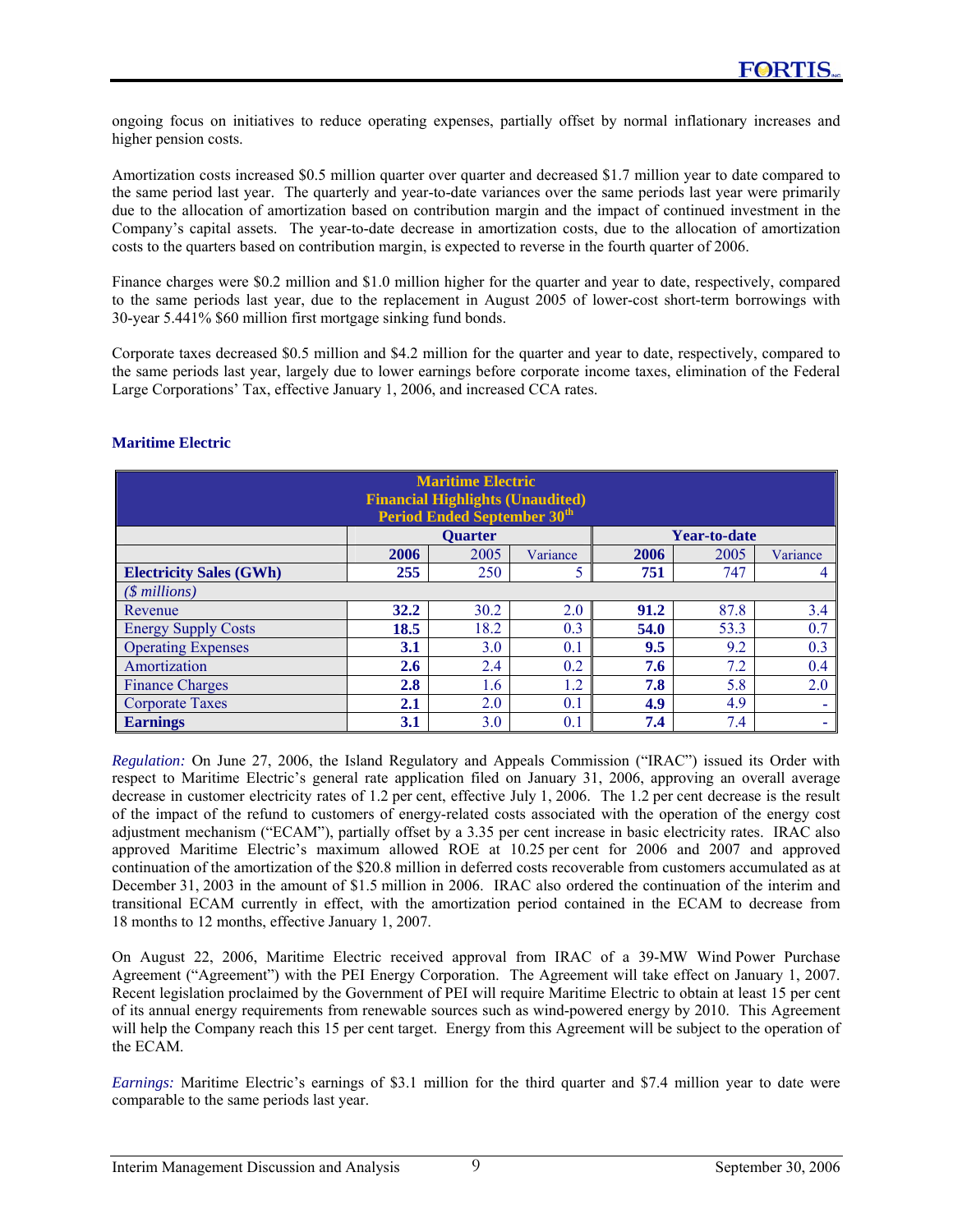ongoing focus on initiatives to reduce operating expenses, partially offset by normal inflationary increases and higher pension costs.

Amortization costs increased \$0.5 million quarter over quarter and decreased \$1.7 million year to date compared to the same period last year. The quarterly and year-to-date variances over the same periods last year were primarily due to the allocation of amortization based on contribution margin and the impact of continued investment in the Company's capital assets. The year-to-date decrease in amortization costs, due to the allocation of amortization costs to the quarters based on contribution margin, is expected to reverse in the fourth quarter of 2006.

Finance charges were \$0.2 million and \$1.0 million higher for the quarter and year to date, respectively, compared to the same periods last year, due to the replacement in August 2005 of lower-cost short-term borrowings with 30-year 5.441% \$60 million first mortgage sinking fund bonds.

Corporate taxes decreased \$0.5 million and \$4.2 million for the quarter and year to date, respectively, compared to the same periods last year, largely due to lower earnings before corporate income taxes, elimination of the Federal Large Corporations' Tax, effective January 1, 2006, and increased CCA rates.

| <b>Maritime Electric</b><br><b>Financial Highlights (Unaudited)</b><br><b>Period Ended September 30th</b> |                                        |                |          |      |              |          |  |  |
|-----------------------------------------------------------------------------------------------------------|----------------------------------------|----------------|----------|------|--------------|----------|--|--|
|                                                                                                           |                                        | <b>Quarter</b> |          |      | Year-to-date |          |  |  |
|                                                                                                           | 2006                                   | 2005           | Variance | 2006 | 2005         | Variance |  |  |
| <b>Electricity Sales (GWh)</b>                                                                            | 255                                    | 250            | 5        | 751  | 747          | 4        |  |  |
| $($ millions)$                                                                                            |                                        |                |          |      |              |          |  |  |
| Revenue                                                                                                   | 32.2                                   | 30.2           | 2.0      | 91.2 | 87.8         | 3.4      |  |  |
| <b>Energy Supply Costs</b>                                                                                | 18.5                                   | 18.2           | 0.3      | 54.0 | 53.3         | 0.7      |  |  |
| <b>Operating Expenses</b>                                                                                 | 3.1                                    | 3.0            | 0.1      | 9.5  | 9.2          | 0.3      |  |  |
| Amortization                                                                                              | 2.6                                    | 2.4            | 0.2      | 7.6  | 7.2          | 0.4      |  |  |
| <b>Finance Charges</b>                                                                                    | 7.8<br>2.0<br>2.8<br>1.2<br>5.8<br>1.6 |                |          |      |              |          |  |  |
| <b>Corporate Taxes</b>                                                                                    | 2.1<br>2.0<br>0.1<br>4.9<br>4.9<br>۰   |                |          |      |              |          |  |  |
| <b>Earnings</b>                                                                                           | 3.1                                    | 3.0            | 0.1      | 7.4  | 7.4          | ۰        |  |  |

### **Maritime Electric**

*Regulation:* On June 27, 2006, the Island Regulatory and Appeals Commission ("IRAC") issued its Order with respect to Maritime Electric's general rate application filed on January 31, 2006, approving an overall average decrease in customer electricity rates of 1.2 per cent, effective July 1, 2006. The 1.2 per cent decrease is the result of the impact of the refund to customers of energy-related costs associated with the operation of the energy cost adjustment mechanism ("ECAM"), partially offset by a 3.35 per cent increase in basic electricity rates. IRAC also approved Maritime Electric's maximum allowed ROE at 10.25 per cent for 2006 and 2007 and approved continuation of the amortization of the \$20.8 million in deferred costs recoverable from customers accumulated as at December 31, 2003 in the amount of \$1.5 million in 2006. IRAC also ordered the continuation of the interim and transitional ECAM currently in effect, with the amortization period contained in the ECAM to decrease from 18 months to 12 months, effective January 1, 2007.

On August 22, 2006, Maritime Electric received approval from IRAC of a 39-MW Wind Power Purchase Agreement ("Agreement") with the PEI Energy Corporation. The Agreement will take effect on January 1, 2007. Recent legislation proclaimed by the Government of PEI will require Maritime Electric to obtain at least 15 per cent of its annual energy requirements from renewable sources such as wind-powered energy by 2010. This Agreement will help the Company reach this 15 per cent target. Energy from this Agreement will be subject to the operation of the ECAM.

*Earnings:* Maritime Electric's earnings of \$3.1 million for the third quarter and \$7.4 million year to date were comparable to the same periods last year.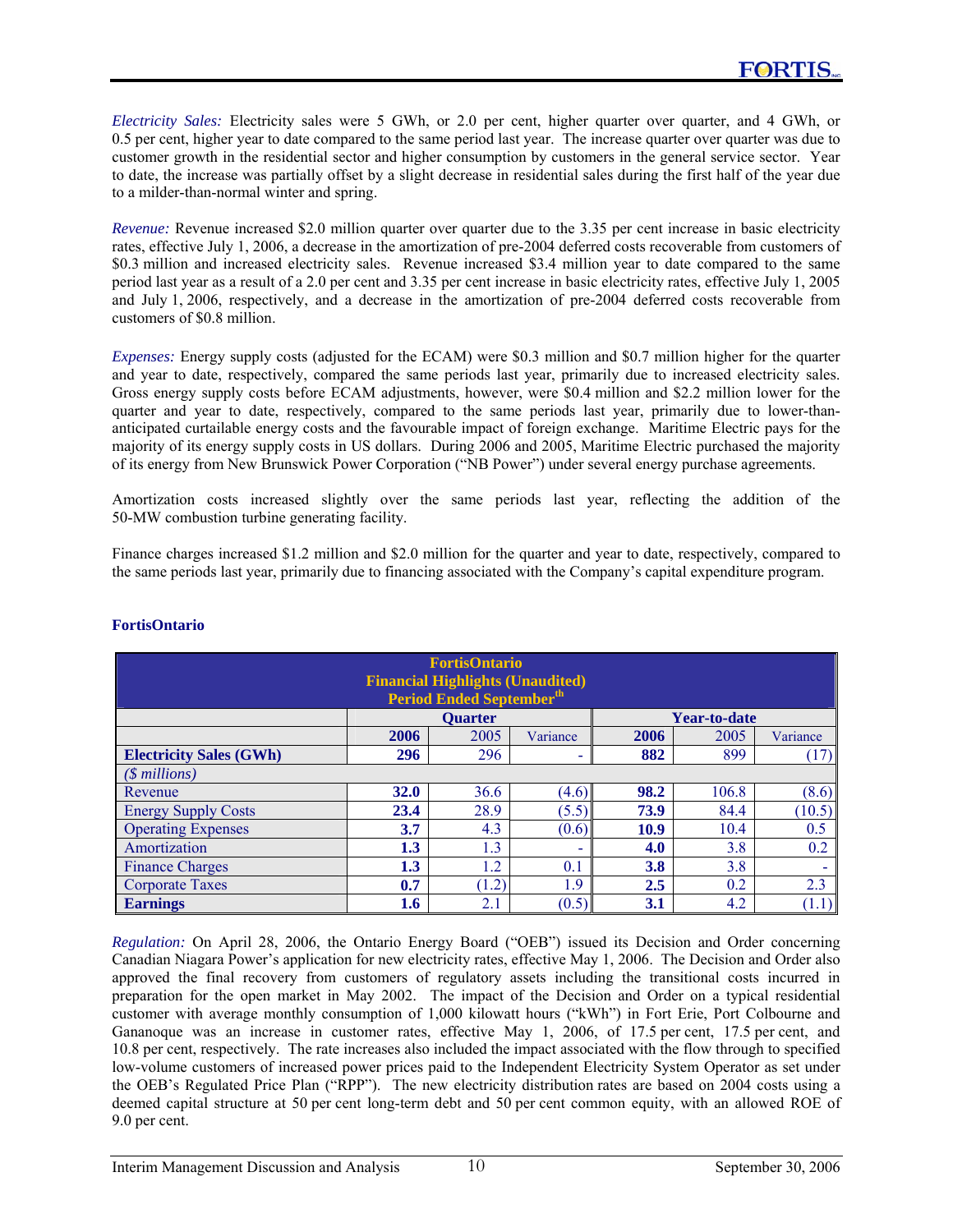*Electricity Sales:* Electricity sales were 5 GWh, or 2.0 per cent, higher quarter over quarter, and 4 GWh, or 0.5 per cent, higher year to date compared to the same period last year. The increase quarter over quarter was due to customer growth in the residential sector and higher consumption by customers in the general service sector. Year to date, the increase was partially offset by a slight decrease in residential sales during the first half of the year due to a milder-than-normal winter and spring.

*Revenue:* Revenue increased \$2.0 million quarter over quarter due to the 3.35 per cent increase in basic electricity rates, effective July 1, 2006, a decrease in the amortization of pre-2004 deferred costs recoverable from customers of \$0.3 million and increased electricity sales. Revenue increased \$3.4 million year to date compared to the same period last year as a result of a 2.0 per cent and 3.35 per cent increase in basic electricity rates, effective July 1, 2005 and July 1, 2006, respectively, and a decrease in the amortization of pre-2004 deferred costs recoverable from customers of \$0.8 million.

*Expenses:* Energy supply costs (adjusted for the ECAM) were \$0.3 million and \$0.7 million higher for the quarter and year to date, respectively, compared the same periods last year, primarily due to increased electricity sales. Gross energy supply costs before ECAM adjustments, however, were \$0.4 million and \$2.2 million lower for the quarter and year to date, respectively, compared to the same periods last year, primarily due to lower-thananticipated curtailable energy costs and the favourable impact of foreign exchange. Maritime Electric pays for the majority of its energy supply costs in US dollars. During 2006 and 2005, Maritime Electric purchased the majority of its energy from New Brunswick Power Corporation ("NB Power") under several energy purchase agreements.

Amortization costs increased slightly over the same periods last year, reflecting the addition of the 50-MW combustion turbine generating facility.

Finance charges increased \$1.2 million and \$2.0 million for the quarter and year to date, respectively, compared to the same periods last year, primarily due to financing associated with the Company's capital expenditure program.

| <b>FortisOntario</b><br><b>Financial Highlights (Unaudited)</b><br><b>Period Ended Septemberth</b> |                                          |                |          |      |              |          |  |
|----------------------------------------------------------------------------------------------------|------------------------------------------|----------------|----------|------|--------------|----------|--|
|                                                                                                    |                                          | <b>Quarter</b> |          |      | Year-to-date |          |  |
|                                                                                                    | 2006                                     | 2005           | Variance | 2006 | 2005         | Variance |  |
| <b>Electricity Sales (GWh)</b>                                                                     | 296                                      | 296            | ۰        | 882  | 899          | (17)     |  |
| $(S$ millions)                                                                                     |                                          |                |          |      |              |          |  |
| Revenue                                                                                            | <b>32.0</b>                              | 36.6           | (4.6)    | 98.2 | 106.8        | (8.6)    |  |
| <b>Energy Supply Costs</b>                                                                         | 23.4                                     | 28.9           | (5.5)    | 73.9 | 84.4         | (10.5)   |  |
| <b>Operating Expenses</b>                                                                          | 3.7                                      | 4.3            | (0.6)    | 10.9 | 10.4         | 0.5      |  |
| Amortization                                                                                       | 1.3                                      | 1.3            | ۰        | 4.0  | 3.8          | 0.2      |  |
| <b>Finance Charges</b>                                                                             | 1.2<br>0.1<br>3.8<br>1.3<br>3.8          |                |          |      |              |          |  |
| <b>Corporate Taxes</b>                                                                             | 1.9<br>(1.2)<br>2.5<br>0.2<br>2.3<br>0.7 |                |          |      |              |          |  |
| <b>Earnings</b>                                                                                    | 1.6                                      | 2.1            | (0.5)    | 3.1  | 4.2          | (1.1)    |  |

# **FortisOntario**

*Regulation:* On April 28, 2006, the Ontario Energy Board ("OEB") issued its Decision and Order concerning Canadian Niagara Power's application for new electricity rates, effective May 1, 2006. The Decision and Order also approved the final recovery from customers of regulatory assets including the transitional costs incurred in preparation for the open market in May 2002. The impact of the Decision and Order on a typical residential customer with average monthly consumption of 1,000 kilowatt hours ("kWh") in Fort Erie, Port Colbourne and Gananoque was an increase in customer rates, effective May 1, 2006, of 17.5 per cent, 17.5 per cent, and 10.8 per cent, respectively. The rate increases also included the impact associated with the flow through to specified low-volume customers of increased power prices paid to the Independent Electricity System Operator as set under the OEB's Regulated Price Plan ("RPP"). The new electricity distribution rates are based on 2004 costs using a deemed capital structure at 50 per cent long-term debt and 50 per cent common equity, with an allowed ROE of 9.0 per cent.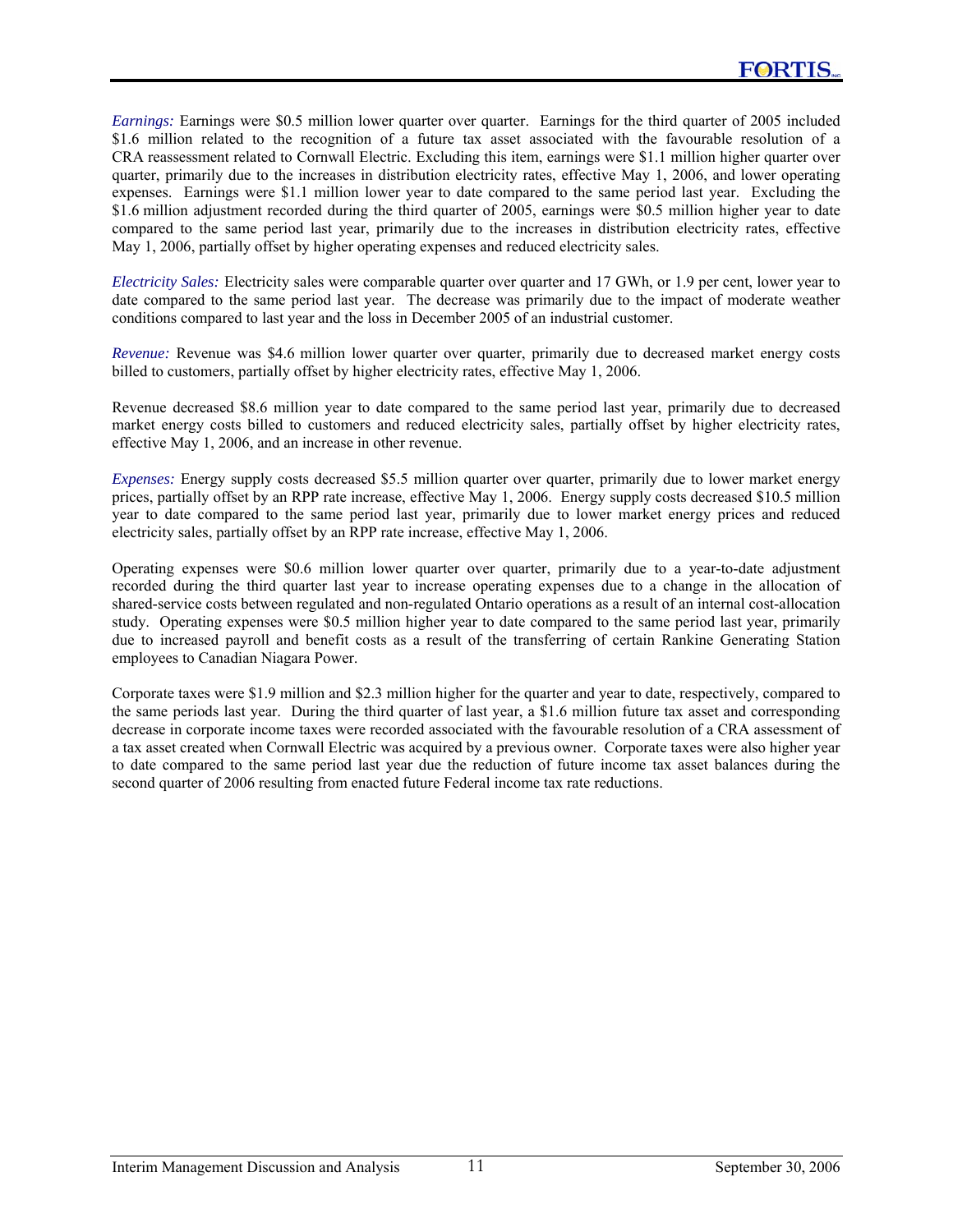*Earnings:* Earnings were \$0.5 million lower quarter over quarter. Earnings for the third quarter of 2005 included \$1.6 million related to the recognition of a future tax asset associated with the favourable resolution of a CRA reassessment related to Cornwall Electric. Excluding this item, earnings were \$1.1 million higher quarter over quarter, primarily due to the increases in distribution electricity rates, effective May 1, 2006, and lower operating expenses. Earnings were \$1.1 million lower year to date compared to the same period last year. Excluding the \$1.6 million adjustment recorded during the third quarter of 2005, earnings were \$0.5 million higher year to date compared to the same period last year, primarily due to the increases in distribution electricity rates, effective May 1, 2006, partially offset by higher operating expenses and reduced electricity sales.

*Electricity Sales:* Electricity sales were comparable quarter over quarter and 17 GWh, or 1.9 per cent, lower year to date compared to the same period last year. The decrease was primarily due to the impact of moderate weather conditions compared to last year and the loss in December 2005 of an industrial customer.

*Revenue:* Revenue was \$4.6 million lower quarter over quarter, primarily due to decreased market energy costs billed to customers, partially offset by higher electricity rates, effective May 1, 2006.

Revenue decreased \$8.6 million year to date compared to the same period last year, primarily due to decreased market energy costs billed to customers and reduced electricity sales, partially offset by higher electricity rates, effective May 1, 2006, and an increase in other revenue.

*Expenses:* Energy supply costs decreased \$5.5 million quarter over quarter, primarily due to lower market energy prices, partially offset by an RPP rate increase, effective May 1, 2006. Energy supply costs decreased \$10.5 million year to date compared to the same period last year, primarily due to lower market energy prices and reduced electricity sales, partially offset by an RPP rate increase, effective May 1, 2006.

Operating expenses were \$0.6 million lower quarter over quarter, primarily due to a year-to-date adjustment recorded during the third quarter last year to increase operating expenses due to a change in the allocation of shared-service costs between regulated and non-regulated Ontario operations as a result of an internal cost-allocation study. Operating expenses were \$0.5 million higher year to date compared to the same period last year, primarily due to increased payroll and benefit costs as a result of the transferring of certain Rankine Generating Station employees to Canadian Niagara Power.

Corporate taxes were \$1.9 million and \$2.3 million higher for the quarter and year to date, respectively, compared to the same periods last year. During the third quarter of last year, a \$1.6 million future tax asset and corresponding decrease in corporate income taxes were recorded associated with the favourable resolution of a CRA assessment of a tax asset created when Cornwall Electric was acquired by a previous owner. Corporate taxes were also higher year to date compared to the same period last year due the reduction of future income tax asset balances during the second quarter of 2006 resulting from enacted future Federal income tax rate reductions.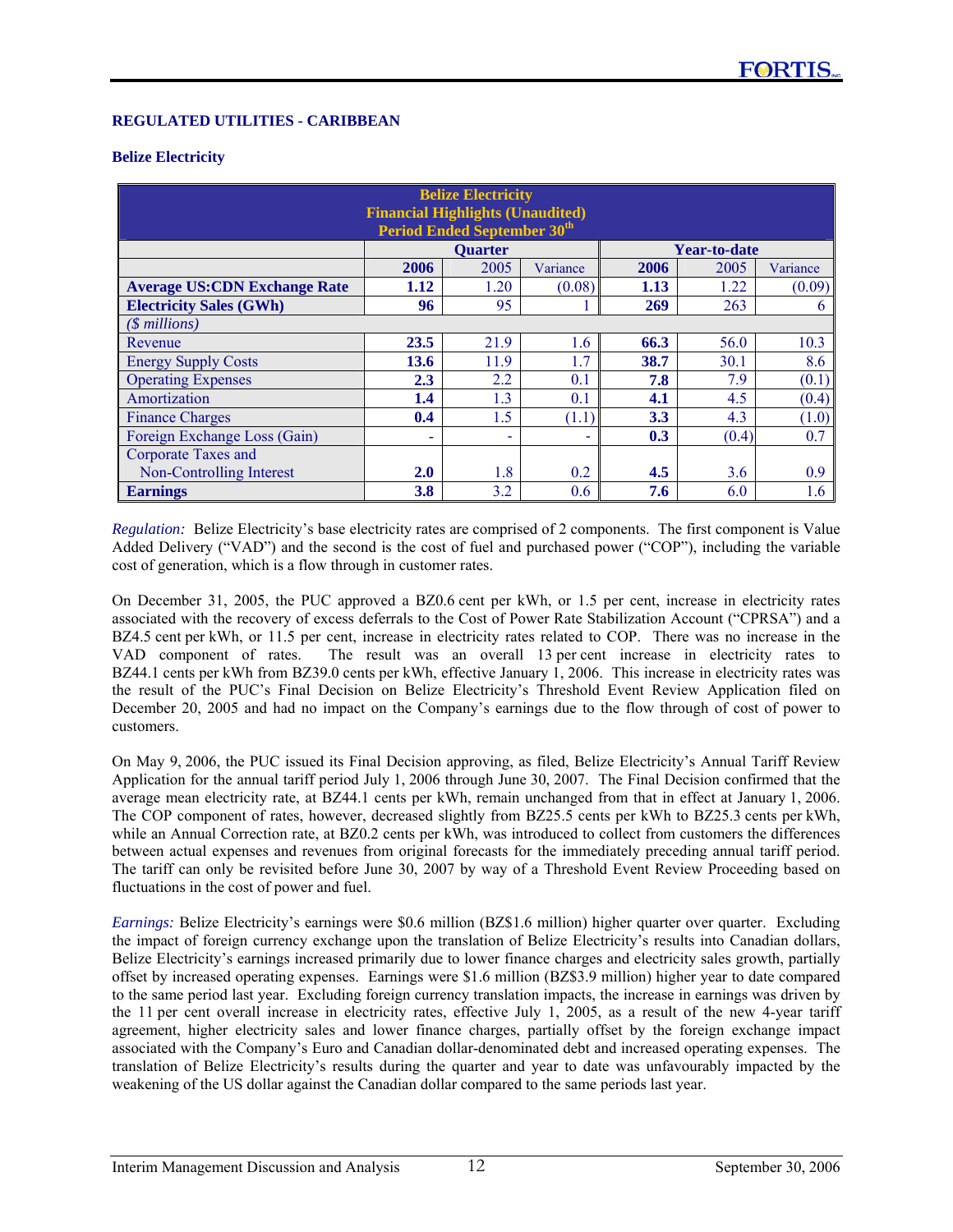### **REGULATED UTILITIES - CARIBBEAN**

#### **Belize Electricity**

| <b>Belize Electricity</b><br><b>Financial Highlights (Unaudited)</b><br><b>Period Ended September 30th</b> |      |                |          |      |                     |          |  |
|------------------------------------------------------------------------------------------------------------|------|----------------|----------|------|---------------------|----------|--|
|                                                                                                            |      | <b>Quarter</b> |          |      | <b>Year-to-date</b> |          |  |
|                                                                                                            | 2006 | 2005           | Variance | 2006 | 2005                | Variance |  |
| <b>Average US:CDN Exchange Rate</b>                                                                        | 1.12 | 1.20           | (0.08)   | 1.13 | 1.22                | (0.09)   |  |
| <b>Electricity Sales (GWh)</b>                                                                             | 96   | 95             |          | 269  | 263                 | 6        |  |
| $($$ millions)                                                                                             |      |                |          |      |                     |          |  |
| Revenue                                                                                                    | 23.5 | 21.9           | 1.6      | 66.3 | 56.0                | 10.3     |  |
| <b>Energy Supply Costs</b>                                                                                 | 13.6 | 11.9           | 1.7      | 38.7 | 30.1                | 8.6      |  |
| <b>Operating Expenses</b>                                                                                  | 2.3  | 2.2            | 0.1      | 7.8  | 7.9                 | (0.1)    |  |
| Amortization                                                                                               | 1.4  | 1.3            | 0.1      | 4.1  | 4.5                 | (0.4)    |  |
| <b>Finance Charges</b>                                                                                     | 0.4  | 1.5            | (1.1)    | 3.3  | 4.3                 | (1.0)    |  |
| 0.7<br>Foreign Exchange Loss (Gain)<br>(0.4)<br>0.3                                                        |      |                |          |      |                     |          |  |
| Corporate Taxes and                                                                                        |      |                |          |      |                     |          |  |
| Non-Controlling Interest                                                                                   | 2.0  | 1.8            | 0.2      | 4.5  | 3.6                 | 0.9      |  |
| <b>Earnings</b>                                                                                            | 3.8  | 3.2            | 0.6      | 7.6  | 6.0                 | 1.6      |  |

*Regulation:* Belize Electricity's base electricity rates are comprised of 2 components. The first component is Value Added Delivery ("VAD") and the second is the cost of fuel and purchased power ("COP"), including the variable cost of generation, which is a flow through in customer rates.

On December 31, 2005, the PUC approved a BZ0.6 cent per kWh, or 1.5 per cent, increase in electricity rates associated with the recovery of excess deferrals to the Cost of Power Rate Stabilization Account ("CPRSA") and a BZ4.5 cent per kWh, or 11.5 per cent, increase in electricity rates related to COP. There was no increase in the VAD component of rates. The result was an overall 13 per cent increase in electricity rates to BZ44.1 cents per kWh from BZ39.0 cents per kWh, effective January 1, 2006. This increase in electricity rates was the result of the PUC's Final Decision on Belize Electricity's Threshold Event Review Application filed on December 20, 2005 and had no impact on the Company's earnings due to the flow through of cost of power to customers.

On May 9, 2006, the PUC issued its Final Decision approving, as filed, Belize Electricity's Annual Tariff Review Application for the annual tariff period July 1, 2006 through June 30, 2007. The Final Decision confirmed that the average mean electricity rate, at BZ44.1 cents per kWh, remain unchanged from that in effect at January 1, 2006. The COP component of rates, however, decreased slightly from BZ25.5 cents per kWh to BZ25.3 cents per kWh, while an Annual Correction rate, at BZ0.2 cents per kWh, was introduced to collect from customers the differences between actual expenses and revenues from original forecasts for the immediately preceding annual tariff period. The tariff can only be revisited before June 30, 2007 by way of a Threshold Event Review Proceeding based on fluctuations in the cost of power and fuel.

*Earnings:* Belize Electricity's earnings were \$0.6 million (BZ\$1.6 million) higher quarter over quarter. Excluding the impact of foreign currency exchange upon the translation of Belize Electricity's results into Canadian dollars, Belize Electricity's earnings increased primarily due to lower finance charges and electricity sales growth, partially offset by increased operating expenses. Earnings were \$1.6 million (BZ\$3.9 million) higher year to date compared to the same period last year. Excluding foreign currency translation impacts, the increase in earnings was driven by the 11 per cent overall increase in electricity rates, effective July 1, 2005, as a result of the new 4-year tariff agreement, higher electricity sales and lower finance charges, partially offset by the foreign exchange impact associated with the Company's Euro and Canadian dollar-denominated debt and increased operating expenses. The translation of Belize Electricity's results during the quarter and year to date was unfavourably impacted by the weakening of the US dollar against the Canadian dollar compared to the same periods last year.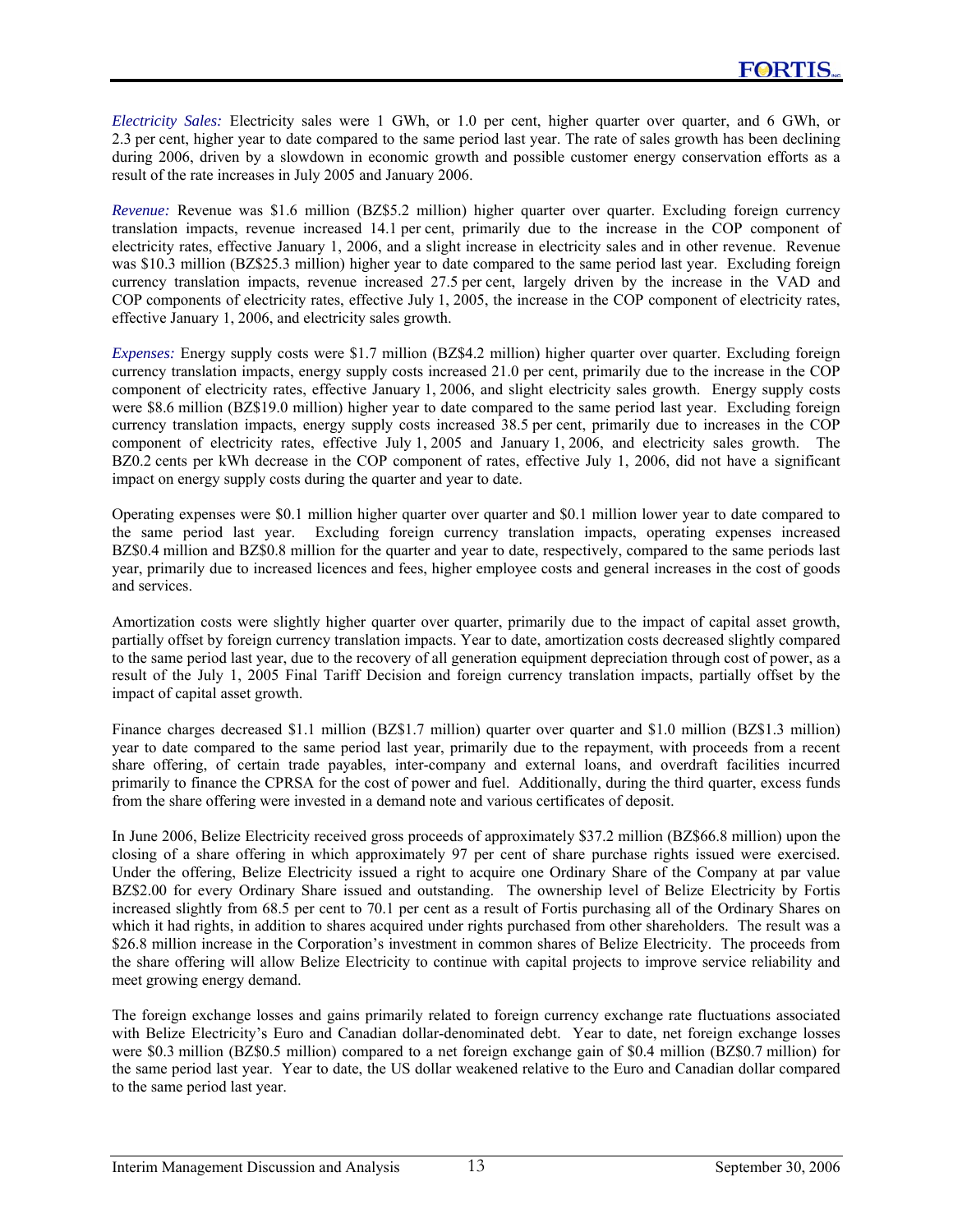*Electricity Sales:* Electricity sales were 1 GWh, or 1.0 per cent, higher quarter over quarter, and 6 GWh, or 2.3 per cent, higher year to date compared to the same period last year. The rate of sales growth has been declining during 2006, driven by a slowdown in economic growth and possible customer energy conservation efforts as a result of the rate increases in July 2005 and January 2006.

*Revenue:* Revenue was \$1.6 million (BZ\$5.2 million) higher quarter over quarter. Excluding foreign currency translation impacts, revenue increased 14.1 per cent, primarily due to the increase in the COP component of electricity rates, effective January 1, 2006, and a slight increase in electricity sales and in other revenue. Revenue was \$10.3 million (BZ\$25.3 million) higher year to date compared to the same period last year. Excluding foreign currency translation impacts, revenue increased 27.5 per cent, largely driven by the increase in the VAD and COP components of electricity rates, effective July 1, 2005, the increase in the COP component of electricity rates, effective January 1, 2006, and electricity sales growth.

*Expenses:* Energy supply costs were \$1.7 million (BZ\$4.2 million) higher quarter over quarter. Excluding foreign currency translation impacts, energy supply costs increased 21.0 per cent, primarily due to the increase in the COP component of electricity rates, effective January 1, 2006, and slight electricity sales growth. Energy supply costs were \$8.6 million (BZ\$19.0 million) higher year to date compared to the same period last year. Excluding foreign currency translation impacts, energy supply costs increased 38.5 per cent, primarily due to increases in the COP component of electricity rates, effective July 1, 2005 and January 1, 2006, and electricity sales growth. The BZ0.2 cents per kWh decrease in the COP component of rates, effective July 1, 2006, did not have a significant impact on energy supply costs during the quarter and year to date.

Operating expenses were \$0.1 million higher quarter over quarter and \$0.1 million lower year to date compared to the same period last year. Excluding foreign currency translation impacts, operating expenses increased BZ\$0.4 million and BZ\$0.8 million for the quarter and year to date, respectively, compared to the same periods last year, primarily due to increased licences and fees, higher employee costs and general increases in the cost of goods and services.

Amortization costs were slightly higher quarter over quarter, primarily due to the impact of capital asset growth, partially offset by foreign currency translation impacts. Year to date, amortization costs decreased slightly compared to the same period last year, due to the recovery of all generation equipment depreciation through cost of power, as a result of the July 1, 2005 Final Tariff Decision and foreign currency translation impacts, partially offset by the impact of capital asset growth.

Finance charges decreased \$1.1 million (BZ\$1.7 million) quarter over quarter and \$1.0 million (BZ\$1.3 million) year to date compared to the same period last year, primarily due to the repayment, with proceeds from a recent share offering, of certain trade payables, inter-company and external loans, and overdraft facilities incurred primarily to finance the CPRSA for the cost of power and fuel. Additionally, during the third quarter, excess funds from the share offering were invested in a demand note and various certificates of deposit.

In June 2006, Belize Electricity received gross proceeds of approximately \$37.2 million (BZ\$66.8 million) upon the closing of a share offering in which approximately 97 per cent of share purchase rights issued were exercised. Under the offering, Belize Electricity issued a right to acquire one Ordinary Share of the Company at par value BZ\$2.00 for every Ordinary Share issued and outstanding. The ownership level of Belize Electricity by Fortis increased slightly from 68.5 per cent to 70.1 per cent as a result of Fortis purchasing all of the Ordinary Shares on which it had rights, in addition to shares acquired under rights purchased from other shareholders. The result was a \$26.8 million increase in the Corporation's investment in common shares of Belize Electricity. The proceeds from the share offering will allow Belize Electricity to continue with capital projects to improve service reliability and meet growing energy demand.

The foreign exchange losses and gains primarily related to foreign currency exchange rate fluctuations associated with Belize Electricity's Euro and Canadian dollar-denominated debt. Year to date, net foreign exchange losses were \$0.3 million (BZ\$0.5 million) compared to a net foreign exchange gain of \$0.4 million (BZ\$0.7 million) for the same period last year. Year to date, the US dollar weakened relative to the Euro and Canadian dollar compared to the same period last year.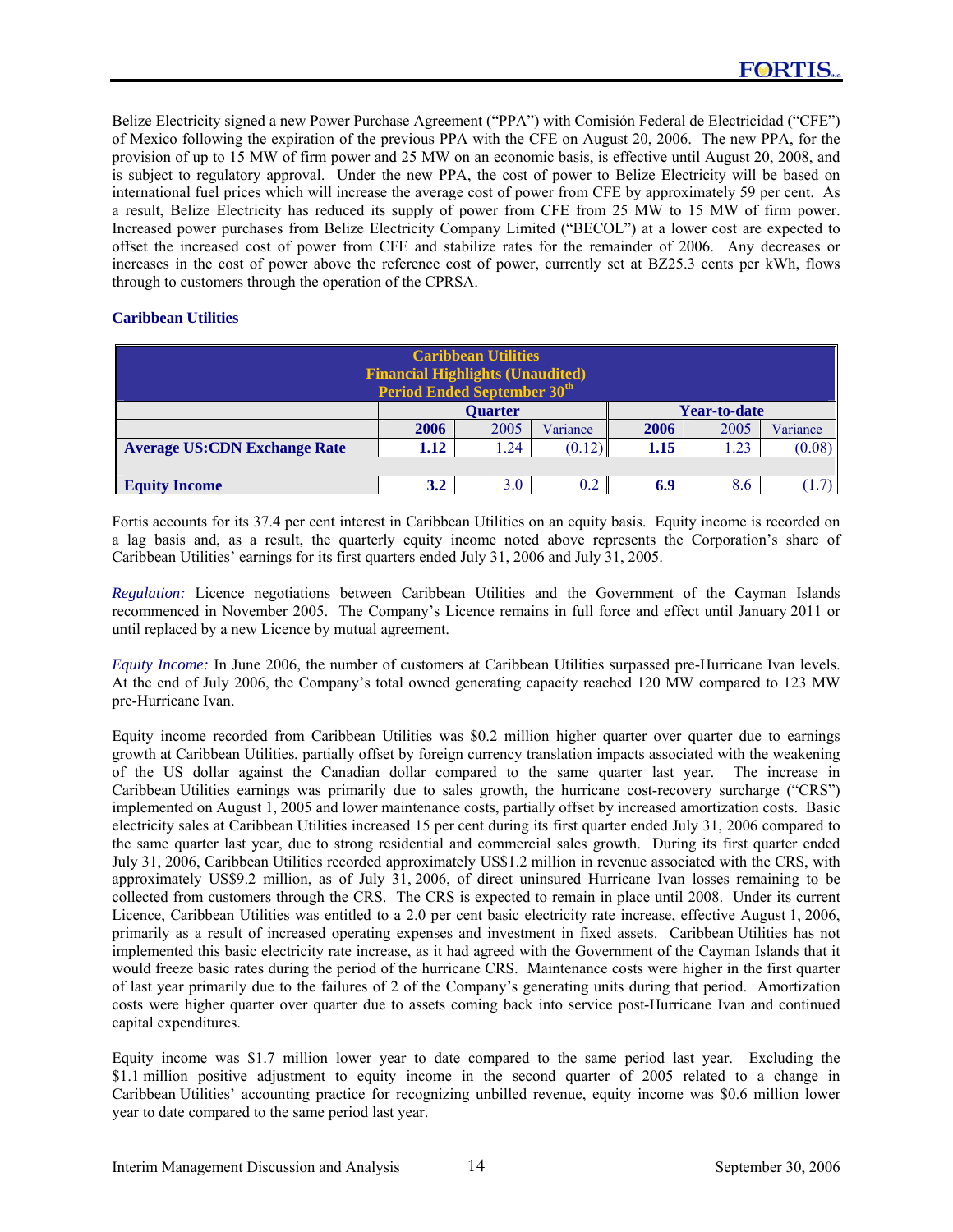Belize Electricity signed a new Power Purchase Agreement ("PPA") with Comisión Federal de Electricidad ("CFE") of Mexico following the expiration of the previous PPA with the CFE on August 20, 2006. The new PPA, for the provision of up to 15 MW of firm power and 25 MW on an economic basis, is effective until August 20, 2008, and is subject to regulatory approval. Under the new PPA, the cost of power to Belize Electricity will be based on international fuel prices which will increase the average cost of power from CFE by approximately 59 per cent. As a result, Belize Electricity has reduced its supply of power from CFE from 25 MW to 15 MW of firm power. Increased power purchases from Belize Electricity Company Limited ("BECOL") at a lower cost are expected to offset the increased cost of power from CFE and stabilize rates for the remainder of 2006. Any decreases or increases in the cost of power above the reference cost of power, currently set at BZ25.3 cents per kWh, flows through to customers through the operation of the CPRSA.

### **Caribbean Utilities**

| <b>Caribbean Utilities</b><br><b>Financial Highlights (Unaudited)</b><br><b>Period Ended September 30th</b> |                                       |      |          |      |      |          |  |
|-------------------------------------------------------------------------------------------------------------|---------------------------------------|------|----------|------|------|----------|--|
|                                                                                                             | <b>Year-to-date</b><br><b>Ouarter</b> |      |          |      |      |          |  |
|                                                                                                             | 2006                                  | 2005 | Variance | 2006 | 2005 | Variance |  |
| <b>Average US:CDN Exchange Rate</b>                                                                         | 1.12                                  | l.24 | (0.12)   | 1.15 | 1.23 | (0.08)   |  |
|                                                                                                             |                                       |      |          |      |      |          |  |
| <b>Equity Income</b>                                                                                        | 3.2                                   | 3.0  |          | 6.9  | 8.6  |          |  |

Fortis accounts for its 37.4 per cent interest in Caribbean Utilities on an equity basis. Equity income is recorded on a lag basis and, as a result, the quarterly equity income noted above represents the Corporation's share of Caribbean Utilities' earnings for its first quarters ended July 31, 2006 and July 31, 2005.

*Regulation:* Licence negotiations between Caribbean Utilities and the Government of the Cayman Islands recommenced in November 2005. The Company's Licence remains in full force and effect until January 2011 or until replaced by a new Licence by mutual agreement.

*Equity Income:* In June 2006, the number of customers at Caribbean Utilities surpassed pre-Hurricane Ivan levels. At the end of July 2006, the Company's total owned generating capacity reached 120 MW compared to 123 MW pre-Hurricane Ivan.

Equity income recorded from Caribbean Utilities was \$0.2 million higher quarter over quarter due to earnings growth at Caribbean Utilities, partially offset by foreign currency translation impacts associated with the weakening of the US dollar against the Canadian dollar compared to the same quarter last year. The increase in Caribbean Utilities earnings was primarily due to sales growth, the hurricane cost-recovery surcharge ("CRS") implemented on August 1, 2005 and lower maintenance costs, partially offset by increased amortization costs. Basic electricity sales at Caribbean Utilities increased 15 per cent during its first quarter ended July 31, 2006 compared to the same quarter last year, due to strong residential and commercial sales growth. During its first quarter ended July 31, 2006, Caribbean Utilities recorded approximately US\$1.2 million in revenue associated with the CRS, with approximately US\$9.2 million, as of July 31, 2006, of direct uninsured Hurricane Ivan losses remaining to be collected from customers through the CRS. The CRS is expected to remain in place until 2008. Under its current Licence, Caribbean Utilities was entitled to a 2.0 per cent basic electricity rate increase, effective August 1, 2006, primarily as a result of increased operating expenses and investment in fixed assets. Caribbean Utilities has not implemented this basic electricity rate increase, as it had agreed with the Government of the Cayman Islands that it would freeze basic rates during the period of the hurricane CRS. Maintenance costs were higher in the first quarter of last year primarily due to the failures of 2 of the Company's generating units during that period. Amortization costs were higher quarter over quarter due to assets coming back into service post-Hurricane Ivan and continued capital expenditures.

Equity income was \$1.7 million lower year to date compared to the same period last year. Excluding the \$1.1 million positive adjustment to equity income in the second quarter of 2005 related to a change in Caribbean Utilities' accounting practice for recognizing unbilled revenue, equity income was \$0.6 million lower year to date compared to the same period last year.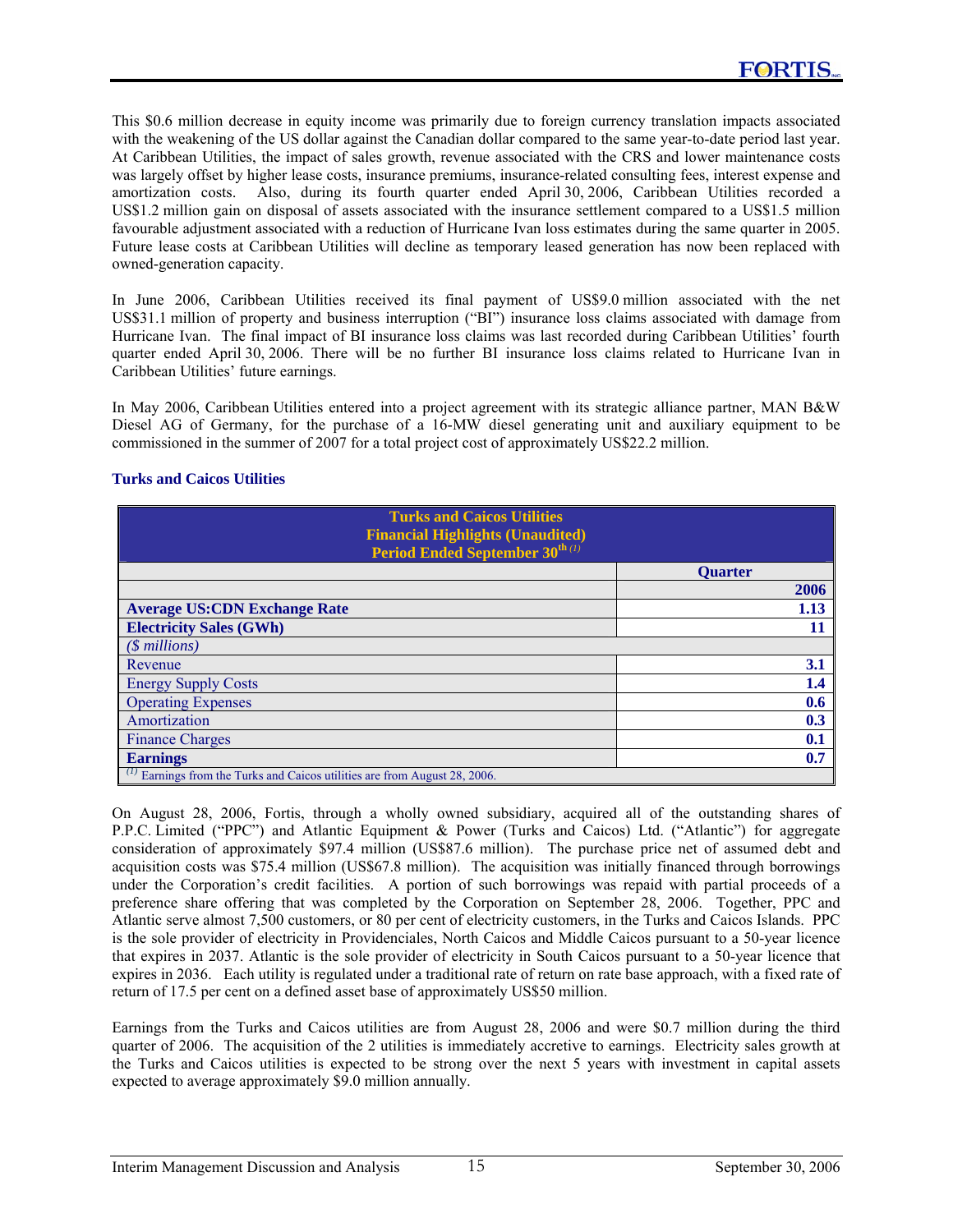This \$0.6 million decrease in equity income was primarily due to foreign currency translation impacts associated with the weakening of the US dollar against the Canadian dollar compared to the same year-to-date period last year. At Caribbean Utilities, the impact of sales growth, revenue associated with the CRS and lower maintenance costs was largely offset by higher lease costs, insurance premiums, insurance-related consulting fees, interest expense and amortization costs. Also, during its fourth quarter ended April 30, 2006, Caribbean Utilities recorded a US\$1.2 million gain on disposal of assets associated with the insurance settlement compared to a US\$1.5 million favourable adjustment associated with a reduction of Hurricane Ivan loss estimates during the same quarter in 2005. Future lease costs at Caribbean Utilities will decline as temporary leased generation has now been replaced with owned-generation capacity.

In June 2006, Caribbean Utilities received its final payment of US\$9.0 million associated with the net US\$31.1 million of property and business interruption ("BI") insurance loss claims associated with damage from Hurricane Ivan. The final impact of BI insurance loss claims was last recorded during Caribbean Utilities' fourth quarter ended April 30, 2006. There will be no further BI insurance loss claims related to Hurricane Ivan in Caribbean Utilities' future earnings.

In May 2006, Caribbean Utilities entered into a project agreement with its strategic alliance partner, MAN B&W Diesel AG of Germany, for the purchase of a 16-MW diesel generating unit and auxiliary equipment to be commissioned in the summer of 2007 for a total project cost of approximately US\$22.2 million.

### **Turks and Caicos Utilities**

| <b>Turks and Caicos Utilities</b><br><b>Financial Highlights (Unaudited)</b> |                |
|------------------------------------------------------------------------------|----------------|
| Period Ended September 30 <sup>th (1)</sup>                                  |                |
|                                                                              | <b>Ouarter</b> |
|                                                                              | 2006           |
| <b>Average US:CDN Exchange Rate</b>                                          | 1.13           |
| <b>Electricity Sales (GWh)</b>                                               | 11             |
| $(S$ millions)                                                               |                |
| Revenue                                                                      | 3.1            |
| <b>Energy Supply Costs</b>                                                   | 1.4            |
| <b>Operating Expenses</b>                                                    | 0.6            |
| Amortization                                                                 | 0.3            |
| <b>Finance Charges</b>                                                       | 0.1            |
| <b>Earnings</b>                                                              | 0.7            |
| Earnings from the Turks and Caicos utilities are from August 28, 2006.       |                |

On August 28, 2006, Fortis, through a wholly owned subsidiary, acquired all of the outstanding shares of P.P.C. Limited ("PPC") and Atlantic Equipment & Power (Turks and Caicos) Ltd. ("Atlantic") for aggregate consideration of approximately \$97.4 million (US\$87.6 million). The purchase price net of assumed debt and acquisition costs was \$75.4 million (US\$67.8 million). The acquisition was initially financed through borrowings under the Corporation's credit facilities. A portion of such borrowings was repaid with partial proceeds of a preference share offering that was completed by the Corporation on September 28, 2006. Together, PPC and Atlantic serve almost 7,500 customers, or 80 per cent of electricity customers, in the Turks and Caicos Islands. PPC is the sole provider of electricity in Providenciales, North Caicos and Middle Caicos pursuant to a 50-year licence that expires in 2037. Atlantic is the sole provider of electricity in South Caicos pursuant to a 50-year licence that expires in 2036. Each utility is regulated under a traditional rate of return on rate base approach, with a fixed rate of return of 17.5 per cent on a defined asset base of approximately US\$50 million.

Earnings from the Turks and Caicos utilities are from August 28, 2006 and were \$0.7 million during the third quarter of 2006. The acquisition of the 2 utilities is immediately accretive to earnings. Electricity sales growth at the Turks and Caicos utilities is expected to be strong over the next 5 years with investment in capital assets expected to average approximately \$9.0 million annually.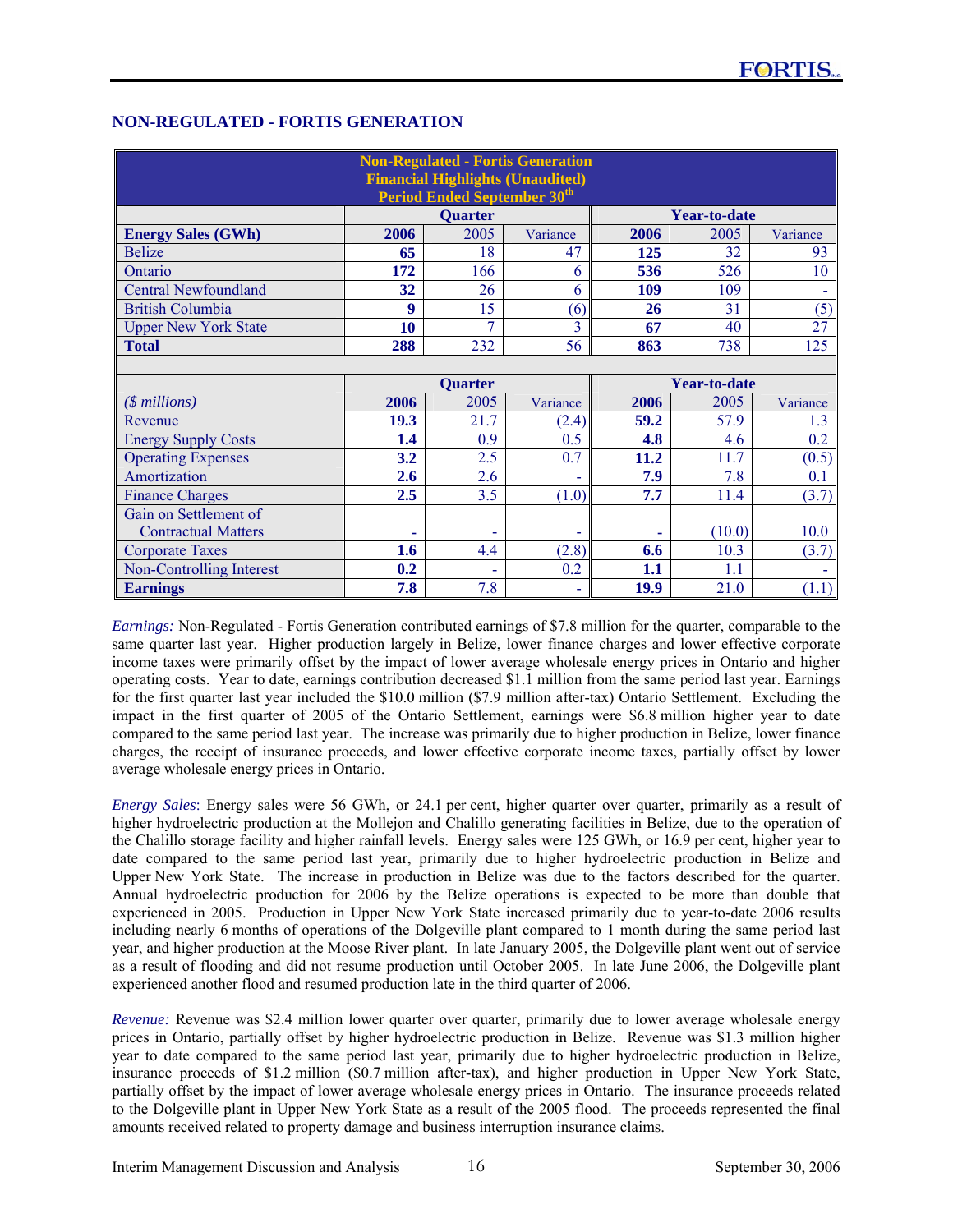# **NON-REGULATED - FORTIS GENERATION**

| <b>Non-Regulated - Fortis Generation</b><br><b>Financial Highlights (Unaudited)</b><br>Period Ended September 30 <sup>th</sup> |      |                |                |              |                     |          |  |
|--------------------------------------------------------------------------------------------------------------------------------|------|----------------|----------------|--------------|---------------------|----------|--|
|                                                                                                                                |      | Quarter        |                |              | <b>Year-to-date</b> |          |  |
| <b>Energy Sales (GWh)</b>                                                                                                      | 2006 | 2005           | Variance       | 2006         | 2005                | Variance |  |
| <b>Belize</b>                                                                                                                  | 65   | 18             | 47             | 125          | 32                  | 93       |  |
| Ontario                                                                                                                        | 172  | 166            | 6              | 536          | 526                 | 10       |  |
| <b>Central Newfoundland</b>                                                                                                    | 32   | 26             | 6              | 109          | 109                 |          |  |
| <b>British Columbia</b>                                                                                                        | 9    | 15             | (6)            | 26           | 31                  | (5)      |  |
| <b>Upper New York State</b>                                                                                                    | 10   | $\tau$         | $\overline{3}$ | 67           | 40                  | 27       |  |
| <b>Total</b>                                                                                                                   | 288  | 232            | 56             | 863          | 738                 | 125      |  |
|                                                                                                                                |      |                |                |              |                     |          |  |
|                                                                                                                                |      | <b>Quarter</b> |                | Year-to-date |                     |          |  |
| $(\text{\$millions})$                                                                                                          | 2006 | 2005           | Variance       | 2006         | 2005                | Variance |  |
| Revenue                                                                                                                        | 19.3 | 21.7           | (2.4)          | 59.2         | 57.9                | 1.3      |  |
| <b>Energy Supply Costs</b>                                                                                                     | 1.4  | 0.9            | 0.5            | 4.8          | 4.6                 | 0.2      |  |
| <b>Operating Expenses</b>                                                                                                      | 3.2  | 2.5            | 0.7            | 11.2         | 11.7                | (0.5)    |  |
| Amortization                                                                                                                   | 2.6  | 2.6            |                | 7.9          | 7.8                 | 0.1      |  |
| <b>Finance Charges</b>                                                                                                         | 2.5  | 3.5            | (1.0)          | 7.7          | 11.4                | (3.7)    |  |
| Gain on Settlement of                                                                                                          |      |                |                |              |                     |          |  |
| <b>Contractual Matters</b>                                                                                                     |      | -              |                | ٠            | (10.0)              | 10.0     |  |
| Corporate Taxes                                                                                                                | 1.6  | 4.4            | (2.8)          | 6.6          | 10.3                | (3.7)    |  |
| Non-Controlling Interest                                                                                                       | 0.2  | ÷              | 0.2            | 1.1          | 1.1                 |          |  |
| <b>Earnings</b>                                                                                                                | 7.8  | 7.8            | ۰              | 19.9         | 21.0                | (1.1)    |  |

*Earnings:* Non-Regulated - Fortis Generation contributed earnings of \$7.8 million for the quarter, comparable to the same quarter last year. Higher production largely in Belize, lower finance charges and lower effective corporate income taxes were primarily offset by the impact of lower average wholesale energy prices in Ontario and higher operating costs. Year to date, earnings contribution decreased \$1.1 million from the same period last year. Earnings for the first quarter last year included the \$10.0 million (\$7.9 million after-tax) Ontario Settlement. Excluding the impact in the first quarter of 2005 of the Ontario Settlement, earnings were \$6.8 million higher year to date compared to the same period last year. The increase was primarily due to higher production in Belize, lower finance charges, the receipt of insurance proceeds, and lower effective corporate income taxes, partially offset by lower average wholesale energy prices in Ontario.

*Energy Sales*: Energy sales were 56 GWh, or 24.1 per cent, higher quarter over quarter, primarily as a result of higher hydroelectric production at the Mollejon and Chalillo generating facilities in Belize, due to the operation of the Chalillo storage facility and higher rainfall levels. Energy sales were 125 GWh, or 16.9 per cent, higher year to date compared to the same period last year, primarily due to higher hydroelectric production in Belize and Upper New York State. The increase in production in Belize was due to the factors described for the quarter. Annual hydroelectric production for 2006 by the Belize operations is expected to be more than double that experienced in 2005. Production in Upper New York State increased primarily due to year-to-date 2006 results including nearly 6 months of operations of the Dolgeville plant compared to 1 month during the same period last year, and higher production at the Moose River plant. In late January 2005, the Dolgeville plant went out of service as a result of flooding and did not resume production until October 2005. In late June 2006, the Dolgeville plant experienced another flood and resumed production late in the third quarter of 2006.

*Revenue:* Revenue was \$2.4 million lower quarter over quarter, primarily due to lower average wholesale energy prices in Ontario, partially offset by higher hydroelectric production in Belize. Revenue was \$1.3 million higher year to date compared to the same period last year, primarily due to higher hydroelectric production in Belize, insurance proceeds of \$1.2 million (\$0.7 million after-tax), and higher production in Upper New York State, partially offset by the impact of lower average wholesale energy prices in Ontario. The insurance proceeds related to the Dolgeville plant in Upper New York State as a result of the 2005 flood. The proceeds represented the final amounts received related to property damage and business interruption insurance claims.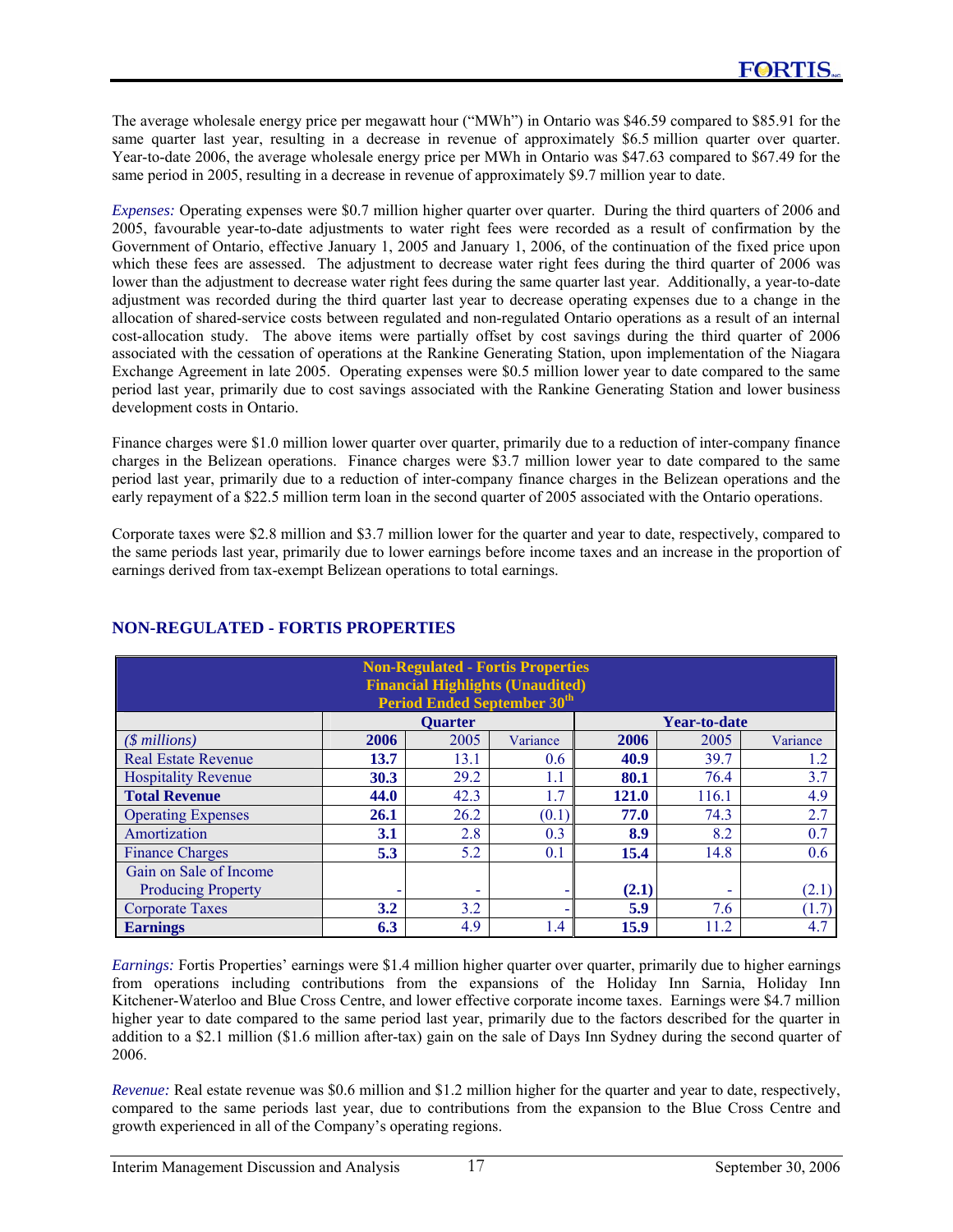The average wholesale energy price per megawatt hour ("MWh") in Ontario was \$46.59 compared to \$85.91 for the same quarter last year, resulting in a decrease in revenue of approximately \$6.5 million quarter over quarter. Year-to-date 2006, the average wholesale energy price per MWh in Ontario was \$47.63 compared to \$67.49 for the same period in 2005, resulting in a decrease in revenue of approximately \$9.7 million year to date.

*Expenses:* Operating expenses were \$0.7 million higher quarter over quarter. During the third quarters of 2006 and 2005, favourable year-to-date adjustments to water right fees were recorded as a result of confirmation by the Government of Ontario, effective January 1, 2005 and January 1, 2006, of the continuation of the fixed price upon which these fees are assessed. The adjustment to decrease water right fees during the third quarter of 2006 was lower than the adjustment to decrease water right fees during the same quarter last year. Additionally, a year-to-date adjustment was recorded during the third quarter last year to decrease operating expenses due to a change in the allocation of shared-service costs between regulated and non-regulated Ontario operations as a result of an internal cost-allocation study. The above items were partially offset by cost savings during the third quarter of 2006 associated with the cessation of operations at the Rankine Generating Station, upon implementation of the Niagara Exchange Agreement in late 2005. Operating expenses were \$0.5 million lower year to date compared to the same period last year, primarily due to cost savings associated with the Rankine Generating Station and lower business development costs in Ontario.

Finance charges were \$1.0 million lower quarter over quarter, primarily due to a reduction of inter-company finance charges in the Belizean operations. Finance charges were \$3.7 million lower year to date compared to the same period last year, primarily due to a reduction of inter-company finance charges in the Belizean operations and the early repayment of a \$22.5 million term loan in the second quarter of 2005 associated with the Ontario operations.

Corporate taxes were \$2.8 million and \$3.7 million lower for the quarter and year to date, respectively, compared to the same periods last year, primarily due to lower earnings before income taxes and an increase in the proportion of earnings derived from tax-exempt Belizean operations to total earnings.

| <b>Non-Regulated - Fortis Properties</b><br><b>Financial Highlights (Unaudited)</b><br><b>Period Ended September 30th</b> |      |                |          |       |                     |          |  |
|---------------------------------------------------------------------------------------------------------------------------|------|----------------|----------|-------|---------------------|----------|--|
|                                                                                                                           |      | <b>Quarter</b> |          |       | <b>Year-to-date</b> |          |  |
| $(S$ millions)                                                                                                            | 2006 | 2005           | Variance | 2006  | 2005                | Variance |  |
| <b>Real Estate Revenue</b>                                                                                                | 13.7 | 13.1           | 0.6      | 40.9  | 39.7                | 1.2      |  |
| <b>Hospitality Revenue</b>                                                                                                | 30.3 | 29.2           | 1.1      | 80.1  | 76.4                | 3.7      |  |
| <b>Total Revenue</b>                                                                                                      | 44.0 | 42.3           | 1.7      | 121.0 | 116.1               | 4.9      |  |
| <b>Operating Expenses</b>                                                                                                 | 26.1 | 26.2           | (0.1)    | 77.0  | 74.3                | 2.7      |  |
| Amortization                                                                                                              | 3.1  | 2.8            | 0.3      | 8.9   | 8.2                 | 0.7      |  |
| <b>Finance Charges</b>                                                                                                    | 5.3  | 5.2            | 0.1      | 15.4  | 14.8                | 0.6      |  |
| Gain on Sale of Income                                                                                                    |      |                |          |       |                     |          |  |
| <b>Producing Property</b>                                                                                                 |      | ۰              |          | (2.1) | ۰                   | (2.1)    |  |
| <b>Corporate Taxes</b>                                                                                                    | 3.2  | 3.2            |          | 5.9   | 7.6                 | (1.7)    |  |
| <b>Earnings</b>                                                                                                           | 6.3  | 4.9            | 1.4      | 15.9  | 11.2                | 4.7      |  |

# **NON-REGULATED - FORTIS PROPERTIES**

*Earnings:* Fortis Properties' earnings were \$1.4 million higher quarter over quarter, primarily due to higher earnings from operations including contributions from the expansions of the Holiday Inn Sarnia, Holiday Inn Kitchener-Waterloo and Blue Cross Centre, and lower effective corporate income taxes. Earnings were \$4.7 million higher year to date compared to the same period last year, primarily due to the factors described for the quarter in addition to a \$2.1 million (\$1.6 million after-tax) gain on the sale of Days Inn Sydney during the second quarter of 2006.

*Revenue:* Real estate revenue was \$0.6 million and \$1.2 million higher for the quarter and year to date, respectively, compared to the same periods last year, due to contributions from the expansion to the Blue Cross Centre and growth experienced in all of the Company's operating regions.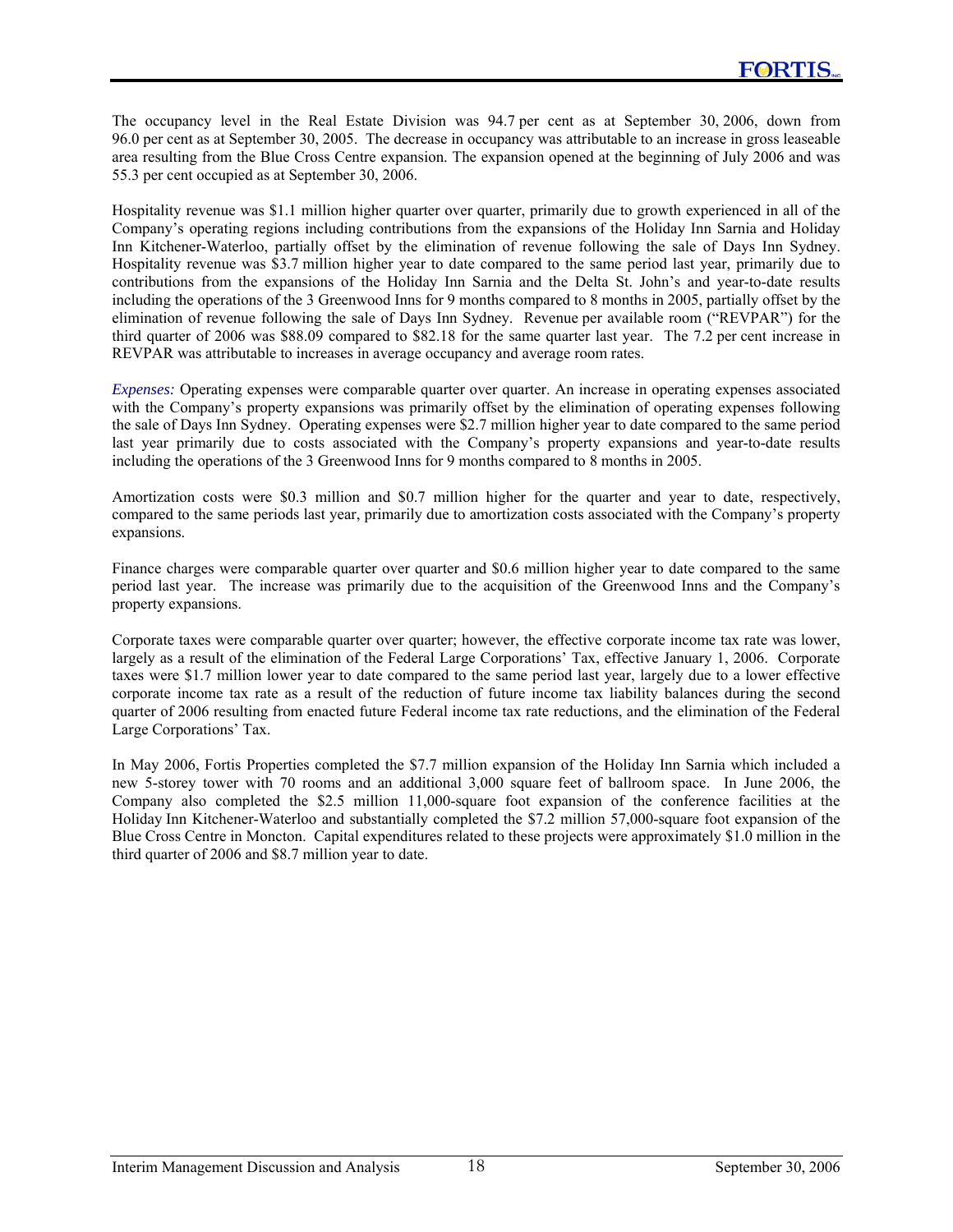The occupancy level in the Real Estate Division was 94.7 per cent as at September 30, 2006, down from 96.0 per cent as at September 30, 2005. The decrease in occupancy was attributable to an increase in gross leaseable area resulting from the Blue Cross Centre expansion. The expansion opened at the beginning of July 2006 and was 55.3 per cent occupied as at September 30, 2006.

Hospitality revenue was \$1.1 million higher quarter over quarter, primarily due to growth experienced in all of the Company's operating regions including contributions from the expansions of the Holiday Inn Sarnia and Holiday Inn Kitchener-Waterloo, partially offset by the elimination of revenue following the sale of Days Inn Sydney. Hospitality revenue was \$3.7 million higher year to date compared to the same period last year, primarily due to contributions from the expansions of the Holiday Inn Sarnia and the Delta St. John's and year-to-date results including the operations of the 3 Greenwood Inns for 9 months compared to 8 months in 2005, partially offset by the elimination of revenue following the sale of Days Inn Sydney. Revenue per available room ("REVPAR") for the third quarter of 2006 was \$88.09 compared to \$82.18 for the same quarter last year. The 7.2 per cent increase in REVPAR was attributable to increases in average occupancy and average room rates.

*Expenses:* Operating expenses were comparable quarter over quarter. An increase in operating expenses associated with the Company's property expansions was primarily offset by the elimination of operating expenses following the sale of Days Inn Sydney. Operating expenses were \$2.7 million higher year to date compared to the same period last year primarily due to costs associated with the Company's property expansions and year-to-date results including the operations of the 3 Greenwood Inns for 9 months compared to 8 months in 2005.

Amortization costs were \$0.3 million and \$0.7 million higher for the quarter and year to date, respectively, compared to the same periods last year, primarily due to amortization costs associated with the Company's property expansions.

Finance charges were comparable quarter over quarter and \$0.6 million higher year to date compared to the same period last year. The increase was primarily due to the acquisition of the Greenwood Inns and the Company's property expansions.

Corporate taxes were comparable quarter over quarter; however, the effective corporate income tax rate was lower, largely as a result of the elimination of the Federal Large Corporations' Tax, effective January 1, 2006. Corporate taxes were \$1.7 million lower year to date compared to the same period last year, largely due to a lower effective corporate income tax rate as a result of the reduction of future income tax liability balances during the second quarter of 2006 resulting from enacted future Federal income tax rate reductions, and the elimination of the Federal Large Corporations' Tax.

In May 2006, Fortis Properties completed the \$7.7 million expansion of the Holiday Inn Sarnia which included a new 5-storey tower with 70 rooms and an additional 3,000 square feet of ballroom space. In June 2006, the Company also completed the \$2.5 million 11,000-square foot expansion of the conference facilities at the Holiday Inn Kitchener-Waterloo and substantially completed the \$7.2 million 57,000-square foot expansion of the Blue Cross Centre in Moncton. Capital expenditures related to these projects were approximately \$1.0 million in the third quarter of 2006 and \$8.7 million year to date.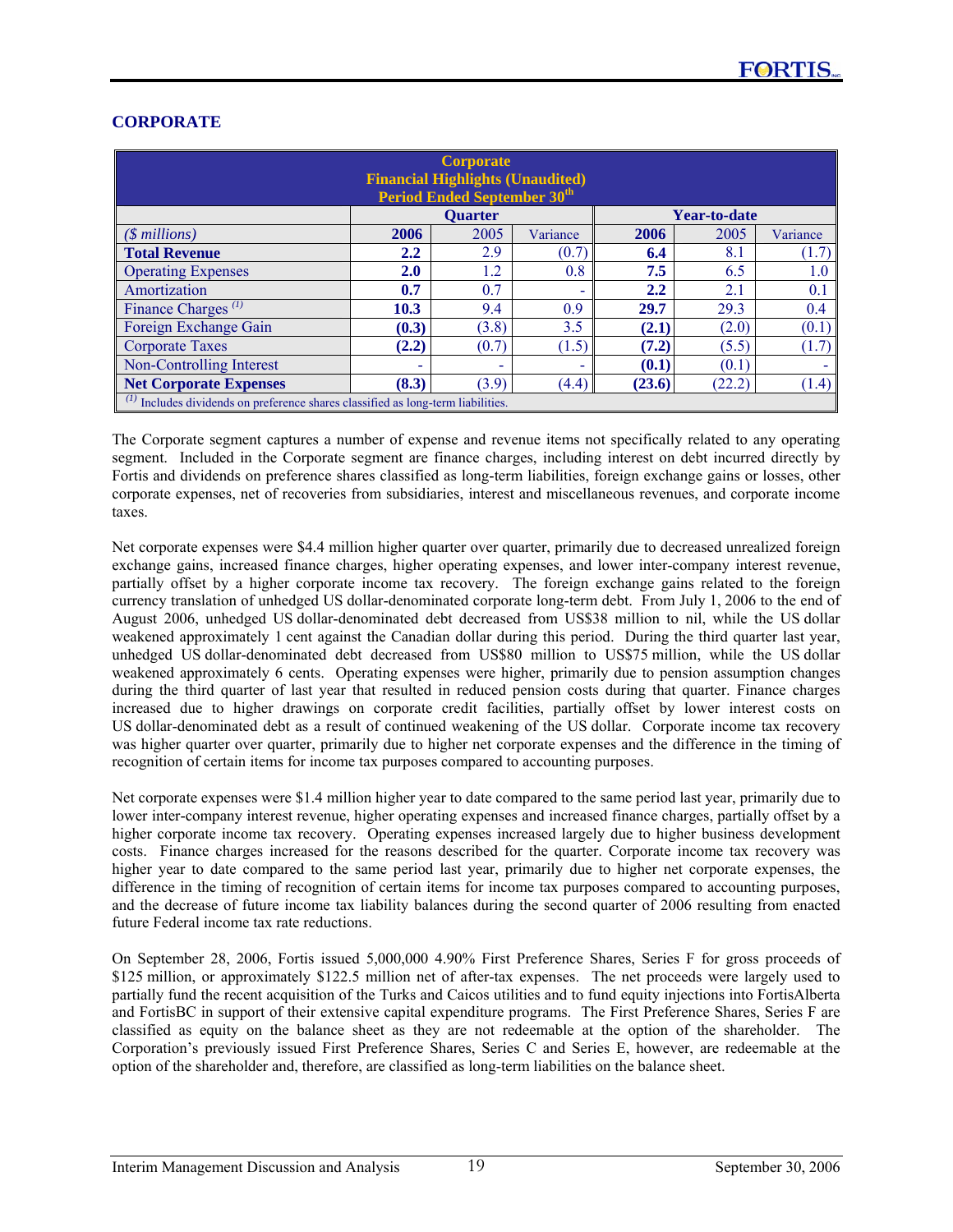| <b>Corporate</b><br><b>Financial Highlights (Unaudited)</b><br><b>Period Ended September 30th</b> |         |                |          |        |                     |          |  |  |  |  |
|---------------------------------------------------------------------------------------------------|---------|----------------|----------|--------|---------------------|----------|--|--|--|--|
|                                                                                                   |         | <b>Quarter</b> |          |        | <b>Year-to-date</b> |          |  |  |  |  |
| $($ millions)$                                                                                    | 2006    | 2005           | Variance | 2006   | 2005                | Variance |  |  |  |  |
| <b>Total Revenue</b>                                                                              | $2.2\,$ | 2.9            | (0.7)    | 6.4    | 8.1                 | (1.7)    |  |  |  |  |
| <b>Operating Expenses</b>                                                                         | 2.0     | 1.2            | 0.8      | 7.5    | 6.5                 | 1.0      |  |  |  |  |
| Amortization                                                                                      | 0.7     | 0.7            | ۰        | 2.2    | 2.1                 | 0.1      |  |  |  |  |
| Finance Charges <sup><math>(1)</math></sup>                                                       | 10.3    | 9.4            | 0.9      | 29.7   | 29.3                | 0.4      |  |  |  |  |
| Foreign Exchange Gain                                                                             | (0.3)   | (3.8)          | 3.5      | (2.1)  | (2.0)               | (0.1)    |  |  |  |  |
| <b>Corporate Taxes</b>                                                                            | (2.2)   | (0.7)          | (1.5)    | (7.2)  | (5.5)               | (1.7)    |  |  |  |  |
| Non-Controlling Interest                                                                          |         | -              | ۰        | (0.1)  | (0.1)               |          |  |  |  |  |
| <b>Net Corporate Expenses</b>                                                                     | (8.3)   | (3.9)          | (4.4)    | (23.6) | (22.2)              | (1.4)    |  |  |  |  |
| Includes dividends on preference shares classified as long-term liabilities.                      |         |                |          |        |                     |          |  |  |  |  |

# **CORPORATE**

The Corporate segment captures a number of expense and revenue items not specifically related to any operating segment. Included in the Corporate segment are finance charges, including interest on debt incurred directly by Fortis and dividends on preference shares classified as long-term liabilities, foreign exchange gains or losses, other corporate expenses, net of recoveries from subsidiaries, interest and miscellaneous revenues, and corporate income taxes.

Net corporate expenses were \$4.4 million higher quarter over quarter, primarily due to decreased unrealized foreign exchange gains, increased finance charges, higher operating expenses, and lower inter-company interest revenue, partially offset by a higher corporate income tax recovery. The foreign exchange gains related to the foreign currency translation of unhedged US dollar-denominated corporate long-term debt. From July 1, 2006 to the end of August 2006, unhedged US dollar-denominated debt decreased from US\$38 million to nil, while the US dollar weakened approximately 1 cent against the Canadian dollar during this period. During the third quarter last year, unhedged US dollar-denominated debt decreased from US\$80 million to US\$75 million, while the US dollar weakened approximately 6 cents. Operating expenses were higher, primarily due to pension assumption changes during the third quarter of last year that resulted in reduced pension costs during that quarter. Finance charges increased due to higher drawings on corporate credit facilities, partially offset by lower interest costs on US dollar-denominated debt as a result of continued weakening of the US dollar. Corporate income tax recovery was higher quarter over quarter, primarily due to higher net corporate expenses and the difference in the timing of recognition of certain items for income tax purposes compared to accounting purposes.

Net corporate expenses were \$1.4 million higher year to date compared to the same period last year, primarily due to lower inter-company interest revenue, higher operating expenses and increased finance charges, partially offset by a higher corporate income tax recovery. Operating expenses increased largely due to higher business development costs. Finance charges increased for the reasons described for the quarter. Corporate income tax recovery was higher year to date compared to the same period last year, primarily due to higher net corporate expenses, the difference in the timing of recognition of certain items for income tax purposes compared to accounting purposes, and the decrease of future income tax liability balances during the second quarter of 2006 resulting from enacted future Federal income tax rate reductions.

On September 28, 2006, Fortis issued 5,000,000 4.90% First Preference Shares, Series F for gross proceeds of \$125 million, or approximately \$122.5 million net of after-tax expenses. The net proceeds were largely used to partially fund the recent acquisition of the Turks and Caicos utilities and to fund equity injections into FortisAlberta and FortisBC in support of their extensive capital expenditure programs. The First Preference Shares, Series F are classified as equity on the balance sheet as they are not redeemable at the option of the shareholder. The Corporation's previously issued First Preference Shares, Series C and Series E, however, are redeemable at the option of the shareholder and, therefore, are classified as long-term liabilities on the balance sheet.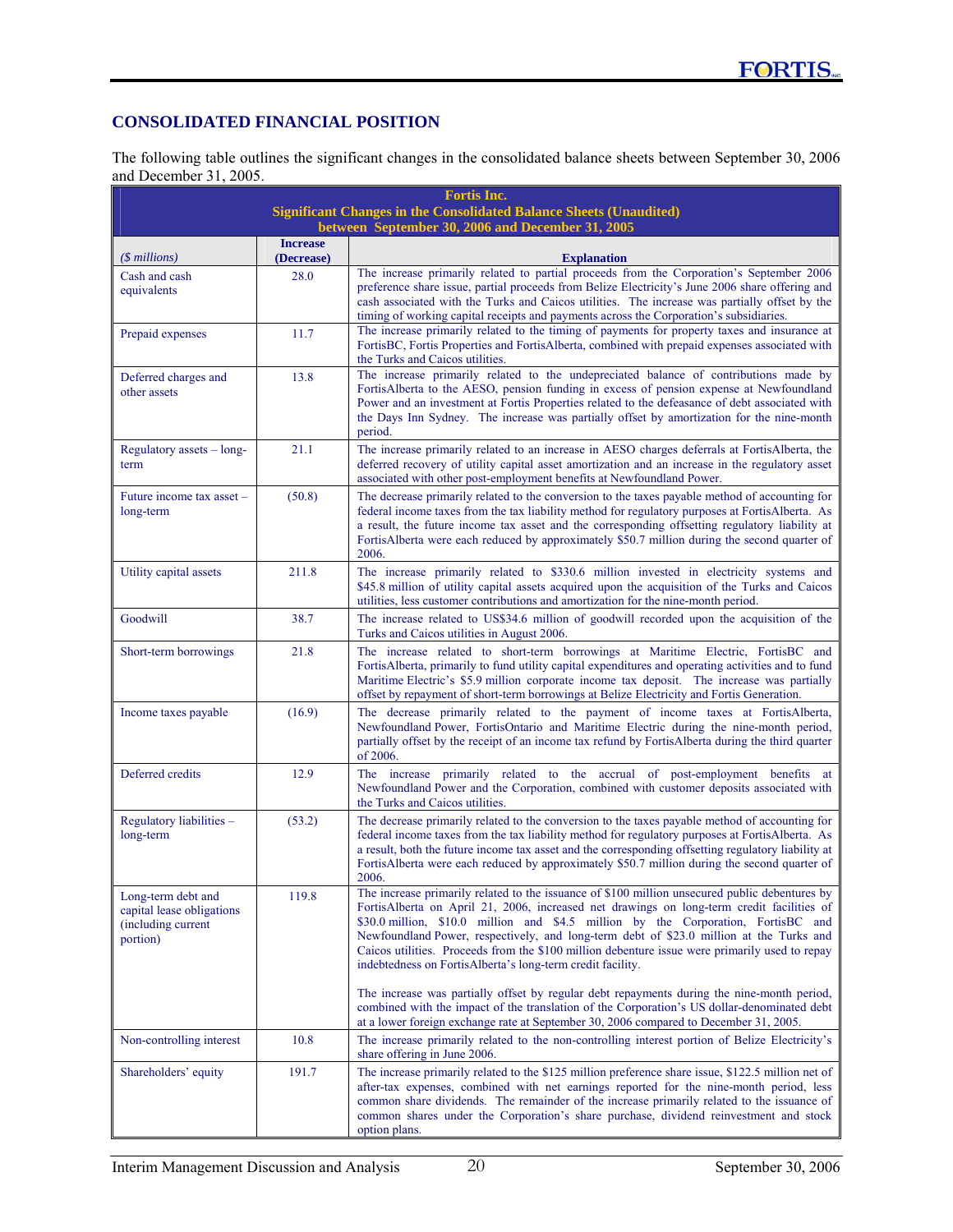# **CONSOLIDATED FINANCIAL POSITION**

The following table outlines the significant changes in the consolidated balance sheets between September 30, 2006 and December 31, 2005.

|                                                                                   |                               | <b>Fortis Inc.</b><br><b>Significant Changes in the Consolidated Balance Sheets (Unaudited)</b><br>between September 30, 2006 and December 31, 2005                                                                                                                                                                                                                                                                                                                                                                                         |
|-----------------------------------------------------------------------------------|-------------------------------|---------------------------------------------------------------------------------------------------------------------------------------------------------------------------------------------------------------------------------------------------------------------------------------------------------------------------------------------------------------------------------------------------------------------------------------------------------------------------------------------------------------------------------------------|
| $($$ millions)                                                                    | <b>Increase</b><br>(Decrease) | <b>Explanation</b>                                                                                                                                                                                                                                                                                                                                                                                                                                                                                                                          |
| Cash and cash<br>equivalents                                                      | 28.0                          | The increase primarily related to partial proceeds from the Corporation's September 2006<br>preference share issue, partial proceeds from Belize Electricity's June 2006 share offering and<br>cash associated with the Turks and Caicos utilities. The increase was partially offset by the<br>timing of working capital receipts and payments across the Corporation's subsidiaries.                                                                                                                                                      |
| Prepaid expenses                                                                  | 11.7                          | The increase primarily related to the timing of payments for property taxes and insurance at<br>FortisBC, Fortis Properties and FortisAlberta, combined with prepaid expenses associated with<br>the Turks and Caicos utilities.                                                                                                                                                                                                                                                                                                            |
| Deferred charges and<br>other assets                                              | 13.8                          | The increase primarily related to the undepreciated balance of contributions made by<br>FortisAlberta to the AESO, pension funding in excess of pension expense at Newfoundland<br>Power and an investment at Fortis Properties related to the defeasance of debt associated with<br>the Days Inn Sydney. The increase was partially offset by amortization for the nine-month<br>period.                                                                                                                                                   |
| Regulatory assets - long-<br>term                                                 | 21.1                          | The increase primarily related to an increase in AESO charges deferrals at FortisAlberta, the<br>deferred recovery of utility capital asset amortization and an increase in the regulatory asset<br>associated with other post-employment benefits at Newfoundland Power.                                                                                                                                                                                                                                                                   |
| Future income tax asset -<br>long-term                                            | (50.8)                        | The decrease primarily related to the conversion to the taxes payable method of accounting for<br>federal income taxes from the tax liability method for regulatory purposes at FortisAlberta. As<br>a result, the future income tax asset and the corresponding offsetting regulatory liability at<br>FortisAlberta were each reduced by approximately \$50.7 million during the second quarter of<br>2006.                                                                                                                                |
| Utility capital assets                                                            | 211.8                         | The increase primarily related to \$330.6 million invested in electricity systems and<br>\$45.8 million of utility capital assets acquired upon the acquisition of the Turks and Caicos<br>utilities, less customer contributions and amortization for the nine-month period.                                                                                                                                                                                                                                                               |
| Goodwill                                                                          | 38.7                          | The increase related to US\$34.6 million of goodwill recorded upon the acquisition of the<br>Turks and Caicos utilities in August 2006.                                                                                                                                                                                                                                                                                                                                                                                                     |
| Short-term borrowings                                                             | 21.8                          | The increase related to short-term borrowings at Maritime Electric, FortisBC and<br>FortisAlberta, primarily to fund utility capital expenditures and operating activities and to fund<br>Maritime Electric's \$5.9 million corporate income tax deposit. The increase was partially<br>offset by repayment of short-term borrowings at Belize Electricity and Fortis Generation.                                                                                                                                                           |
| Income taxes payable                                                              | (16.9)                        | The decrease primarily related to the payment of income taxes at FortisAlberta,<br>Newfoundland Power, FortisOntario and Maritime Electric during the nine-month period,<br>partially offset by the receipt of an income tax refund by FortisAlberta during the third quarter<br>of 2006.                                                                                                                                                                                                                                                   |
| Deferred credits                                                                  | 12.9                          | The increase primarily related to the accrual of post-employment benefits at<br>Newfoundland Power and the Corporation, combined with customer deposits associated with<br>the Turks and Caicos utilities.                                                                                                                                                                                                                                                                                                                                  |
| Regulatory liabilities -<br>long-term                                             | (53.2)                        | The decrease primarily related to the conversion to the taxes payable method of accounting for<br>federal income taxes from the tax liability method for regulatory purposes at FortisAlberta. As<br>a result, both the future income tax asset and the corresponding offsetting regulatory liability at<br>FortisAlberta were each reduced by approximately \$50.7 million during the second quarter of<br>2006.                                                                                                                           |
| Long-term debt and<br>capital lease obligations<br>(including current<br>portion) | 119.8                         | The increase primarily related to the issuance of \$100 million unsecured public debentures by<br>FortisAlberta on April 21, 2006, increased net drawings on long-term credit facilities of<br>\$30.0 million, \$10.0 million and \$4.5 million by the Corporation, FortisBC and<br>Newfoundland Power, respectively, and long-term debt of \$23.0 million at the Turks and<br>Caicos utilities. Proceeds from the \$100 million debenture issue were primarily used to repay<br>indebtedness on FortisAlberta's long-term credit facility. |
|                                                                                   |                               | The increase was partially offset by regular debt repayments during the nine-month period,<br>combined with the impact of the translation of the Corporation's US dollar-denominated debt<br>at a lower foreign exchange rate at September 30, 2006 compared to December 31, 2005.                                                                                                                                                                                                                                                          |
| Non-controlling interest                                                          | 10.8                          | The increase primarily related to the non-controlling interest portion of Belize Electricity's<br>share offering in June 2006.                                                                                                                                                                                                                                                                                                                                                                                                              |
| Shareholders' equity                                                              | 191.7                         | The increase primarily related to the \$125 million preference share issue, \$122.5 million net of<br>after-tax expenses, combined with net earnings reported for the nine-month period, less<br>common share dividends. The remainder of the increase primarily related to the issuance of<br>common shares under the Corporation's share purchase, dividend reinvestment and stock<br>option plans.                                                                                                                                       |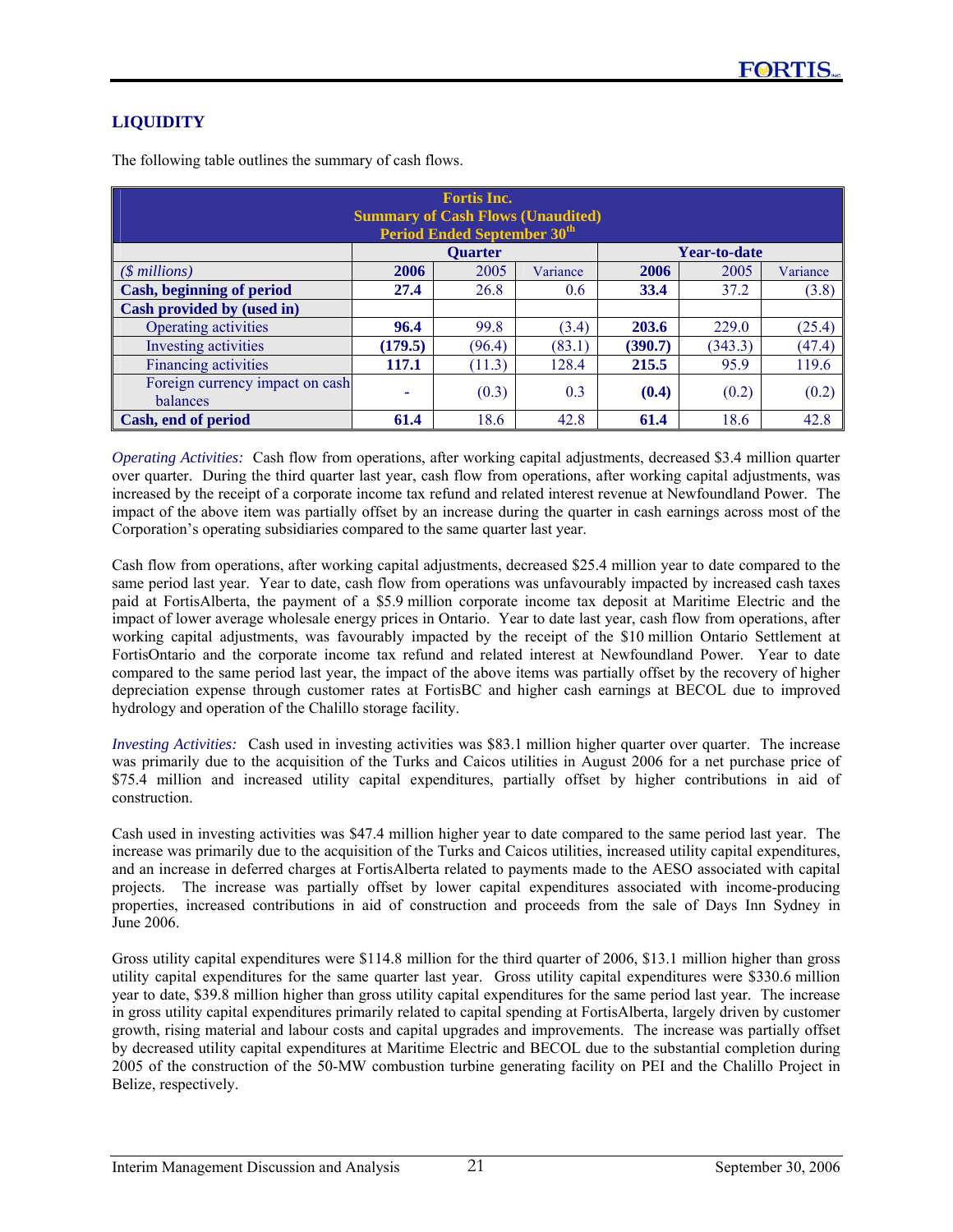# **LIQUIDITY**

| <b>Fortis Inc.</b><br><b>Summary of Cash Flows (Unaudited)</b><br><b>Period Ended September 30th</b> |         |                |          |         |                     |          |  |  |  |  |
|------------------------------------------------------------------------------------------------------|---------|----------------|----------|---------|---------------------|----------|--|--|--|--|
|                                                                                                      |         | <b>Ouarter</b> |          |         | <b>Year-to-date</b> |          |  |  |  |  |
| $($$ millions)                                                                                       | 2006    | 2005           | Variance | 2006    | 2005                | Variance |  |  |  |  |
| <b>Cash, beginning of period</b>                                                                     | 27.4    | 26.8           | 0.6      | 33.4    | 37.2                | (3.8)    |  |  |  |  |
| Cash provided by (used in)                                                                           |         |                |          |         |                     |          |  |  |  |  |
| Operating activities                                                                                 | 96.4    | 99.8           | (3.4)    | 203.6   | 229.0               | (25.4)   |  |  |  |  |
| <b>Investing activities</b>                                                                          | (179.5) | (96.4)         | (83.1)   | (390.7) | (343.3)             | (47.4)   |  |  |  |  |
| Financing activities                                                                                 | 117.1   | (11.3)         | 128.4    | 215.5   | 95.9                | 119.6    |  |  |  |  |
| Foreign currency impact on cash<br>balances                                                          | ۰       | (0.3)          | 0.3      | (0.4)   | (0.2)               | (0.2)    |  |  |  |  |
| Cash, end of period                                                                                  | 61.4    | 18.6           | 42.8     | 61.4    | 18.6                | 42.8     |  |  |  |  |

The following table outlines the summary of cash flows.

*Operating Activities:* Cash flow from operations, after working capital adjustments, decreased \$3.4 million quarter over quarter. During the third quarter last year, cash flow from operations, after working capital adjustments, was increased by the receipt of a corporate income tax refund and related interest revenue at Newfoundland Power. The impact of the above item was partially offset by an increase during the quarter in cash earnings across most of the Corporation's operating subsidiaries compared to the same quarter last year.

Cash flow from operations, after working capital adjustments, decreased \$25.4 million year to date compared to the same period last year. Year to date, cash flow from operations was unfavourably impacted by increased cash taxes paid at FortisAlberta, the payment of a \$5.9 million corporate income tax deposit at Maritime Electric and the impact of lower average wholesale energy prices in Ontario. Year to date last year, cash flow from operations, after working capital adjustments, was favourably impacted by the receipt of the \$10 million Ontario Settlement at FortisOntario and the corporate income tax refund and related interest at Newfoundland Power. Year to date compared to the same period last year, the impact of the above items was partially offset by the recovery of higher depreciation expense through customer rates at FortisBC and higher cash earnings at BECOL due to improved hydrology and operation of the Chalillo storage facility.

*Investing Activities:* Cash used in investing activities was \$83.1 million higher quarter over quarter. The increase was primarily due to the acquisition of the Turks and Caicos utilities in August 2006 for a net purchase price of \$75.4 million and increased utility capital expenditures, partially offset by higher contributions in aid of construction.

Cash used in investing activities was \$47.4 million higher year to date compared to the same period last year. The increase was primarily due to the acquisition of the Turks and Caicos utilities, increased utility capital expenditures, and an increase in deferred charges at FortisAlberta related to payments made to the AESO associated with capital projects. The increase was partially offset by lower capital expenditures associated with income-producing properties, increased contributions in aid of construction and proceeds from the sale of Days Inn Sydney in June 2006.

Gross utility capital expenditures were \$114.8 million for the third quarter of 2006, \$13.1 million higher than gross utility capital expenditures for the same quarter last year. Gross utility capital expenditures were \$330.6 million year to date, \$39.8 million higher than gross utility capital expenditures for the same period last year. The increase in gross utility capital expenditures primarily related to capital spending at FortisAlberta, largely driven by customer growth, rising material and labour costs and capital upgrades and improvements. The increase was partially offset by decreased utility capital expenditures at Maritime Electric and BECOL due to the substantial completion during 2005 of the construction of the 50-MW combustion turbine generating facility on PEI and the Chalillo Project in Belize, respectively.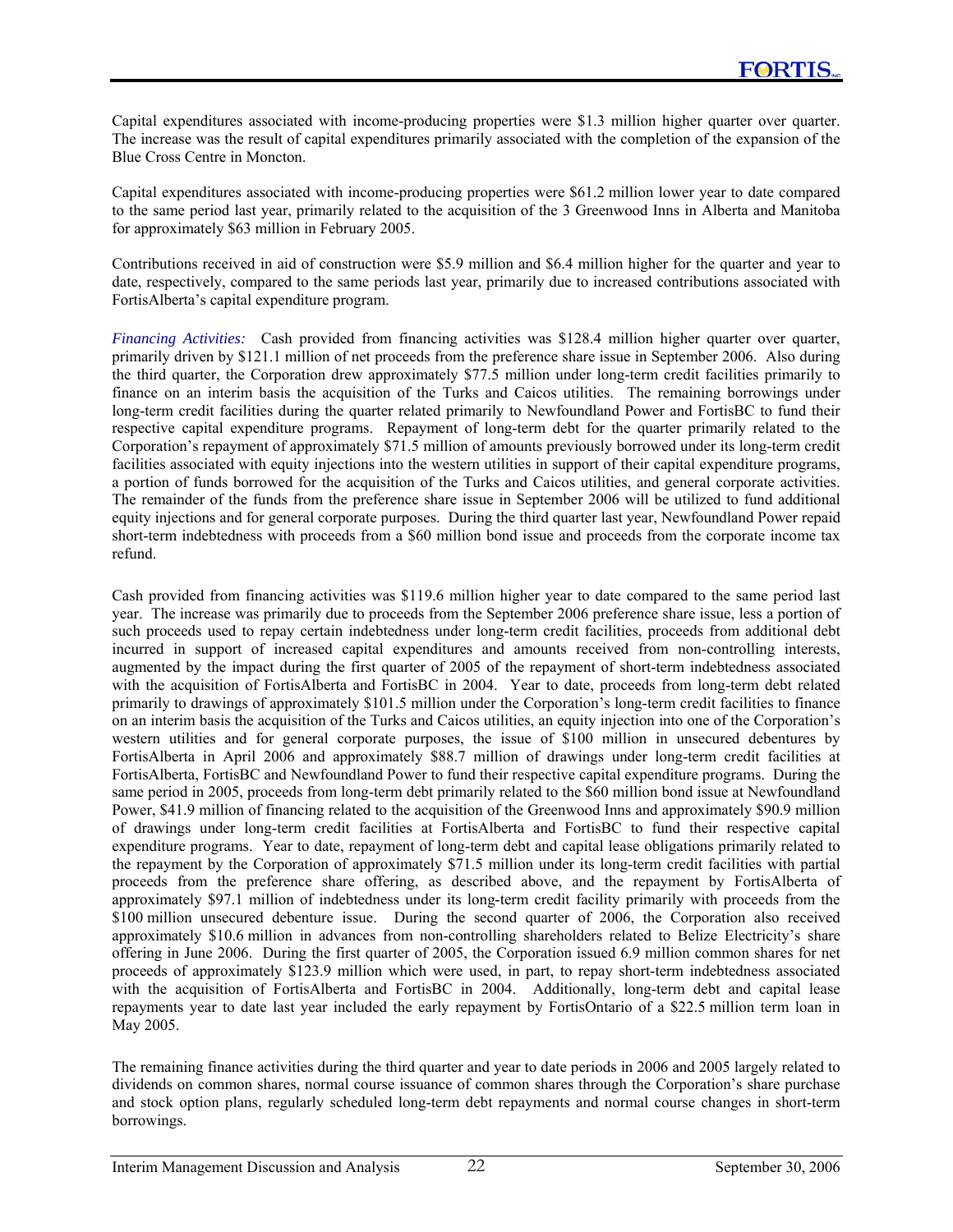Capital expenditures associated with income-producing properties were \$1.3 million higher quarter over quarter. The increase was the result of capital expenditures primarily associated with the completion of the expansion of the Blue Cross Centre in Moncton.

Capital expenditures associated with income-producing properties were \$61.2 million lower year to date compared to the same period last year, primarily related to the acquisition of the 3 Greenwood Inns in Alberta and Manitoba for approximately \$63 million in February 2005.

Contributions received in aid of construction were \$5.9 million and \$6.4 million higher for the quarter and year to date, respectively, compared to the same periods last year, primarily due to increased contributions associated with FortisAlberta's capital expenditure program.

*Financing Activities:* Cash provided from financing activities was \$128.4 million higher quarter over quarter, primarily driven by \$121.1 million of net proceeds from the preference share issue in September 2006. Also during the third quarter, the Corporation drew approximately \$77.5 million under long-term credit facilities primarily to finance on an interim basis the acquisition of the Turks and Caicos utilities. The remaining borrowings under long-term credit facilities during the quarter related primarily to Newfoundland Power and FortisBC to fund their respective capital expenditure programs. Repayment of long-term debt for the quarter primarily related to the Corporation's repayment of approximately \$71.5 million of amounts previously borrowed under its long-term credit facilities associated with equity injections into the western utilities in support of their capital expenditure programs, a portion of funds borrowed for the acquisition of the Turks and Caicos utilities, and general corporate activities. The remainder of the funds from the preference share issue in September 2006 will be utilized to fund additional equity injections and for general corporate purposes. During the third quarter last year, Newfoundland Power repaid short-term indebtedness with proceeds from a \$60 million bond issue and proceeds from the corporate income tax refund.

Cash provided from financing activities was \$119.6 million higher year to date compared to the same period last year. The increase was primarily due to proceeds from the September 2006 preference share issue, less a portion of such proceeds used to repay certain indebtedness under long-term credit facilities, proceeds from additional debt incurred in support of increased capital expenditures and amounts received from non-controlling interests, augmented by the impact during the first quarter of 2005 of the repayment of short-term indebtedness associated with the acquisition of FortisAlberta and FortisBC in 2004. Year to date, proceeds from long-term debt related primarily to drawings of approximately \$101.5 million under the Corporation's long-term credit facilities to finance on an interim basis the acquisition of the Turks and Caicos utilities, an equity injection into one of the Corporation's western utilities and for general corporate purposes, the issue of \$100 million in unsecured debentures by FortisAlberta in April 2006 and approximately \$88.7 million of drawings under long-term credit facilities at FortisAlberta, FortisBC and Newfoundland Power to fund their respective capital expenditure programs. During the same period in 2005, proceeds from long-term debt primarily related to the \$60 million bond issue at Newfoundland Power, \$41.9 million of financing related to the acquisition of the Greenwood Inns and approximately \$90.9 million of drawings under long-term credit facilities at FortisAlberta and FortisBC to fund their respective capital expenditure programs. Year to date, repayment of long-term debt and capital lease obligations primarily related to the repayment by the Corporation of approximately \$71.5 million under its long-term credit facilities with partial proceeds from the preference share offering, as described above, and the repayment by FortisAlberta of approximately \$97.1 million of indebtedness under its long-term credit facility primarily with proceeds from the \$100 million unsecured debenture issue. During the second quarter of 2006, the Corporation also received approximately \$10.6 million in advances from non-controlling shareholders related to Belize Electricity's share offering in June 2006. During the first quarter of 2005, the Corporation issued 6.9 million common shares for net proceeds of approximately \$123.9 million which were used, in part, to repay short-term indebtedness associated with the acquisition of FortisAlberta and FortisBC in 2004. Additionally, long-term debt and capital lease repayments year to date last year included the early repayment by FortisOntario of a \$22.5 million term loan in May 2005.

The remaining finance activities during the third quarter and year to date periods in 2006 and 2005 largely related to dividends on common shares, normal course issuance of common shares through the Corporation's share purchase and stock option plans, regularly scheduled long-term debt repayments and normal course changes in short-term borrowings.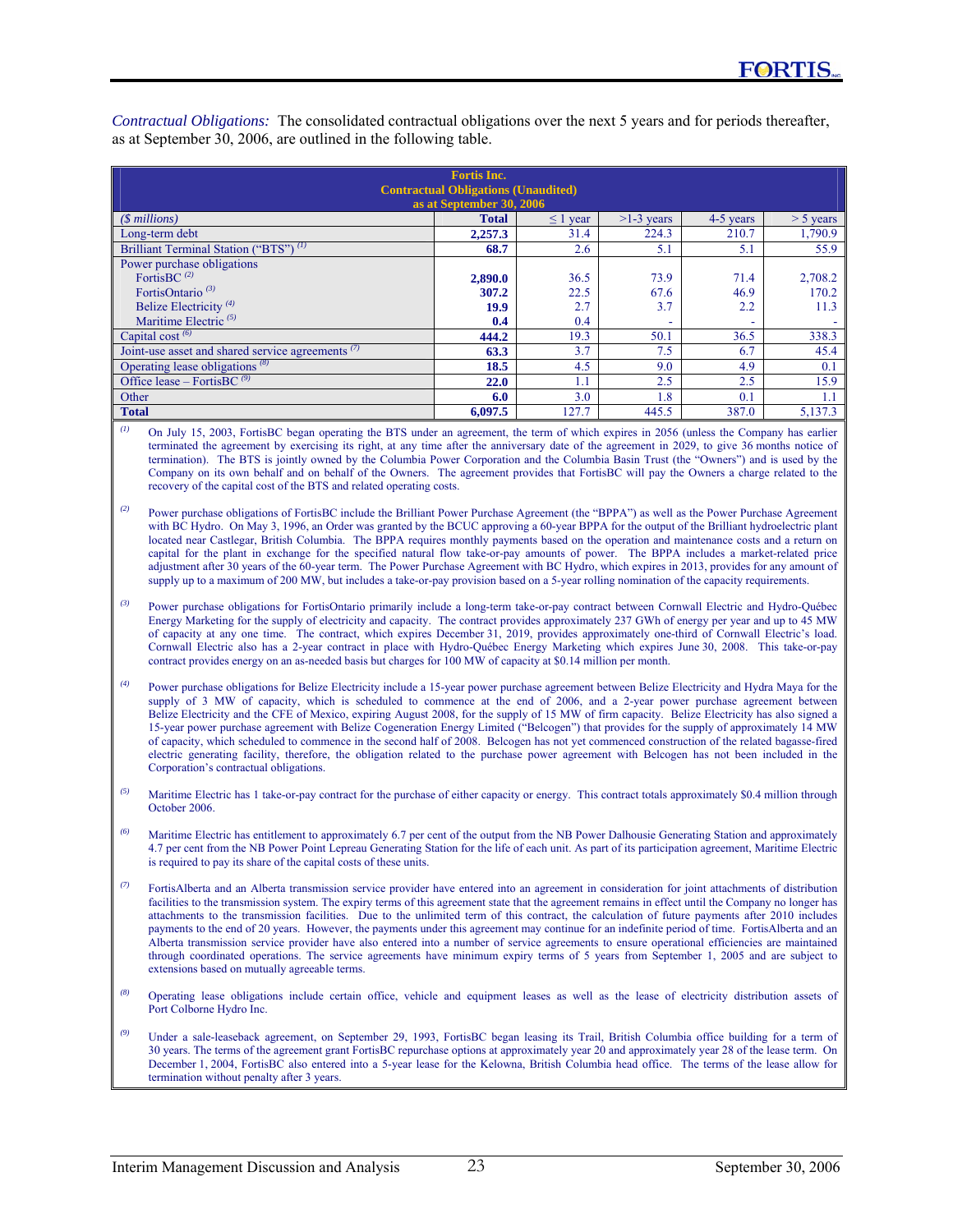| <b>Fortis Inc.</b>                                                     |              |               |              |           |             |  |  |  |  |  |  |
|------------------------------------------------------------------------|--------------|---------------|--------------|-----------|-------------|--|--|--|--|--|--|
| <b>Contractual Obligations (Unaudited)</b><br>as at September 30, 2006 |              |               |              |           |             |  |  |  |  |  |  |
| $(S$ millions)                                                         | <b>Total</b> | $\leq 1$ year | $>1-3$ years | 4-5 years | $>$ 5 years |  |  |  |  |  |  |
| Long-term debt                                                         | 2,257.3      | 31.4          | 224.3        | 210.7     | 1,790.9     |  |  |  |  |  |  |
| Brilliant Terminal Station ("BTS") <sup>(1)</sup>                      | 68.7         | 2.6           | 5.1          | 5.1       | 55.9        |  |  |  |  |  |  |
| Power purchase obligations                                             |              |               |              |           |             |  |  |  |  |  |  |
| FortisBC $(2)$                                                         | 2,890.0      | 36.5          | 73.9         | 71.4      | 2,708.2     |  |  |  |  |  |  |
| FortisOntario <sup>(3)</sup>                                           | 307.2        | 22.5          | 67.6         | 46.9      | 170.2       |  |  |  |  |  |  |
| Belize Electricity <sup>(4)</sup>                                      | 19.9         | 2.7           | 3.7          | 2.2       | 11.3        |  |  |  |  |  |  |
| Maritime Electric $(5)$                                                | 0.4          | 0.4           |              | ۰         |             |  |  |  |  |  |  |
| Capital cost $(6)$                                                     | 444.2        | 19.3          | 50.1         | 36.5      | 338.3       |  |  |  |  |  |  |
| Joint-use asset and shared service agreements <sup>(7)</sup>           | 63.3         | 3.7           | 7.5          | 6.7       | 45.4        |  |  |  |  |  |  |
| Operating lease obligations $(8)$                                      | 18.5         | 4.5           | 9.0          | 4.9       | 0.1         |  |  |  |  |  |  |
| Office lease – FortisBC $(9)$                                          | 22.0         | 1.1           | 2.5          | 2.5       | 15.9        |  |  |  |  |  |  |
| Other                                                                  | 6.0          | 3.0           | 1.8          | 0.1       | 1.1         |  |  |  |  |  |  |
| <b>Total</b>                                                           | 6,097.5      | 127.7         | 445.5        | 387.0     | 5,137.3     |  |  |  |  |  |  |

*Contractual Obligations:* The consolidated contractual obligations over the next 5 years and for periods thereafter, as at September 30, 2006, are outlined in the following table.

*(1)* On July 15, 2003, FortisBC began operating the BTS under an agreement, the term of which expires in 2056 (unless the Company has earlier terminated the agreement by exercising its right, at any time after the anniversary date of the agreement in 2029, to give 36 months notice of termination). The BTS is jointly owned by the Columbia Power Corporation and the Columbia Basin Trust (the "Owners") and is used by the Company on its own behalf and on behalf of the Owners. The agreement provides that FortisBC will pay the Owners a charge related to the recovery of the capital cost of the BTS and related operating costs.

<sup>(2)</sup> Power purchase obligations of FortisBC include the Brilliant Power Purchase Agreement (the "BPPA") as well as the Power Purchase Agreement with BC Hydro. On May 3, 1996, an Order was granted by the BCUC approving a 60-year BPPA for the output of the Brilliant hydroelectric plant located near Castlegar, British Columbia. The BPPA requires monthly payments based on the operation and maintenance costs and a return on capital for the plant in exchange for the specified natural flow take-or-pay amounts of power. The BPPA includes a market-related price adjustment after 30 years of the 60-year term. The Power Purchase Agreement with BC Hydro, which expires in 2013, provides for any amount of supply up to a maximum of 200 MW, but includes a take-or-pay provision based on a 5-year rolling nomination of the capacity requirements.

- *(3)* Power purchase obligations for FortisOntario primarily include a long-term take-or-pay contract between Cornwall Electric and Hydro-Québec Energy Marketing for the supply of electricity and capacity. The contract provides approximately 237 GWh of energy per year and up to 45 MW of capacity at any one time. The contract, which expires December 31, 2019, provides approximately one-third of Cornwall Electric's load. Cornwall Electric also has a 2-year contract in place with Hydro-Québec Energy Marketing which expires June 30, 2008. This take-or-pay contract provides energy on an as-needed basis but charges for 100 MW of capacity at \$0.14 million per month.
- *(4)* Power purchase obligations for Belize Electricity include a 15-year power purchase agreement between Belize Electricity and Hydra Maya for the supply of 3 MW of capacity, which is scheduled to commence at the end of 2006, and a 2-year power purchase agreement between Belize Electricity and the CFE of Mexico, expiring August 2008, for the supply of 15 MW of firm capacity. Belize Electricity has also signed a 15-year power purchase agreement with Belize Cogeneration Energy Limited ("Belcogen") that provides for the supply of approximately 14 MW of capacity, which scheduled to commence in the second half of 2008. Belcogen has not yet commenced construction of the related bagasse-fired electric generating facility, therefore, the obligation related to the purchase power agreement with Belcogen has not been included in the Corporation's contractual obligations.

<sup>(5)</sup> Maritime Electric has 1 take-or-pay contract for the purchase of either capacity or energy. This contract totals approximately \$0.4 million through October 2006.

- *(6)* Maritime Electric has entitlement to approximately 6.7 per cent of the output from the NB Power Dalhousie Generating Station and approximately 4.7 per cent from the NB Power Point Lepreau Generating Station for the life of each unit. As part of its participation agreement, Maritime Electric is required to pay its share of the capital costs of these units.
- *(7)* FortisAlberta and an Alberta transmission service provider have entered into an agreement in consideration for joint attachments of distribution facilities to the transmission system. The expiry terms of this agreement state that the agreement remains in effect until the Company no longer has attachments to the transmission facilities. Due to the unlimited term of this contract, the calculation of future payments after 2010 includes payments to the end of 20 years. However, the payments under this agreement may continue for an indefinite period of time. FortisAlberta and an Alberta transmission service provider have also entered into a number of service agreements to ensure operational efficiencies are maintained through coordinated operations. The service agreements have minimum expiry terms of 5 years from September 1, 2005 and are subject to extensions based on mutually agreeable terms.
- *(8)* Operating lease obligations include certain office, vehicle and equipment leases as well as the lease of electricity distribution assets of Port Colborne Hydro Inc.
- *(9)* Under a sale-leaseback agreement, on September 29, 1993, FortisBC began leasing its Trail, British Columbia office building for a term of 30 years. The terms of the agreement grant FortisBC repurchase options at approximately year 20 and approximately year 28 of the lease term. On December 1, 2004, FortisBC also entered into a 5-year lease for the Kelowna, British Columbia head office. The terms of the lease allow for termination without penalty after 3 years.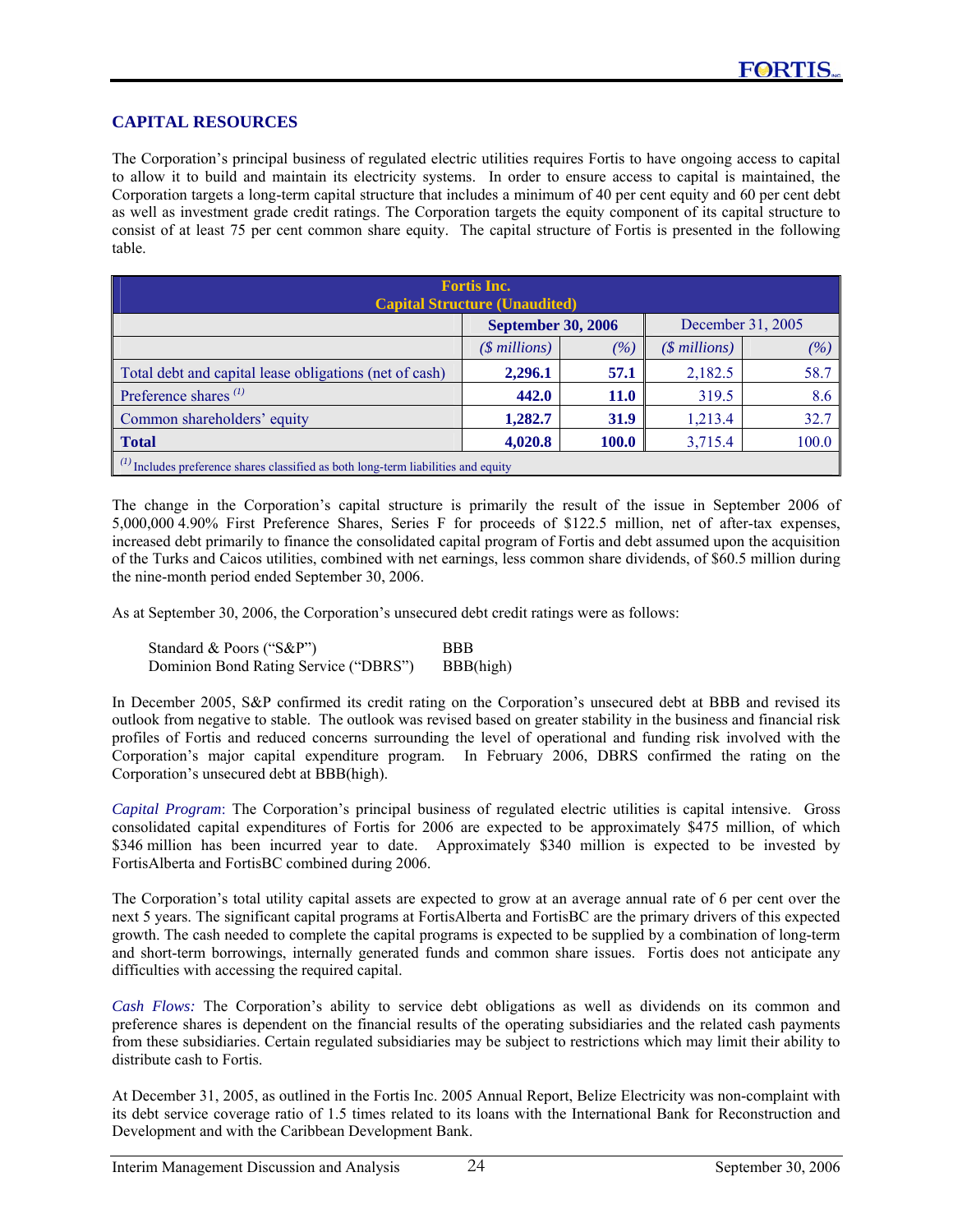### **CAPITAL RESOURCES**

The Corporation's principal business of regulated electric utilities requires Fortis to have ongoing access to capital to allow it to build and maintain its electricity systems. In order to ensure access to capital is maintained, the Corporation targets a long-term capital structure that includes a minimum of 40 per cent equity and 60 per cent debt as well as investment grade credit ratings. The Corporation targets the equity component of its capital structure to consist of at least 75 per cent common share equity. The capital structure of Fortis is presented in the following table.

| <b>Fortis Inc.</b><br><b>Capital Structure (Unaudited)</b>                                    |                           |             |                   |       |  |  |  |  |  |
|-----------------------------------------------------------------------------------------------|---------------------------|-------------|-------------------|-------|--|--|--|--|--|
|                                                                                               | <b>September 30, 2006</b> |             | December 31, 2005 |       |  |  |  |  |  |
|                                                                                               | $($$ millions)            | $( \% )$    | $($$ millions)    | (%)   |  |  |  |  |  |
| Total debt and capital lease obligations (net of cash)                                        | 2,296.1                   | 57.1        | 2,182.5           | 58.7  |  |  |  |  |  |
| Preference shares $(1)$                                                                       | 442.0                     | <b>11.0</b> | 319.5             | 8.6   |  |  |  |  |  |
| Common shareholders' equity                                                                   | 1,282.7                   | <b>31.9</b> | 1,213.4           | 32.7  |  |  |  |  |  |
| <b>Total</b>                                                                                  | 4,020.8                   | 100.0       | 3,715.4           | 100.0 |  |  |  |  |  |
| $\binom{1}{1}$ Includes preference shares classified as both long-term liabilities and equity |                           |             |                   |       |  |  |  |  |  |

The change in the Corporation's capital structure is primarily the result of the issue in September 2006 of 5,000,000 4.90% First Preference Shares, Series F for proceeds of \$122.5 million, net of after-tax expenses, increased debt primarily to finance the consolidated capital program of Fortis and debt assumed upon the acquisition of the Turks and Caicos utilities, combined with net earnings, less common share dividends, of \$60.5 million during the nine-month period ended September 30, 2006.

As at September 30, 2006, the Corporation's unsecured debt credit ratings were as follows:

| Standard & Poors ("S&P")              | <b>BBB</b> |
|---------------------------------------|------------|
| Dominion Bond Rating Service ("DBRS") | BBB(high)  |

In December 2005, S&P confirmed its credit rating on the Corporation's unsecured debt at BBB and revised its outlook from negative to stable. The outlook was revised based on greater stability in the business and financial risk profiles of Fortis and reduced concerns surrounding the level of operational and funding risk involved with the Corporation's major capital expenditure program. In February 2006, DBRS confirmed the rating on the Corporation's unsecured debt at BBB(high).

*Capital Program*: The Corporation's principal business of regulated electric utilities is capital intensive. Gross consolidated capital expenditures of Fortis for 2006 are expected to be approximately \$475 million, of which \$346 million has been incurred year to date. Approximately \$340 million is expected to be invested by FortisAlberta and FortisBC combined during 2006.

The Corporation's total utility capital assets are expected to grow at an average annual rate of 6 per cent over the next 5 years. The significant capital programs at FortisAlberta and FortisBC are the primary drivers of this expected growth. The cash needed to complete the capital programs is expected to be supplied by a combination of long-term and short-term borrowings, internally generated funds and common share issues. Fortis does not anticipate any difficulties with accessing the required capital.

*Cash Flows:* The Corporation's ability to service debt obligations as well as dividends on its common and preference shares is dependent on the financial results of the operating subsidiaries and the related cash payments from these subsidiaries. Certain regulated subsidiaries may be subject to restrictions which may limit their ability to distribute cash to Fortis.

At December 31, 2005, as outlined in the Fortis Inc. 2005 Annual Report, Belize Electricity was non-complaint with its debt service coverage ratio of 1.5 times related to its loans with the International Bank for Reconstruction and Development and with the Caribbean Development Bank.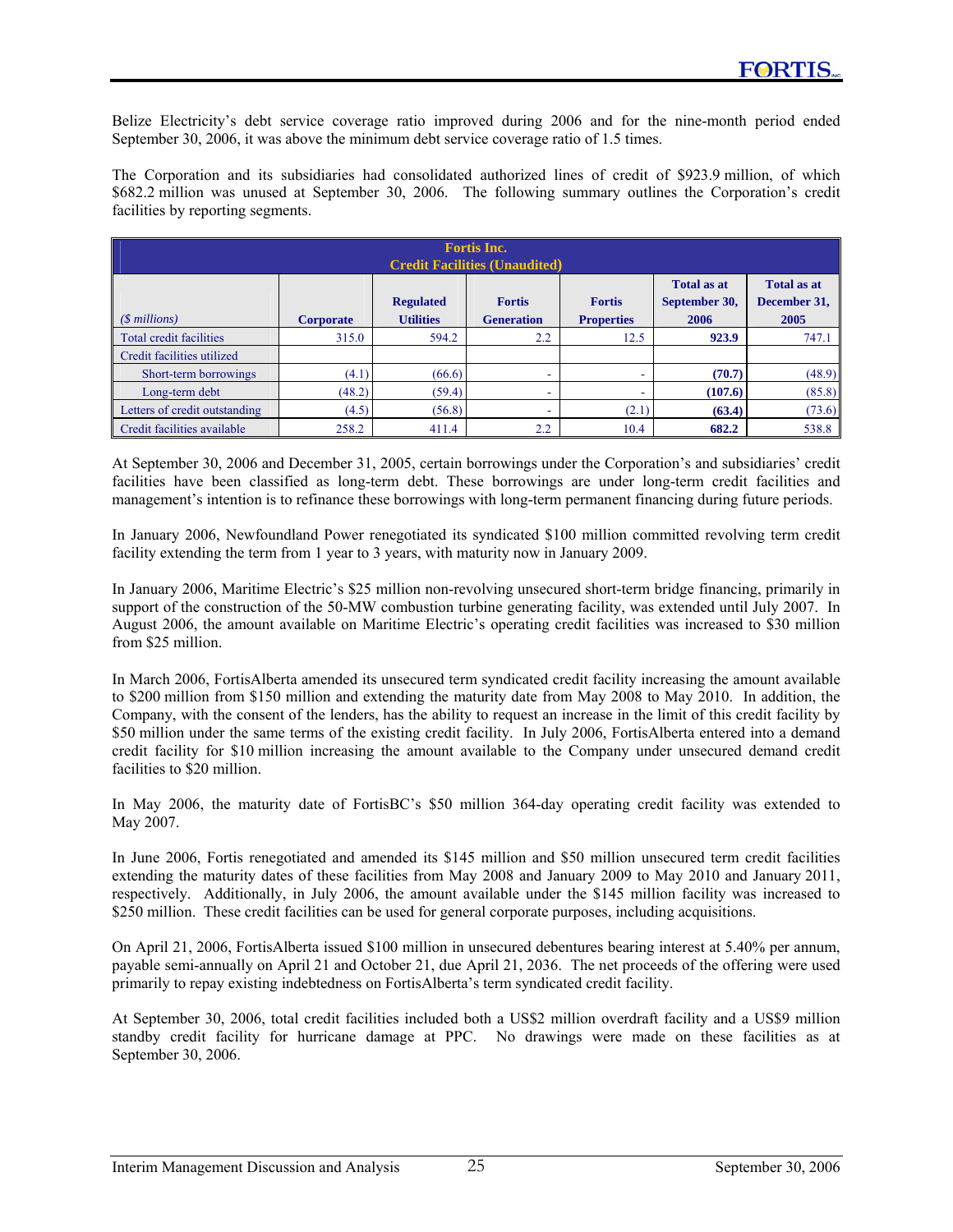Belize Electricity's debt service coverage ratio improved during 2006 and for the nine-month period ended September 30, 2006, it was above the minimum debt service coverage ratio of 1.5 times.

The Corporation and its subsidiaries had consolidated authorized lines of credit of \$923.9 million, of which \$682.2 million was unused at September 30, 2006. The following summary outlines the Corporation's credit facilities by reporting segments.

| <b>Fortis Inc.</b><br><b>Credit Facilities (Unaudited)</b> |                  |                                      |                                    |                                    |                                             |                                            |  |  |  |  |  |
|------------------------------------------------------------|------------------|--------------------------------------|------------------------------------|------------------------------------|---------------------------------------------|--------------------------------------------|--|--|--|--|--|
| $(S$ millions)                                             | <b>Corporate</b> | <b>Regulated</b><br><b>Utilities</b> | <b>Fortis</b><br><b>Generation</b> | <b>Fortis</b><br><b>Properties</b> | <b>Total as at</b><br>September 30,<br>2006 | <b>Total as at</b><br>December 31,<br>2005 |  |  |  |  |  |
| Total credit facilities                                    | 315.0            | 594.2                                | 2.2                                | 12.5                               | 923.9                                       | 747.1                                      |  |  |  |  |  |
| Credit facilities utilized                                 |                  |                                      |                                    |                                    |                                             |                                            |  |  |  |  |  |
| Short-term borrowings                                      | (4.1)            | (66.6)                               |                                    |                                    | (70.7)                                      | (48.9)                                     |  |  |  |  |  |
| Long-term debt                                             | (48.2)           | (59.4)                               | ۰                                  | ۰                                  | (107.6)                                     | (85.8)                                     |  |  |  |  |  |
| Letters of credit outstanding                              | (4.5)            | (56.8)                               | ۰                                  | (2.1)                              | (63.4)                                      | (73.6)                                     |  |  |  |  |  |
| Credit facilities available                                | 258.2            | 411.4                                | 2.2                                | 10.4                               | 682.2                                       | 538.8                                      |  |  |  |  |  |

At September 30, 2006 and December 31, 2005, certain borrowings under the Corporation's and subsidiaries' credit facilities have been classified as long-term debt. These borrowings are under long-term credit facilities and management's intention is to refinance these borrowings with long-term permanent financing during future periods.

In January 2006, Newfoundland Power renegotiated its syndicated \$100 million committed revolving term credit facility extending the term from 1 year to 3 years, with maturity now in January 2009.

In January 2006, Maritime Electric's \$25 million non-revolving unsecured short-term bridge financing, primarily in support of the construction of the 50-MW combustion turbine generating facility, was extended until July 2007. In August 2006, the amount available on Maritime Electric's operating credit facilities was increased to \$30 million from \$25 million.

In March 2006, FortisAlberta amended its unsecured term syndicated credit facility increasing the amount available to \$200 million from \$150 million and extending the maturity date from May 2008 to May 2010. In addition, the Company, with the consent of the lenders, has the ability to request an increase in the limit of this credit facility by \$50 million under the same terms of the existing credit facility. In July 2006, FortisAlberta entered into a demand credit facility for \$10 million increasing the amount available to the Company under unsecured demand credit facilities to \$20 million.

In May 2006, the maturity date of FortisBC's \$50 million 364-day operating credit facility was extended to May 2007.

In June 2006, Fortis renegotiated and amended its \$145 million and \$50 million unsecured term credit facilities extending the maturity dates of these facilities from May 2008 and January 2009 to May 2010 and January 2011, respectively. Additionally, in July 2006, the amount available under the \$145 million facility was increased to \$250 million. These credit facilities can be used for general corporate purposes, including acquisitions.

On April 21, 2006, FortisAlberta issued \$100 million in unsecured debentures bearing interest at 5.40% per annum, payable semi-annually on April 21 and October 21, due April 21, 2036. The net proceeds of the offering were used primarily to repay existing indebtedness on FortisAlberta's term syndicated credit facility.

At September 30, 2006, total credit facilities included both a US\$2 million overdraft facility and a US\$9 million standby credit facility for hurricane damage at PPC. No drawings were made on these facilities as at September 30, 2006.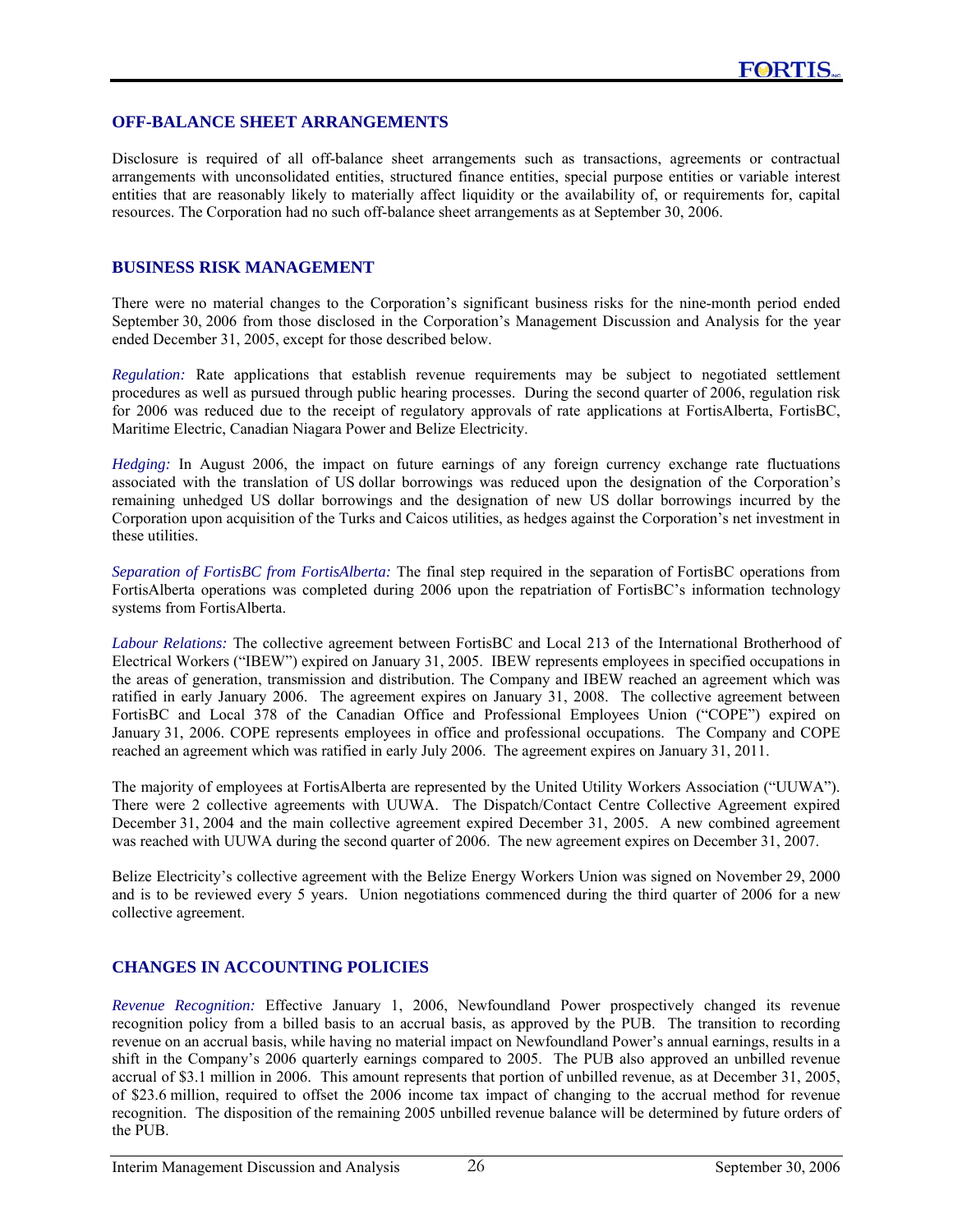### **OFF-BALANCE SHEET ARRANGEMENTS**

Disclosure is required of all off-balance sheet arrangements such as transactions, agreements or contractual arrangements with unconsolidated entities, structured finance entities, special purpose entities or variable interest entities that are reasonably likely to materially affect liquidity or the availability of, or requirements for, capital resources. The Corporation had no such off-balance sheet arrangements as at September 30, 2006.

### **BUSINESS RISK MANAGEMENT**

There were no material changes to the Corporation's significant business risks for the nine-month period ended September 30, 2006 from those disclosed in the Corporation's Management Discussion and Analysis for the year ended December 31, 2005, except for those described below.

*Regulation:* Rate applications that establish revenue requirements may be subject to negotiated settlement procedures as well as pursued through public hearing processes. During the second quarter of 2006, regulation risk for 2006 was reduced due to the receipt of regulatory approvals of rate applications at FortisAlberta, FortisBC, Maritime Electric, Canadian Niagara Power and Belize Electricity.

*Hedging:* In August 2006, the impact on future earnings of any foreign currency exchange rate fluctuations associated with the translation of US dollar borrowings was reduced upon the designation of the Corporation's remaining unhedged US dollar borrowings and the designation of new US dollar borrowings incurred by the Corporation upon acquisition of the Turks and Caicos utilities, as hedges against the Corporation's net investment in these utilities.

*Separation of FortisBC from FortisAlberta:* The final step required in the separation of FortisBC operations from FortisAlberta operations was completed during 2006 upon the repatriation of FortisBC's information technology systems from FortisAlberta.

*Labour Relations:* The collective agreement between FortisBC and Local 213 of the International Brotherhood of Electrical Workers ("IBEW") expired on January 31, 2005. IBEW represents employees in specified occupations in the areas of generation, transmission and distribution. The Company and IBEW reached an agreement which was ratified in early January 2006. The agreement expires on January 31, 2008. The collective agreement between FortisBC and Local 378 of the Canadian Office and Professional Employees Union ("COPE") expired on January 31, 2006. COPE represents employees in office and professional occupations. The Company and COPE reached an agreement which was ratified in early July 2006. The agreement expires on January 31, 2011.

The majority of employees at FortisAlberta are represented by the United Utility Workers Association ("UUWA"). There were 2 collective agreements with UUWA. The Dispatch/Contact Centre Collective Agreement expired December 31, 2004 and the main collective agreement expired December 31, 2005. A new combined agreement was reached with UUWA during the second quarter of 2006. The new agreement expires on December 31, 2007.

Belize Electricity's collective agreement with the Belize Energy Workers Union was signed on November 29, 2000 and is to be reviewed every 5 years. Union negotiations commenced during the third quarter of 2006 for a new collective agreement.

### **CHANGES IN ACCOUNTING POLICIES**

*Revenue Recognition:* Effective January 1, 2006, Newfoundland Power prospectively changed its revenue recognition policy from a billed basis to an accrual basis, as approved by the PUB. The transition to recording revenue on an accrual basis, while having no material impact on Newfoundland Power's annual earnings, results in a shift in the Company's 2006 quarterly earnings compared to 2005. The PUB also approved an unbilled revenue accrual of \$3.1 million in 2006. This amount represents that portion of unbilled revenue, as at December 31, 2005, of \$23.6 million, required to offset the 2006 income tax impact of changing to the accrual method for revenue recognition. The disposition of the remaining 2005 unbilled revenue balance will be determined by future orders of the PUB.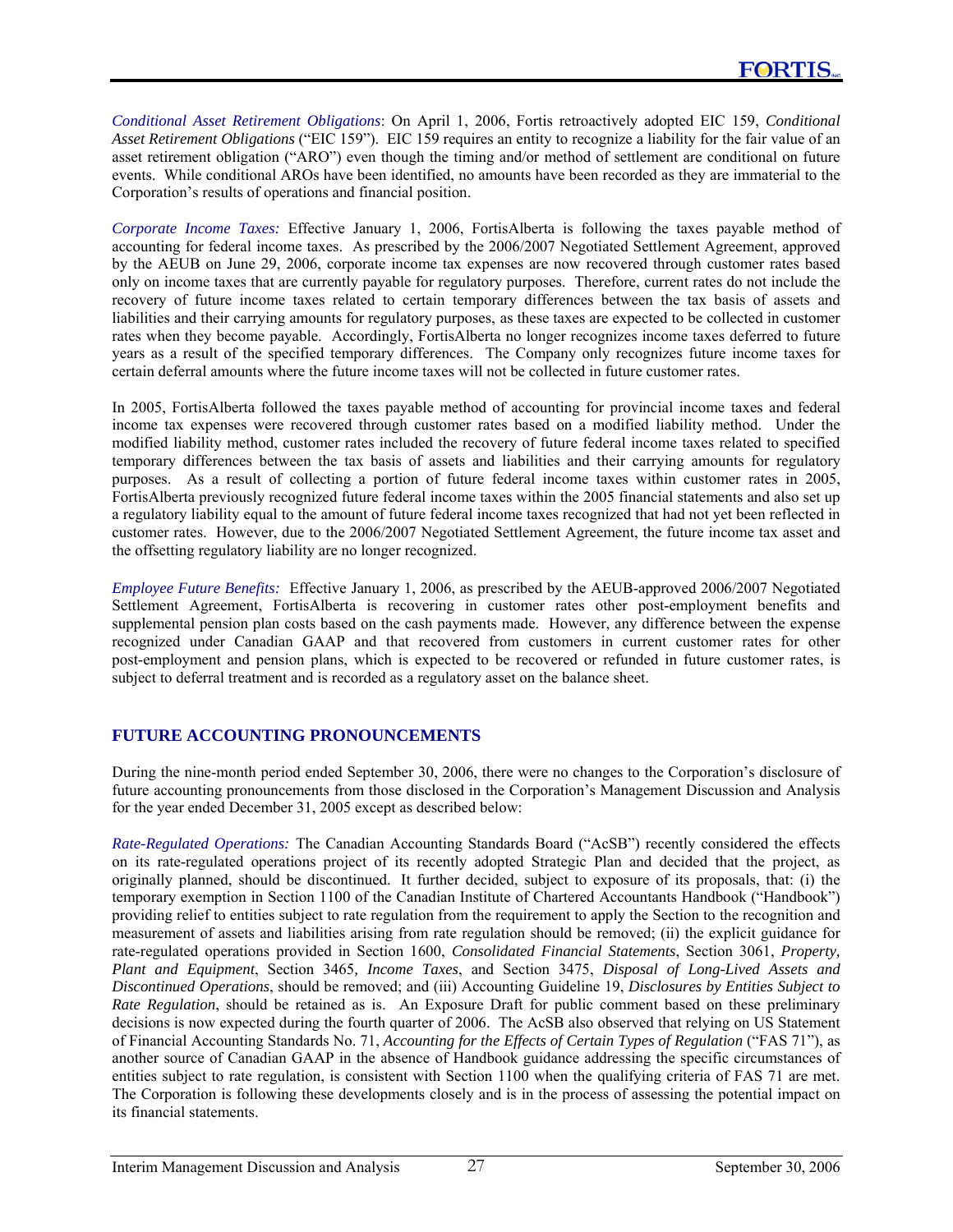*Conditional Asset Retirement Obligations*: On April 1, 2006, Fortis retroactively adopted EIC 159, *Conditional Asset Retirement Obligations* ("EIC 159"). EIC 159 requires an entity to recognize a liability for the fair value of an asset retirement obligation ("ARO") even though the timing and/or method of settlement are conditional on future events. While conditional AROs have been identified, no amounts have been recorded as they are immaterial to the Corporation's results of operations and financial position.

*Corporate Income Taxes:* Effective January 1, 2006, FortisAlberta is following the taxes payable method of accounting for federal income taxes. As prescribed by the 2006/2007 Negotiated Settlement Agreement, approved by the AEUB on June 29, 2006, corporate income tax expenses are now recovered through customer rates based only on income taxes that are currently payable for regulatory purposes. Therefore, current rates do not include the recovery of future income taxes related to certain temporary differences between the tax basis of assets and liabilities and their carrying amounts for regulatory purposes, as these taxes are expected to be collected in customer rates when they become payable. Accordingly, FortisAlberta no longer recognizes income taxes deferred to future years as a result of the specified temporary differences. The Company only recognizes future income taxes for certain deferral amounts where the future income taxes will not be collected in future customer rates.

In 2005, FortisAlberta followed the taxes payable method of accounting for provincial income taxes and federal income tax expenses were recovered through customer rates based on a modified liability method. Under the modified liability method, customer rates included the recovery of future federal income taxes related to specified temporary differences between the tax basis of assets and liabilities and their carrying amounts for regulatory purposes. As a result of collecting a portion of future federal income taxes within customer rates in 2005, FortisAlberta previously recognized future federal income taxes within the 2005 financial statements and also set up a regulatory liability equal to the amount of future federal income taxes recognized that had not yet been reflected in customer rates. However, due to the 2006/2007 Negotiated Settlement Agreement, the future income tax asset and the offsetting regulatory liability are no longer recognized.

*Employee Future Benefits:* Effective January 1, 2006, as prescribed by the AEUB-approved 2006/2007 Negotiated Settlement Agreement, FortisAlberta is recovering in customer rates other post-employment benefits and supplemental pension plan costs based on the cash payments made. However, any difference between the expense recognized under Canadian GAAP and that recovered from customers in current customer rates for other post-employment and pension plans, which is expected to be recovered or refunded in future customer rates, is subject to deferral treatment and is recorded as a regulatory asset on the balance sheet.

# **FUTURE ACCOUNTING PRONOUNCEMENTS**

During the nine-month period ended September 30, 2006, there were no changes to the Corporation's disclosure of future accounting pronouncements from those disclosed in the Corporation's Management Discussion and Analysis for the year ended December 31, 2005 except as described below:

*Rate-Regulated Operations:* The Canadian Accounting Standards Board ("AcSB") recently considered the effects on its rate-regulated operations project of its recently adopted Strategic Plan and decided that the project, as originally planned, should be discontinued. It further decided, subject to exposure of its proposals, that: (i) the temporary exemption in Section 1100 of the Canadian Institute of Chartered Accountants Handbook ("Handbook") providing relief to entities subject to rate regulation from the requirement to apply the Section to the recognition and measurement of assets and liabilities arising from rate regulation should be removed; (ii) the explicit guidance for rate-regulated operations provided in Section 1600, *Consolidated Financial Statements*, Section 3061, *Property, Plant and Equipment*, Section 3465*, Income Taxes*, and Section 3475, *Disposal of Long-Lived Assets and Discontinued Operations*, should be removed; and (iii) Accounting Guideline 19, *Disclosures by Entities Subject to Rate Regulation*, should be retained as is. An Exposure Draft for public comment based on these preliminary decisions is now expected during the fourth quarter of 2006. The AcSB also observed that relying on US Statement of Financial Accounting Standards No. 71, *Accounting for the Effects of Certain Types of Regulation* ("FAS 71"), as another source of Canadian GAAP in the absence of Handbook guidance addressing the specific circumstances of entities subject to rate regulation, is consistent with Section 1100 when the qualifying criteria of FAS 71 are met. The Corporation is following these developments closely and is in the process of assessing the potential impact on its financial statements.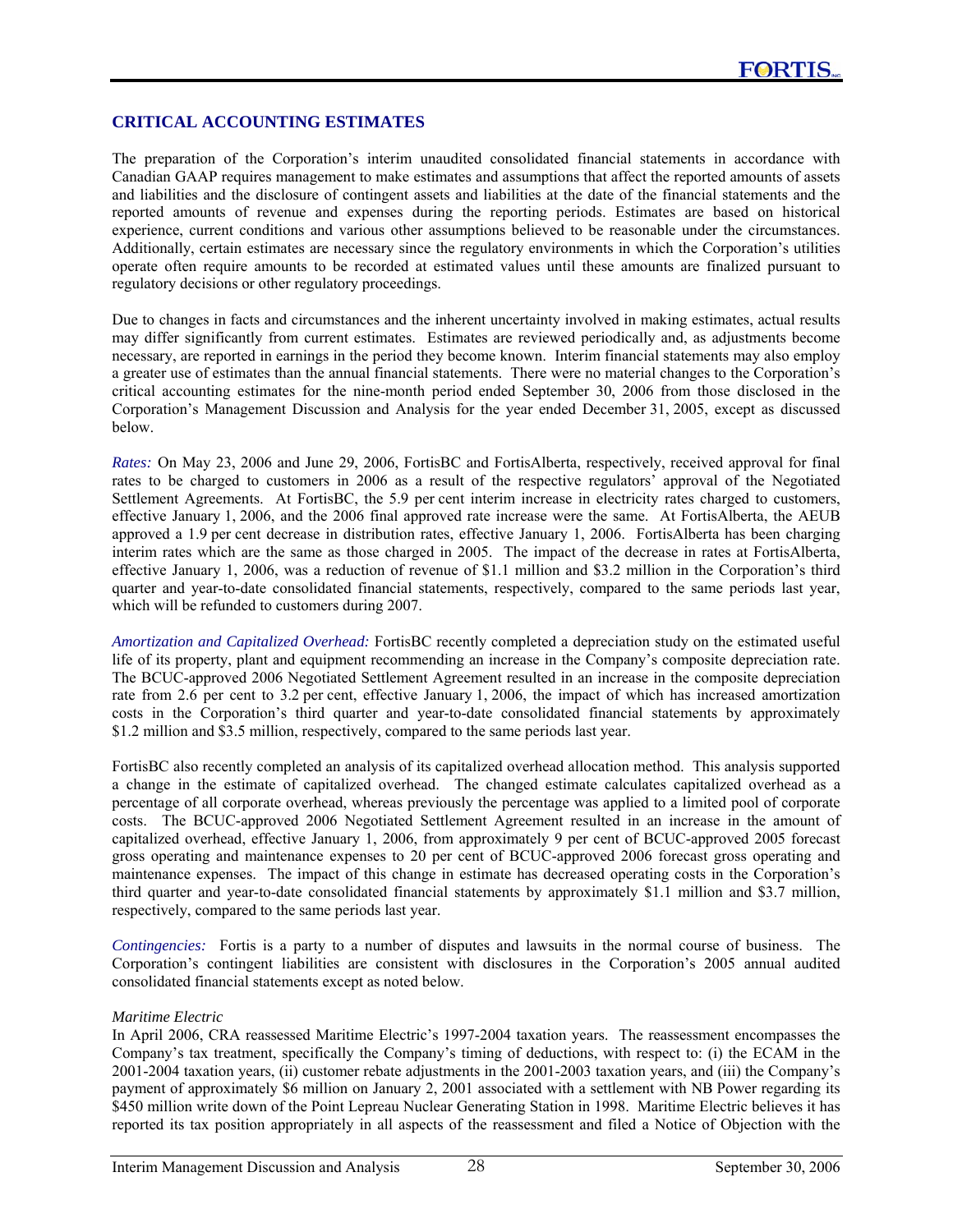### **CRITICAL ACCOUNTING ESTIMATES**

The preparation of the Corporation's interim unaudited consolidated financial statements in accordance with Canadian GAAP requires management to make estimates and assumptions that affect the reported amounts of assets and liabilities and the disclosure of contingent assets and liabilities at the date of the financial statements and the reported amounts of revenue and expenses during the reporting periods. Estimates are based on historical experience, current conditions and various other assumptions believed to be reasonable under the circumstances. Additionally, certain estimates are necessary since the regulatory environments in which the Corporation's utilities operate often require amounts to be recorded at estimated values until these amounts are finalized pursuant to regulatory decisions or other regulatory proceedings.

Due to changes in facts and circumstances and the inherent uncertainty involved in making estimates, actual results may differ significantly from current estimates. Estimates are reviewed periodically and, as adjustments become necessary, are reported in earnings in the period they become known. Interim financial statements may also employ a greater use of estimates than the annual financial statements. There were no material changes to the Corporation's critical accounting estimates for the nine-month period ended September 30, 2006 from those disclosed in the Corporation's Management Discussion and Analysis for the year ended December 31, 2005, except as discussed below.

*Rates:* On May 23, 2006 and June 29, 2006, FortisBC and FortisAlberta, respectively, received approval for final rates to be charged to customers in 2006 as a result of the respective regulators' approval of the Negotiated Settlement Agreements. At FortisBC, the 5.9 per cent interim increase in electricity rates charged to customers, effective January 1, 2006, and the 2006 final approved rate increase were the same. At FortisAlberta, the AEUB approved a 1.9 per cent decrease in distribution rates, effective January 1, 2006. FortisAlberta has been charging interim rates which are the same as those charged in 2005. The impact of the decrease in rates at FortisAlberta, effective January 1, 2006, was a reduction of revenue of \$1.1 million and \$3.2 million in the Corporation's third quarter and year-to-date consolidated financial statements, respectively, compared to the same periods last year, which will be refunded to customers during 2007.

*Amortization and Capitalized Overhead:* FortisBC recently completed a depreciation study on the estimated useful life of its property, plant and equipment recommending an increase in the Company's composite depreciation rate. The BCUC-approved 2006 Negotiated Settlement Agreement resulted in an increase in the composite depreciation rate from 2.6 per cent to 3.2 per cent, effective January 1, 2006, the impact of which has increased amortization costs in the Corporation's third quarter and year-to-date consolidated financial statements by approximately \$1.2 million and \$3.5 million, respectively, compared to the same periods last year.

FortisBC also recently completed an analysis of its capitalized overhead allocation method. This analysis supported a change in the estimate of capitalized overhead. The changed estimate calculates capitalized overhead as a percentage of all corporate overhead, whereas previously the percentage was applied to a limited pool of corporate costs. The BCUC-approved 2006 Negotiated Settlement Agreement resulted in an increase in the amount of capitalized overhead, effective January 1, 2006, from approximately 9 per cent of BCUC-approved 2005 forecast gross operating and maintenance expenses to 20 per cent of BCUC-approved 2006 forecast gross operating and maintenance expenses. The impact of this change in estimate has decreased operating costs in the Corporation's third quarter and year-to-date consolidated financial statements by approximately \$1.1 million and \$3.7 million, respectively, compared to the same periods last year.

*Contingencies:*Fortis is a party to a number of disputes and lawsuits in the normal course of business. The Corporation's contingent liabilities are consistent with disclosures in the Corporation's 2005 annual audited consolidated financial statements except as noted below.

#### *Maritime Electric*

In April 2006, CRA reassessed Maritime Electric's 1997-2004 taxation years. The reassessment encompasses the Company's tax treatment, specifically the Company's timing of deductions, with respect to: (i) the ECAM in the 2001-2004 taxation years, (ii) customer rebate adjustments in the 2001-2003 taxation years, and (iii) the Company's payment of approximately \$6 million on January 2, 2001 associated with a settlement with NB Power regarding its \$450 million write down of the Point Lepreau Nuclear Generating Station in 1998. Maritime Electric believes it has reported its tax position appropriately in all aspects of the reassessment and filed a Notice of Objection with the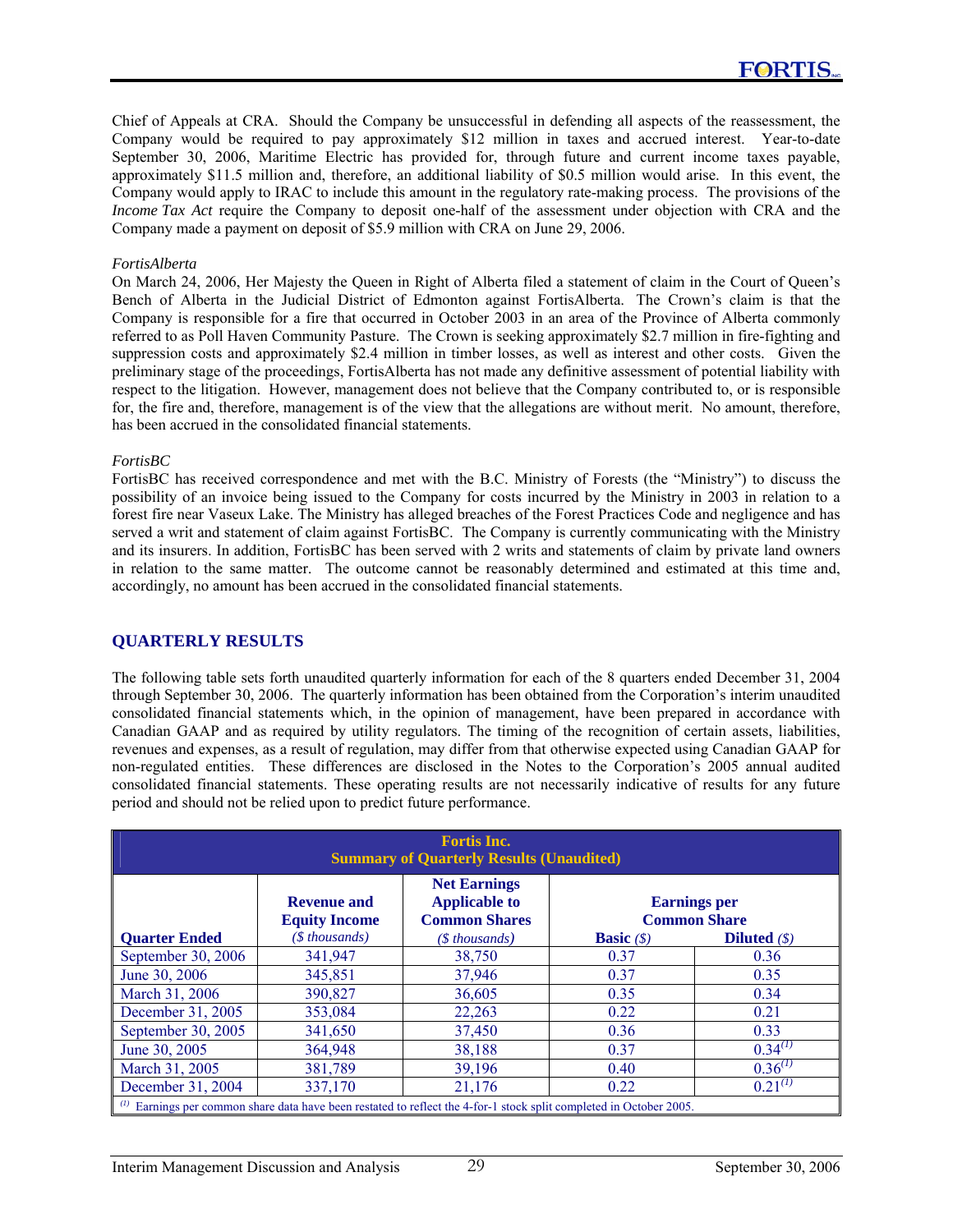Chief of Appeals at CRA. Should the Company be unsuccessful in defending all aspects of the reassessment, the Company would be required to pay approximately \$12 million in taxes and accrued interest. Year-to-date September 30, 2006, Maritime Electric has provided for, through future and current income taxes payable, approximately \$11.5 million and, therefore, an additional liability of \$0.5 million would arise. In this event, the Company would apply to IRAC to include this amount in the regulatory rate-making process. The provisions of the *Income Tax Act* require the Company to deposit one-half of the assessment under objection with CRA and the Company made a payment on deposit of \$5.9 million with CRA on June 29, 2006.

#### *FortisAlberta*

On March 24, 2006, Her Majesty the Queen in Right of Alberta filed a statement of claim in the Court of Queen's Bench of Alberta in the Judicial District of Edmonton against FortisAlberta. The Crown's claim is that the Company is responsible for a fire that occurred in October 2003 in an area of the Province of Alberta commonly referred to as Poll Haven Community Pasture. The Crown is seeking approximately \$2.7 million in fire-fighting and suppression costs and approximately \$2.4 million in timber losses, as well as interest and other costs. Given the preliminary stage of the proceedings, FortisAlberta has not made any definitive assessment of potential liability with respect to the litigation. However, management does not believe that the Company contributed to, or is responsible for, the fire and, therefore, management is of the view that the allegations are without merit. No amount, therefore, has been accrued in the consolidated financial statements.

### *FortisBC*

FortisBC has received correspondence and met with the B.C. Ministry of Forests (the "Ministry") to discuss the possibility of an invoice being issued to the Company for costs incurred by the Ministry in 2003 in relation to a forest fire near Vaseux Lake. The Ministry has alleged breaches of the Forest Practices Code and negligence and has served a writ and statement of claim against FortisBC. The Company is currently communicating with the Ministry and its insurers. In addition, FortisBC has been served with 2 writs and statements of claim by private land owners in relation to the same matter. The outcome cannot be reasonably determined and estimated at this time and, accordingly, no amount has been accrued in the consolidated financial statements.

### **QUARTERLY RESULTS**

The following table sets forth unaudited quarterly information for each of the 8 quarters ended December 31, 2004 through September 30, 2006. The quarterly information has been obtained from the Corporation's interim unaudited consolidated financial statements which, in the opinion of management, have been prepared in accordance with Canadian GAAP and as required by utility regulators. The timing of the recognition of certain assets, liabilities, revenues and expenses, as a result of regulation, may differ from that otherwise expected using Canadian GAAP for non-regulated entities. These differences are disclosed in the Notes to the Corporation's 2005 annual audited consolidated financial statements. These operating results are not necessarily indicative of results for any future period and should not be relied upon to predict future performance.

| <b>Fortis Inc.</b><br><b>Summary of Quarterly Results (Unaudited)</b> |                                            |                                                                                                                          |                                   |                                            |  |  |  |  |
|-----------------------------------------------------------------------|--------------------------------------------|--------------------------------------------------------------------------------------------------------------------------|-----------------------------------|--------------------------------------------|--|--|--|--|
|                                                                       | <b>Revenue and</b><br><b>Equity Income</b> | <b>Net Earnings</b><br><b>Applicable to</b><br><b>Common Shares</b>                                                      |                                   | <b>Earnings</b> per<br><b>Common Share</b> |  |  |  |  |
| <b>Quarter Ended</b>                                                  | $($ thousands)$                            | $(S$ thousands)                                                                                                          | <b>Basic</b> $(\hat{\mathbf{S}})$ | <b>Diluted</b> $(\$)$                      |  |  |  |  |
| September 30, 2006                                                    | 341.947                                    | 38,750                                                                                                                   | 0.37                              | 0.36                                       |  |  |  |  |
| June 30, 2006                                                         | 345,851                                    | 37,946                                                                                                                   | 0.37                              | 0.35                                       |  |  |  |  |
| March 31, 2006                                                        | 390,827                                    | 36,605                                                                                                                   | 0.35                              | 0.34                                       |  |  |  |  |
| December 31, 2005                                                     | 353,084                                    | 22,263                                                                                                                   | 0.22                              | 0.21                                       |  |  |  |  |
| September 30, 2005                                                    | 341,650                                    | 37,450                                                                                                                   | 0.36                              | 0.33                                       |  |  |  |  |
| June 30, 2005                                                         | 364,948                                    | 38,188                                                                                                                   | 0.37                              | $0.34^{(1)}$                               |  |  |  |  |
| March 31, 2005                                                        | 381,789                                    | 39,196                                                                                                                   | 0.40                              | $0.36^{(1)}$                               |  |  |  |  |
| December 31, 2004                                                     | 337,170                                    | 21.176                                                                                                                   | 0.22                              | $0.21^{(1)}$                               |  |  |  |  |
|                                                                       |                                            | $\alpha$ Earnings per common share data have been restated to reflect the 4-for-1 stock split completed in October 2005. |                                   |                                            |  |  |  |  |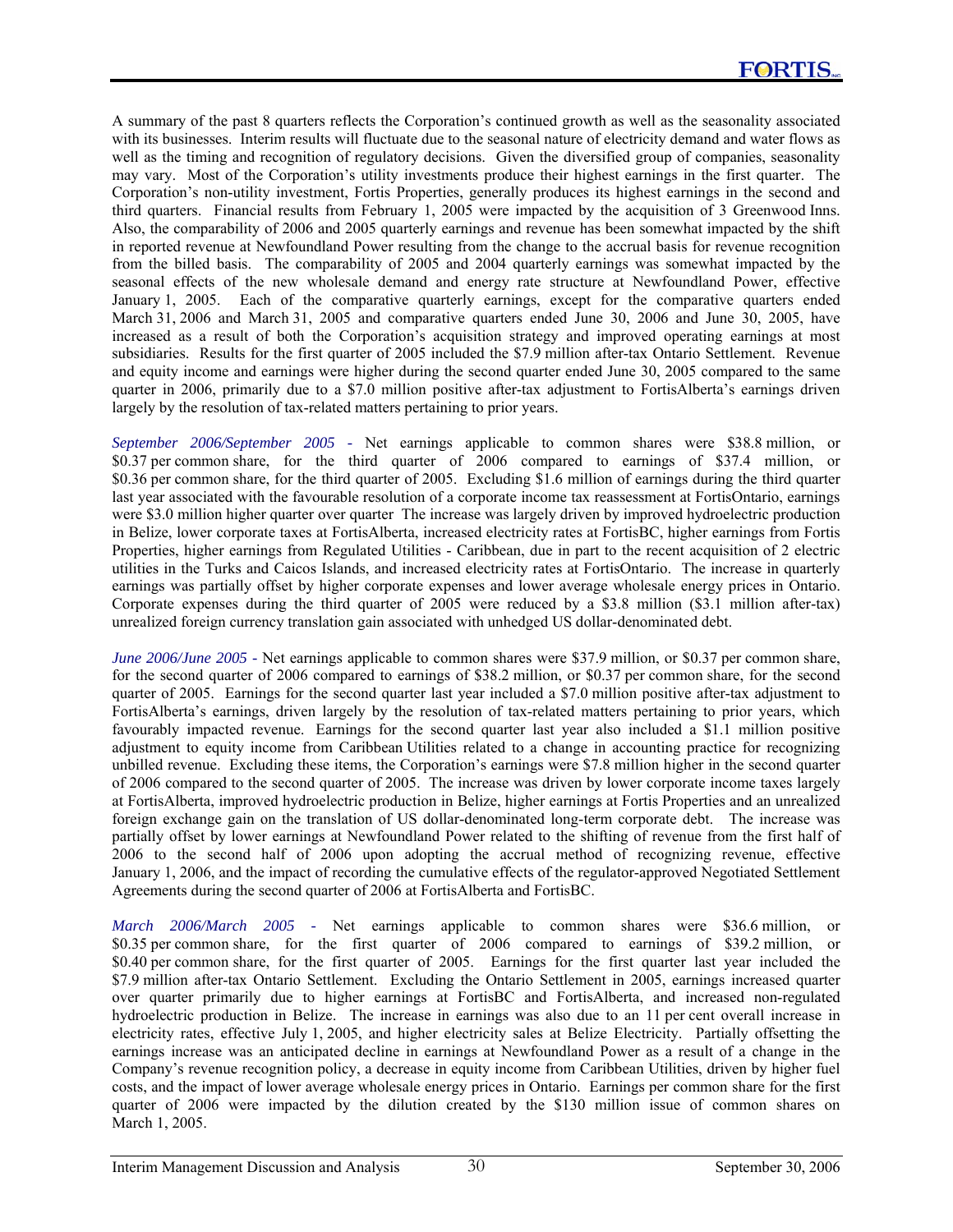A summary of the past 8 quarters reflects the Corporation's continued growth as well as the seasonality associated with its businesses. Interim results will fluctuate due to the seasonal nature of electricity demand and water flows as well as the timing and recognition of regulatory decisions. Given the diversified group of companies, seasonality may vary. Most of the Corporation's utility investments produce their highest earnings in the first quarter. The Corporation's non-utility investment, Fortis Properties, generally produces its highest earnings in the second and third quarters. Financial results from February 1, 2005 were impacted by the acquisition of 3 Greenwood Inns. Also, the comparability of 2006 and 2005 quarterly earnings and revenue has been somewhat impacted by the shift in reported revenue at Newfoundland Power resulting from the change to the accrual basis for revenue recognition from the billed basis. The comparability of 2005 and 2004 quarterly earnings was somewhat impacted by the seasonal effects of the new wholesale demand and energy rate structure at Newfoundland Power, effective January 1, 2005. Each of the comparative quarterly earnings, except for the comparative quarters ended March 31, 2006 and March 31, 2005 and comparative quarters ended June 30, 2006 and June 30, 2005, have increased as a result of both the Corporation's acquisition strategy and improved operating earnings at most subsidiaries. Results for the first quarter of 2005 included the \$7.9 million after-tax Ontario Settlement. Revenue and equity income and earnings were higher during the second quarter ended June 30, 2005 compared to the same quarter in 2006, primarily due to a \$7.0 million positive after-tax adjustment to FortisAlberta's earnings driven largely by the resolution of tax-related matters pertaining to prior years.

*September 2006/September 2005 -* Net earnings applicable to common shares were \$38.8 million, or \$0.37 per common share, for the third quarter of 2006 compared to earnings of \$37.4 million, or \$0.36 per common share, for the third quarter of 2005. Excluding \$1.6 million of earnings during the third quarter last year associated with the favourable resolution of a corporate income tax reassessment at FortisOntario, earnings were \$3.0 million higher quarter over quarter The increase was largely driven by improved hydroelectric production in Belize, lower corporate taxes at FortisAlberta, increased electricity rates at FortisBC, higher earnings from Fortis Properties, higher earnings from Regulated Utilities - Caribbean, due in part to the recent acquisition of 2 electric utilities in the Turks and Caicos Islands, and increased electricity rates at FortisOntario. The increase in quarterly earnings was partially offset by higher corporate expenses and lower average wholesale energy prices in Ontario. Corporate expenses during the third quarter of 2005 were reduced by a \$3.8 million (\$3.1 million after-tax) unrealized foreign currency translation gain associated with unhedged US dollar-denominated debt.

*June 2006/June 2005 -* Net earnings applicable to common shares were \$37.9 million, or \$0.37 per common share, for the second quarter of 2006 compared to earnings of \$38.2 million, or \$0.37 per common share, for the second quarter of 2005. Earnings for the second quarter last year included a \$7.0 million positive after-tax adjustment to FortisAlberta's earnings, driven largely by the resolution of tax-related matters pertaining to prior years, which favourably impacted revenue. Earnings for the second quarter last year also included a \$1.1 million positive adjustment to equity income from Caribbean Utilities related to a change in accounting practice for recognizing unbilled revenue. Excluding these items, the Corporation's earnings were \$7.8 million higher in the second quarter of 2006 compared to the second quarter of 2005. The increase was driven by lower corporate income taxes largely at FortisAlberta, improved hydroelectric production in Belize, higher earnings at Fortis Properties and an unrealized foreign exchange gain on the translation of US dollar-denominated long-term corporate debt. The increase was partially offset by lower earnings at Newfoundland Power related to the shifting of revenue from the first half of 2006 to the second half of 2006 upon adopting the accrual method of recognizing revenue, effective January 1, 2006, and the impact of recording the cumulative effects of the regulator-approved Negotiated Settlement Agreements during the second quarter of 2006 at FortisAlberta and FortisBC.

*March 2006/March 2005 -* Net earnings applicable to common shares were \$36.6 million, or \$0.35 per common share, for the first quarter of 2006 compared to earnings of \$39.2 million, or \$0.40 per common share, for the first quarter of 2005. Earnings for the first quarter last year included the \$7.9 million after-tax Ontario Settlement. Excluding the Ontario Settlement in 2005, earnings increased quarter over quarter primarily due to higher earnings at FortisBC and FortisAlberta, and increased non-regulated hydroelectric production in Belize. The increase in earnings was also due to an 11 per cent overall increase in electricity rates, effective July 1, 2005, and higher electricity sales at Belize Electricity. Partially offsetting the earnings increase was an anticipated decline in earnings at Newfoundland Power as a result of a change in the Company's revenue recognition policy, a decrease in equity income from Caribbean Utilities, driven by higher fuel costs, and the impact of lower average wholesale energy prices in Ontario. Earnings per common share for the first quarter of 2006 were impacted by the dilution created by the \$130 million issue of common shares on March 1, 2005.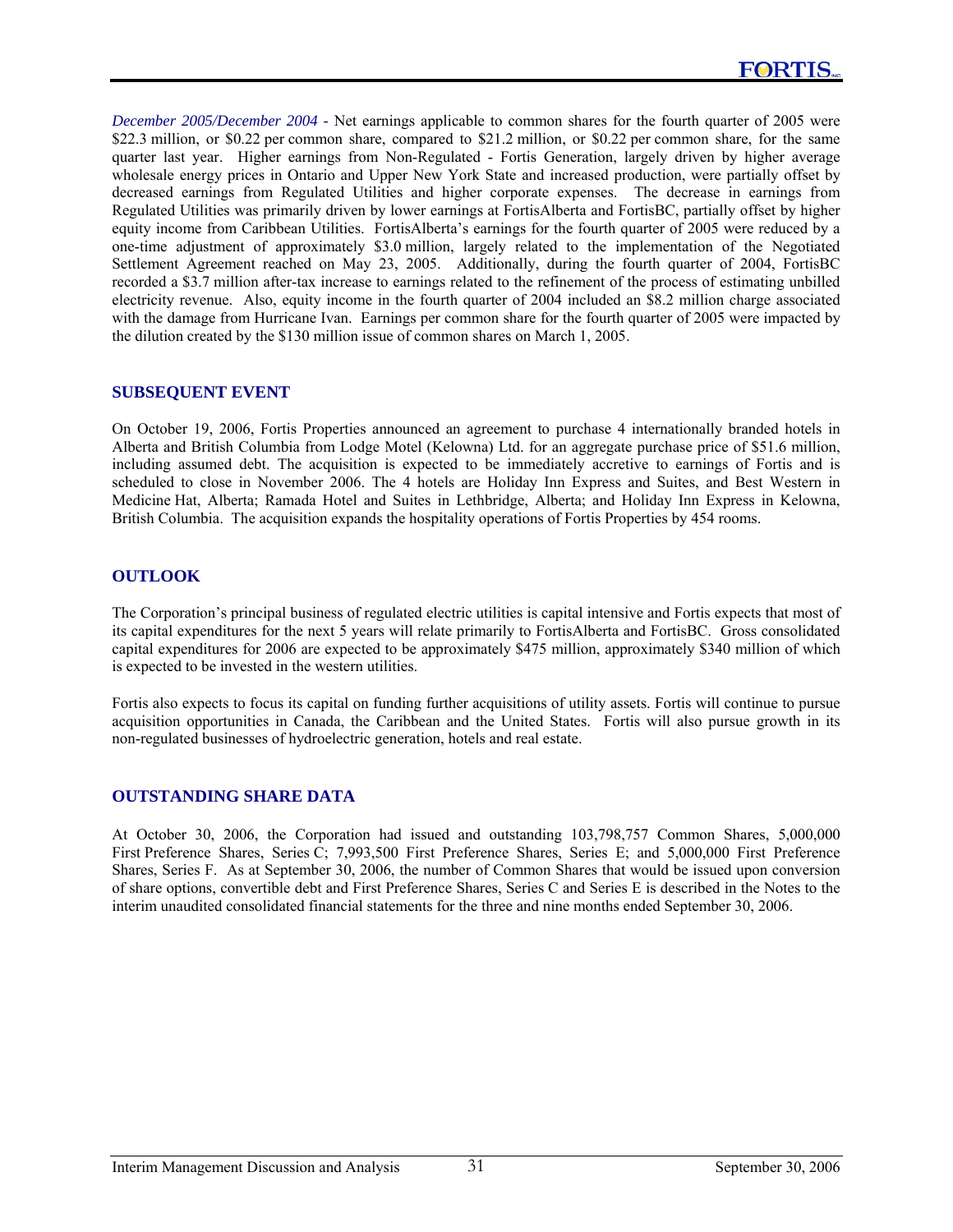*December 2005/December 2004 -* Net earnings applicable to common shares for the fourth quarter of 2005 were \$22.3 million, or \$0.22 per common share, compared to \$21.2 million, or \$0.22 per common share, for the same quarter last year. Higher earnings from Non-Regulated - Fortis Generation, largely driven by higher average wholesale energy prices in Ontario and Upper New York State and increased production, were partially offset by decreased earnings from Regulated Utilities and higher corporate expenses. The decrease in earnings from Regulated Utilities was primarily driven by lower earnings at FortisAlberta and FortisBC, partially offset by higher equity income from Caribbean Utilities. FortisAlberta's earnings for the fourth quarter of 2005 were reduced by a one-time adjustment of approximately \$3.0 million, largely related to the implementation of the Negotiated Settlement Agreement reached on May 23, 2005. Additionally, during the fourth quarter of 2004, FortisBC recorded a \$3.7 million after-tax increase to earnings related to the refinement of the process of estimating unbilled electricity revenue. Also, equity income in the fourth quarter of 2004 included an \$8.2 million charge associated with the damage from Hurricane Ivan. Earnings per common share for the fourth quarter of 2005 were impacted by the dilution created by the \$130 million issue of common shares on March 1, 2005.

### **SUBSEQUENT EVENT**

On October 19, 2006, Fortis Properties announced an agreement to purchase 4 internationally branded hotels in Alberta and British Columbia from Lodge Motel (Kelowna) Ltd. for an aggregate purchase price of \$51.6 million, including assumed debt. The acquisition is expected to be immediately accretive to earnings of Fortis and is scheduled to close in November 2006. The 4 hotels are Holiday Inn Express and Suites, and Best Western in Medicine Hat, Alberta; Ramada Hotel and Suites in Lethbridge, Alberta; and Holiday Inn Express in Kelowna, British Columbia. The acquisition expands the hospitality operations of Fortis Properties by 454 rooms.

### **OUTLOOK**

The Corporation's principal business of regulated electric utilities is capital intensive and Fortis expects that most of its capital expenditures for the next 5 years will relate primarily to FortisAlberta and FortisBC. Gross consolidated capital expenditures for 2006 are expected to be approximately \$475 million, approximately \$340 million of which is expected to be invested in the western utilities.

Fortis also expects to focus its capital on funding further acquisitions of utility assets. Fortis will continue to pursue acquisition opportunities in Canada, the Caribbean and the United States. Fortis will also pursue growth in its non-regulated businesses of hydroelectric generation, hotels and real estate.

# **OUTSTANDING SHARE DATA**

At October 30, 2006, the Corporation had issued and outstanding 103,798,757 Common Shares, 5,000,000 First Preference Shares, Series C; 7,993,500 First Preference Shares, Series E; and 5,000,000 First Preference Shares, Series F. As at September 30, 2006, the number of Common Shares that would be issued upon conversion of share options, convertible debt and First Preference Shares, Series C and Series E is described in the Notes to the interim unaudited consolidated financial statements for the three and nine months ended September 30, 2006.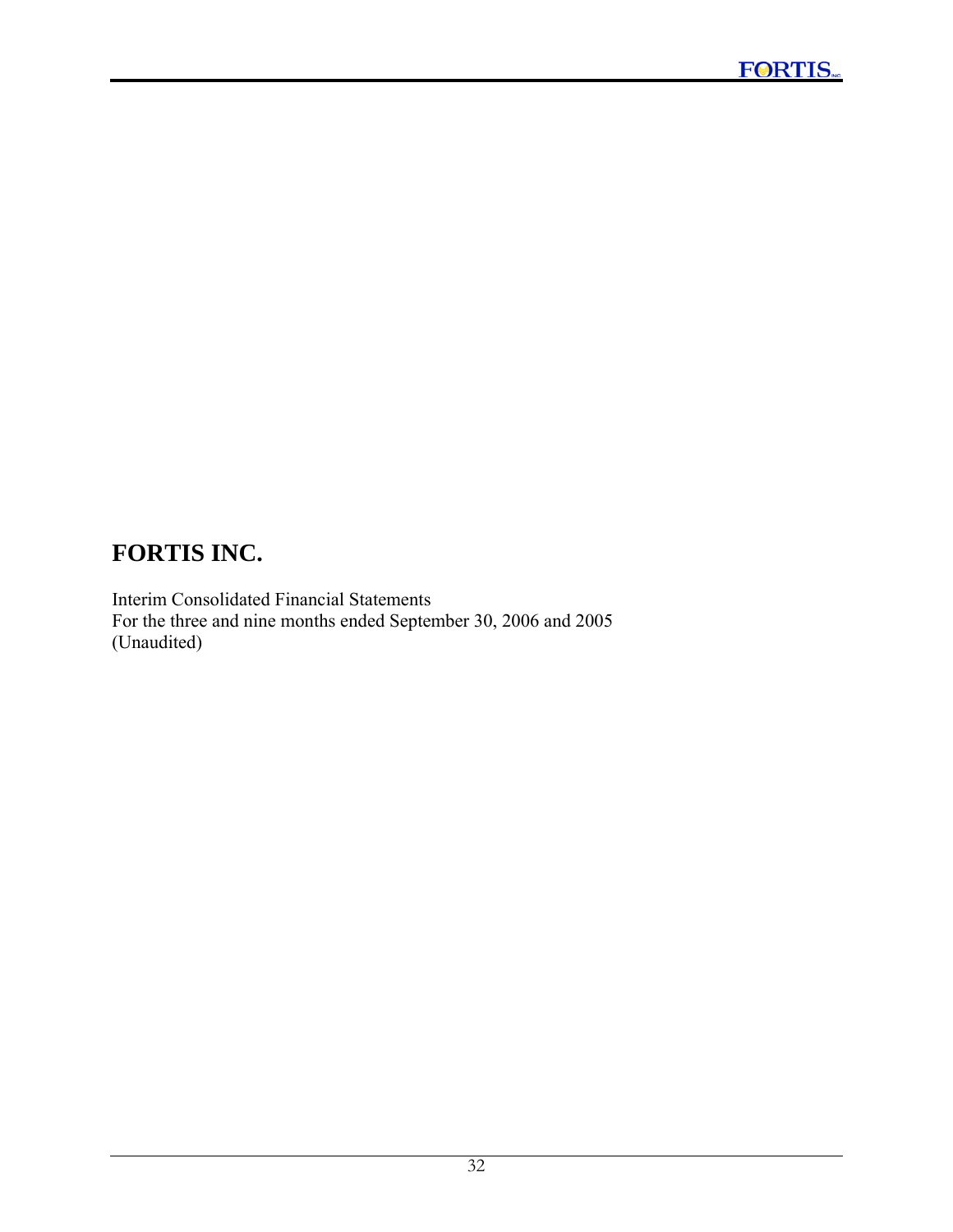Interim Consolidated Financial Statements For the three and nine months ended September 30, 2006 and 2005 (Unaudited)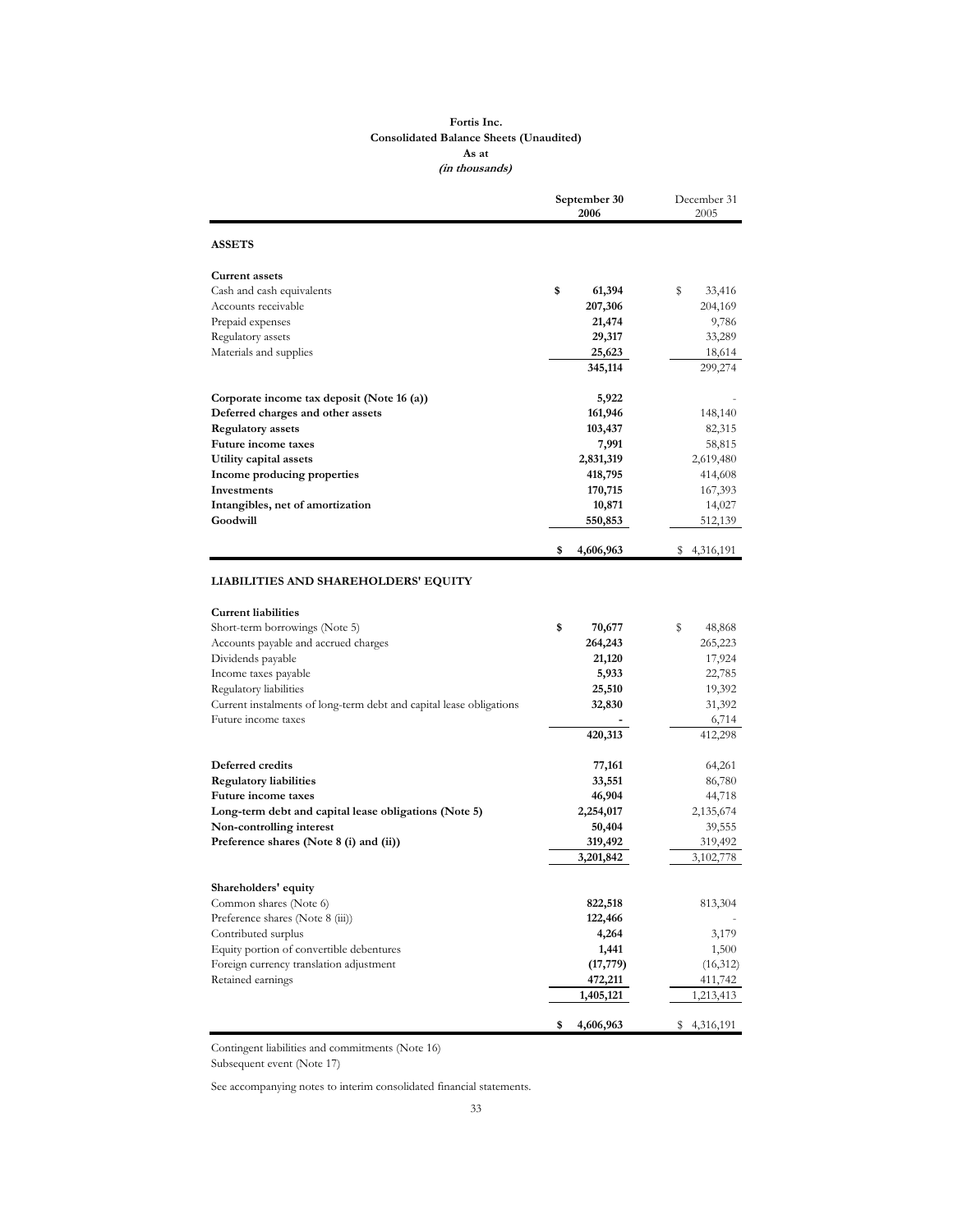#### **Fortis Inc. Consolidated Balance Sheets (Unaudited) As at (in thousands)**

|                                                                                                                                                                                                                      | September 30<br>2006                                           | December 31<br>2005                                             |
|----------------------------------------------------------------------------------------------------------------------------------------------------------------------------------------------------------------------|----------------------------------------------------------------|-----------------------------------------------------------------|
| <b>ASSETS</b>                                                                                                                                                                                                        |                                                                |                                                                 |
| <b>Current assets</b>                                                                                                                                                                                                |                                                                |                                                                 |
| Cash and cash equivalents                                                                                                                                                                                            | \$<br>61,394                                                   | \$<br>33,416                                                    |
| Accounts receivable                                                                                                                                                                                                  | 207,306                                                        | 204,169                                                         |
| Prepaid expenses                                                                                                                                                                                                     | 21,474                                                         | 9,786                                                           |
| Regulatory assets                                                                                                                                                                                                    | 29,317                                                         | 33,289                                                          |
| Materials and supplies                                                                                                                                                                                               | 25,623                                                         | 18,614                                                          |
|                                                                                                                                                                                                                      | 345,114                                                        | 299,274                                                         |
| Corporate income tax deposit (Note 16 (a))                                                                                                                                                                           | 5,922                                                          |                                                                 |
| Deferred charges and other assets                                                                                                                                                                                    | 161,946                                                        | 148,140                                                         |
| <b>Regulatory assets</b>                                                                                                                                                                                             | 103,437                                                        | 82,315                                                          |
| Future income taxes                                                                                                                                                                                                  | 7,991                                                          | 58,815                                                          |
| Utility capital assets                                                                                                                                                                                               | 2,831,319                                                      | 2,619,480                                                       |
| Income producing properties                                                                                                                                                                                          | 418,795                                                        | 414,608                                                         |
| Investments                                                                                                                                                                                                          | 170,715                                                        | 167,393                                                         |
| Intangibles, net of amortization                                                                                                                                                                                     | 10,871                                                         | 14,027                                                          |
| Goodwill                                                                                                                                                                                                             | 550,853                                                        | 512,139                                                         |
|                                                                                                                                                                                                                      | 4,606,963<br>\$                                                | \$4,316,191                                                     |
| Short-term borrowings (Note 5)<br>Accounts payable and accrued charges<br>Dividends payable<br>Income taxes payable<br>Regulatory liabilities<br>Current instalments of long-term debt and capital lease obligations | \$<br>70,677<br>264,243<br>21,120<br>5,933<br>25,510<br>32,830 | \$<br>48,868<br>265,223<br>17,924<br>22,785<br>19,392<br>31,392 |
| Future income taxes                                                                                                                                                                                                  |                                                                | 6,714                                                           |
|                                                                                                                                                                                                                      | 420,313                                                        | 412,298                                                         |
| Deferred credits                                                                                                                                                                                                     | 77,161                                                         | 64,261                                                          |
| <b>Regulatory liabilities</b>                                                                                                                                                                                        | 33,551                                                         | 86,780                                                          |
| Future income taxes                                                                                                                                                                                                  | 46,904                                                         | 44,718                                                          |
| Long-term debt and capital lease obligations (Note 5)                                                                                                                                                                | 2,254,017                                                      | 2,135,674                                                       |
| Non-controlling interest                                                                                                                                                                                             | 50,404                                                         | 39,555                                                          |
| Preference shares (Note 8 (i) and (ii))                                                                                                                                                                              | 319,492                                                        | 319,492                                                         |
|                                                                                                                                                                                                                      | 3,201,842                                                      | 3,102,778                                                       |
| Shareholders' equity                                                                                                                                                                                                 |                                                                |                                                                 |
| Common shares (Note 6)                                                                                                                                                                                               | 822,518                                                        | 813,304                                                         |
| Preference shares (Note 8 (iii))                                                                                                                                                                                     | 122,466                                                        |                                                                 |
| Contributed surplus                                                                                                                                                                                                  | 4,264                                                          | 3,179                                                           |
| Equity portion of convertible debentures                                                                                                                                                                             | 1,441                                                          | 1,500                                                           |
| Foreign currency translation adjustment                                                                                                                                                                              | (17, 779)                                                      | (16,312)                                                        |
| Retained earnings                                                                                                                                                                                                    | 472,211                                                        | 411,742                                                         |
|                                                                                                                                                                                                                      | 1,405,121                                                      | 1,213,413                                                       |
|                                                                                                                                                                                                                      | 4,606,963<br>\$                                                | \$4,316,191                                                     |

Contingent liabilities and commitments (Note 16)

Subsequent event (Note 17)

See accompanying notes to interim consolidated financial statements.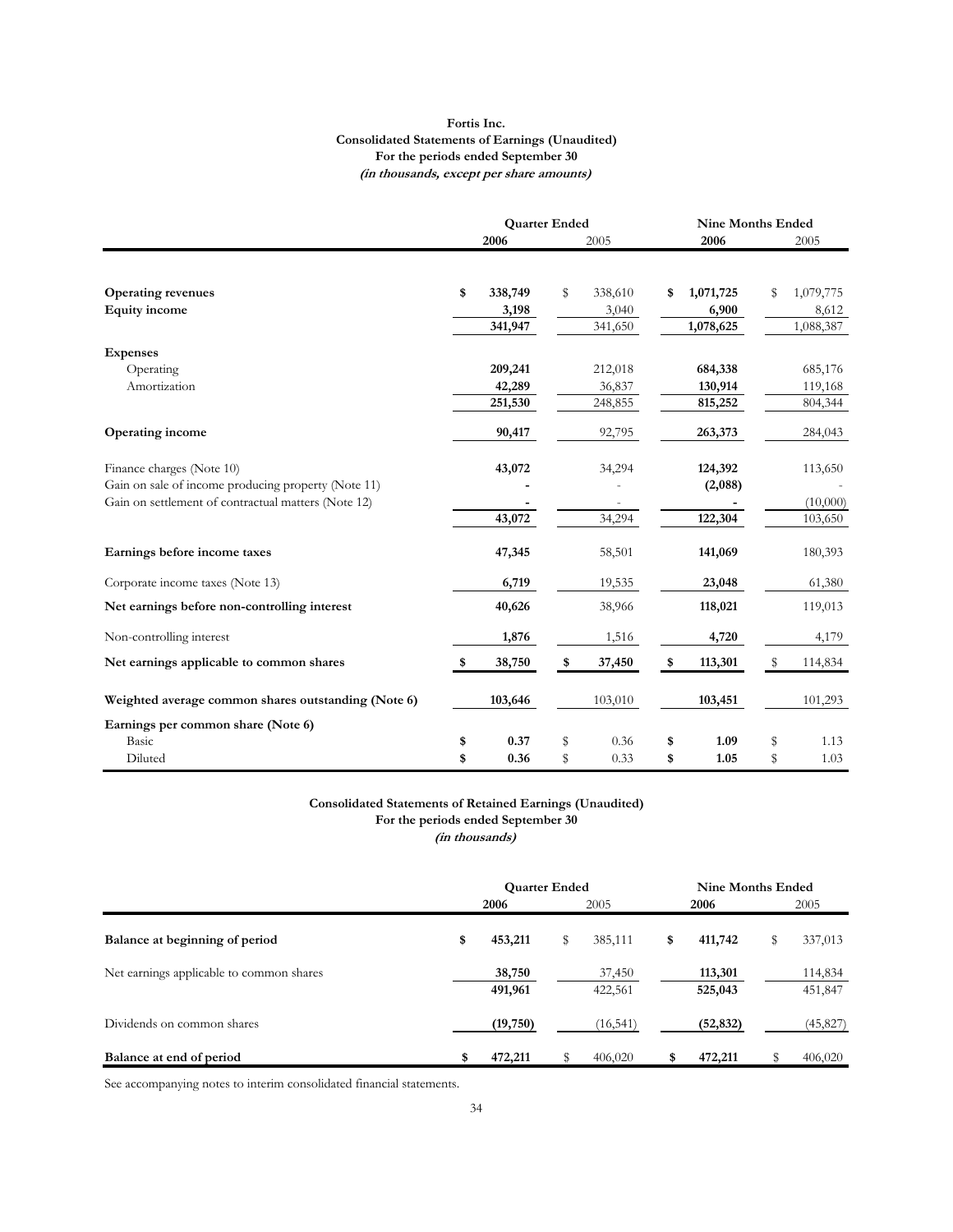#### **Fortis Inc. Consolidated Statements of Earnings (Unaudited) For the periods ended September 30 (in thousands, except per share amounts)**

|                                                     | <b>Quarter Ended</b> |               | <b>Nine Months Ended</b> |           |    |           |
|-----------------------------------------------------|----------------------|---------------|--------------------------|-----------|----|-----------|
|                                                     | 2006                 | 2005          |                          | 2006      |    | 2005      |
|                                                     |                      |               |                          |           |    |           |
| <b>Operating revenues</b>                           | \$<br>338,749        | \$<br>338,610 | \$                       | 1,071,725 | \$ | 1,079,775 |
| <b>Equity</b> income                                | 3,198                | 3,040         |                          | 6,900     |    | 8,612     |
|                                                     | 341,947              | 341,650       |                          | 1,078,625 |    | 1,088,387 |
| <b>Expenses</b>                                     |                      |               |                          |           |    |           |
| Operating                                           | 209,241              | 212,018       |                          | 684,338   |    | 685,176   |
| Amortization                                        | 42,289               | 36,837        |                          | 130,914   |    | 119,168   |
|                                                     | 251,530              | 248,855       |                          | 815,252   |    | 804,344   |
| <b>Operating income</b>                             | 90,417               | 92,795        |                          | 263,373   |    | 284,043   |
| Finance charges (Note 10)                           | 43,072               | 34,294        |                          | 124,392   |    | 113,650   |
| Gain on sale of income producing property (Note 11) |                      |               |                          | (2,088)   |    |           |
| Gain on settlement of contractual matters (Note 12) |                      |               |                          |           |    | (10,000)  |
|                                                     | 43,072               | 34,294        |                          | 122,304   |    | 103,650   |
| Earnings before income taxes                        | 47,345               | 58,501        |                          | 141,069   |    | 180,393   |
| Corporate income taxes (Note 13)                    | 6,719                | 19,535        |                          | 23,048    |    | 61,380    |
| Net earnings before non-controlling interest        | 40,626               | 38,966        |                          | 118,021   |    | 119,013   |
| Non-controlling interest                            | 1,876                | 1,516         |                          | 4,720     |    | 4,179     |
| Net earnings applicable to common shares            | \$<br>38,750         | \$<br>37,450  | \$                       | 113,301   | S  | 114,834   |
| Weighted average common shares outstanding (Note 6) | 103,646              | 103,010       |                          | 103,451   |    | 101,293   |
| Earnings per common share (Note 6)                  |                      |               |                          |           |    |           |
| Basic                                               | \$<br>0.37           | \$<br>0.36    | \$                       | 1.09      | \$ | 1.13      |
| Diluted                                             | \$<br>0.36           | \$<br>0.33    | \$                       | 1.05      | \$ | 1.03      |

#### **Consolidated Statements of Retained Earnings (Unaudited) For the periods ended September 30**

**(in thousands)**

|                                          | <b>Quarter Ended</b> |                   |      |                   |      | Nine Months Ended  |      |                    |
|------------------------------------------|----------------------|-------------------|------|-------------------|------|--------------------|------|--------------------|
|                                          | 2006                 |                   | 2005 |                   | 2006 |                    | 2005 |                    |
| Balance at beginning of period           | \$                   | 453,211           | \$   | 385,111           | \$   | 411,742            | S    | 337,013            |
| Net earnings applicable to common shares |                      | 38,750<br>491,961 |      | 37,450<br>422,561 |      | 113,301<br>525,043 |      | 114,834<br>451,847 |
| Dividends on common shares               |                      | (19,750)          |      | (16, 541)         |      | (52, 832)          |      | (45, 827)          |
| Balance at end of period                 | \$                   | 472,211           |      | 406,020           |      | 472,211            |      | 406,020            |

See accompanying notes to interim consolidated financial statements.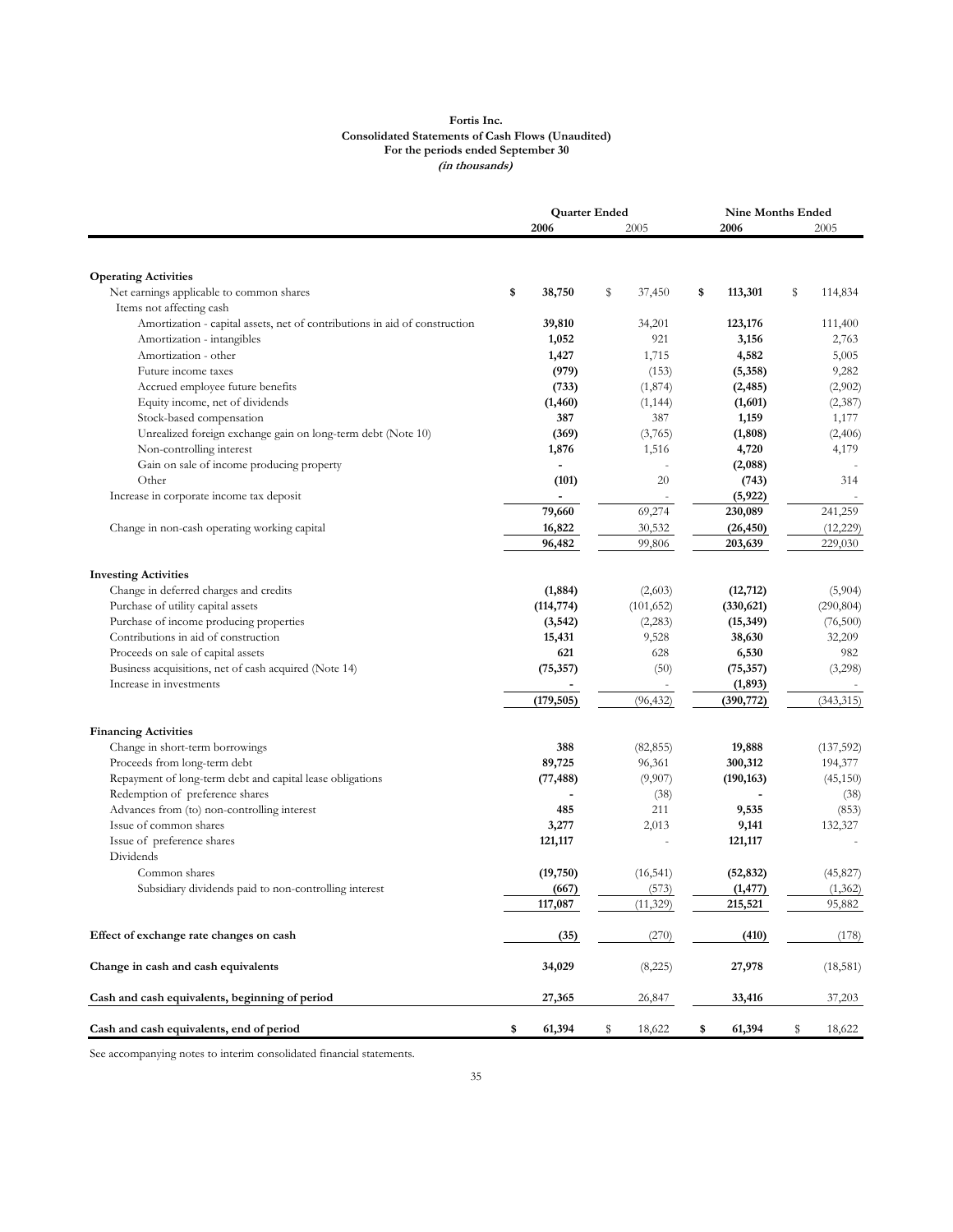#### **Fortis Inc. Consolidated Statements of Cash Flows (Unaudited) For the periods ended September 30 (in thousands)**

|                                                                            | <b>Quarter Ended</b> |    |            | <b>Nine Months Ended</b> |    |            |
|----------------------------------------------------------------------------|----------------------|----|------------|--------------------------|----|------------|
|                                                                            | 2006                 |    | 2005       | 2006                     |    | 2005       |
|                                                                            |                      |    |            |                          |    |            |
| <b>Operating Activities</b>                                                |                      | s  |            |                          |    |            |
| Net earnings applicable to common shares<br>Items not affecting cash       | \$<br>38,750         |    | 37,450     | \$<br>113,301            | \$ | 114,834    |
| Amortization - capital assets, net of contributions in aid of construction | 39,810               |    | 34,201     | 123,176                  |    | 111,400    |
| Amortization - intangibles                                                 | 1,052                |    | 921        | 3,156                    |    | 2,763      |
| Amortization - other                                                       | 1,427                |    | 1,715      | 4,582                    |    | 5,005      |
| Future income taxes                                                        | (979)                |    | (153)      | (5,358)                  |    | 9,282      |
| Accrued employee future benefits                                           | (733)                |    | (1,874)    | (2, 485)                 |    | (2,902)    |
| Equity income, net of dividends                                            | (1,460)              |    | (1, 144)   | (1,601)                  |    | (2,387)    |
| Stock-based compensation                                                   | 387                  |    | 387        | 1,159                    |    | 1,177      |
| Unrealized foreign exchange gain on long-term debt (Note 10)               | (369)                |    | (3,765)    | (1, 808)                 |    | (2,406)    |
| Non-controlling interest                                                   | 1,876                |    | 1,516      | 4,720                    |    | 4,179      |
| Gain on sale of income producing property                                  |                      |    |            | (2,088)                  |    |            |
| Other                                                                      | (101)                |    | 20         | (743)                    |    | 314        |
| Increase in corporate income tax deposit                                   |                      |    |            | (5, 922)                 |    |            |
|                                                                            | 79,660               |    | 69,274     | 230,089                  |    | 241,259    |
| Change in non-cash operating working capital                               | 16,822               |    | 30,532     | (26, 450)                |    | (12, 229)  |
|                                                                            | 96,482               |    | 99,806     | 203,639                  |    | 229,030    |
|                                                                            |                      |    |            |                          |    |            |
| <b>Investing Activities</b>                                                |                      |    |            |                          |    |            |
| Change in deferred charges and credits                                     | (1,884)              |    | (2,603)    | (12, 712)                |    | (5,904)    |
| Purchase of utility capital assets                                         | (114, 774)           |    | (101, 652) | (330, 621)               |    | (290, 804) |
| Purchase of income producing properties                                    | (3, 542)             |    | (2,283)    | (15, 349)                |    | (76,500)   |
| Contributions in aid of construction                                       | 15,431               |    | 9,528      | 38,630                   |    | 32,209     |
| Proceeds on sale of capital assets                                         | 621                  |    | 628        | 6,530                    |    | 982        |
| Business acquisitions, net of cash acquired (Note 14)                      | (75, 357)            |    | (50)       | (75, 357)                |    | (3,298)    |
| Increase in investments                                                    |                      |    |            | (1, 893)                 |    |            |
|                                                                            | (179, 505)           |    | (96, 432)  | (390, 772)               |    | (343, 315) |
| <b>Financing Activities</b>                                                |                      |    |            |                          |    |            |
| Change in short-term borrowings                                            | 388                  |    | (82, 855)  | 19,888                   |    | (137, 592) |
| Proceeds from long-term debt                                               | 89,725               |    | 96,361     | 300,312                  |    | 194,377    |
| Repayment of long-term debt and capital lease obligations                  | (77, 488)            |    | (9,907)    | (190, 163)               |    | (45,150)   |
| Redemption of preference shares                                            |                      |    | (38)       |                          |    | (38)       |
| Advances from (to) non-controlling interest                                | 485                  |    | 211        | 9,535                    |    | (853)      |
| Issue of common shares                                                     | 3,277                |    | 2,013      | 9,141                    |    | 132,327    |
| Issue of preference shares                                                 | 121,117              |    |            | 121,117                  |    |            |
| Dividends                                                                  |                      |    |            |                          |    |            |
| Common shares                                                              | (19,750)             |    | (16, 541)  | (52, 832)                |    | (45, 827)  |
| Subsidiary dividends paid to non-controlling interest                      | (667)                |    | (573)      | (1, 477)                 |    | (1, 362)   |
|                                                                            | 117,087              |    | (11, 329)  | 215,521                  |    | 95,882     |
| Effect of exchange rate changes on cash                                    | (35)                 |    | (270)      | (410)                    |    | (178)      |
| Change in cash and cash equivalents                                        | 34,029               |    | (8,225)    | 27,978                   |    | (18,581)   |
| Cash and cash equivalents, beginning of period                             | 27,365               |    | 26,847     | 33,416                   |    | 37,203     |
| Cash and cash equivalents, end of period                                   | \$<br>61,394         | \$ | 18,622     | \$<br>61,394             | \$ | 18,622     |

See accompanying notes to interim consolidated financial statements.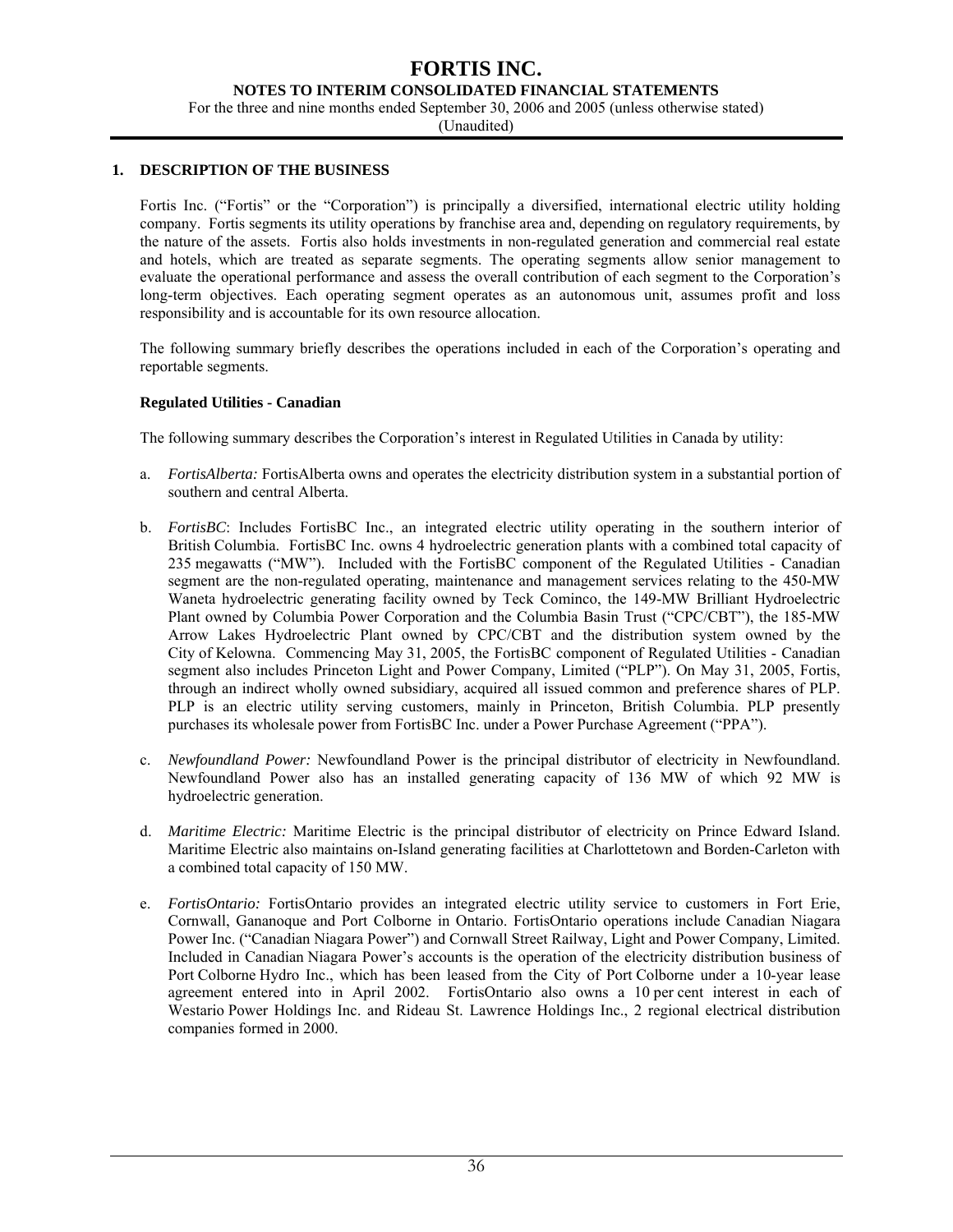#### **NOTES TO INTERIM CONSOLIDATED FINANCIAL STATEMENTS**

For the three and nine months ended September 30, 2006 and 2005 (unless otherwise stated)

(Unaudited)

#### **1. DESCRIPTION OF THE BUSINESS**

Fortis Inc. ("Fortis" or the "Corporation") is principally a diversified, international electric utility holding company. Fortis segments its utility operations by franchise area and, depending on regulatory requirements, by the nature of the assets. Fortis also holds investments in non-regulated generation and commercial real estate and hotels, which are treated as separate segments. The operating segments allow senior management to evaluate the operational performance and assess the overall contribution of each segment to the Corporation's long-term objectives. Each operating segment operates as an autonomous unit, assumes profit and loss responsibility and is accountable for its own resource allocation.

The following summary briefly describes the operations included in each of the Corporation's operating and reportable segments.

#### **Regulated Utilities - Canadian**

The following summary describes the Corporation's interest in Regulated Utilities in Canada by utility:

- a. *FortisAlberta:* FortisAlberta owns and operates the electricity distribution system in a substantial portion of southern and central Alberta.
- b. *FortisBC*: Includes FortisBC Inc., an integrated electric utility operating in the southern interior of British Columbia. FortisBC Inc. owns 4 hydroelectric generation plants with a combined total capacity of 235 megawatts ("MW"). Included with the FortisBC component of the Regulated Utilities - Canadian segment are the non-regulated operating, maintenance and management services relating to the 450-MW Waneta hydroelectric generating facility owned by Teck Cominco, the 149-MW Brilliant Hydroelectric Plant owned by Columbia Power Corporation and the Columbia Basin Trust ("CPC/CBT"), the 185-MW Arrow Lakes Hydroelectric Plant owned by CPC/CBT and the distribution system owned by the City of Kelowna. Commencing May 31, 2005, the FortisBC component of Regulated Utilities - Canadian segment also includes Princeton Light and Power Company, Limited ("PLP"). On May 31, 2005, Fortis, through an indirect wholly owned subsidiary, acquired all issued common and preference shares of PLP. PLP is an electric utility serving customers, mainly in Princeton, British Columbia. PLP presently purchases its wholesale power from FortisBC Inc. under a Power Purchase Agreement ("PPA").
- c. *Newfoundland Power:* Newfoundland Power is the principal distributor of electricity in Newfoundland. Newfoundland Power also has an installed generating capacity of 136 MW of which 92 MW is hydroelectric generation.
- d. *Maritime Electric:* Maritime Electric is the principal distributor of electricity on Prince Edward Island. Maritime Electric also maintains on-Island generating facilities at Charlottetown and Borden-Carleton with a combined total capacity of 150 MW.
- e. *FortisOntario:* FortisOntario provides an integrated electric utility service to customers in Fort Erie, Cornwall, Gananoque and Port Colborne in Ontario. FortisOntario operations include Canadian Niagara Power Inc. ("Canadian Niagara Power") and Cornwall Street Railway, Light and Power Company, Limited. Included in Canadian Niagara Power's accounts is the operation of the electricity distribution business of Port Colborne Hydro Inc., which has been leased from the City of Port Colborne under a 10-year lease agreement entered into in April 2002. FortisOntario also owns a 10 per cent interest in each of Westario Power Holdings Inc. and Rideau St. Lawrence Holdings Inc., 2 regional electrical distribution companies formed in 2000.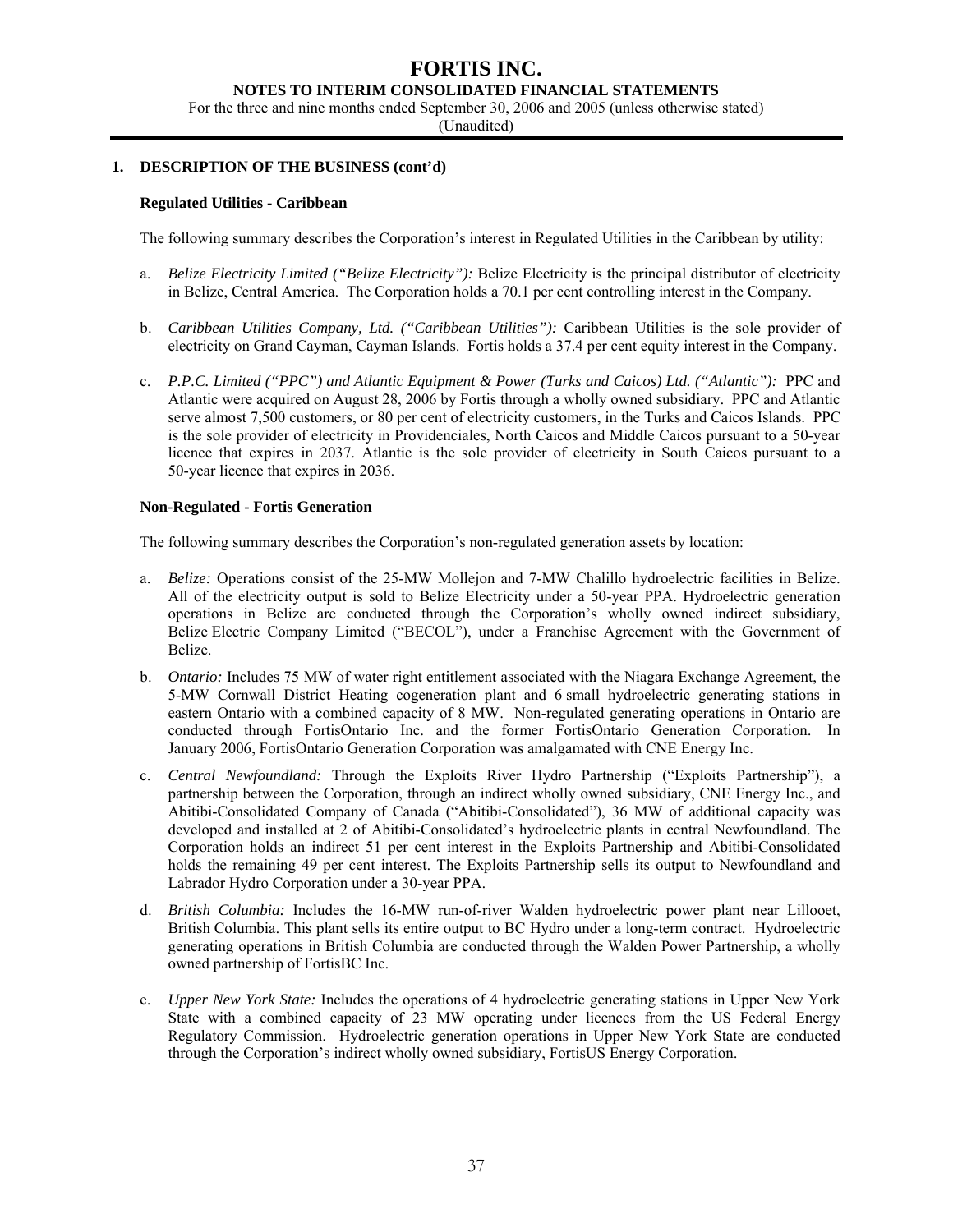#### **NOTES TO INTERIM CONSOLIDATED FINANCIAL STATEMENTS**

For the three and nine months ended September 30, 2006 and 2005 (unless otherwise stated)

(Unaudited)

#### **1. DESCRIPTION OF THE BUSINESS (cont'd)**

#### **Regulated Utilities - Caribbean**

The following summary describes the Corporation's interest in Regulated Utilities in the Caribbean by utility:

- a. *Belize Electricity Limited ("Belize Electricity"):* Belize Electricity is the principal distributor of electricity in Belize, Central America. The Corporation holds a 70.1 per cent controlling interest in the Company.
- b. *Caribbean Utilities Company, Ltd. ("Caribbean Utilities"):* Caribbean Utilities is the sole provider of electricity on Grand Cayman, Cayman Islands. Fortis holds a 37.4 per cent equity interest in the Company.
- c. *P.P.C. Limited ("PPC") and Atlantic Equipment & Power (Turks and Caicos) Ltd. ("Atlantic"):* PPC and Atlantic were acquired on August 28, 2006 by Fortis through a wholly owned subsidiary. PPC and Atlantic serve almost 7,500 customers, or 80 per cent of electricity customers, in the Turks and Caicos Islands. PPC is the sole provider of electricity in Providenciales, North Caicos and Middle Caicos pursuant to a 50-year licence that expires in 2037. Atlantic is the sole provider of electricity in South Caicos pursuant to a 50-year licence that expires in 2036.

#### **Non-Regulated - Fortis Generation**

The following summary describes the Corporation's non-regulated generation assets by location:

- a. *Belize:* Operations consist of the 25-MW Mollejon and 7-MW Chalillo hydroelectric facilities in Belize. All of the electricity output is sold to Belize Electricity under a 50-year PPA. Hydroelectric generation operations in Belize are conducted through the Corporation's wholly owned indirect subsidiary, Belize Electric Company Limited ("BECOL"), under a Franchise Agreement with the Government of Belize.
- b. *Ontario:* Includes 75 MW of water right entitlement associated with the Niagara Exchange Agreement, the 5-MW Cornwall District Heating cogeneration plant and 6 small hydroelectric generating stations in eastern Ontario with a combined capacity of 8 MW. Non-regulated generating operations in Ontario are conducted through FortisOntario Inc. and the former FortisOntario Generation Corporation. In January 2006, FortisOntario Generation Corporation was amalgamated with CNE Energy Inc.
- c. *Central Newfoundland:* Through the Exploits River Hydro Partnership ("Exploits Partnership"), a partnership between the Corporation, through an indirect wholly owned subsidiary, CNE Energy Inc., and Abitibi-Consolidated Company of Canada ("Abitibi-Consolidated"), 36 MW of additional capacity was developed and installed at 2 of Abitibi-Consolidated's hydroelectric plants in central Newfoundland. The Corporation holds an indirect 51 per cent interest in the Exploits Partnership and Abitibi-Consolidated holds the remaining 49 per cent interest. The Exploits Partnership sells its output to Newfoundland and Labrador Hydro Corporation under a 30-year PPA.
- d. *British Columbia:* Includes the 16-MW run-of-river Walden hydroelectric power plant near Lillooet, British Columbia. This plant sells its entire output to BC Hydro under a long-term contract. Hydroelectric generating operations in British Columbia are conducted through the Walden Power Partnership, a wholly owned partnership of FortisBC Inc.
- e. *Upper New York State:* Includes the operations of 4 hydroelectric generating stations in Upper New York State with a combined capacity of 23 MW operating under licences from the US Federal Energy Regulatory Commission. Hydroelectric generation operations in Upper New York State are conducted through the Corporation's indirect wholly owned subsidiary, FortisUS Energy Corporation.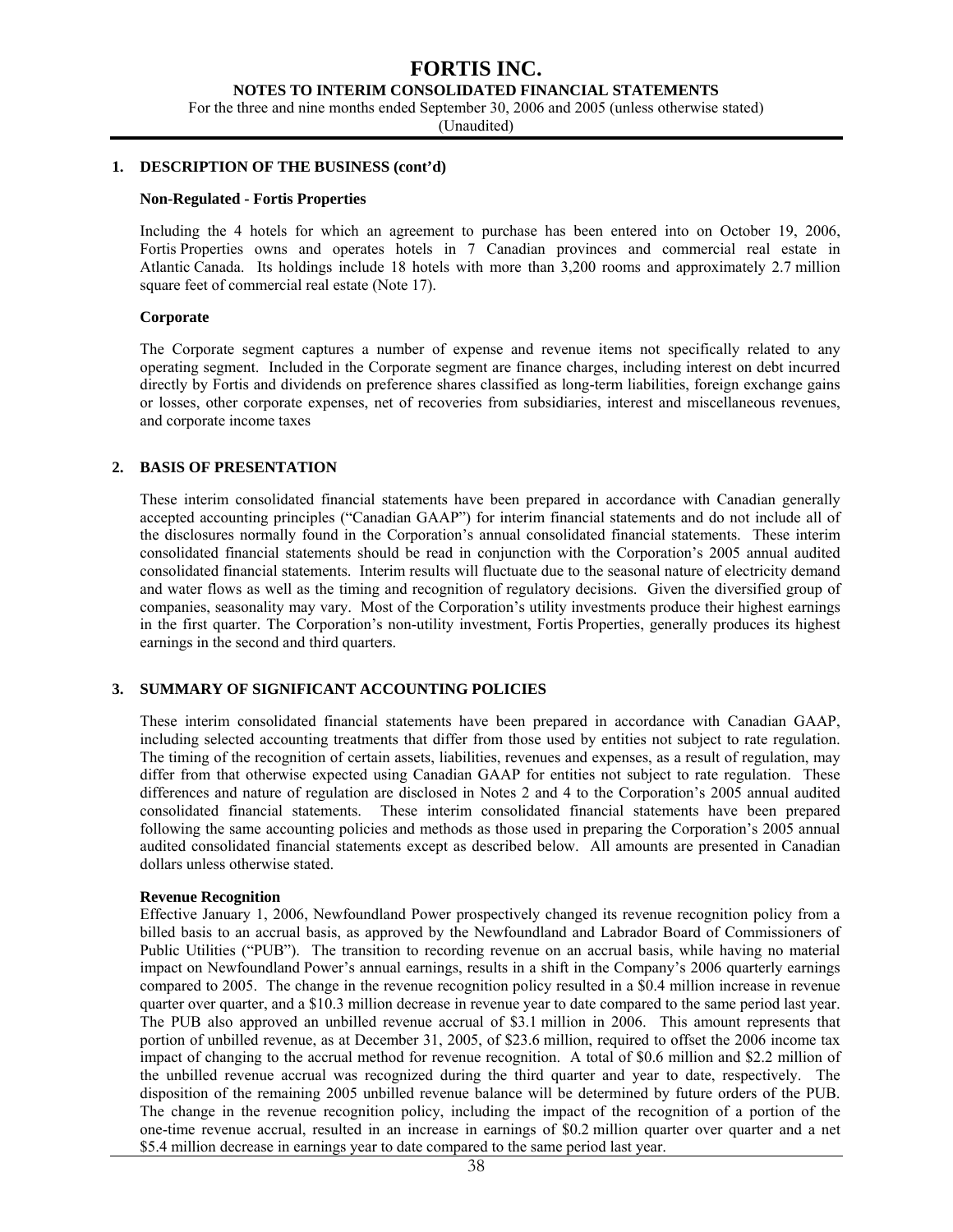#### **NOTES TO INTERIM CONSOLIDATED FINANCIAL STATEMENTS**

For the three and nine months ended September 30, 2006 and 2005 (unless otherwise stated)

(Unaudited)

#### **1. DESCRIPTION OF THE BUSINESS (cont'd)**

#### **Non-Regulated - Fortis Properties**

Including the 4 hotels for which an agreement to purchase has been entered into on October 19, 2006, Fortis Properties owns and operates hotels in 7 Canadian provinces and commercial real estate in Atlantic Canada. Its holdings include 18 hotels with more than 3,200 rooms and approximately 2.7 million square feet of commercial real estate (Note 17).

#### **Corporate**

The Corporate segment captures a number of expense and revenue items not specifically related to any operating segment. Included in the Corporate segment are finance charges, including interest on debt incurred directly by Fortis and dividends on preference shares classified as long-term liabilities, foreign exchange gains or losses, other corporate expenses, net of recoveries from subsidiaries, interest and miscellaneous revenues, and corporate income taxes

#### **2. BASIS OF PRESENTATION**

These interim consolidated financial statements have been prepared in accordance with Canadian generally accepted accounting principles ("Canadian GAAP") for interim financial statements and do not include all of the disclosures normally found in the Corporation's annual consolidated financial statements. These interim consolidated financial statements should be read in conjunction with the Corporation's 2005 annual audited consolidated financial statements. Interim results will fluctuate due to the seasonal nature of electricity demand and water flows as well as the timing and recognition of regulatory decisions. Given the diversified group of companies, seasonality may vary. Most of the Corporation's utility investments produce their highest earnings in the first quarter. The Corporation's non-utility investment, Fortis Properties, generally produces its highest earnings in the second and third quarters.

#### **3. SUMMARY OF SIGNIFICANT ACCOUNTING POLICIES**

These interim consolidated financial statements have been prepared in accordance with Canadian GAAP, including selected accounting treatments that differ from those used by entities not subject to rate regulation. The timing of the recognition of certain assets, liabilities, revenues and expenses, as a result of regulation, may differ from that otherwise expected using Canadian GAAP for entities not subject to rate regulation. These differences and nature of regulation are disclosed in Notes 2 and 4 to the Corporation's 2005 annual audited consolidated financial statements. These interim consolidated financial statements have been prepared following the same accounting policies and methods as those used in preparing the Corporation's 2005 annual audited consolidated financial statements except as described below. All amounts are presented in Canadian dollars unless otherwise stated.

#### **Revenue Recognition**

Effective January 1, 2006, Newfoundland Power prospectively changed its revenue recognition policy from a billed basis to an accrual basis, as approved by the Newfoundland and Labrador Board of Commissioners of Public Utilities ("PUB"). The transition to recording revenue on an accrual basis, while having no material impact on Newfoundland Power's annual earnings, results in a shift in the Company's 2006 quarterly earnings compared to 2005. The change in the revenue recognition policy resulted in a \$0.4 million increase in revenue quarter over quarter, and a \$10.3 million decrease in revenue year to date compared to the same period last year. The PUB also approved an unbilled revenue accrual of \$3.1 million in 2006. This amount represents that portion of unbilled revenue, as at December 31, 2005, of \$23.6 million, required to offset the 2006 income tax impact of changing to the accrual method for revenue recognition. A total of \$0.6 million and \$2.2 million of the unbilled revenue accrual was recognized during the third quarter and year to date, respectively. The disposition of the remaining 2005 unbilled revenue balance will be determined by future orders of the PUB. The change in the revenue recognition policy, including the impact of the recognition of a portion of the one-time revenue accrual, resulted in an increase in earnings of \$0.2 million quarter over quarter and a net \$5.4 million decrease in earnings year to date compared to the same period last year.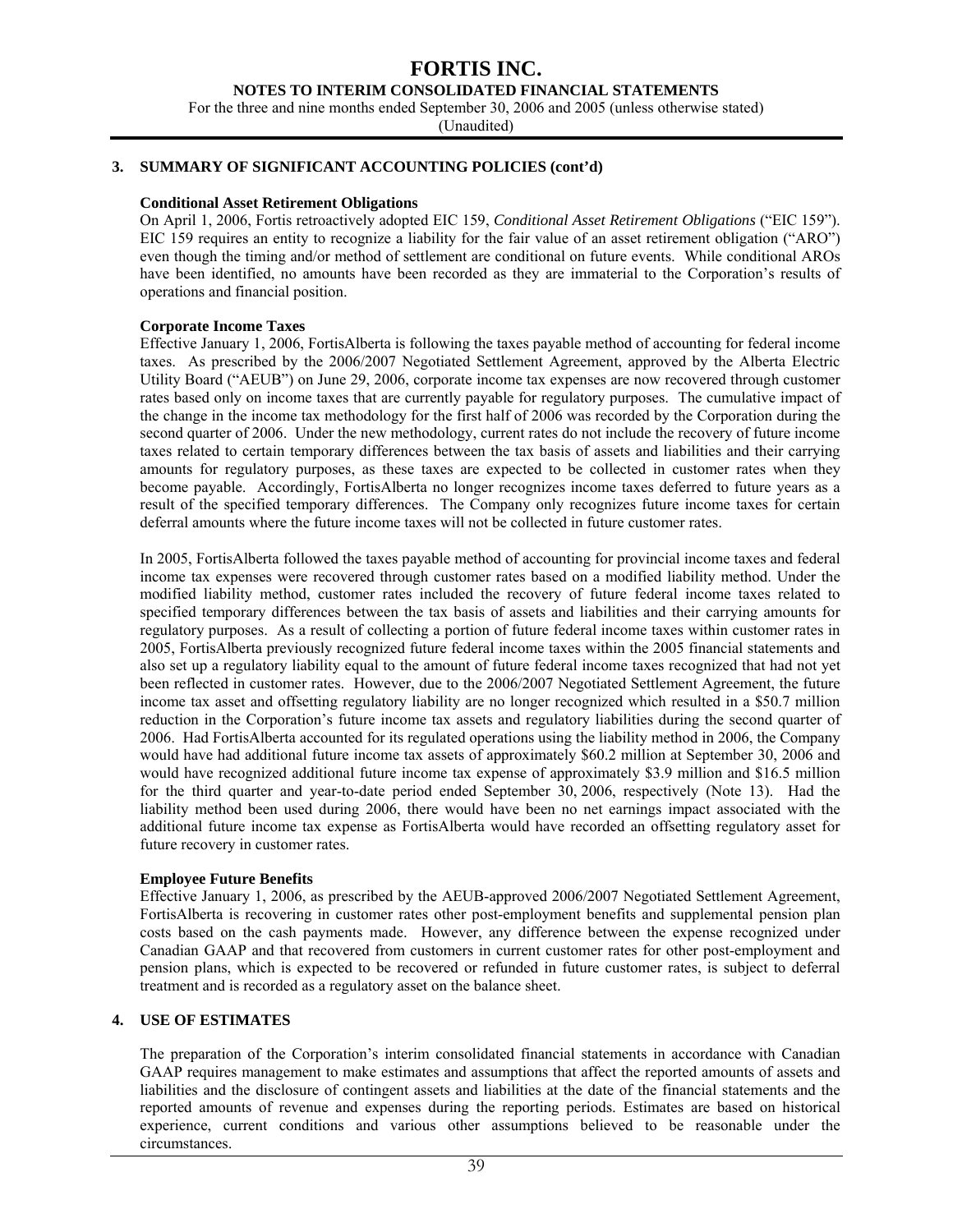#### **NOTES TO INTERIM CONSOLIDATED FINANCIAL STATEMENTS**

For the three and nine months ended September 30, 2006 and 2005 (unless otherwise stated)

(Unaudited)

#### **3. SUMMARY OF SIGNIFICANT ACCOUNTING POLICIES (cont'd)**

#### **Conditional Asset Retirement Obligations**

On April 1, 2006, Fortis retroactively adopted EIC 159, *Conditional Asset Retirement Obligations* ("EIC 159"). EIC 159 requires an entity to recognize a liability for the fair value of an asset retirement obligation ("ARO") even though the timing and/or method of settlement are conditional on future events. While conditional AROs have been identified, no amounts have been recorded as they are immaterial to the Corporation's results of operations and financial position.

#### **Corporate Income Taxes**

Effective January 1, 2006, FortisAlberta is following the taxes payable method of accounting for federal income taxes. As prescribed by the 2006/2007 Negotiated Settlement Agreement, approved by the Alberta Electric Utility Board ("AEUB") on June 29, 2006, corporate income tax expenses are now recovered through customer rates based only on income taxes that are currently payable for regulatory purposes. The cumulative impact of the change in the income tax methodology for the first half of 2006 was recorded by the Corporation during the second quarter of 2006. Under the new methodology, current rates do not include the recovery of future income taxes related to certain temporary differences between the tax basis of assets and liabilities and their carrying amounts for regulatory purposes, as these taxes are expected to be collected in customer rates when they become payable. Accordingly, FortisAlberta no longer recognizes income taxes deferred to future years as a result of the specified temporary differences. The Company only recognizes future income taxes for certain deferral amounts where the future income taxes will not be collected in future customer rates.

In 2005, FortisAlberta followed the taxes payable method of accounting for provincial income taxes and federal income tax expenses were recovered through customer rates based on a modified liability method. Under the modified liability method, customer rates included the recovery of future federal income taxes related to specified temporary differences between the tax basis of assets and liabilities and their carrying amounts for regulatory purposes. As a result of collecting a portion of future federal income taxes within customer rates in 2005, FortisAlberta previously recognized future federal income taxes within the 2005 financial statements and also set up a regulatory liability equal to the amount of future federal income taxes recognized that had not yet been reflected in customer rates. However, due to the 2006/2007 Negotiated Settlement Agreement, the future income tax asset and offsetting regulatory liability are no longer recognized which resulted in a \$50.7 million reduction in the Corporation's future income tax assets and regulatory liabilities during the second quarter of 2006. Had FortisAlberta accounted for its regulated operations using the liability method in 2006, the Company would have had additional future income tax assets of approximately \$60.2 million at September 30, 2006 and would have recognized additional future income tax expense of approximately \$3.9 million and \$16.5 million for the third quarter and year-to-date period ended September 30, 2006, respectively (Note 13). Had the liability method been used during 2006, there would have been no net earnings impact associated with the additional future income tax expense as FortisAlberta would have recorded an offsetting regulatory asset for future recovery in customer rates.

#### **Employee Future Benefits**

Effective January 1, 2006, as prescribed by the AEUB-approved 2006/2007 Negotiated Settlement Agreement, FortisAlberta is recovering in customer rates other post-employment benefits and supplemental pension plan costs based on the cash payments made. However, any difference between the expense recognized under Canadian GAAP and that recovered from customers in current customer rates for other post-employment and pension plans, which is expected to be recovered or refunded in future customer rates, is subject to deferral treatment and is recorded as a regulatory asset on the balance sheet.

#### **4. USE OF ESTIMATES**

The preparation of the Corporation's interim consolidated financial statements in accordance with Canadian GAAP requires management to make estimates and assumptions that affect the reported amounts of assets and liabilities and the disclosure of contingent assets and liabilities at the date of the financial statements and the reported amounts of revenue and expenses during the reporting periods. Estimates are based on historical experience, current conditions and various other assumptions believed to be reasonable under the circumstances.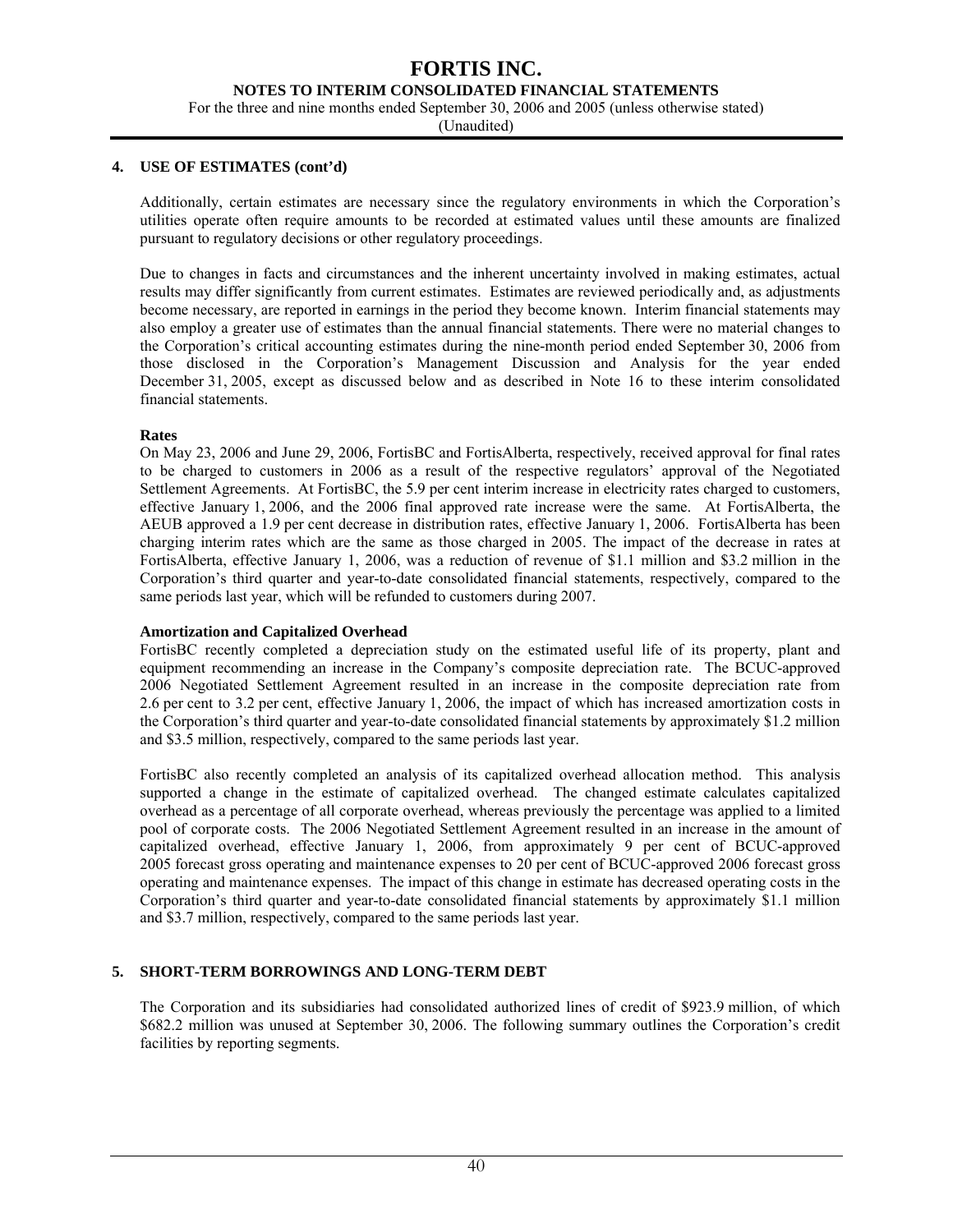#### **NOTES TO INTERIM CONSOLIDATED FINANCIAL STATEMENTS**

For the three and nine months ended September 30, 2006 and 2005 (unless otherwise stated)

(Unaudited)

#### **4. USE OF ESTIMATES (cont'd)**

Additionally, certain estimates are necessary since the regulatory environments in which the Corporation's utilities operate often require amounts to be recorded at estimated values until these amounts are finalized pursuant to regulatory decisions or other regulatory proceedings.

Due to changes in facts and circumstances and the inherent uncertainty involved in making estimates, actual results may differ significantly from current estimates. Estimates are reviewed periodically and, as adjustments become necessary, are reported in earnings in the period they become known. Interim financial statements may also employ a greater use of estimates than the annual financial statements. There were no material changes to the Corporation's critical accounting estimates during the nine-month period ended September 30, 2006 from those disclosed in the Corporation's Management Discussion and Analysis for the year ended December 31, 2005, except as discussed below and as described in Note 16 to these interim consolidated financial statements.

### **Rates**

On May 23, 2006 and June 29, 2006, FortisBC and FortisAlberta, respectively, received approval for final rates to be charged to customers in 2006 as a result of the respective regulators' approval of the Negotiated Settlement Agreements. At FortisBC, the 5.9 per cent interim increase in electricity rates charged to customers, effective January 1, 2006, and the 2006 final approved rate increase were the same. At FortisAlberta, the AEUB approved a 1.9 per cent decrease in distribution rates, effective January 1, 2006. FortisAlberta has been charging interim rates which are the same as those charged in 2005. The impact of the decrease in rates at FortisAlberta, effective January 1, 2006, was a reduction of revenue of \$1.1 million and \$3.2 million in the Corporation's third quarter and year-to-date consolidated financial statements, respectively, compared to the same periods last year, which will be refunded to customers during 2007.

#### **Amortization and Capitalized Overhead**

FortisBC recently completed a depreciation study on the estimated useful life of its property, plant and equipment recommending an increase in the Company's composite depreciation rate. The BCUC-approved 2006 Negotiated Settlement Agreement resulted in an increase in the composite depreciation rate from 2.6 per cent to 3.2 per cent, effective January 1, 2006, the impact of which has increased amortization costs in the Corporation's third quarter and year-to-date consolidated financial statements by approximately \$1.2 million and \$3.5 million, respectively, compared to the same periods last year.

FortisBC also recently completed an analysis of its capitalized overhead allocation method. This analysis supported a change in the estimate of capitalized overhead. The changed estimate calculates capitalized overhead as a percentage of all corporate overhead, whereas previously the percentage was applied to a limited pool of corporate costs. The 2006 Negotiated Settlement Agreement resulted in an increase in the amount of capitalized overhead, effective January 1, 2006, from approximately 9 per cent of BCUC-approved 2005 forecast gross operating and maintenance expenses to 20 per cent of BCUC-approved 2006 forecast gross operating and maintenance expenses. The impact of this change in estimate has decreased operating costs in the Corporation's third quarter and year-to-date consolidated financial statements by approximately \$1.1 million and \$3.7 million, respectively, compared to the same periods last year.

### **5. SHORT-TERM BORROWINGS AND LONG-TERM DEBT**

The Corporation and its subsidiaries had consolidated authorized lines of credit of \$923.9 million, of which \$682.2 million was unused at September 30, 2006. The following summary outlines the Corporation's credit facilities by reporting segments.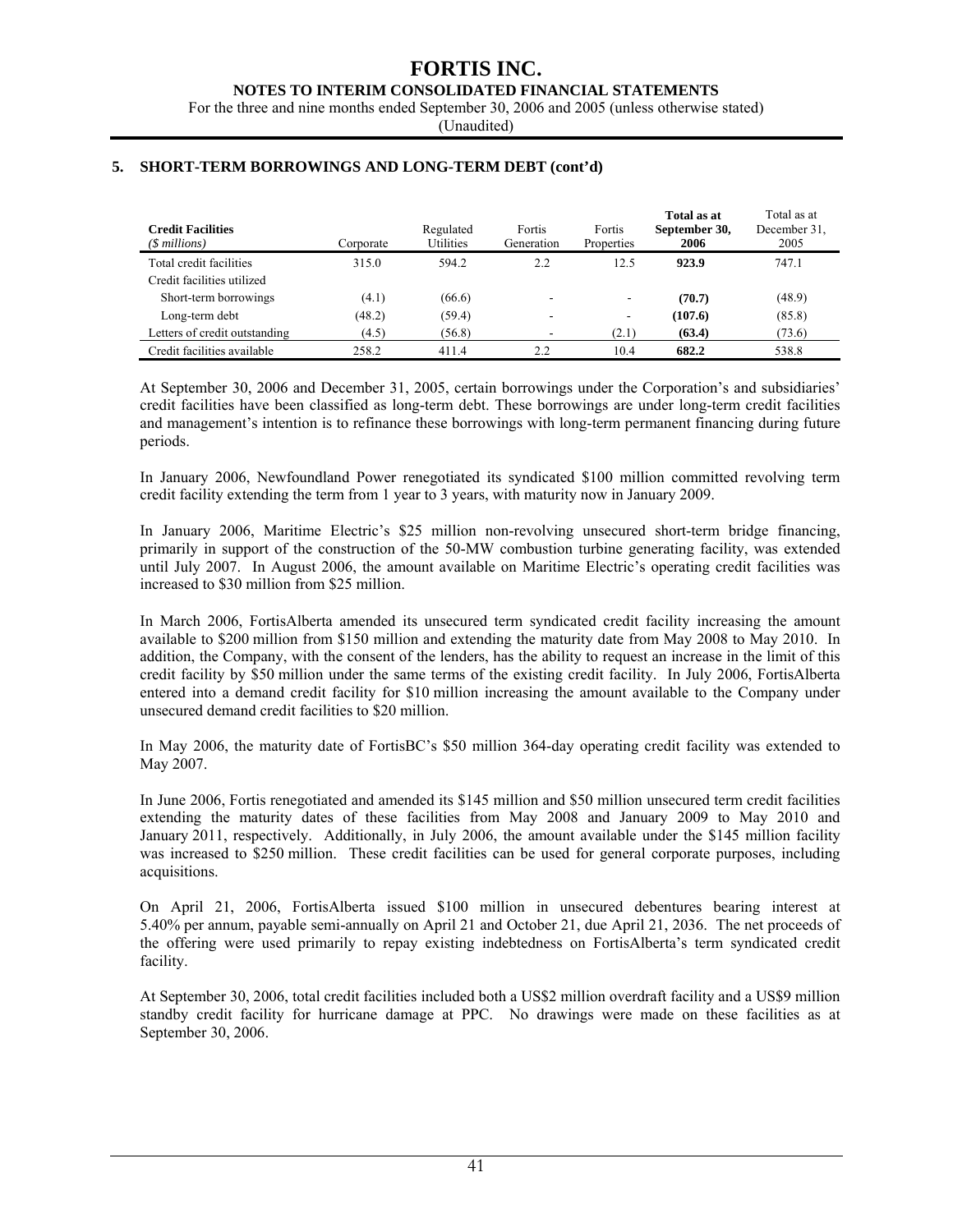#### **NOTES TO INTERIM CONSOLIDATED FINANCIAL STATEMENTS**

For the three and nine months ended September 30, 2006 and 2005 (unless otherwise stated)

(Unaudited)

| <b>Credit Facilities</b><br>(\$ millions) | Corporate | Regulated<br>Utilities | Fortis<br>Generation | Fortis<br>Properties     | Total as at<br>September 30,<br>2006 | Total as at<br>December 31.<br>2005 |
|-------------------------------------------|-----------|------------------------|----------------------|--------------------------|--------------------------------------|-------------------------------------|
| Total credit facilities                   | 315.0     | 594.2                  | 2.2                  | 12.5                     | 923.9                                | 747.1                               |
| Credit facilities utilized                |           |                        |                      |                          |                                      |                                     |
| Short-term borrowings                     | (4.1)     | (66.6)                 |                      | $\overline{\phantom{a}}$ | (70.7)                               | (48.9)                              |
| Long-term debt                            | (48.2)    | (59.4)                 | -                    | $\overline{\phantom{a}}$ | (107.6)                              | (85.8)                              |
| Letters of credit outstanding             | (4.5)     | (56.8)                 |                      | (2.1)                    | (63.4)                               | (73.6)                              |
| Credit facilities available               | 258.2     | 411.4                  | 2.2                  | 10.4                     | 682.2                                | 538.8                               |

### **5. SHORT-TERM BORROWINGS AND LONG-TERM DEBT (cont'd)**

At September 30, 2006 and December 31, 2005, certain borrowings under the Corporation's and subsidiaries' credit facilities have been classified as long-term debt. These borrowings are under long-term credit facilities and management's intention is to refinance these borrowings with long-term permanent financing during future periods.

In January 2006, Newfoundland Power renegotiated its syndicated \$100 million committed revolving term credit facility extending the term from 1 year to 3 years, with maturity now in January 2009.

In January 2006, Maritime Electric's \$25 million non-revolving unsecured short-term bridge financing, primarily in support of the construction of the 50-MW combustion turbine generating facility, was extended until July 2007. In August 2006, the amount available on Maritime Electric's operating credit facilities was increased to \$30 million from \$25 million.

In March 2006, FortisAlberta amended its unsecured term syndicated credit facility increasing the amount available to \$200 million from \$150 million and extending the maturity date from May 2008 to May 2010. In addition, the Company, with the consent of the lenders, has the ability to request an increase in the limit of this credit facility by \$50 million under the same terms of the existing credit facility. In July 2006, FortisAlberta entered into a demand credit facility for \$10 million increasing the amount available to the Company under unsecured demand credit facilities to \$20 million.

In May 2006, the maturity date of FortisBC's \$50 million 364-day operating credit facility was extended to May 2007.

In June 2006, Fortis renegotiated and amended its \$145 million and \$50 million unsecured term credit facilities extending the maturity dates of these facilities from May 2008 and January 2009 to May 2010 and January 2011, respectively. Additionally, in July 2006, the amount available under the \$145 million facility was increased to \$250 million. These credit facilities can be used for general corporate purposes, including acquisitions.

On April 21, 2006, FortisAlberta issued \$100 million in unsecured debentures bearing interest at 5.40% per annum, payable semi-annually on April 21 and October 21, due April 21, 2036. The net proceeds of the offering were used primarily to repay existing indebtedness on FortisAlberta's term syndicated credit facility.

At September 30, 2006, total credit facilities included both a US\$2 million overdraft facility and a US\$9 million standby credit facility for hurricane damage at PPC. No drawings were made on these facilities as at September 30, 2006.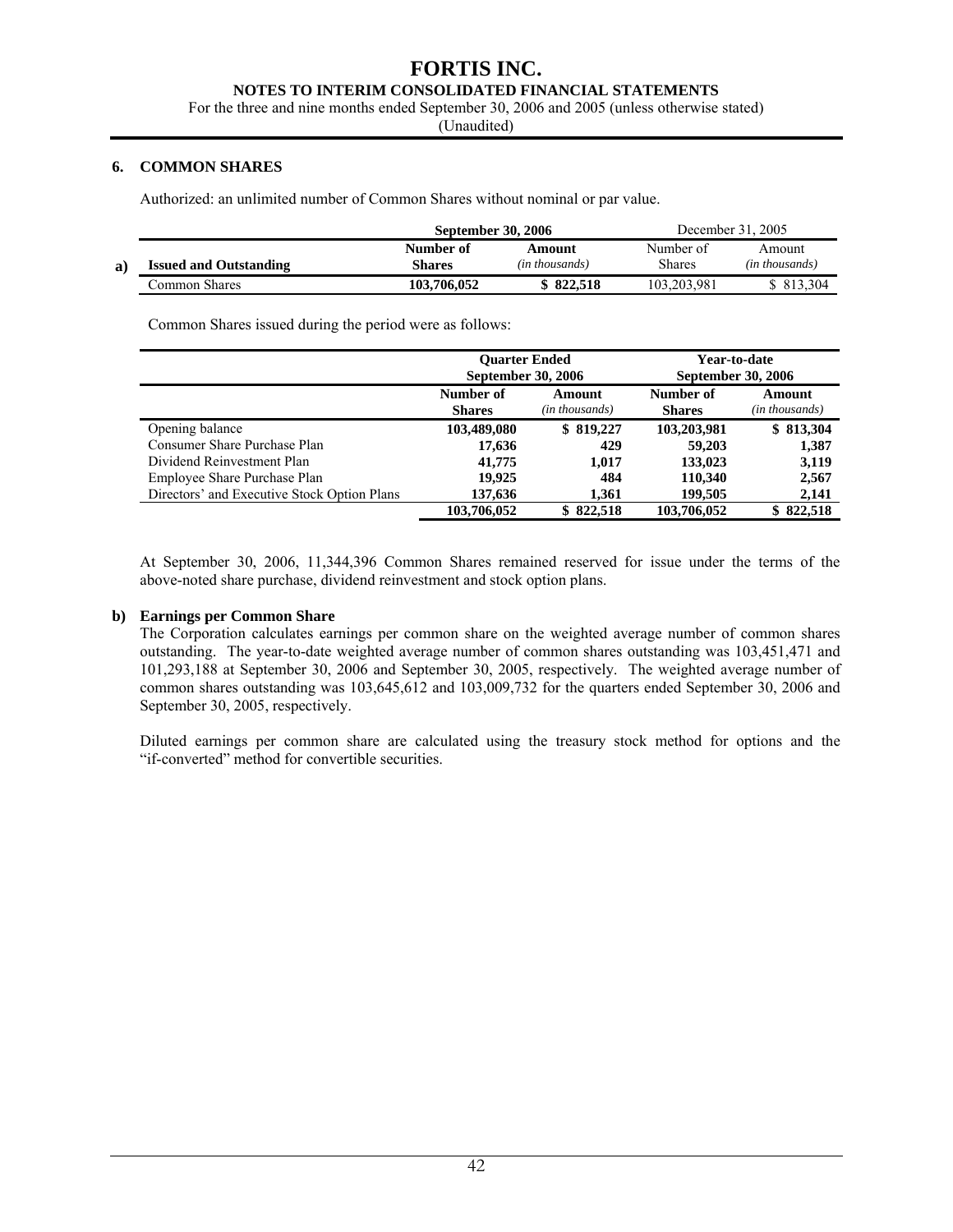#### **NOTES TO INTERIM CONSOLIDATED FINANCIAL STATEMENTS**

For the three and nine months ended September 30, 2006 and 2005 (unless otherwise stated)

(Unaudited)

### **6. COMMON SHARES**

Authorized: an unlimited number of Common Shares without nominal or par value.

|    |                               | <b>September 30, 2006</b> |                | December 31, 2005 |                |  |
|----|-------------------------------|---------------------------|----------------|-------------------|----------------|--|
|    |                               | Number of                 | Amount         | Number of         | Amount         |  |
| a) | <b>Issued and Outstanding</b> | <b>Shares</b>             | (in thousands) | Shares            | (in thousands) |  |
|    | Common Shares                 | 103.706.052               | \$822.518      | 103.203.981       | \$ 813.304     |  |

Common Shares issued during the period were as follows:

|                                             | <b>Ouarter Ended</b><br><b>September 30, 2006</b>                       |           | Year-to-date<br><b>September 30, 2006</b> |           |           |                          |
|---------------------------------------------|-------------------------------------------------------------------------|-----------|-------------------------------------------|-----------|-----------|--------------------------|
|                                             | Number of<br>Amount<br>(in thousands)<br><b>Shares</b><br><b>Shares</b> |           |                                           |           | Number of | Amount<br>(in thousands) |
| Opening balance                             | 103,489,080                                                             | \$819,227 | 103,203,981                               | \$813,304 |           |                          |
| Consumer Share Purchase Plan                | 17,636                                                                  | 429       | 59,203                                    | 1,387     |           |                          |
| Dividend Reinvestment Plan                  | 41,775                                                                  | 1.017     | 133,023                                   | 3,119     |           |                          |
| Employee Share Purchase Plan                | 19.925                                                                  | 484       | 110,340                                   | 2,567     |           |                          |
| Directors' and Executive Stock Option Plans | 137,636                                                                 | 1.361     | 199,505                                   | 2,141     |           |                          |
|                                             | 103,706,052                                                             | \$822,518 | 103,706,052                               | \$822,518 |           |                          |

At September 30, 2006, 11,344,396 Common Shares remained reserved for issue under the terms of the above-noted share purchase, dividend reinvestment and stock option plans.

### **b) Earnings per Common Share**

The Corporation calculates earnings per common share on the weighted average number of common shares outstanding. The year-to-date weighted average number of common shares outstanding was 103,451,471 and 101,293,188 at September 30, 2006 and September 30, 2005, respectively. The weighted average number of common shares outstanding was 103,645,612 and 103,009,732 for the quarters ended September 30, 2006 and September 30, 2005, respectively.

Diluted earnings per common share are calculated using the treasury stock method for options and the "if-converted" method for convertible securities.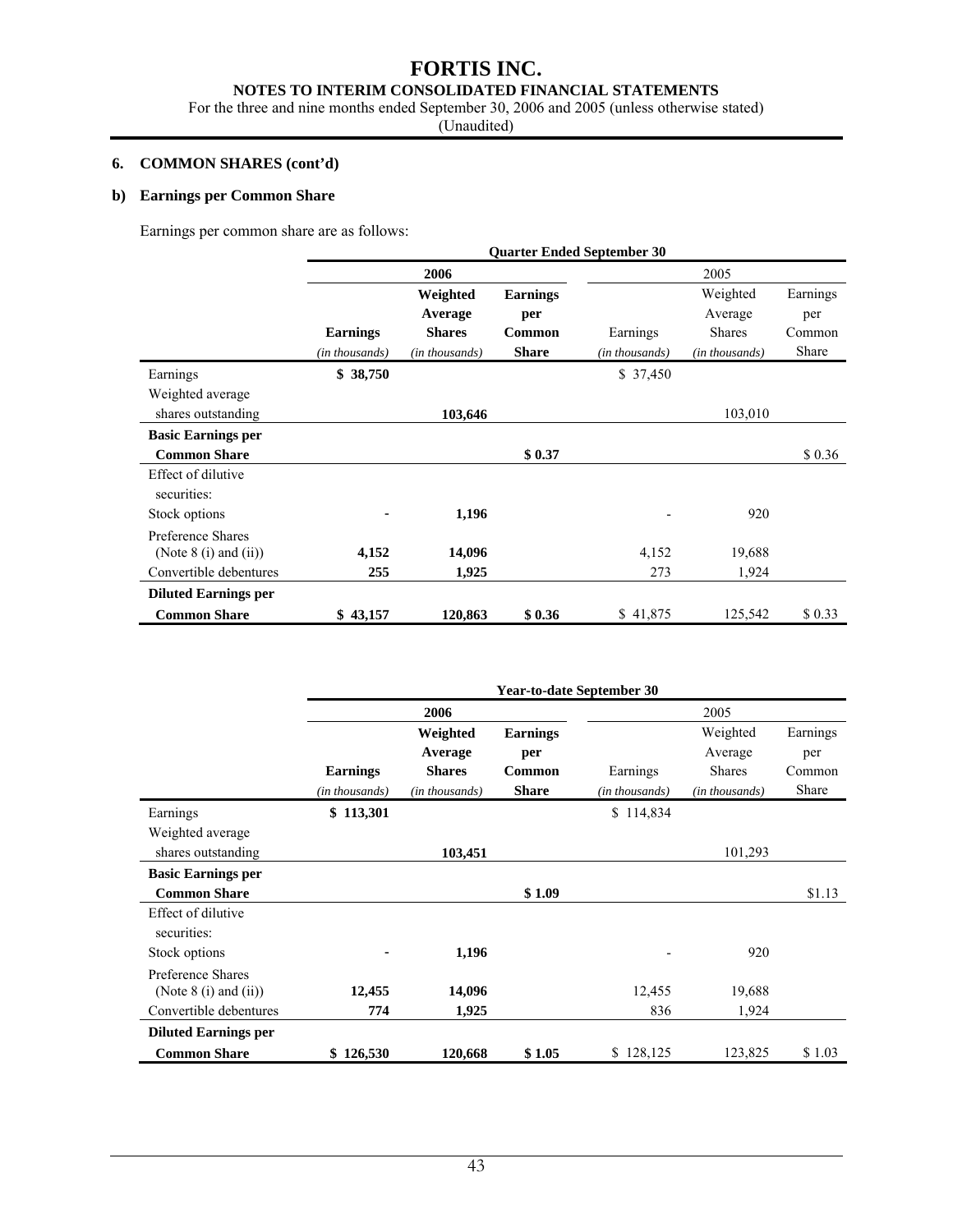# **NOTES TO INTERIM CONSOLIDATED FINANCIAL STATEMENTS**

For the three and nine months ended September 30, 2006 and 2005 (unless otherwise stated)

(Unaudited)

#### **6. COMMON SHARES (cont'd)**

### **b) Earnings per Common Share**

Earnings per common share are as follows:

|                                                | <b>Quarter Ended September 30</b> |                     |                        |                |                     |                 |  |
|------------------------------------------------|-----------------------------------|---------------------|------------------------|----------------|---------------------|-----------------|--|
|                                                |                                   | 2006                |                        | 2005           |                     |                 |  |
|                                                |                                   | Weighted<br>Average | <b>Earnings</b><br>per |                | Weighted<br>Average | Earnings<br>per |  |
|                                                | <b>Earnings</b>                   | <b>Shares</b>       | Common                 | Earnings       | <b>Shares</b>       | Common          |  |
|                                                | (in thousands)                    | (in thousands)      | <b>Share</b>           | (in thousands) | (in thousands)      | Share           |  |
| Earnings                                       | \$38,750                          |                     |                        | \$37,450       |                     |                 |  |
| Weighted average                               |                                   |                     |                        |                |                     |                 |  |
| shares outstanding                             |                                   | 103,646             |                        |                | 103,010             |                 |  |
| <b>Basic Earnings per</b>                      |                                   |                     |                        |                |                     |                 |  |
| <b>Common Share</b>                            |                                   |                     | \$0.37                 |                |                     | \$0.36          |  |
| Effect of dilutive<br>securities:              |                                   |                     |                        |                |                     |                 |  |
| Stock options                                  |                                   | 1,196               |                        |                | 920                 |                 |  |
| Preference Shares<br>(Note $8(i)$ and $(ii)$ ) | 4,152                             | 14,096              |                        | 4,152          | 19,688              |                 |  |
| Convertible debentures                         | 255                               | 1,925               |                        | 273            | 1,924               |                 |  |
| <b>Diluted Earnings per</b>                    |                                   |                     |                        |                |                     |                 |  |
| <b>Common Share</b>                            | \$43,157                          | 120,863             | \$0.36                 | \$41,875       | 125,542             | \$0.33          |  |

|                             | <b>Year-to-date September 30</b> |                |                 |                |                |          |
|-----------------------------|----------------------------------|----------------|-----------------|----------------|----------------|----------|
|                             |                                  | 2006           |                 |                | 2005           |          |
|                             |                                  | Weighted       | <b>Earnings</b> |                | Weighted       | Earnings |
|                             |                                  | Average        | per             |                | Average        | per      |
|                             | <b>Earnings</b>                  | <b>Shares</b>  | Common          | Earnings       | <b>Shares</b>  | Common   |
|                             | (in thousands)                   | (in thousands) | <b>Share</b>    | (in thousands) | (in thousands) | Share    |
| Earnings                    | \$113,301                        |                |                 | \$114,834      |                |          |
| Weighted average            |                                  |                |                 |                |                |          |
| shares outstanding          |                                  | 103,451        |                 |                | 101,293        |          |
| <b>Basic Earnings per</b>   |                                  |                |                 |                |                |          |
| <b>Common Share</b>         |                                  |                | \$1.09          |                |                | \$1.13   |
| Effect of dilutive          |                                  |                |                 |                |                |          |
| securities:                 |                                  |                |                 |                |                |          |
| Stock options               |                                  | 1,196          |                 |                | 920            |          |
| Preference Shares           |                                  |                |                 |                |                |          |
| (Note $8$ (i) and (ii))     | 12,455                           | 14,096         |                 | 12,455         | 19,688         |          |
| Convertible debentures      | 774                              | 1,925          |                 | 836            | 1,924          |          |
| <b>Diluted Earnings per</b> |                                  |                |                 |                |                |          |
| <b>Common Share</b>         | \$126,530                        | 120,668        | \$1.05          | \$128,125      | 123,825        | \$1.03   |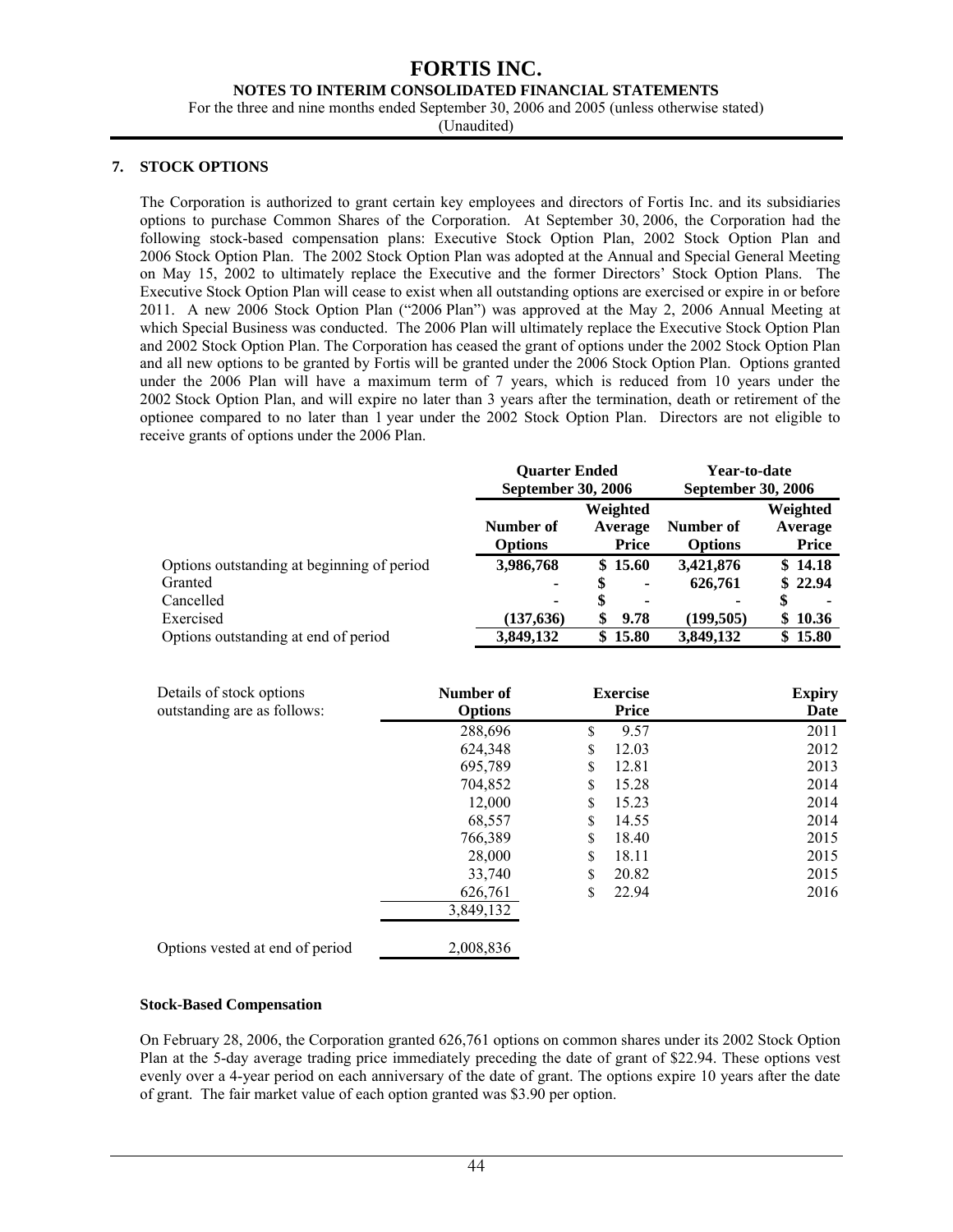#### **NOTES TO INTERIM CONSOLIDATED FINANCIAL STATEMENTS**

For the three and nine months ended September 30, 2006 and 2005 (unless otherwise stated)

(Unaudited)

### **7. STOCK OPTIONS**

The Corporation is authorized to grant certain key employees and directors of Fortis Inc. and its subsidiaries options to purchase Common Shares of the Corporation. At September 30, 2006, the Corporation had the following stock-based compensation plans: Executive Stock Option Plan, 2002 Stock Option Plan and 2006 Stock Option Plan. The 2002 Stock Option Plan was adopted at the Annual and Special General Meeting on May 15, 2002 to ultimately replace the Executive and the former Directors' Stock Option Plans. The Executive Stock Option Plan will cease to exist when all outstanding options are exercised or expire in or before 2011. A new 2006 Stock Option Plan ("2006 Plan") was approved at the May 2, 2006 Annual Meeting at which Special Business was conducted. The 2006 Plan will ultimately replace the Executive Stock Option Plan and 2002 Stock Option Plan. The Corporation has ceased the grant of options under the 2002 Stock Option Plan and all new options to be granted by Fortis will be granted under the 2006 Stock Option Plan. Options granted under the 2006 Plan will have a maximum term of 7 years, which is reduced from 10 years under the 2002 Stock Option Plan, and will expire no later than 3 years after the termination, death or retirement of the optionee compared to no later than 1 year under the 2002 Stock Option Plan. Directors are not eligible to receive grants of options under the 2006 Plan.

|                                            | <b>Ouarter Ended</b><br>September 30, 2006 |                                     | Year-to-date<br><b>September 30, 2006</b> |                                     |  |
|--------------------------------------------|--------------------------------------------|-------------------------------------|-------------------------------------------|-------------------------------------|--|
|                                            | Number of<br><b>Options</b>                | Weighted<br>Average<br><b>Price</b> | Number of<br><b>Options</b>               | Weighted<br>Average<br><b>Price</b> |  |
| Options outstanding at beginning of period | 3,986,768                                  | \$15.60                             | 3,421,876                                 | \$14.18                             |  |
| Granted                                    | ۰                                          | \$<br>۰                             | 626,761                                   | \$22.94                             |  |
| Cancelled                                  | ۰                                          | \$<br>٠                             | ۰                                         | \$                                  |  |
| Exercised                                  | (137, 636)                                 | 9.78<br>\$                          | (199.505)                                 | \$10.36                             |  |
| Options outstanding at end of period       | 3.849.132                                  | \$15.80                             | 3.849.132                                 | \$15.80                             |  |

| Details of stock options<br>outstanding are as follows: | Number of<br><b>Options</b> | <b>Exercise</b><br><b>Price</b> | <b>Expiry</b><br>Date |
|---------------------------------------------------------|-----------------------------|---------------------------------|-----------------------|
|                                                         | 288,696                     | \$<br>9.57                      | 2011                  |
|                                                         | 624,348                     | \$<br>12.03                     | 2012                  |
|                                                         | 695,789                     | \$<br>12.81                     | 2013                  |
|                                                         | 704,852                     | \$<br>15.28                     | 2014                  |
|                                                         | 12,000                      | \$<br>15.23                     | 2014                  |
|                                                         | 68,557                      | \$<br>14.55                     | 2014                  |
|                                                         | 766,389                     | \$<br>18.40                     | 2015                  |
|                                                         | 28,000                      | \$<br>18.11                     | 2015                  |
|                                                         | 33,740                      | \$<br>20.82                     | 2015                  |
|                                                         | 626,761                     | \$<br>22.94                     | 2016                  |
|                                                         | 3,849,132                   |                                 |                       |
| Options vested at end of period                         | 2,008,836                   |                                 |                       |

#### **Stock-Based Compensation**

On February 28, 2006, the Corporation granted 626,761 options on common shares under its 2002 Stock Option Plan at the 5-day average trading price immediately preceding the date of grant of \$22.94. These options vest evenly over a 4-year period on each anniversary of the date of grant. The options expire 10 years after the date of grant. The fair market value of each option granted was \$3.90 per option.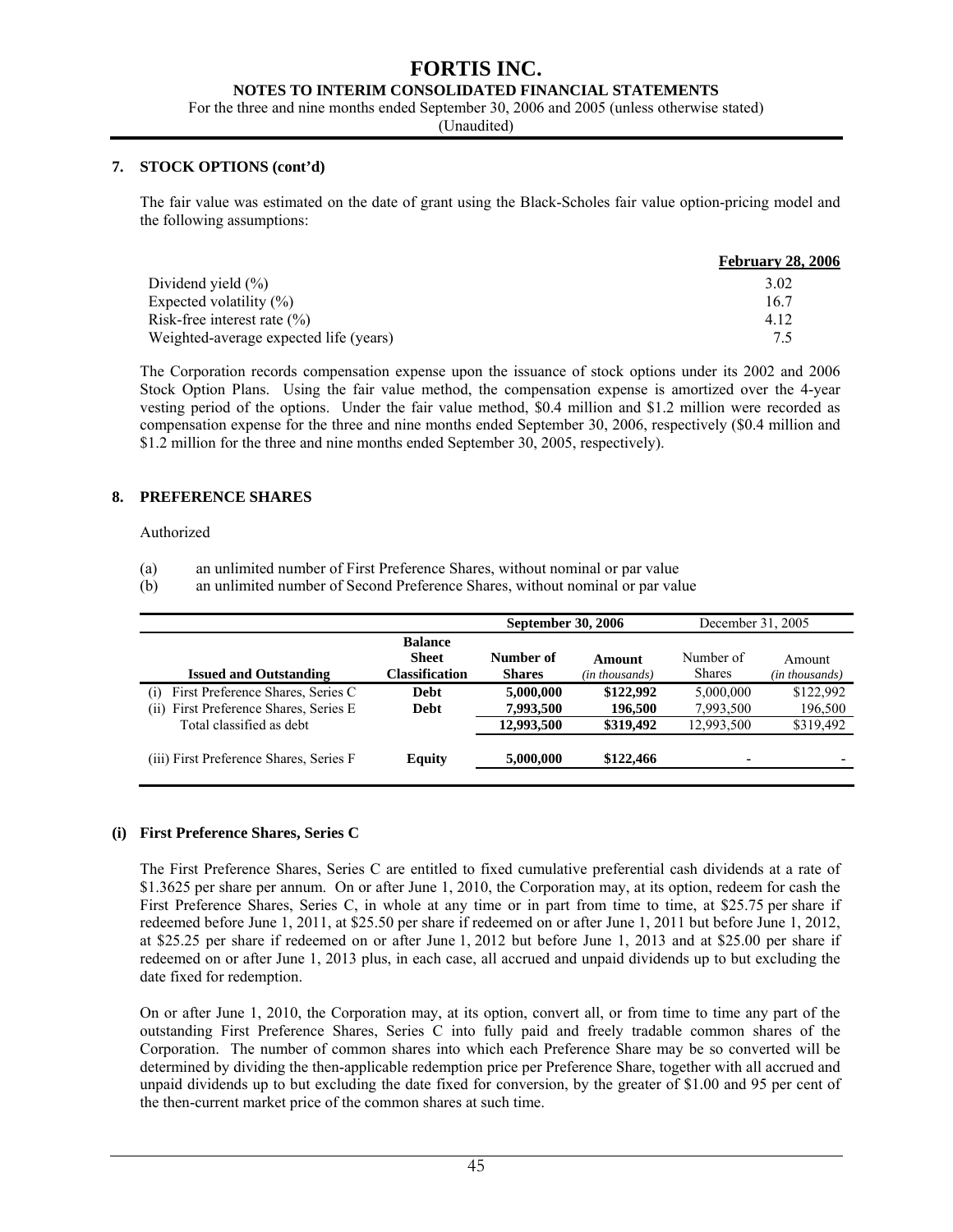#### **NOTES TO INTERIM CONSOLIDATED FINANCIAL STATEMENTS**

For the three and nine months ended September 30, 2006 and 2005 (unless otherwise stated)

(Unaudited)

#### **7. STOCK OPTIONS (cont'd)**

The fair value was estimated on the date of grant using the Black-Scholes fair value option-pricing model and the following assumptions:

|                                        | <b>February 28, 2006</b> |
|----------------------------------------|--------------------------|
| Dividend yield $(\% )$                 | 3.02                     |
| Expected volatility $(\%)$             | 16.7                     |
| Risk-free interest rate $(\% )$        | 4.12                     |
| Weighted-average expected life (years) | 75                       |

The Corporation records compensation expense upon the issuance of stock options under its 2002 and 2006 Stock Option Plans. Using the fair value method, the compensation expense is amortized over the 4-year vesting period of the options. Under the fair value method, \$0.4 million and \$1.2 million were recorded as compensation expense for the three and nine months ended September 30, 2006, respectively (\$0.4 million and \$1.2 million for the three and nine months ended September 30, 2005, respectively).

#### **8. PREFERENCE SHARES**

Authorized

(a) an unlimited number of First Preference Shares, without nominal or par value

(b) an unlimited number of Second Preference Shares, without nominal or par value

|                                                                                     |                                                  | <b>September 30, 2006</b>  |                          | December 31, 2005          |                          |  |
|-------------------------------------------------------------------------------------|--------------------------------------------------|----------------------------|--------------------------|----------------------------|--------------------------|--|
| <b>Issued and Outstanding</b>                                                       | <b>Balance</b><br><b>Sheet</b><br>Classification | Number of<br><b>Shares</b> | Amount<br>(in thousands) | Number of<br><b>Shares</b> | Amount<br>(in thousands) |  |
| First Preference Shares, Series C<br>(1)<br>(ii) First Preference Shares, Series E. | <b>Debt</b><br>Debt                              | 5,000,000<br>7,993,500     | \$122,992<br>196.500     | 5.000,000<br>7,993,500     | \$122.992<br>196,500     |  |
| Total classified as debt                                                            |                                                  | 12,993,500                 | \$319,492                | 12,993,500                 | \$319,492                |  |
| (iii) First Preference Shares, Series F                                             | <b>Equity</b>                                    | 5,000,000                  | \$122,466                | ٠                          |                          |  |

#### **(i) First Preference Shares, Series C**

The First Preference Shares, Series C are entitled to fixed cumulative preferential cash dividends at a rate of \$1.3625 per share per annum. On or after June 1, 2010, the Corporation may, at its option, redeem for cash the First Preference Shares, Series C, in whole at any time or in part from time to time, at \$25.75 per share if redeemed before June 1, 2011, at \$25.50 per share if redeemed on or after June 1, 2011 but before June 1, 2012, at \$25.25 per share if redeemed on or after June 1, 2012 but before June 1, 2013 and at \$25.00 per share if redeemed on or after June 1, 2013 plus, in each case, all accrued and unpaid dividends up to but excluding the date fixed for redemption.

On or after June 1, 2010, the Corporation may, at its option, convert all, or from time to time any part of the outstanding First Preference Shares, Series C into fully paid and freely tradable common shares of the Corporation. The number of common shares into which each Preference Share may be so converted will be determined by dividing the then-applicable redemption price per Preference Share, together with all accrued and unpaid dividends up to but excluding the date fixed for conversion, by the greater of \$1.00 and 95 per cent of the then-current market price of the common shares at such time.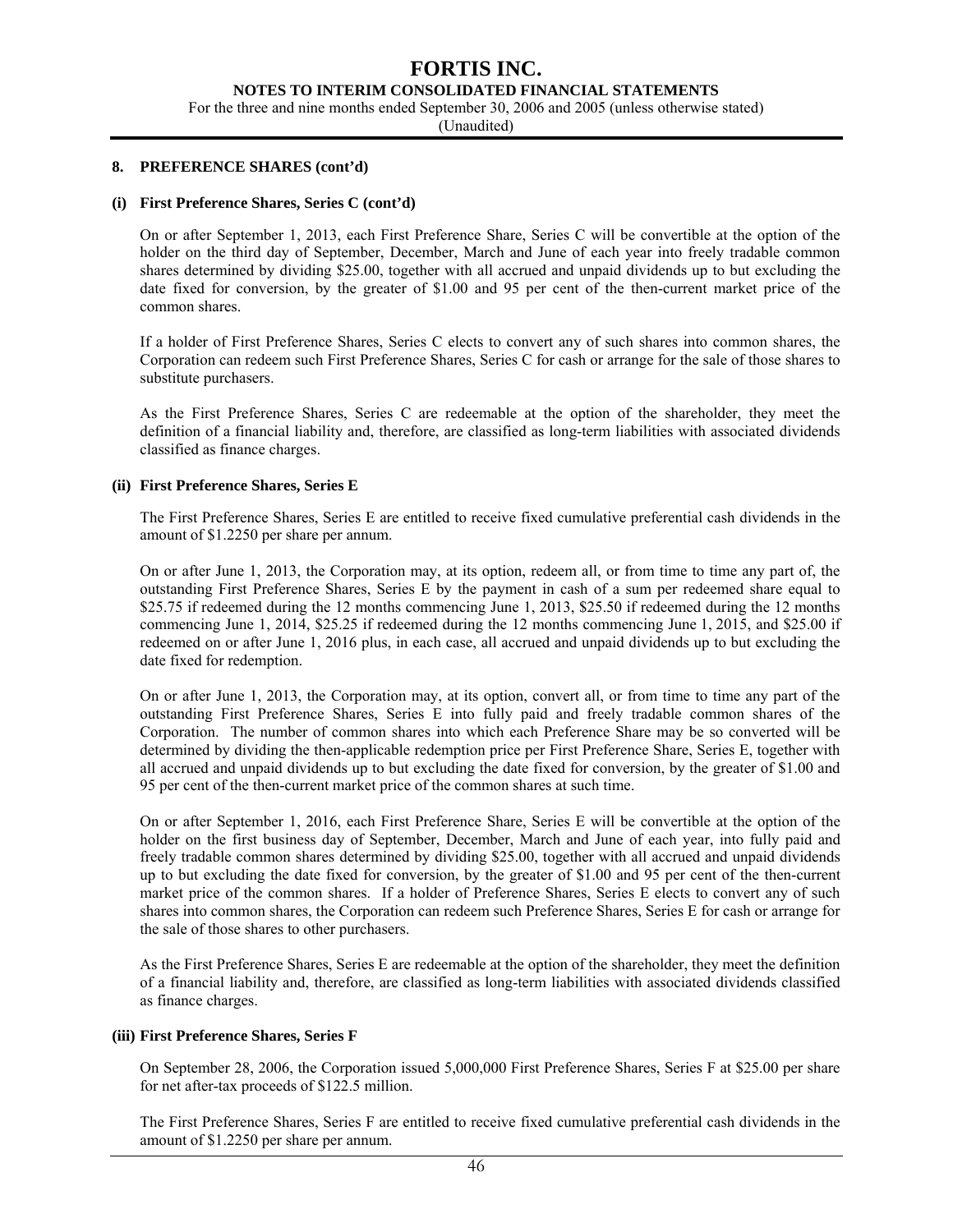#### **NOTES TO INTERIM CONSOLIDATED FINANCIAL STATEMENTS**

For the three and nine months ended September 30, 2006 and 2005 (unless otherwise stated)

(Unaudited)

#### **8. PREFERENCE SHARES (cont'd)**

#### **(i) First Preference Shares, Series C (cont'd)**

On or after September 1, 2013, each First Preference Share, Series C will be convertible at the option of the holder on the third day of September, December, March and June of each year into freely tradable common shares determined by dividing \$25.00, together with all accrued and unpaid dividends up to but excluding the date fixed for conversion, by the greater of \$1.00 and 95 per cent of the then-current market price of the common shares.

If a holder of First Preference Shares, Series C elects to convert any of such shares into common shares, the Corporation can redeem such First Preference Shares, Series C for cash or arrange for the sale of those shares to substitute purchasers.

As the First Preference Shares, Series C are redeemable at the option of the shareholder, they meet the definition of a financial liability and, therefore, are classified as long-term liabilities with associated dividends classified as finance charges.

#### **(ii) First Preference Shares, Series E**

The First Preference Shares, Series E are entitled to receive fixed cumulative preferential cash dividends in the amount of \$1.2250 per share per annum.

On or after June 1, 2013, the Corporation may, at its option, redeem all, or from time to time any part of, the outstanding First Preference Shares, Series E by the payment in cash of a sum per redeemed share equal to \$25.75 if redeemed during the 12 months commencing June 1, 2013, \$25.50 if redeemed during the 12 months commencing June 1, 2014, \$25.25 if redeemed during the 12 months commencing June 1, 2015, and \$25.00 if redeemed on or after June 1, 2016 plus, in each case, all accrued and unpaid dividends up to but excluding the date fixed for redemption.

On or after June 1, 2013, the Corporation may, at its option, convert all, or from time to time any part of the outstanding First Preference Shares, Series E into fully paid and freely tradable common shares of the Corporation. The number of common shares into which each Preference Share may be so converted will be determined by dividing the then-applicable redemption price per First Preference Share, Series E, together with all accrued and unpaid dividends up to but excluding the date fixed for conversion, by the greater of \$1.00 and 95 per cent of the then-current market price of the common shares at such time.

On or after September 1, 2016, each First Preference Share, Series E will be convertible at the option of the holder on the first business day of September, December, March and June of each year, into fully paid and freely tradable common shares determined by dividing \$25.00, together with all accrued and unpaid dividends up to but excluding the date fixed for conversion, by the greater of \$1.00 and 95 per cent of the then-current market price of the common shares. If a holder of Preference Shares, Series E elects to convert any of such shares into common shares, the Corporation can redeem such Preference Shares, Series E for cash or arrange for the sale of those shares to other purchasers.

As the First Preference Shares, Series E are redeemable at the option of the shareholder, they meet the definition of a financial liability and, therefore, are classified as long-term liabilities with associated dividends classified as finance charges.

#### **(iii) First Preference Shares, Series F**

On September 28, 2006, the Corporation issued 5,000,000 First Preference Shares, Series F at \$25.00 per share for net after-tax proceeds of \$122.5 million.

The First Preference Shares, Series F are entitled to receive fixed cumulative preferential cash dividends in the amount of \$1.2250 per share per annum.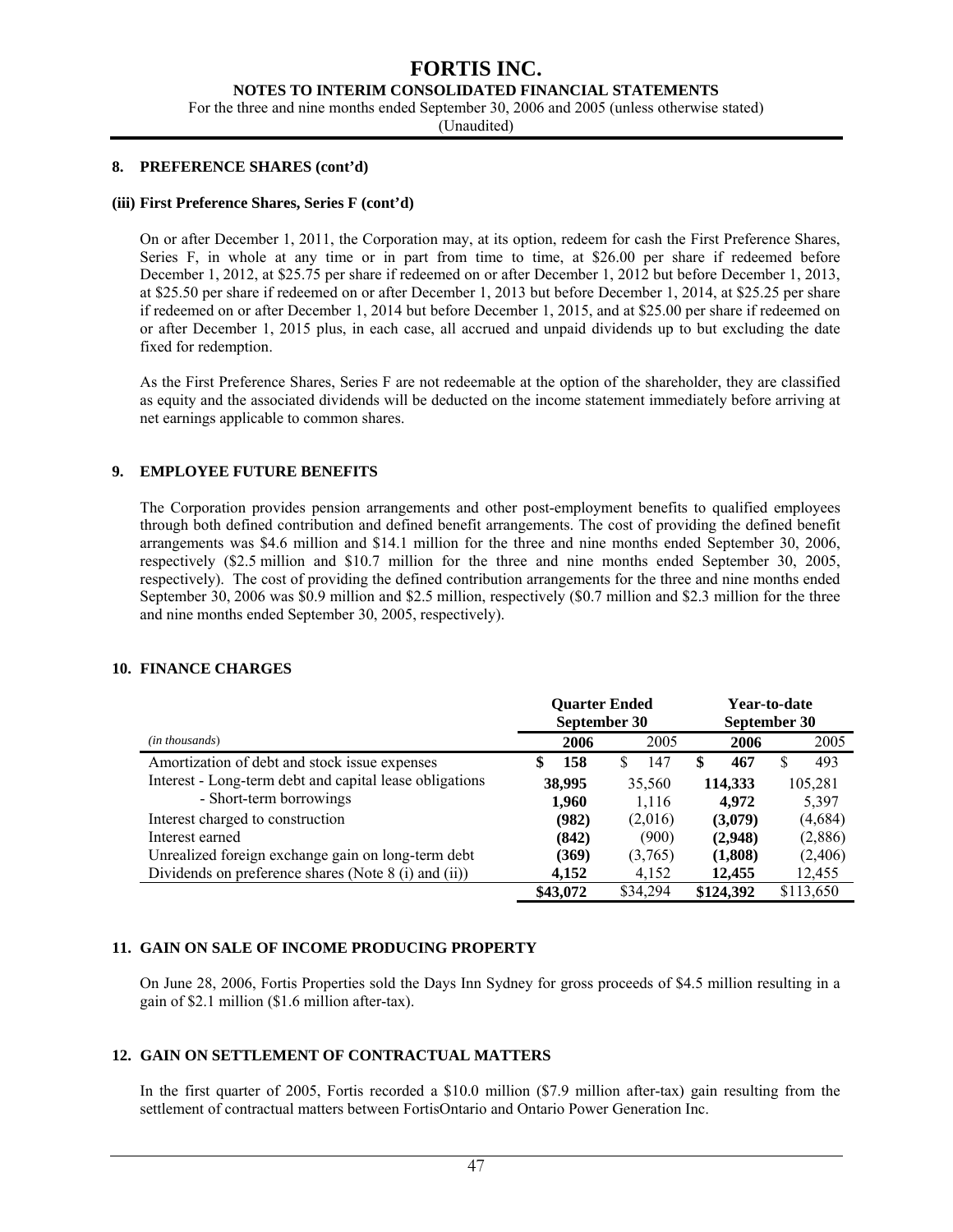#### **NOTES TO INTERIM CONSOLIDATED FINANCIAL STATEMENTS**

For the three and nine months ended September 30, 2006 and 2005 (unless otherwise stated)

(Unaudited)

#### **8. PREFERENCE SHARES (cont'd)**

#### **(iii) First Preference Shares, Series F (cont'd)**

On or after December 1, 2011, the Corporation may, at its option, redeem for cash the First Preference Shares, Series F, in whole at any time or in part from time to time, at \$26.00 per share if redeemed before December 1, 2012, at \$25.75 per share if redeemed on or after December 1, 2012 but before December 1, 2013, at \$25.50 per share if redeemed on or after December 1, 2013 but before December 1, 2014, at \$25.25 per share if redeemed on or after December 1, 2014 but before December 1, 2015, and at \$25.00 per share if redeemed on or after December 1, 2015 plus, in each case, all accrued and unpaid dividends up to but excluding the date fixed for redemption.

As the First Preference Shares, Series F are not redeemable at the option of the shareholder, they are classified as equity and the associated dividends will be deducted on the income statement immediately before arriving at net earnings applicable to common shares.

#### **9. EMPLOYEE FUTURE BENEFITS**

The Corporation provides pension arrangements and other post-employment benefits to qualified employees through both defined contribution and defined benefit arrangements. The cost of providing the defined benefit arrangements was \$4.6 million and \$14.1 million for the three and nine months ended September 30, 2006, respectively (\$2.5 million and \$10.7 million for the three and nine months ended September 30, 2005, respectively). The cost of providing the defined contribution arrangements for the three and nine months ended September 30, 2006 was \$0.9 million and \$2.5 million, respectively (\$0.7 million and \$2.3 million for the three and nine months ended September 30, 2005, respectively).

#### **10. FINANCE CHARGES**

|                                                         |           | <b>Ouarter Ended</b><br>September 30 | Year-to-date<br>September 30 |           |  |
|---------------------------------------------------------|-----------|--------------------------------------|------------------------------|-----------|--|
| (in thousands)                                          | 2006      | 2005                                 | 2006                         | 2005      |  |
| Amortization of debt and stock issue expenses           | 158<br>\$ | 147<br>S                             | 467<br>S                     | 493       |  |
| Interest - Long-term debt and capital lease obligations | 38,995    | 35,560                               | 114,333                      | 105,281   |  |
| - Short-term borrowings                                 | 1,960     | 1,116                                | 4.972                        | 5,397     |  |
| Interest charged to construction                        | (982)     | (2,016)                              | (3,079)                      | (4,684)   |  |
| Interest earned                                         | (842)     | (900)                                | (2,948)                      | (2,886)   |  |
| Unrealized foreign exchange gain on long-term debt      | (369)     | (3,765)                              | (1,808)                      | (2,406)   |  |
| Dividends on preference shares (Note 8 (i) and (ii))    | 4,152     | 4,152                                | 12,455                       | 12,455    |  |
|                                                         | \$43,072  | \$34,294                             | \$124,392                    | \$113,650 |  |

#### **11. GAIN ON SALE OF INCOME PRODUCING PROPERTY**

On June 28, 2006, Fortis Properties sold the Days Inn Sydney for gross proceeds of \$4.5 million resulting in a gain of \$2.1 million (\$1.6 million after-tax).

#### **12. GAIN ON SETTLEMENT OF CONTRACTUAL MATTERS**

In the first quarter of 2005, Fortis recorded a \$10.0 million (\$7.9 million after-tax) gain resulting from the settlement of contractual matters between FortisOntario and Ontario Power Generation Inc.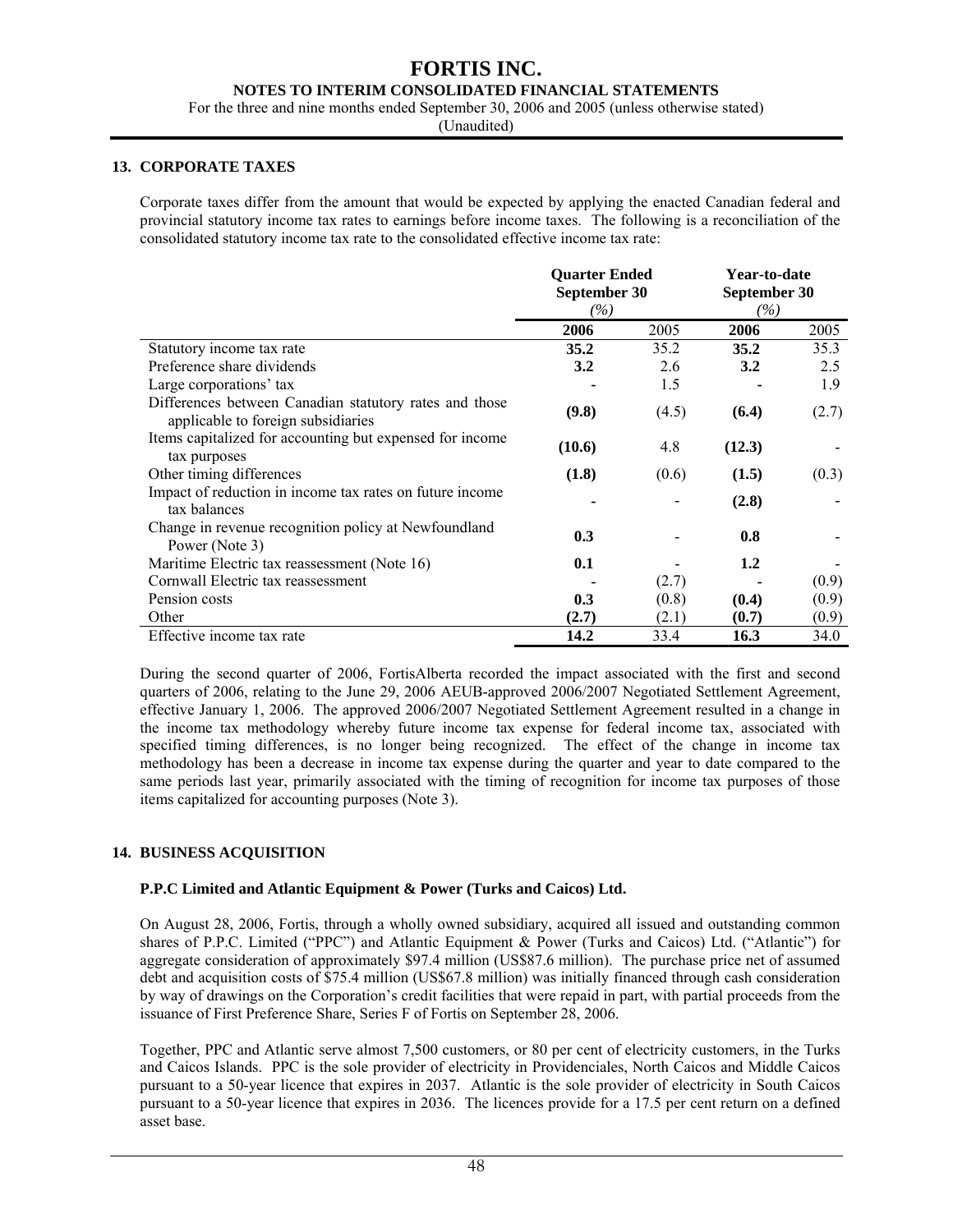### **NOTES TO INTERIM CONSOLIDATED FINANCIAL STATEMENTS**

For the three and nine months ended September 30, 2006 and 2005 (unless otherwise stated)

(Unaudited)

#### **13. CORPORATE TAXES**

Corporate taxes differ from the amount that would be expected by applying the enacted Canadian federal and provincial statutory income tax rates to earnings before income taxes. The following is a reconciliation of the consolidated statutory income tax rate to the consolidated effective income tax rate:

|                                                                                              | <b>Ouarter Ended</b><br>September 30<br>(%) |       | Year-to-date<br>September 30<br>$( \% )$ |       |
|----------------------------------------------------------------------------------------------|---------------------------------------------|-------|------------------------------------------|-------|
|                                                                                              | 2006                                        | 2005  | 2006                                     | 2005  |
| Statutory income tax rate                                                                    | 35.2                                        | 35.2  | 35.2                                     | 35.3  |
| Preference share dividends                                                                   | 3.2                                         | 2.6   | 3.2                                      | 2.5   |
| Large corporations' tax                                                                      |                                             | 1.5   |                                          | 1.9   |
| Differences between Canadian statutory rates and those<br>applicable to foreign subsidiaries | (9.8)                                       | (4.5) | (6.4)                                    | (2.7) |
| Items capitalized for accounting but expensed for income<br>tax purposes                     | (10.6)                                      | 4.8   | (12.3)                                   |       |
| Other timing differences                                                                     | (1.8)                                       | (0.6) | (1.5)                                    | (0.3) |
| Impact of reduction in income tax rates on future income<br>tax balances                     |                                             |       | (2.8)                                    |       |
| Change in revenue recognition policy at Newfoundland<br>Power (Note 3)                       | 0.3                                         |       | 0.8                                      |       |
| Maritime Electric tax reassessment (Note 16)                                                 | 0.1                                         |       | 1.2                                      |       |
| Cornwall Electric tax reassessment                                                           |                                             | (2.7) |                                          | (0.9) |
| Pension costs                                                                                | 0.3                                         | (0.8) | (0.4)                                    | (0.9) |
| Other                                                                                        | (2.7)                                       | (2.1) | (0.7)                                    | (0.9) |
| Effective income tax rate                                                                    | 14.2                                        | 33.4  | 16.3                                     | 34.0  |

During the second quarter of 2006, FortisAlberta recorded the impact associated with the first and second quarters of 2006, relating to the June 29, 2006 AEUB-approved 2006/2007 Negotiated Settlement Agreement, effective January 1, 2006. The approved 2006/2007 Negotiated Settlement Agreement resulted in a change in the income tax methodology whereby future income tax expense for federal income tax, associated with specified timing differences, is no longer being recognized. The effect of the change in income tax methodology has been a decrease in income tax expense during the quarter and year to date compared to the same periods last year, primarily associated with the timing of recognition for income tax purposes of those items capitalized for accounting purposes (Note 3).

#### **14. BUSINESS ACQUISITION**

#### **P.P.C Limited and Atlantic Equipment & Power (Turks and Caicos) Ltd.**

On August 28, 2006, Fortis, through a wholly owned subsidiary, acquired all issued and outstanding common shares of P.P.C. Limited ("PPC") and Atlantic Equipment & Power (Turks and Caicos) Ltd. ("Atlantic") for aggregate consideration of approximately \$97.4 million (US\$87.6 million). The purchase price net of assumed debt and acquisition costs of \$75.4 million (US\$67.8 million) was initially financed through cash consideration by way of drawings on the Corporation's credit facilities that were repaid in part, with partial proceeds from the issuance of First Preference Share, Series F of Fortis on September 28, 2006.

Together, PPC and Atlantic serve almost 7,500 customers, or 80 per cent of electricity customers, in the Turks and Caicos Islands. PPC is the sole provider of electricity in Providenciales, North Caicos and Middle Caicos pursuant to a 50-year licence that expires in 2037. Atlantic is the sole provider of electricity in South Caicos pursuant to a 50-year licence that expires in 2036. The licences provide for a 17.5 per cent return on a defined asset base.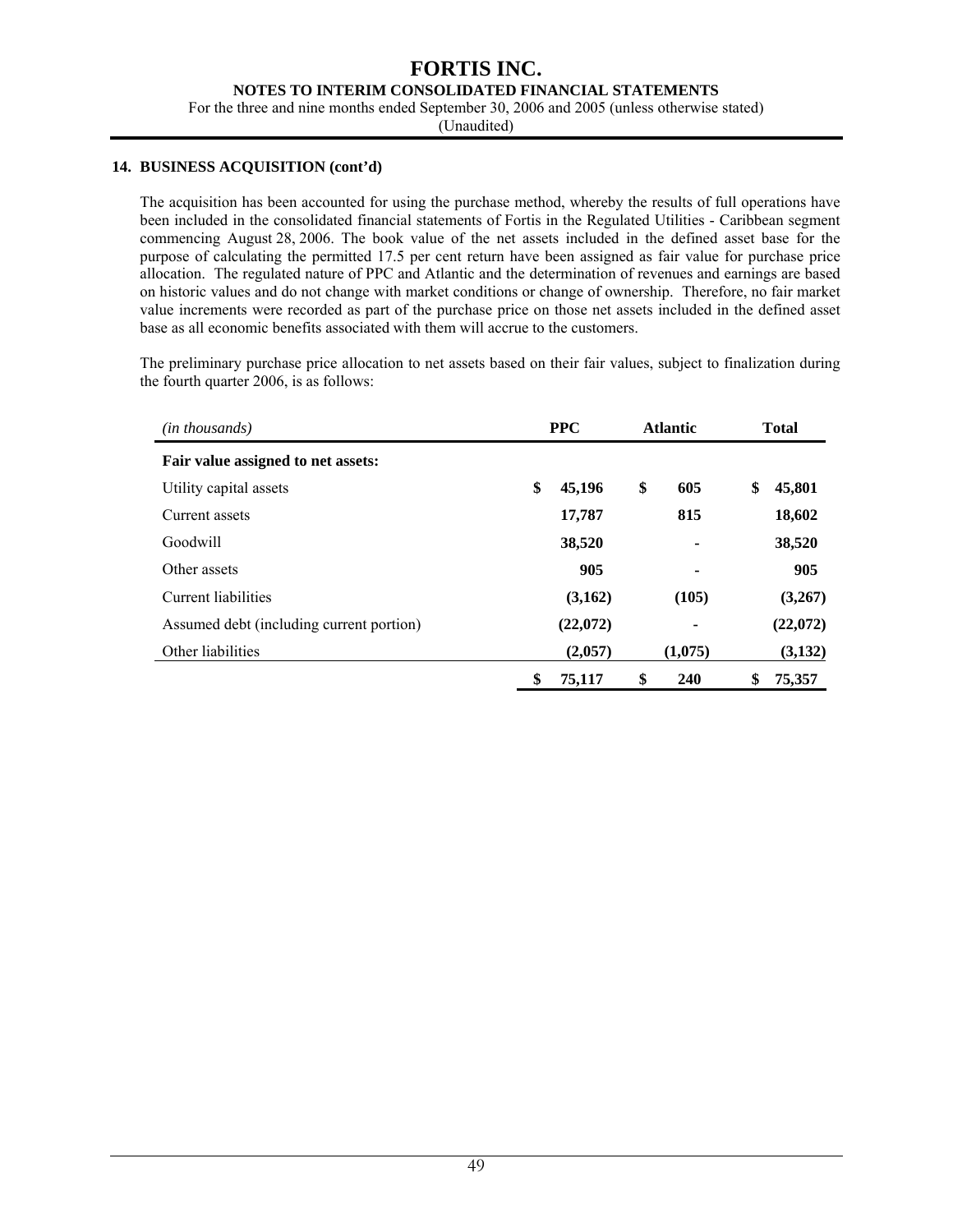#### **NOTES TO INTERIM CONSOLIDATED FINANCIAL STATEMENTS**

For the three and nine months ended September 30, 2006 and 2005 (unless otherwise stated)

(Unaudited)

#### **14. BUSINESS ACQUISITION (cont'd)**

The acquisition has been accounted for using the purchase method, whereby the results of full operations have been included in the consolidated financial statements of Fortis in the Regulated Utilities - Caribbean segment commencing August 28, 2006. The book value of the net assets included in the defined asset base for the purpose of calculating the permitted 17.5 per cent return have been assigned as fair value for purchase price allocation. The regulated nature of PPC and Atlantic and the determination of revenues and earnings are based on historic values and do not change with market conditions or change of ownership. Therefore, no fair market value increments were recorded as part of the purchase price on those net assets included in the defined asset base as all economic benefits associated with them will accrue to the customers.

The preliminary purchase price allocation to net assets based on their fair values, subject to finalization during the fourth quarter 2006, is as follows:

| (in thousands)                           | <b>PPC</b> |          | <b>Atlantic</b> |         | <b>Total</b> |          |
|------------------------------------------|------------|----------|-----------------|---------|--------------|----------|
| Fair value assigned to net assets:       |            |          |                 |         |              |          |
| Utility capital assets                   | \$         | 45,196   | \$              | 605     | \$           | 45,801   |
| Current assets                           |            | 17,787   |                 | 815     |              | 18,602   |
| Goodwill                                 |            | 38,520   |                 | ٠       |              | 38,520   |
| Other assets                             |            | 905      |                 | ۰       |              | 905      |
| Current liabilities                      |            | (3,162)  |                 | (105)   |              | (3,267)  |
| Assumed debt (including current portion) |            | (22,072) |                 | ٠       |              | (22,072) |
| Other liabilities                        |            | (2,057)  |                 | (1,075) |              | (3,132)  |
|                                          | \$         | 75,117   | \$              | 240     | \$           | 75,357   |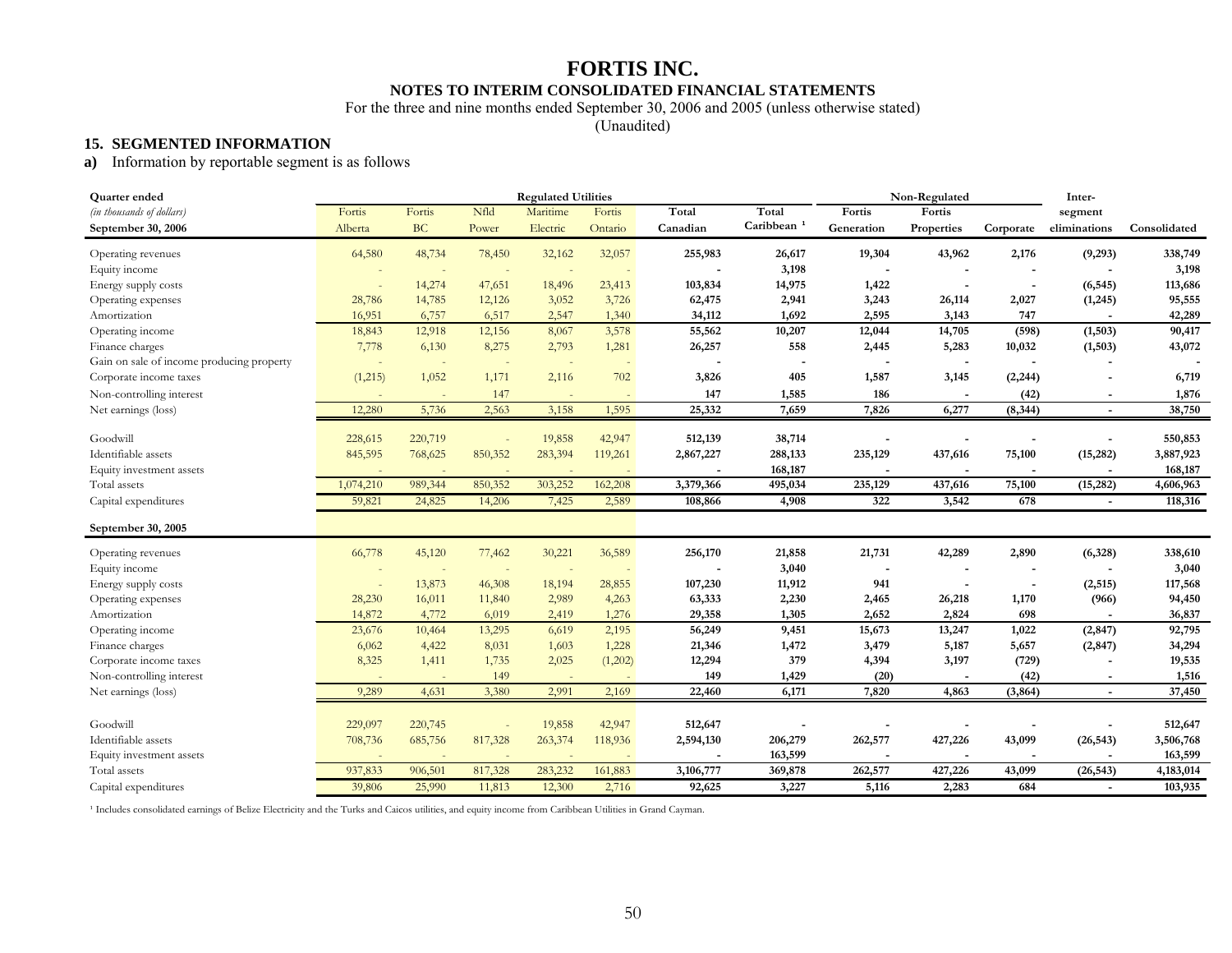# **FORTIS INC. NOTES TO INTERIM CONSOLIDATED FINANCIAL STATEMENTS**

For the three and nine months ended September 30, 2006 and 2005 (unless otherwise stated)

(Unaudited)

#### **15. SEGMENTED INFORMATION**

### **a)** Information by reportable segment is as follows

| Quarter ended                             |           |           |         | <b>Regulated Utilities</b> |         |           |                        |            | Non-Regulated            |                          | Inter-                   |              |
|-------------------------------------------|-----------|-----------|---------|----------------------------|---------|-----------|------------------------|------------|--------------------------|--------------------------|--------------------------|--------------|
| (in thousands of dollars)                 | Fortis    | Fortis    | Nfld    | Maritime                   | Fortis  | Total     | Total                  | Fortis     | Fortis                   |                          | segment                  |              |
| September 30, 2006                        | Alberta   | <b>BC</b> | Power   | Electric                   | Ontario | Canadian  | Caribbean <sup>1</sup> | Generation | Properties               | Corporate                | eliminations             | Consolidated |
| Operating revenues                        | 64,580    | 48,734    | 78,450  | 32,162                     | 32,057  | 255,983   | 26,617                 | 19,304     | 43,962                   | 2,176                    | (9,293)                  | 338,749      |
| Equity income                             |           |           |         |                            |         |           | 3,198                  |            |                          |                          |                          | 3,198        |
| Energy supply costs                       |           | 14,274    | 47,651  | 18,496                     | 23,413  | 103,834   | 14,975                 | 1,422      |                          | $\overline{\phantom{a}}$ | (6, 545)                 | 113,686      |
| Operating expenses                        | 28,786    | 14,785    | 12,126  | 3,052                      | 3,726   | 62,475    | 2,941                  | 3,243      | 26,114                   | 2,027                    | (1,245)                  | 95,555       |
| Amortization                              | 16,951    | 6,757     | 6,517   | 2,547                      | 1,340   | 34,112    | 1,692                  | 2,595      | 3,143                    | 747                      |                          | 42,289       |
| Operating income                          | 18,843    | 12,918    | 12,156  | 8,067                      | 3,578   | 55,562    | 10,207                 | 12,044     | 14,705                   | (598)                    | (1, 503)                 | 90,417       |
| Finance charges                           | 7,778     | 6,130     | 8,275   | 2,793                      | 1,281   | 26,257    | 558                    | 2,445      | 5,283                    | 10,032                   | (1, 503)                 | 43,072       |
| Gain on sale of income producing property | $\sim$    |           |         | $\overline{\phantom{a}}$   |         |           |                        |            |                          |                          |                          |              |
| Corporate income taxes                    | (1,215)   | 1,052     | 1,171   | 2,116                      | 702     | 3,826     | 405                    | 1,587      | 3,145                    | (2, 244)                 |                          | 6,719        |
| Non-controlling interest                  |           |           | 147     | $\sim$                     |         | 147       | 1,585                  | 186        | $\overline{\phantom{a}}$ | (42)                     | $\overline{\phantom{a}}$ | 1,876        |
| Net earnings (loss)                       | 12,280    | 5,736     | 2,563   | 3,158                      | 1,595   | 25,332    | 7,659                  | 7,826      | 6,277                    | (8, 344)                 | $\overline{\phantom{a}}$ | 38,750       |
| Goodwill                                  | 228,615   | 220,719   |         | 19,858                     | 42,947  | 512,139   | 38,714                 |            |                          |                          |                          | 550,853      |
| Identifiable assets                       | 845,595   | 768,625   | 850,352 | 283,394                    | 119,261 | 2,867,227 | 288,133                | 235,129    | 437,616                  | 75,100                   | (15, 282)                | 3,887,923    |
| Equity investment assets                  |           |           |         |                            |         |           | 168,187                |            |                          |                          |                          | 168,187      |
| Total assets                              | 1,074,210 | 989,344   | 850,352 | 303,252                    | 162,208 | 3,379,366 | 495,034                | 235,129    | 437,616                  | 75,100                   | (15, 282)                | 4,606,963    |
| Capital expenditures                      | 59,821    | 24,825    | 14,206  | 7,425                      | 2,589   | 108,866   | 4,908                  | 322        | 3,542                    | 678                      | $\blacksquare$           | 118,316      |
| September 30, 2005                        |           |           |         |                            |         |           |                        |            |                          |                          |                          |              |
| Operating revenues                        | 66,778    | 45,120    | 77,462  | 30,221                     | 36,589  | 256,170   | 21,858                 | 21,731     | 42,289                   | 2,890                    | (6,328)                  | 338,610      |
| Equity income                             |           |           | ٠       | $\overline{\phantom{a}}$   |         |           | 3,040                  |            |                          |                          |                          | 3,040        |
| Energy supply costs                       | $\sim$    | 13,873    | 46,308  | 18,194                     | 28,855  | 107,230   | 11,912                 | 941        |                          |                          | (2, 515)                 | 117,568      |
| Operating expenses                        | 28,230    | 16,011    | 11,840  | 2,989                      | 4,263   | 63,333    | 2,230                  | 2,465      | 26,218                   | 1,170                    | (966)                    | 94,450       |
| Amortization                              | 14,872    | 4,772     | 6,019   | 2,419                      | 1,276   | 29,358    | 1,305                  | 2,652      | 2,824                    | 698                      |                          | 36,837       |
| Operating income                          | 23,676    | 10,464    | 13,295  | 6,619                      | 2,195   | 56,249    | 9,451                  | 15,673     | 13,247                   | 1,022                    | (2, 847)                 | 92,795       |
| Finance charges                           | 6,062     | 4,422     | 8,031   | 1,603                      | 1,228   | 21,346    | 1,472                  | 3,479      | 5,187                    | 5,657                    | (2, 847)                 | 34,294       |
| Corporate income taxes                    | 8,325     | 1,411     | 1,735   | 2,025                      | (1,202) | 12,294    | 379                    | 4,394      | 3,197                    | (729)                    |                          | 19,535       |
| Non-controlling interest                  |           |           | 149     |                            |         | 149       | 1,429                  | (20)       |                          | (42)                     |                          | 1,516        |
| Net earnings (loss)                       | 9,289     | 4,631     | 3,380   | 2,991                      | 2,169   | 22,460    | 6,171                  | 7,820      | 4,863                    | (3, 864)                 | $\sim$                   | 37,450       |
|                                           |           |           |         |                            |         |           |                        |            |                          |                          |                          |              |
| Goodwill                                  | 229,097   | 220,745   |         | 19,858                     | 42,947  | 512,647   |                        |            |                          |                          |                          | 512,647      |
| Identifiable assets                       | 708,736   | 685,756   | 817,328 | 263,374                    | 118,936 | 2,594,130 | 206,279                | 262,577    | 427,226                  | 43,099                   | (26, 543)                | 3,506,768    |
| Equity investment assets                  |           |           |         |                            |         |           | 163,599                |            |                          |                          |                          | 163,599      |
| Total assets                              | 937,833   | 906,501   | 817,328 | 283,232                    | 161,883 | 3,106,777 | 369,878                | 262,577    | 427,226                  | 43,099                   | (26, 543)                | 4,183,014    |
| Capital expenditures                      | 39,806    | 25,990    | 11,813  | 12,300                     | 2,716   | 92,625    | 3,227                  | 5,116      | 2,283                    | 684                      |                          | 103,935      |

<sup>1</sup> Includes consolidated earnings of Belize Electricity and the Turks and Caicos utilities, and equity income from Caribbean Utilities in Grand Cayman.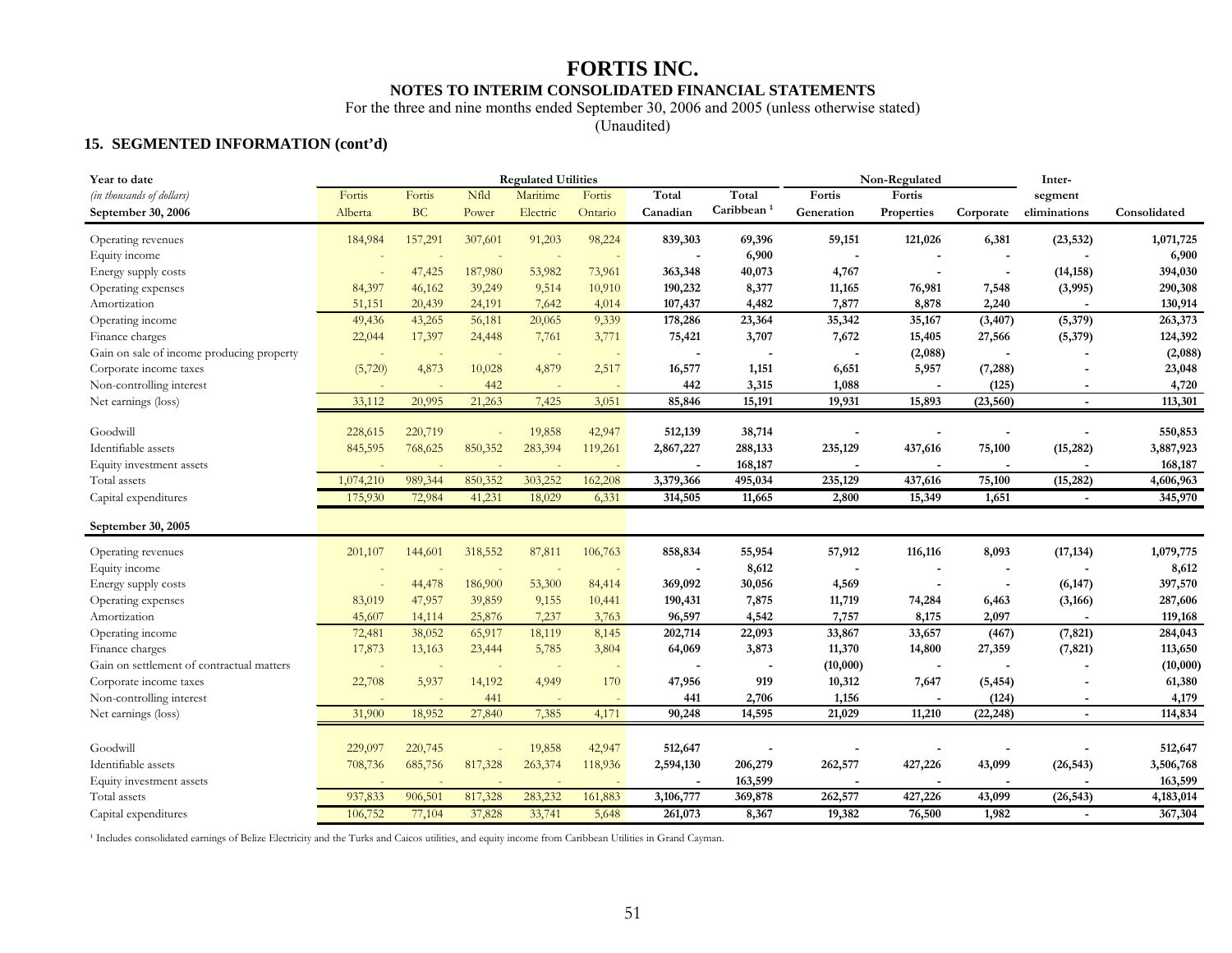# **FORTIS INC. NOTES TO INTERIM CONSOLIDATED FINANCIAL STATEMENTS**

For the three and nine months ended September 30, 2006 and 2005 (unless otherwise stated)

(Unaudited)

### **15. SEGMENTED INFORMATION (cont'd)**

| Year to date                              |                          |         |         | <b>Regulated Utilities</b> |                          |           |                        |                          | Non-Regulated |                | Inter-                   |              |
|-------------------------------------------|--------------------------|---------|---------|----------------------------|--------------------------|-----------|------------------------|--------------------------|---------------|----------------|--------------------------|--------------|
| (in thousands of dollars)                 | Fortis                   | Fortis  | Nfld    | Maritime                   | Fortis                   | Total     | Total                  | Fortis                   | Fortis        |                | segment                  |              |
| September 30, 2006                        | Alberta                  | BC      | Power   | Electric                   | Ontario                  | Canadian  | Caribbean <sup>1</sup> | Generation               | Properties    | Corporate      | eliminations             | Consolidated |
| Operating revenues                        | 184,984                  | 157,291 | 307,601 | 91,203                     | 98,224                   | 839,303   | 69,396                 | 59,151                   | 121,026       | 6,381          | (23, 532)                | 1,071,725    |
| Equity income                             |                          |         |         |                            |                          |           | 6,900                  | $\overline{\phantom{a}}$ |               |                |                          | 6,900        |
| Energy supply costs                       |                          | 47,425  | 187,980 | 53,982                     | 73,961                   | 363,348   | 40,073                 | 4,767                    |               |                | (14, 158)                | 394,030      |
| Operating expenses                        | 84,397                   | 46,162  | 39,249  | 9,514                      | 10,910                   | 190,232   | 8,377                  | 11,165                   | 76,981        | 7,548          | (3,995)                  | 290,308      |
| Amortization                              | 51,151                   | 20,439  | 24,191  | 7,642                      | 4,014                    | 107,437   | 4,482                  | 7,877                    | 8,878         | 2,240          |                          | 130,914      |
| Operating income                          | 49,436                   | 43,265  | 56,181  | 20,065                     | 9,339                    | 178,286   | 23,364                 | 35,342                   | 35,167        | (3, 407)       | (5,379)                  | 263,373      |
| Finance charges                           | 22,044                   | 17,397  | 24,448  | 7,761                      | 3,771                    | 75,421    | 3,707                  | 7,672                    | 15,405        | 27,566         | (5, 379)                 | 124,392      |
| Gain on sale of income producing property | $\overline{\phantom{a}}$ |         | $\sim$  | $\sim$                     | $\sim$                   |           |                        |                          | (2,088)       |                |                          | (2,088)      |
| Corporate income taxes                    | (5,720)                  | 4,873   | 10,028  | 4,879                      | 2,517                    | 16,577    | 1,151                  | 6,651                    | 5,957         | (7, 288)       |                          | 23,048       |
| Non-controlling interest                  |                          |         | 442     |                            |                          | 442       | 3,315                  | 1,088                    |               | (125)          |                          | 4,720        |
| Net earnings (loss)                       | 33,112                   | 20,995  | 21,263  | 7,425                      | 3,051                    | 85,846    | 15,191                 | 19,931                   | 15,893        | (23, 560)      | $\blacksquare$           | 113,301      |
| Goodwill                                  | 228,615                  | 220,719 |         | 19,858                     | 42,947                   | 512,139   | 38,714                 |                          |               |                |                          | 550,853      |
| Identifiable assets                       | 845,595                  | 768,625 | 850,352 | 283,394                    | 119,261                  | 2,867,227 | 288,133                | 235,129                  | 437,616       | 75,100         | (15, 282)                | 3,887,923    |
| Equity investment assets                  |                          |         |         |                            |                          |           | 168,187                |                          |               |                |                          | 168,187      |
| Total assets                              | 1,074,210                | 989,344 | 850,352 | 303,252                    | 162,208                  | 3,379,366 | 495,034                | 235,129                  | 437,616       | 75,100         | (15, 282)                | 4,606,963    |
| Capital expenditures                      | 175,930                  | 72,984  | 41,231  | 18,029                     | 6,331                    | 314,505   | 11,665                 | 2,800                    | 15,349        | 1,651          | $\blacksquare$           | 345,970      |
|                                           |                          |         |         |                            |                          |           |                        |                          |               |                |                          |              |
| September 30, 2005                        |                          |         |         |                            |                          |           |                        |                          |               |                |                          |              |
| Operating revenues                        | 201,107                  | 144,601 | 318,552 | 87,811                     | 106,763                  | 858,834   | 55,954                 | 57,912                   | 116,116       | 8,093          | (17, 134)                | 1,079,775    |
| Equity income                             |                          |         |         |                            | $\sim$                   |           | 8,612                  |                          |               |                |                          | 8,612        |
| Energy supply costs                       |                          | 44,478  | 186,900 | 53,300                     | 84,414                   | 369,092   | 30,056                 | 4,569                    |               | $\blacksquare$ | (6, 147)                 | 397,570      |
| Operating expenses                        | 83,019                   | 47,957  | 39,859  | 9,155                      | 10,441                   | 190,431   | 7,875                  | 11,719                   | 74,284        | 6,463          | (3, 166)                 | 287,606      |
| Amortization                              | 45,607                   | 14,114  | 25,876  | 7,237                      | 3,763                    | 96,597    | 4,542                  | 7,757                    | 8,175         | 2,097          |                          | 119,168      |
| Operating income                          | 72,481                   | 38,052  | 65,917  | 18,119                     | 8,145                    | 202,714   | 22,093                 | 33,867                   | 33,657        | (467)          | (7, 821)                 | 284,043      |
| Finance charges                           | 17,873                   | 13,163  | 23,444  | 5,785                      | 3,804                    | 64,069    | 3,873                  | 11,370                   | 14,800        | 27,359         | (7, 821)                 | 113,650      |
| Gain on settlement of contractual matters |                          |         |         |                            | $\overline{\phantom{a}}$ |           |                        | (10,000)                 |               |                |                          | (10,000)     |
| Corporate income taxes                    | 22,708                   | 5,937   | 14,192  | 4,949                      | 170                      | 47,956    | 919                    | 10,312                   | 7,647         | (5, 454)       |                          | 61,380       |
| Non-controlling interest                  |                          |         | 441     |                            |                          | 441       | 2,706                  | 1,156                    |               | (124)          | $\overline{\phantom{a}}$ | 4,179        |
| Net earnings (loss)                       | 31,900                   | 18,952  | 27,840  | 7,385                      | 4,171                    | 90,248    | 14,595                 | 21,029                   | 11,210        | (22, 248)      | $\overline{\phantom{a}}$ | 114,834      |
|                                           |                          |         |         |                            |                          |           |                        |                          |               |                |                          |              |
| Goodwill                                  | 229,097                  | 220,745 |         | 19,858                     | 42,947                   | 512,647   |                        |                          |               |                |                          | 512,647      |
| Identifiable assets                       | 708,736                  | 685,756 | 817,328 | 263,374                    | 118,936                  | 2,594,130 | 206,279                | 262,577                  | 427,226       | 43,099         | (26, 543)                | 3,506,768    |
| Equity investment assets                  | 937,833                  |         | 817,328 | 283,232                    | 161,883                  |           | 163,599                |                          |               |                |                          | 163,599      |
| Total assets                              |                          | 906,501 |         |                            |                          | 3,106,777 | 369,878                | 262,577                  | 427,226       | 43,099         | (26, 543)                | 4,183,014    |
| Capital expenditures                      | 106,752                  | 77,104  | 37,828  | 33,741                     | 5,648                    | 261,073   | 8,367                  | 19,382                   | 76,500        | 1,982          | $\blacksquare$           | 367,304      |

<sup>1</sup> Includes consolidated earnings of Belize Electricity and the Turks and Caicos utilities, and equity income from Caribbean Utilities in Grand Cayman.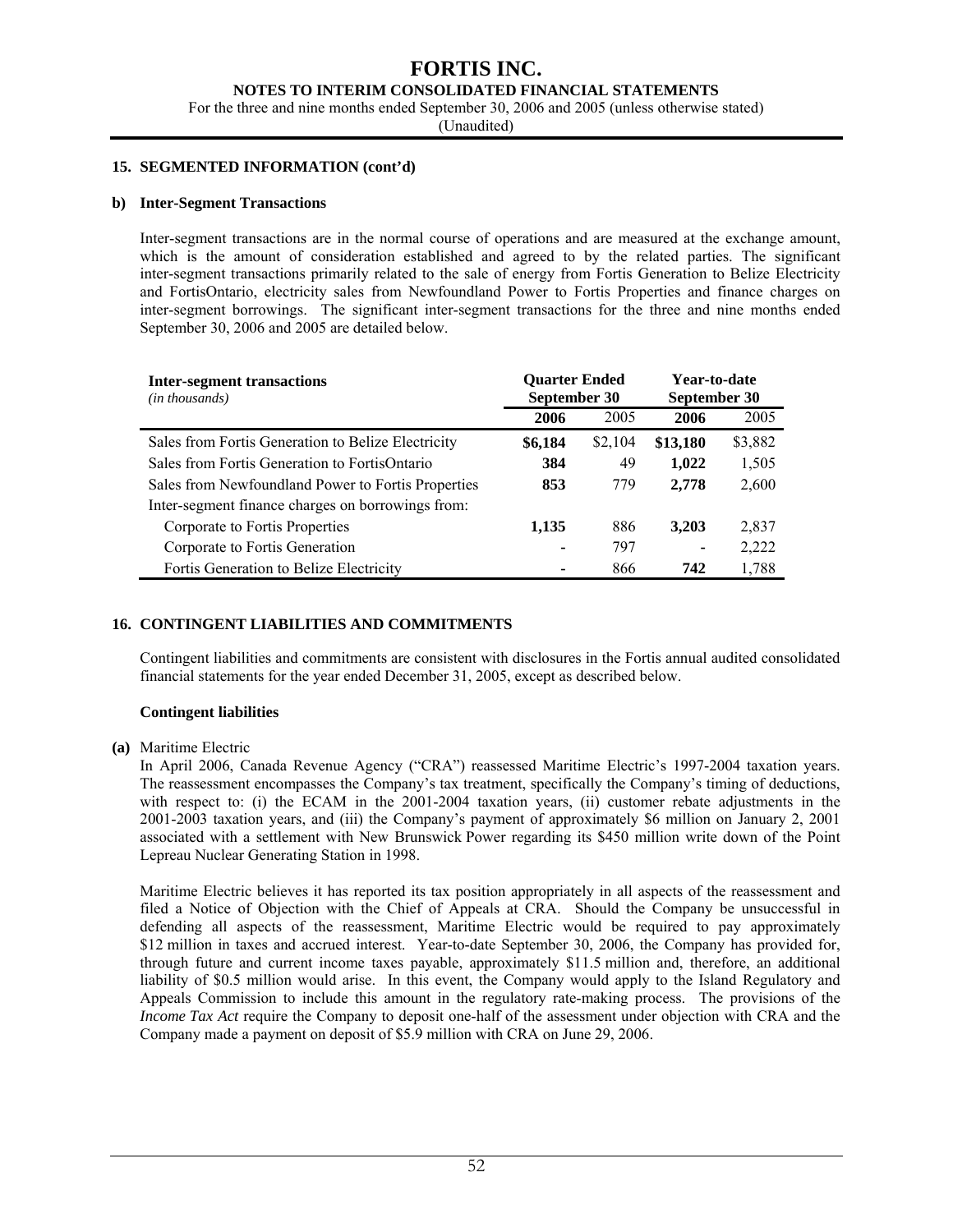#### **NOTES TO INTERIM CONSOLIDATED FINANCIAL STATEMENTS**

For the three and nine months ended September 30, 2006 and 2005 (unless otherwise stated)

(Unaudited)

#### **15. SEGMENTED INFORMATION (cont'd)**

#### **b) Inter-Segment Transactions**

Inter-segment transactions are in the normal course of operations and are measured at the exchange amount, which is the amount of consideration established and agreed to by the related parties. The significant inter-segment transactions primarily related to the sale of energy from Fortis Generation to Belize Electricity and FortisOntario, electricity sales from Newfoundland Power to Fortis Properties and finance charges on inter-segment borrowings. The significant inter-segment transactions for the three and nine months ended September 30, 2006 and 2005 are detailed below.

| <b>Inter-segment transactions</b>                  | <b>Ouarter Ended</b> |         | Year-to-date |         |  |
|----------------------------------------------------|----------------------|---------|--------------|---------|--|
| (in thousands)                                     | September 30         |         | September 30 |         |  |
|                                                    | 2006                 | 2005    | 2006         | 2005    |  |
| Sales from Fortis Generation to Belize Electricity | \$6,184              | \$2,104 | \$13,180     | \$3,882 |  |
| Sales from Fortis Generation to FortisOntario      | 384                  | 49      | 1,022        | 1,505   |  |
| Sales from Newfoundland Power to Fortis Properties | 853                  | 779     | 2,778        | 2,600   |  |
| Inter-segment finance charges on borrowings from:  |                      |         |              |         |  |
| Corporate to Fortis Properties                     | 1,135                | 886     | 3,203        | 2,837   |  |
| Corporate to Fortis Generation                     | ۰                    | 797     |              | 2,222   |  |
| Fortis Generation to Belize Electricity            | -                    | 866     | 742          | 1,788   |  |

### **16. CONTINGENT LIABILITIES AND COMMITMENTS**

Contingent liabilities and commitments are consistent with disclosures in the Fortis annual audited consolidated financial statements for the year ended December 31, 2005, except as described below.

#### **Contingent liabilities**

#### **(a)** Maritime Electric

In April 2006, Canada Revenue Agency ("CRA") reassessed Maritime Electric's 1997-2004 taxation years. The reassessment encompasses the Company's tax treatment, specifically the Company's timing of deductions, with respect to: (i) the ECAM in the 2001-2004 taxation years, (ii) customer rebate adjustments in the 2001-2003 taxation years, and (iii) the Company's payment of approximately \$6 million on January 2, 2001 associated with a settlement with New Brunswick Power regarding its \$450 million write down of the Point Lepreau Nuclear Generating Station in 1998.

Maritime Electric believes it has reported its tax position appropriately in all aspects of the reassessment and filed a Notice of Objection with the Chief of Appeals at CRA. Should the Company be unsuccessful in defending all aspects of the reassessment, Maritime Electric would be required to pay approximately \$12 million in taxes and accrued interest. Year-to-date September 30, 2006, the Company has provided for, through future and current income taxes payable, approximately \$11.5 million and, therefore, an additional liability of \$0.5 million would arise. In this event, the Company would apply to the Island Regulatory and Appeals Commission to include this amount in the regulatory rate-making process. The provisions of the *Income Tax Act* require the Company to deposit one-half of the assessment under objection with CRA and the Company made a payment on deposit of \$5.9 million with CRA on June 29, 2006.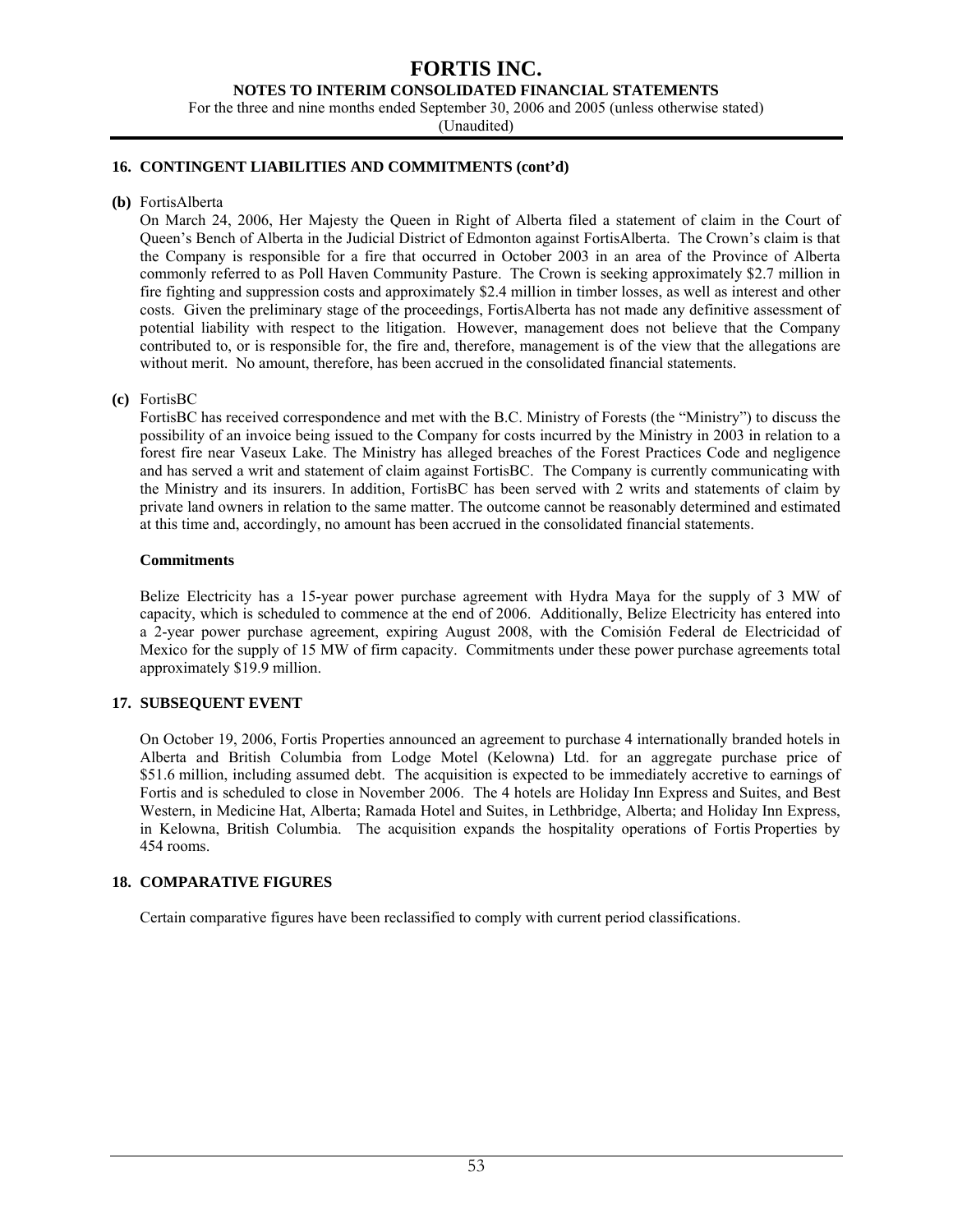#### **NOTES TO INTERIM CONSOLIDATED FINANCIAL STATEMENTS**

For the three and nine months ended September 30, 2006 and 2005 (unless otherwise stated)

(Unaudited)

#### **16. CONTINGENT LIABILITIES AND COMMITMENTS (cont'd)**

**(b)** FortisAlberta

On March 24, 2006, Her Majesty the Queen in Right of Alberta filed a statement of claim in the Court of Queen's Bench of Alberta in the Judicial District of Edmonton against FortisAlberta. The Crown's claim is that the Company is responsible for a fire that occurred in October 2003 in an area of the Province of Alberta commonly referred to as Poll Haven Community Pasture. The Crown is seeking approximately \$2.7 million in fire fighting and suppression costs and approximately \$2.4 million in timber losses, as well as interest and other costs. Given the preliminary stage of the proceedings, FortisAlberta has not made any definitive assessment of potential liability with respect to the litigation. However, management does not believe that the Company contributed to, or is responsible for, the fire and, therefore, management is of the view that the allegations are without merit. No amount, therefore, has been accrued in the consolidated financial statements.

#### **(c)** FortisBC

FortisBC has received correspondence and met with the B.C. Ministry of Forests (the "Ministry") to discuss the possibility of an invoice being issued to the Company for costs incurred by the Ministry in 2003 in relation to a forest fire near Vaseux Lake. The Ministry has alleged breaches of the Forest Practices Code and negligence and has served a writ and statement of claim against FortisBC. The Company is currently communicating with the Ministry and its insurers. In addition, FortisBC has been served with 2 writs and statements of claim by private land owners in relation to the same matter. The outcome cannot be reasonably determined and estimated at this time and, accordingly, no amount has been accrued in the consolidated financial statements.

#### **Commitments**

Belize Electricity has a 15-year power purchase agreement with Hydra Maya for the supply of 3 MW of capacity, which is scheduled to commence at the end of 2006. Additionally, Belize Electricity has entered into a 2-year power purchase agreement, expiring August 2008, with the Comisión Federal de Electricidad of Mexico for the supply of 15 MW of firm capacity. Commitments under these power purchase agreements total approximately \$19.9 million.

#### **17. SUBSEQUENT EVENT**

On October 19, 2006, Fortis Properties announced an agreement to purchase 4 internationally branded hotels in Alberta and British Columbia from Lodge Motel (Kelowna) Ltd. for an aggregate purchase price of \$51.6 million, including assumed debt. The acquisition is expected to be immediately accretive to earnings of Fortis and is scheduled to close in November 2006. The 4 hotels are Holiday Inn Express and Suites, and Best Western, in Medicine Hat, Alberta; Ramada Hotel and Suites, in Lethbridge, Alberta; and Holiday Inn Express, in Kelowna, British Columbia. The acquisition expands the hospitality operations of Fortis Properties by 454 rooms.

#### **18. COMPARATIVE FIGURES**

Certain comparative figures have been reclassified to comply with current period classifications.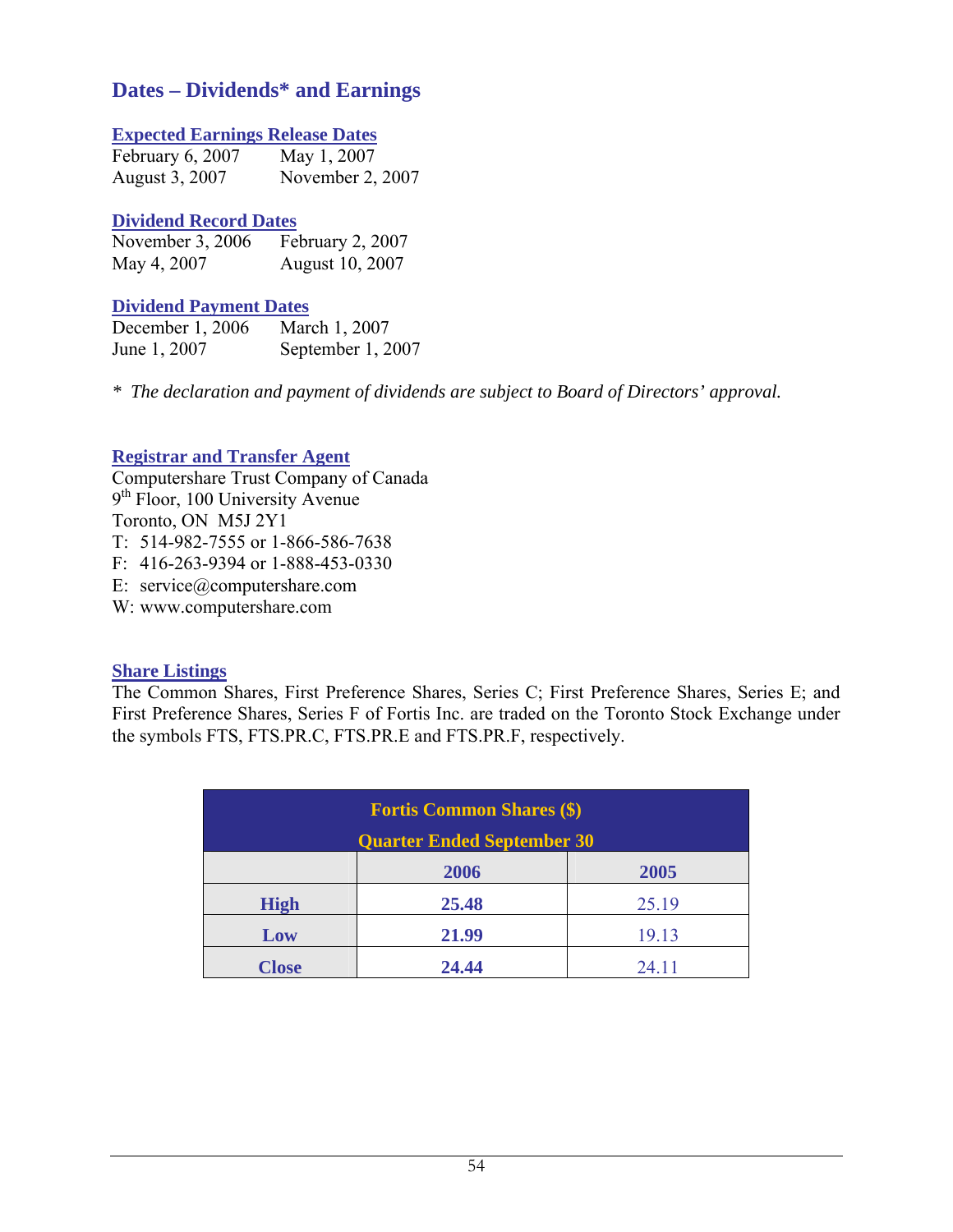# **Dates – Dividends\* and Earnings**

# **Expected Earnings Release Dates**

| February 6, 2007 | May 1, 2007      |
|------------------|------------------|
| August 3, 2007   | November 2, 2007 |

# **Dividend Record Dates**

| November 3, 2006 | February 2, 2007 |
|------------------|------------------|
| May 4, 2007      | August 10, 2007  |

# **Dividend Payment Dates**

| December 1, 2006 | March 1, 2007     |
|------------------|-------------------|
| June 1, 2007     | September 1, 2007 |

*\* The declaration and payment of dividends are subject to Board of Directors' approval.* 

# **Registrar and Transfer Agent**

Computershare Trust Company of Canada 9<sup>th</sup> Floor, 100 University Avenue Toronto, ON M5J 2Y1 T: 514-982-7555 or 1-866-586-7638

F: 416-263-9394 or 1-888-453-0330

E: service@computershare.com

W: www.computershare.com

# **Share Listings**

The Common Shares, First Preference Shares, Series C; First Preference Shares, Series E; and First Preference Shares, Series F of Fortis Inc. are traded on the Toronto Stock Exchange under the symbols FTS, FTS.PR.C, FTS.PR.E and FTS.PR.F, respectively.

| <b>Fortis Common Shares (\$)</b>  |       |       |  |  |  |  |
|-----------------------------------|-------|-------|--|--|--|--|
| <b>Quarter Ended September 30</b> |       |       |  |  |  |  |
| 2005<br>2006                      |       |       |  |  |  |  |
| <b>High</b>                       | 25.48 | 25.19 |  |  |  |  |
| Low                               | 21.99 | 19.13 |  |  |  |  |
| <b>Close</b>                      | 24.44 | 24.11 |  |  |  |  |